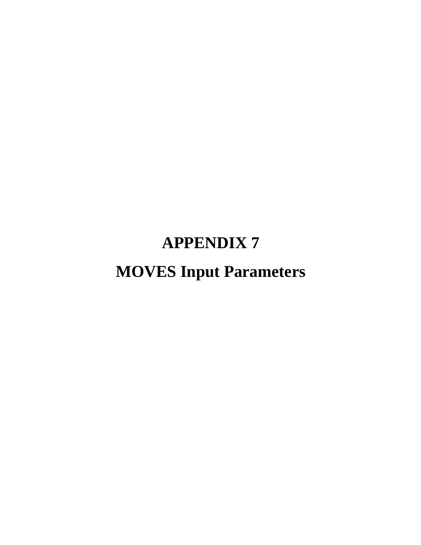# **APPENDIX 7**

# **MOVES Input Parameters**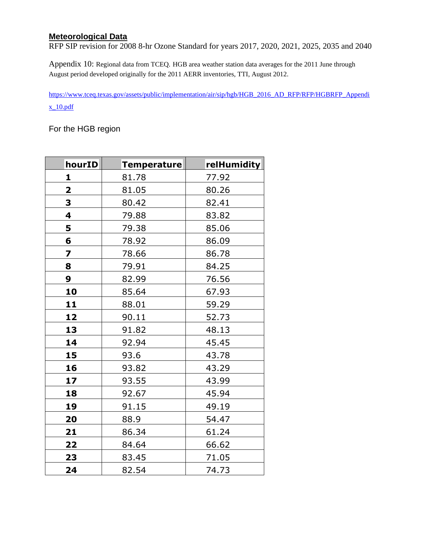#### **Meteorological Data**

RFP SIP revision for 2008 8-hr Ozone Standard for years 2017, 2020, 2021, 2025, 2035 and 2040

Appendix 10: Regional data from TCEQ. HGB area weather station data averages for the 2011 June through August period developed originally for the 2011 AERR inventories, TTI, August 2012.

[https://www.tceq.texas.gov/assets/public/implementation/air/sip/hgb/HGB\\_2016\\_AD\\_RFP/RFP/HGBRFP\\_Appendi](https://www.tceq.texas.gov/assets/public/implementation/air/sip/hgb/HGB_2016_AD_RFP/RFP/HGBRFP_Appendix_10.pdf) [x\\_10.pdf](https://www.tceq.texas.gov/assets/public/implementation/air/sip/hgb/HGB_2016_AD_RFP/RFP/HGBRFP_Appendix_10.pdf)

For the HGB region

| hourID                  | Temperature | relHumidity |
|-------------------------|-------------|-------------|
| 1                       | 81.78       | 77.92       |
| $\overline{\mathbf{2}}$ | 81.05       | 80.26       |
| 3                       | 80.42       | 82.41       |
| $\overline{\mathbf{4}}$ | 79.88       | 83.82       |
| 5                       | 79.38       | 85.06       |
| 6                       | 78.92       | 86.09       |
| 7                       | 78.66       | 86.78       |
| 8                       | 79.91       | 84.25       |
| 9                       | 82.99       | 76.56       |
| 10                      | 85.64       | 67.93       |
| 11                      | 88.01       | 59.29       |
| 12                      | 90.11       | 52.73       |
| 13                      | 91.82       | 48.13       |
| 14                      | 92.94       | 45.45       |
| 15                      | 93.6        | 43.78       |
| 16                      | 93.82       | 43.29       |
| 17                      | 93.55       | 43.99       |
| 18                      | 92.67       | 45.94       |
| 19                      | 91.15       | 49.19       |
| 20                      | 88.9        | 54.47       |
| 21                      | 86.34       | 61.24       |
| 22                      | 84.64       | 66.62       |
| 23                      | 83.45       | 71.05       |
| 24                      | 82.54       | 74.73       |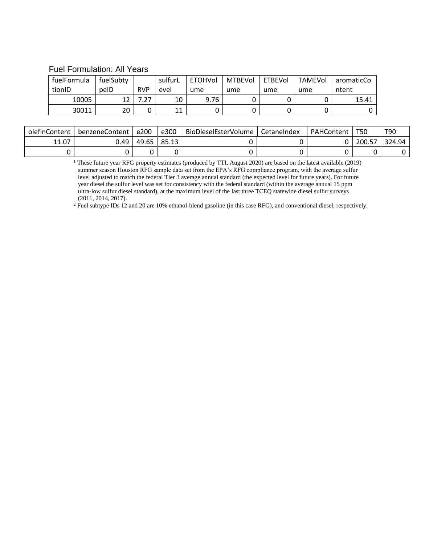#### Fuel Formulation: All Years

| fuelFormula | fuelSubty |               | sulfurL  | <b>ETOHVol</b> | <b>MTBEVol</b> | <b>ETBEVol</b> | <b>TAMEVOL</b> | aromaticCo |
|-------------|-----------|---------------|----------|----------------|----------------|----------------|----------------|------------|
| tionID      | pelD      | <b>RVP</b>    | evel     | ume            | ume            | ume            | ume            | ntent      |
| 10005       | 1 ว       | $\mathcal{L}$ | 10       | 9.76           |                |                |                | 15.41      |
| 30011       | 20        |               | 11<br>ᆂᆂ |                |                |                |                |            |

| olefinContent | benzeneContent | e200  | e300  | BioDieselEsterVolume | CetaneIndex | PAHContent | T50    | T90    |
|---------------|----------------|-------|-------|----------------------|-------------|------------|--------|--------|
| 11.07         | 0.49           | 49.65 | 85.13 |                      |             |            | 200.57 | 324.94 |
|               |                |       |       |                      |             |            |        |        |

<sup>1</sup> These future year RFG property estimates (produced by TTI, August 2020) are based on the latest available (2019) summer season Houston RFG sample data set from the EPA's RFG compliance program, with the average sulfur level adjusted to match the federal Tier 3 average annual standard (the expected level for future years). For future year diesel the sulfur level was set for consistency with the federal standard (within the average annual 15 ppm ultra-low sulfur diesel standard), at the maximum level of the last three TCEQ statewide diesel sulfur surveys (2011, 2014, 2017).

<sup>2</sup> Fuel subtype IDs 12 and 20 are 10% ethanol-blend gasoline (in this case RFG), and conventional diesel, respectively.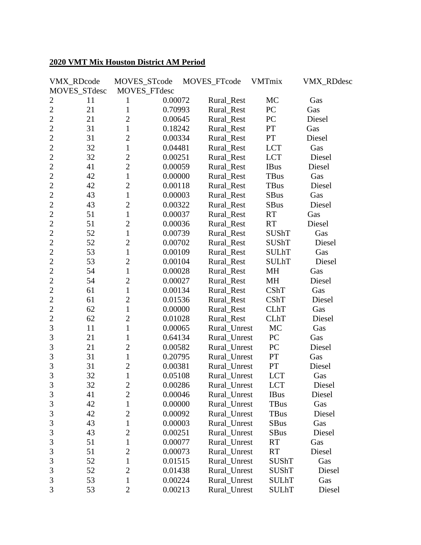#### **2020 VMT Mix Houston District AM Period**

| VMX_RDcode           | MOVES_STcode   |         | MOVES_FTcode | VMTmix       | <b>VMX_RDdesc</b> |
|----------------------|----------------|---------|--------------|--------------|-------------------|
| MOVES_STdesc         | MOVES_FTdesc   |         |              |              |                   |
| $\overline{2}$<br>11 | 1              | 0.00072 | Rural_Rest   | MC           | Gas               |
| $\overline{2}$<br>21 | $\mathbf{1}$   | 0.70993 | Rural_Rest   | PC           | Gas               |
| $\overline{2}$<br>21 | $\overline{2}$ | 0.00645 | Rural_Rest   | <b>PC</b>    | Diesel            |
| $\overline{2}$<br>31 | $\mathbf{1}$   | 0.18242 | Rural_Rest   | PT           | Gas               |
| $\overline{2}$<br>31 | $\overline{2}$ | 0.00334 | Rural_Rest   | PT           | Diesel            |
| $\overline{2}$<br>32 | $\mathbf{1}$   | 0.04481 | Rural_Rest   | <b>LCT</b>   | Gas               |
| $\overline{2}$<br>32 | $\overline{c}$ | 0.00251 | Rural_Rest   | <b>LCT</b>   | Diesel            |
| $\overline{2}$<br>41 | $\overline{2}$ | 0.00059 | Rural_Rest   | <b>IBus</b>  | Diesel            |
| $\overline{2}$<br>42 | $\mathbf{1}$   | 0.00000 | Rural_Rest   | <b>TBus</b>  | Gas               |
| $\overline{2}$<br>42 | $\overline{2}$ | 0.00118 | Rural_Rest   | TBus         | Diesel            |
| $\overline{2}$<br>43 | $\mathbf{1}$   | 0.00003 | Rural_Rest   | <b>SBus</b>  | Gas               |
| $\overline{2}$<br>43 | $\overline{2}$ | 0.00322 | Rural_Rest   | <b>SBus</b>  | Diesel            |
| $\overline{2}$<br>51 | $\mathbf{1}$   | 0.00037 | Rural_Rest   | RT           | Gas               |
| $\overline{2}$<br>51 | $\overline{2}$ | 0.00036 | Rural_Rest   | RT           | Diesel            |
| $\overline{2}$<br>52 | $\mathbf{1}$   | 0.00739 | Rural_Rest   | <b>SUShT</b> | Gas               |
| $\overline{2}$<br>52 | $\overline{c}$ | 0.00702 | Rural_Rest   | SUShT        | Diesel            |
| $\overline{2}$<br>53 | $\mathbf{1}$   | 0.00109 | Rural_Rest   | <b>SULhT</b> | Gas               |
| $\overline{2}$<br>53 | $\overline{c}$ | 0.00104 | Rural_Rest   | <b>SULhT</b> | Diesel            |
| $\overline{2}$<br>54 | $\mathbf{1}$   | 0.00028 | Rural_Rest   | MH           | Gas               |
| $\overline{2}$<br>54 | $\overline{2}$ | 0.00027 | Rural_Rest   | MH           | Diesel            |
| $\overline{2}$<br>61 | $\mathbf{1}$   | 0.00134 | Rural_Rest   | CShT         | Gas               |
| $\overline{2}$<br>61 | $\overline{2}$ | 0.01536 | Rural_Rest   | CShT         | Diesel            |
| $\overline{2}$<br>62 | $\mathbf{1}$   | 0.00000 | Rural_Rest   | <b>CLhT</b>  | Gas               |
| $\overline{2}$<br>62 | $\overline{c}$ | 0.01028 | Rural_Rest   | <b>CLhT</b>  | Diesel            |
| 3<br>11              | $\mathbf{1}$   | 0.00065 | Rural_Unrest | MC           | Gas               |
| 3<br>21              | 1              | 0.64134 | Rural_Unrest | PC           | Gas               |
| 3<br>21              | $\overline{2}$ | 0.00582 | Rural_Unrest | PC           | Diesel            |
| $\overline{3}$<br>31 | $\mathbf{1}$   | 0.20795 | Rural_Unrest | <b>PT</b>    | Gas               |
| 3<br>31              | $\overline{2}$ | 0.00381 | Rural_Unrest | <b>PT</b>    | Diesel            |
| $\overline{3}$<br>32 | $\mathbf{1}$   | 0.05108 | Rural_Unrest | <b>LCT</b>   | Gas               |
| 3<br>32              | $\overline{c}$ | 0.00286 | Rural_Unrest | <b>LCT</b>   | Diesel            |
| $\mathfrak{Z}$<br>41 | $\overline{c}$ | 0.00046 | Rural_Unrest | <b>IBus</b>  | Diesel            |
| 3<br>42              | $\mathbf{1}$   | 0.00000 | Rural_Unrest | TBus         | Gas               |
| 3<br>42              | $\overline{c}$ | 0.00092 | Rural_Unrest | TBus         | Diesel            |
| $\mathfrak{Z}$<br>43 | $\mathbf{1}$   | 0.00003 | Rural Unrest | <b>SBus</b>  | Gas               |
| 3<br>43              | $\overline{2}$ | 0.00251 | Rural Unrest | SBus         | Diesel            |
| 3<br>51              | $\mathbf{1}$   | 0.00077 | Rural_Unrest | <b>RT</b>    | Gas               |
| 3<br>51              | $\overline{c}$ | 0.00073 | Rural_Unrest | <b>RT</b>    | Diesel            |
| 3<br>52              | $\mathbf{1}$   | 0.01515 | Rural_Unrest | <b>SUShT</b> | Gas               |
| 3<br>52              | $\overline{2}$ | 0.01438 | Rural_Unrest | SUShT        | Diesel            |
| 3<br>53              | 1              | 0.00224 | Rural_Unrest | <b>SULhT</b> | Gas               |
| 3<br>53              | 2              | 0.00213 | Rural_Unrest | <b>SULhT</b> | Diesel            |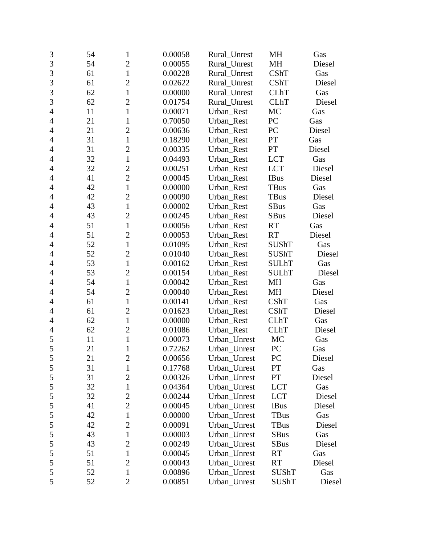| $\mathfrak{Z}$ | 54 | $\mathbf{1}$   | 0.00058 | Rural_Unrest | MH           | Gas    |
|----------------|----|----------------|---------|--------------|--------------|--------|
| 3              | 54 | $\overline{2}$ | 0.00055 | Rural Unrest | MH           | Diesel |
| 3              | 61 | $\mathbf{1}$   | 0.00228 | Rural_Unrest | CShT         | Gas    |
| 3              | 61 | $\overline{2}$ | 0.02622 | Rural_Unrest | CShT         | Diesel |
| $\overline{3}$ | 62 | $\mathbf{1}$   | 0.00000 | Rural_Unrest | <b>CLhT</b>  | Gas    |
| 3              | 62 | $\overline{2}$ | 0.01754 | Rural_Unrest | <b>CLhT</b>  | Diesel |
| $\overline{4}$ | 11 | $\mathbf{1}$   | 0.00071 | Urban_Rest   | <b>MC</b>    | Gas    |
| $\overline{4}$ | 21 | $\mathbf{1}$   | 0.70050 | Urban_Rest   | PC           | Gas    |
| 4              | 21 | $\overline{2}$ | 0.00636 | Urban Rest   | PC           | Diesel |
| $\overline{4}$ | 31 | $\mathbf{1}$   | 0.18290 | Urban_Rest   | PT           | Gas    |
| $\overline{4}$ | 31 | $\overline{2}$ | 0.00335 | Urban_Rest   | PT           | Diesel |
| $\overline{4}$ | 32 | $\mathbf{1}$   | 0.04493 | Urban_Rest   | <b>LCT</b>   | Gas    |
| $\overline{4}$ | 32 | $\overline{c}$ | 0.00251 | Urban_Rest   | <b>LCT</b>   | Diesel |
| $\overline{4}$ | 41 | $\overline{2}$ | 0.00045 | Urban_Rest   | <b>IBus</b>  | Diesel |
| 4              | 42 | $\mathbf{1}$   | 0.00000 | Urban_Rest   | TBus         | Gas    |
| $\overline{4}$ | 42 | $\overline{2}$ | 0.00090 | Urban_Rest   | <b>TBus</b>  | Diesel |
| $\overline{4}$ | 43 | $\mathbf{1}$   | 0.00002 | Urban_Rest   | <b>SBus</b>  | Gas    |
| 4              | 43 | $\overline{2}$ | 0.00245 | Urban_Rest   | <b>SBus</b>  | Diesel |
| 4              | 51 | $\mathbf{1}$   | 0.00056 | Urban Rest   | <b>RT</b>    | Gas    |
| $\overline{4}$ | 51 | $\overline{2}$ | 0.00053 | Urban_Rest   | <b>RT</b>    | Diesel |
| $\overline{4}$ | 52 | $\mathbf{1}$   | 0.01095 | Urban_Rest   | <b>SUShT</b> | Gas    |
| 4              | 52 | $\overline{2}$ | 0.01040 | Urban_Rest   | <b>SUShT</b> | Diesel |
| $\overline{4}$ | 53 | $\mathbf{1}$   | 0.00162 | Urban_Rest   | <b>SULhT</b> | Gas    |
| $\overline{4}$ | 53 | $\overline{2}$ | 0.00154 | Urban_Rest   | <b>SULhT</b> | Diesel |
| $\overline{4}$ | 54 | $\mathbf{1}$   | 0.00042 | Urban_Rest   | MH           | Gas    |
| $\overline{4}$ | 54 | $\overline{2}$ | 0.00040 | Urban_Rest   | MH           | Diesel |
| $\overline{4}$ | 61 | $\mathbf{1}$   | 0.00141 | Urban_Rest   | CShT         | Gas    |
| 4              | 61 | $\overline{2}$ | 0.01623 | Urban_Rest   | CShT         | Diesel |
| 4              | 62 | $\mathbf{1}$   | 0.00000 | Urban_Rest   | <b>CLhT</b>  | Gas    |
| $\overline{4}$ | 62 | $\overline{2}$ | 0.01086 | Urban_Rest   | <b>CLhT</b>  | Diesel |
| 5              | 11 | $\mathbf{1}$   | 0.00073 | Urban_Unrest | MC           | Gas    |
| 5              | 21 | $\mathbf{1}$   | 0.72262 | Urban Unrest | PC           | Gas    |
| 5              | 21 | $\overline{c}$ | 0.00656 | Urban_Unrest | PC           | Diesel |
| 5              | 31 | $\mathbf{1}$   | 0.17768 | Urban_Unrest | PT           | Gas    |
| $\mathfrak s$  | 31 | $\overline{2}$ | 0.00326 | Urban_Unrest | PT           | Diesel |
| 5              | 32 | $\mathbf{1}$   | 0.04364 | Urban_Unrest | <b>LCT</b>   | Gas    |
| 5              | 32 | $\overline{c}$ | 0.00244 | Urban_Unrest | <b>LCT</b>   | Diesel |
| 5              | 41 | $\overline{2}$ | 0.00045 | Urban_Unrest | <b>IBus</b>  | Diesel |
| 5              | 42 | 1              | 0.00000 | Urban_Unrest | TBus         | Gas    |
| 5              | 42 | $\overline{2}$ | 0.00091 | Urban_Unrest | TBus         | Diesel |
| 5              | 43 | $\mathbf{1}$   | 0.00003 | Urban_Unrest | <b>SBus</b>  | Gas    |
| 5              | 43 | $\overline{2}$ | 0.00249 | Urban_Unrest | <b>SBus</b>  | Diesel |
| 5              | 51 | $\mathbf{1}$   | 0.00045 | Urban_Unrest | <b>RT</b>    | Gas    |
| 5              | 51 | $\overline{2}$ | 0.00043 | Urban_Unrest | <b>RT</b>    | Diesel |
| 5              | 52 | $\mathbf{1}$   | 0.00896 | Urban_Unrest | <b>SUShT</b> | Gas    |
| 5              | 52 | $\overline{2}$ | 0.00851 | Urban_Unrest | <b>SUShT</b> | Diesel |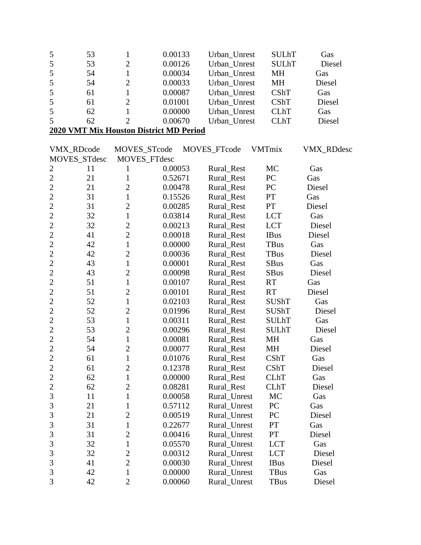| 5              | 53                | $\mathbf{1}$   | 0.00133                                 | Urban_Unrest | <b>SULhT</b>  | Gas               |
|----------------|-------------------|----------------|-----------------------------------------|--------------|---------------|-------------------|
| 5              | 53                | $\overline{2}$ | 0.00126                                 | Urban Unrest | <b>SULhT</b>  | Diesel            |
| 5              | 54                | $\mathbf{1}$   | 0.00034                                 | Urban_Unrest | MH            | Gas               |
| 5              | 54                | $\overline{2}$ | 0.00033                                 | Urban_Unrest | MH            | Diesel            |
| 5              | 61                | $\mathbf{1}$   | 0.00087                                 | Urban_Unrest | CShT          | Gas               |
| 5              | 61                | $\overline{2}$ | 0.01001                                 | Urban_Unrest | <b>CShT</b>   | Diesel            |
| 5              | 62                | $\mathbf{1}$   | 0.00000                                 | Urban_Unrest | <b>CLhT</b>   | Gas               |
| 5              | 62                | $\overline{2}$ | 0.00670                                 | Urban_Unrest | <b>CLhT</b>   | Diesel            |
|                |                   |                | 2020 VMT Mix Houston District MD Period |              |               |                   |
|                | <b>VMX RDcode</b> | MOVES_STcode   |                                         | MOVES_FTcode | <b>VMTmix</b> | <b>VMX RDdesc</b> |
|                | MOVES_STdesc      | MOVES_FTdesc   |                                         |              |               |                   |
| $\overline{c}$ | 11                | 1              | 0.00053                                 | Rural_Rest   | MC            | Gas               |
| $\overline{c}$ | 21                | $\mathbf{1}$   | 0.52671                                 | Rural_Rest   | PC            | Gas               |
| $\overline{c}$ | 21                | $\overline{2}$ | 0.00478                                 | Rural_Rest   | PC            | Diesel            |
| $\overline{c}$ | 31                | $\mathbf{1}$   | 0.15526                                 | Rural_Rest   | PT            | Gas               |
| $\overline{2}$ | 31                | $\overline{2}$ | 0.00285                                 | Rural_Rest   | PT            | Diesel            |
| $\overline{2}$ | 32                | $\mathbf{1}$   | 0.03814                                 | Rural Rest   | <b>LCT</b>    | Gas               |
| $\overline{2}$ | 32                | $\overline{c}$ | 0.00213                                 | Rural_Rest   | <b>LCT</b>    | Diesel            |
| $\overline{c}$ | 41                | $\overline{c}$ | 0.00018                                 | Rural_Rest   | <b>IBus</b>   | Diesel            |
| $\overline{2}$ | 42                | $\mathbf{1}$   | 0.00000                                 | Rural_Rest   | <b>TBus</b>   | Gas               |
| $\overline{2}$ | 42                | $\overline{2}$ | 0.00036                                 | Rural_Rest   | <b>TBus</b>   | Diesel            |
| $\overline{2}$ | 43                | $\mathbf{1}$   | 0.00001                                 | Rural_Rest   | <b>SBus</b>   | Gas               |
| $\overline{2}$ | 43                | $\overline{c}$ | 0.00098                                 | Rural_Rest   | <b>SBus</b>   | Diesel            |
| $\overline{2}$ | 51                | $\mathbf{1}$   | 0.00107                                 | Rural_Rest   | <b>RT</b>     | Gas               |
| $\overline{c}$ | 51                | $\overline{2}$ | 0.00101                                 | Rural_Rest   | <b>RT</b>     | Diesel            |
| $\overline{2}$ | 52                | $\mathbf{1}$   | 0.02103                                 | Rural_Rest   | <b>SUShT</b>  | Gas               |
| $\overline{c}$ | 52                | $\overline{2}$ | 0.01996                                 | Rural_Rest   | <b>SUShT</b>  | Diesel            |
| $\overline{c}$ | 53                | $\mathbf{1}$   | 0.00311                                 | Rural_Rest   | <b>SULhT</b>  | Gas               |
| $\overline{2}$ | 53                | $\overline{2}$ | 0.00296                                 | Rural_Rest   | <b>SULhT</b>  | Diesel            |
| $\overline{2}$ | 54                | $\mathbf{1}$   | 0.00081                                 | Rural_Rest   | MH            | Gas               |
| $\overline{2}$ | 54                | $\overline{c}$ | 0.00077                                 | Rural_Rest   | <b>MH</b>     | Diesel            |
| $\overline{c}$ | 61                | $\mathbf{1}$   | 0.01076                                 | Rural_Rest   | CShT          | Gas               |
| $\mathbf{2}$   | 61                | $\overline{c}$ | 0.12378                                 | Rural_Rest   | CShT          | Diesel            |
| $\overline{2}$ | 62                | $\mathbf{1}$   | 0.00000                                 | Rural_Rest   | <b>CLhT</b>   | Gas               |
| $\overline{c}$ | 62                | $\overline{c}$ | 0.08281                                 | Rural_Rest   | <b>CLhT</b>   | Diesel            |
| 3              | 11                | 1              | 0.00058                                 | Rural_Unrest | MC            | Gas               |
| 3              | 21                | 1              | 0.57112                                 | Rural_Unrest | PC            | Gas               |
| 3              | 21                | $\overline{c}$ | 0.00519                                 | Rural_Unrest | PC            | Diesel            |
| 3              | 31                | $\mathbf{1}$   | 0.22677                                 | Rural_Unrest | PT            | Gas               |
| 3              | 31                | $\overline{2}$ | 0.00416                                 | Rural_Unrest | PT            | Diesel            |
| 3              | 32                | 1              | 0.05570                                 | Rural_Unrest | <b>LCT</b>    | Gas               |
| 3              | 32                | $\overline{c}$ | 0.00312                                 | Rural_Unrest | <b>LCT</b>    | Diesel            |
| 3              | 41                | $\overline{2}$ | 0.00030                                 | Rural_Unrest | <b>IBus</b>   | Diesel            |
| 3              | 42                | 1              | 0.00000                                 | Rural_Unrest | TBus          | Gas               |
| 3              | 42                | $\overline{2}$ | 0.00060                                 | Rural_Unrest | TBus          | Diesel            |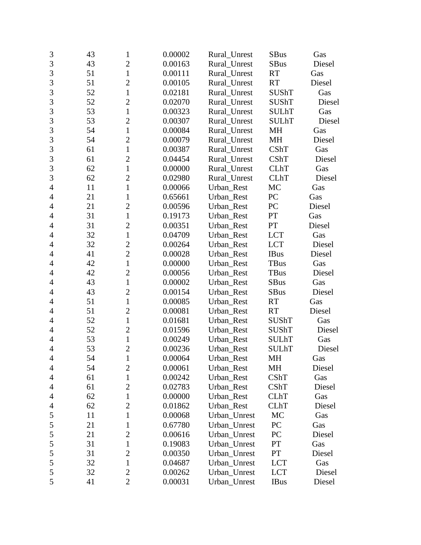| 3              | 43 | $\mathbf{1}$   | 0.00002 | Rural Unrest | <b>SBus</b>  | Gas    |
|----------------|----|----------------|---------|--------------|--------------|--------|
| 3              | 43 | $\overline{2}$ | 0.00163 | Rural_Unrest | <b>SBus</b>  | Diesel |
| 3              | 51 | $\mathbf{1}$   | 0.00111 | Rural_Unrest | <b>RT</b>    | Gas    |
| 3              | 51 | $\overline{2}$ | 0.00105 | Rural_Unrest | <b>RT</b>    | Diesel |
| $\overline{3}$ | 52 | $\mathbf{1}$   | 0.02181 | Rural_Unrest | <b>SUShT</b> | Gas    |
| 3              | 52 | $\overline{c}$ | 0.02070 | Rural Unrest | <b>SUShT</b> | Diesel |
| 3              | 53 | $\mathbf{1}$   | 0.00323 | Rural_Unrest | <b>SULhT</b> | Gas    |
| 3              | 53 | $\overline{2}$ | 0.00307 | Rural_Unrest | <b>SULhT</b> | Diesel |
| $\overline{3}$ | 54 | $\mathbf{1}$   | 0.00084 | Rural_Unrest | MH           | Gas    |
| $\overline{3}$ | 54 | $\overline{2}$ | 0.00079 | Rural_Unrest | MH           | Diesel |
| 3              | 61 | $\mathbf{1}$   | 0.00387 | Rural_Unrest | CShT         | Gas    |
| 3              | 61 | $\overline{c}$ | 0.04454 | Rural_Unrest | CShT         | Diesel |
| 3              | 62 | $\mathbf{1}$   | 0.00000 | Rural_Unrest | <b>CLhT</b>  | Gas    |
| 3              | 62 | $\overline{2}$ | 0.02980 | Rural_Unrest | <b>CLhT</b>  | Diesel |
| $\overline{4}$ | 11 | $\mathbf{1}$   | 0.00066 | Urban_Rest   | MC           | Gas    |
| $\overline{4}$ | 21 | 1              | 0.65661 | Urban_Rest   | PC           | Gas    |
| $\overline{4}$ | 21 | $\overline{2}$ | 0.00596 | Urban_Rest   | PC           | Diesel |
| $\overline{4}$ | 31 | $\mathbf{1}$   | 0.19173 | Urban_Rest   | PT           | Gas    |
| 4              | 31 | $\overline{2}$ | 0.00351 | Urban_Rest   | PT           | Diesel |
| $\overline{4}$ | 32 | $\mathbf{1}$   | 0.04709 | Urban Rest   | <b>LCT</b>   | Gas    |
| 4              | 32 | $\overline{2}$ | 0.00264 | Urban_Rest   | <b>LCT</b>   | Diesel |
| 4              | 41 | $\overline{2}$ | 0.00028 | Urban_Rest   | <b>IBus</b>  | Diesel |
| $\overline{4}$ | 42 | $\mathbf{1}$   | 0.00000 | Urban_Rest   | TBus         | Gas    |
| $\overline{4}$ | 42 | $\overline{2}$ | 0.00056 | Urban_Rest   | <b>TBus</b>  | Diesel |
| 4              | 43 | $\mathbf{1}$   | 0.00002 | Urban_Rest   | <b>SBus</b>  | Gas    |
| $\overline{4}$ | 43 | $\overline{2}$ | 0.00154 | Urban_Rest   | <b>SBus</b>  | Diesel |
| $\overline{4}$ | 51 | $\mathbf{1}$   | 0.00085 | Urban_Rest   | <b>RT</b>    | Gas    |
| 4              | 51 | $\overline{2}$ | 0.00081 | Urban_Rest   | <b>RT</b>    | Diesel |
| $\overline{4}$ | 52 | $\mathbf{1}$   | 0.01681 | Urban_Rest   | <b>SUShT</b> | Gas    |
| $\overline{4}$ | 52 | $\overline{2}$ | 0.01596 | Urban_Rest   | <b>SUShT</b> | Diesel |
| 4              | 53 | $\mathbf{1}$   | 0.00249 | Urban Rest   | <b>SULhT</b> | Gas    |
| $\overline{4}$ | 53 | $\overline{c}$ | 0.00236 | Urban Rest   | <b>SULhT</b> | Diesel |
| $\overline{4}$ | 54 | $\mathbf{1}$   | 0.00064 | Urban_Rest   | MH           | Gas    |
| 4              | 54 | $\mathbf{2}$   | 0.00061 | Urban_Rest   | MH           | Diesel |
| 4              | 61 | $\mathbf{1}$   | 0.00242 | Urban_Rest   | CShT         | Gas    |
| 4              | 61 | $\overline{c}$ | 0.02783 | Urban_Rest   | CShT         | Diesel |
| 4              | 62 | 1              | 0.00000 | Urban Rest   | <b>CLhT</b>  | Gas    |
| 4              | 62 | $\overline{2}$ | 0.01862 | Urban Rest   | <b>CLhT</b>  | Diesel |
| 5              | 11 | 1              | 0.00068 | Urban_Unrest | MC           | Gas    |
| $\mathfrak s$  | 21 | 1              | 0.67780 | Urban_Unrest | PC           | Gas    |
| 5              | 21 | $\overline{2}$ | 0.00616 | Urban_Unrest | PC           | Diesel |
| 5              | 31 | $\mathbf 1$    | 0.19083 | Urban Unrest | PT           | Gas    |
| $\mathfrak s$  | 31 | $\overline{2}$ | 0.00350 | Urban_Unrest | PT           | Diesel |
| 5              | 32 | $\mathbf{1}$   | 0.04687 | Urban_Unrest | <b>LCT</b>   | Gas    |
| 5              | 32 | $\overline{2}$ | 0.00262 | Urban_Unrest | <b>LCT</b>   | Diesel |
| 5              | 41 | $\overline{2}$ | 0.00031 | Urban_Unrest | <b>IBus</b>  | Diesel |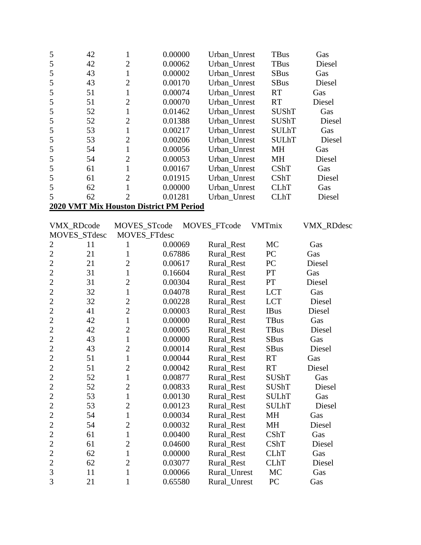| 5              | 42           | $\mathbf{1}$   | 0.00000                                 | Urban Unrest | TBus          | Gas               |  |  |  |
|----------------|--------------|----------------|-----------------------------------------|--------------|---------------|-------------------|--|--|--|
| 5              | 42           | $\mathfrak{2}$ | 0.00062                                 | Urban_Unrest | <b>TBus</b>   | Diesel            |  |  |  |
| 5              | 43           | $\mathbf{1}$   | 0.00002                                 | Urban_Unrest | <b>SBus</b>   | Gas               |  |  |  |
| 5              | 43           | $\overline{2}$ | 0.00170                                 | Urban_Unrest | <b>SBus</b>   | Diesel            |  |  |  |
| 5              | 51           | $\mathbf{1}$   | 0.00074                                 | Urban_Unrest | <b>RT</b>     | Gas               |  |  |  |
| 5              | 51           | $\overline{2}$ | 0.00070                                 | Urban_Unrest | <b>RT</b>     | Diesel            |  |  |  |
| 5              | 52           | $\mathbf{1}$   | 0.01462                                 | Urban_Unrest | SUShT         | Gas               |  |  |  |
| 5              | 52           | $\overline{2}$ | 0.01388                                 | Urban Unrest | <b>SUShT</b>  | Diesel            |  |  |  |
| 5              | 53           | $\mathbf{1}$   | 0.00217                                 | Urban_Unrest | <b>SULhT</b>  | Gas               |  |  |  |
| 5              | 53           | $\overline{2}$ | 0.00206                                 | Urban_Unrest | <b>SULhT</b>  | Diesel            |  |  |  |
| 5              | 54           | $\mathbf{1}$   | 0.00056                                 | Urban_Unrest | MH            | Gas               |  |  |  |
| 5              | 54           | $\overline{2}$ | 0.00053                                 | Urban_Unrest | MH            | Diesel            |  |  |  |
| 5              | 61           | $\mathbf{1}$   | 0.00167                                 | Urban_Unrest | CShT          | Gas               |  |  |  |
| 5              | 61           | $\overline{2}$ | 0.01915                                 | Urban_Unrest | CShT          | Diesel            |  |  |  |
| 5              | 62           | $\mathbf{1}$   | 0.00000                                 | Urban_Unrest | <b>CLhT</b>   | Gas               |  |  |  |
| 5              | 62           | $\overline{2}$ | 0.01281                                 | Urban_Unrest | <b>CLhT</b>   | Diesel            |  |  |  |
|                |              |                | 2020 VMT Mix Houston District PM Period |              |               |                   |  |  |  |
|                |              |                |                                         |              |               |                   |  |  |  |
|                | VMX_RDcode   | MOVES_STcode   |                                         | MOVES_FTcode | <b>VMTmix</b> | <b>VMX_RDdesc</b> |  |  |  |
|                | MOVES_STdesc |                | MOVES_FTdesc                            |              |               |                   |  |  |  |
| $\overline{c}$ | 11           | 1              | 0.00069                                 | Rural_Rest   | <b>MC</b>     | Gas               |  |  |  |
| $\overline{2}$ | 21           | 1              | 0.67886                                 | Rural_Rest   | PC            | Gas               |  |  |  |
| $\overline{2}$ | 21           | $\overline{2}$ | 0.00617                                 | Rural_Rest   | PC            | Diesel            |  |  |  |
| $\overline{2}$ | 31           | $\mathbf{1}$   | 0.16604                                 | Rural_Rest   | PT            | Gas               |  |  |  |
| $\overline{2}$ | 31           | $\overline{2}$ | 0.00304                                 | Rural_Rest   | PT            | Diesel            |  |  |  |
| $\overline{c}$ | 32           | $\mathbf{1}$   | 0.04078                                 | Rural_Rest   | <b>LCT</b>    | Gas               |  |  |  |
| $\overline{2}$ | 32           | $\overline{2}$ | 0.00228                                 | Rural_Rest   | <b>LCT</b>    | Diesel            |  |  |  |
| $\overline{2}$ | 41           | $\overline{2}$ | 0.00003                                 | Rural_Rest   | <b>IBus</b>   | Diesel            |  |  |  |
| $\overline{2}$ | 42           | $\mathbf{1}$   | 0.00000                                 | Rural_Rest   | <b>TBus</b>   | Gas               |  |  |  |
| $\overline{2}$ | 42           | $\overline{2}$ | 0.00005                                 | Rural_Rest   | <b>TBus</b>   | Diesel            |  |  |  |
| $\overline{c}$ | 43           | $\mathbf{1}$   | 0.00000                                 | Rural_Rest   | <b>SBus</b>   | Gas               |  |  |  |
| $\overline{2}$ | 43           | $\overline{2}$ | 0.00014                                 | Rural Rest   | <b>SBus</b>   | Diesel            |  |  |  |
| $\overline{2}$ | 51           | $\mathbf{1}$   | 0.00044                                 | Rural_Rest   | RT            | Gas               |  |  |  |
| $\mathbf{2}$   | 51           | $\mathfrak{2}$ | 0.00042                                 | Rural_Rest   | RT            | Diesel            |  |  |  |
| $\mathbf{2}$   | 52           | $\mathbf{1}$   | 0.00877                                 | Rural_Rest   | SUShT         | Gas               |  |  |  |
| $\mathbf{2}$   | 52           | $\overline{2}$ | 0.00833                                 | Rural_Rest   | <b>SUShT</b>  | Diesel            |  |  |  |
| $\mathbf{2}$   | 53           | $\mathbf{1}$   | 0.00130                                 | Rural_Rest   | <b>SULhT</b>  | Gas               |  |  |  |
| $\mathfrak{2}$ | 53           | $\overline{2}$ | 0.00123                                 | Rural Rest   | <b>SULhT</b>  | Diesel            |  |  |  |
| $\mathfrak{2}$ | 54           | 1              | 0.00034                                 | Rural_Rest   | МH            | Gas               |  |  |  |
| $\mathbf{2}$   | 54           | $\overline{2}$ | 0.00032                                 | Rural_Rest   | MH            | Diesel            |  |  |  |
| $\mathbf{2}$   | 61           | $\mathbf{1}$   | 0.00400                                 | Rural_Rest   | <b>CShT</b>   | Gas               |  |  |  |
| $\overline{2}$ | 61           | $\overline{2}$ | 0.04600                                 | Rural_Rest   | CShT          | Diesel            |  |  |  |
| $\mathfrak{2}$ | 62           | $\mathbf{1}$   | 0.00000                                 | Rural_Rest   | <b>CLhT</b>   | Gas               |  |  |  |
| $\overline{2}$ | 62           | $\overline{2}$ | 0.03077                                 | Rural_Rest   | <b>CLhT</b>   | Diesel            |  |  |  |
| 3              | 11           | $\mathbf{1}$   | 0.00066                                 | Rural_Unrest | MC            | Gas               |  |  |  |
| 3              | 21           | $\mathbf{1}$   | 0.65580                                 | Rural_Unrest | PC            | Gas               |  |  |  |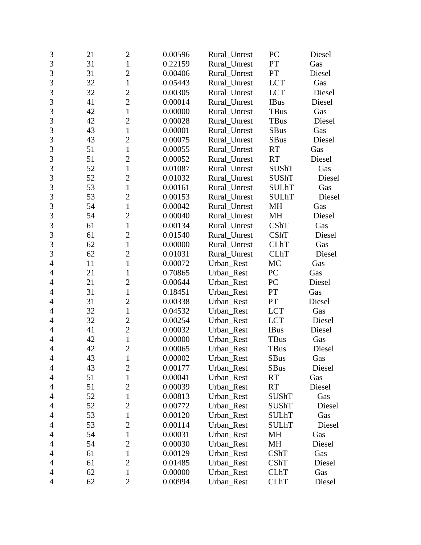| 3              | 21 | $\overline{2}$ | 0.00596 | Rural_Unrest | PC           | Diesel |
|----------------|----|----------------|---------|--------------|--------------|--------|
| $\overline{3}$ | 31 | $\mathbf{1}$   | 0.22159 | Rural Unrest | PT           | Gas    |
| 3              | 31 | $\overline{2}$ | 0.00406 | Rural Unrest | PT           | Diesel |
| 3              | 32 | $\mathbf{1}$   | 0.05443 | Rural_Unrest | <b>LCT</b>   | Gas    |
| $\overline{3}$ | 32 | $\overline{2}$ | 0.00305 | Rural_Unrest | <b>LCT</b>   | Diesel |
| 3              | 41 | $\overline{c}$ | 0.00014 | Rural Unrest | <b>IBus</b>  | Diesel |
| 3              | 42 | $\mathbf{1}$   | 0.00000 | Rural_Unrest | <b>TBus</b>  | Gas    |
| 3              | 42 | $\overline{2}$ | 0.00028 | Rural_Unrest | <b>TBus</b>  | Diesel |
| 3              | 43 | $\mathbf{1}$   | 0.00001 | Rural_Unrest | <b>SBus</b>  | Gas    |
| 3              | 43 | $\overline{2}$ | 0.00075 | Rural_Unrest | <b>SBus</b>  | Diesel |
| 3              | 51 | $\mathbf{1}$   | 0.00055 | Rural_Unrest | <b>RT</b>    | Gas    |
| $\overline{3}$ | 51 | $\overline{2}$ | 0.00052 | Rural_Unrest | <b>RT</b>    | Diesel |
| 3              | 52 | $\mathbf{1}$   | 0.01087 | Rural_Unrest | <b>SUShT</b> | Gas    |
| 3              | 52 | $\overline{2}$ | 0.01032 | Rural_Unrest | <b>SUShT</b> | Diesel |
| $\overline{3}$ | 53 | $\mathbf{1}$   | 0.00161 | Rural_Unrest | <b>SULhT</b> | Gas    |
| 3              | 53 | $\overline{c}$ | 0.00153 | Rural_Unrest | <b>SULhT</b> | Diesel |
| 3              | 54 | $\mathbf{1}$   | 0.00042 | Rural_Unrest | MH           | Gas    |
| 3              | 54 | $\overline{2}$ | 0.00040 | Rural_Unrest | MH           | Diesel |
| $\overline{3}$ | 61 | $\mathbf{1}$   | 0.00134 | Rural_Unrest | CShT         | Gas    |
| 3              | 61 | $\overline{2}$ | 0.01540 | Rural_Unrest | CShT         | Diesel |
| 3              | 62 | $\mathbf{1}$   | 0.00000 | Rural_Unrest | <b>CLhT</b>  | Gas    |
| $\overline{3}$ | 62 | $\overline{2}$ | 0.01031 | Rural_Unrest | <b>CLhT</b>  | Diesel |
| $\overline{4}$ | 11 | $\mathbf{1}$   | 0.00072 | Urban_Rest   | MC           | Gas    |
| $\overline{4}$ | 21 | 1              | 0.70865 | Urban_Rest   | PC           | Gas    |
| 4              | 21 | $\overline{2}$ | 0.00644 | Urban_Rest   | PC           | Diesel |
| $\overline{4}$ | 31 | $\mathbf{1}$   | 0.18451 | Urban_Rest   | PT           | Gas    |
| $\overline{4}$ | 31 | $\overline{2}$ | 0.00338 | Urban_Rest   | PT           | Diesel |
| 4              | 32 | $\mathbf{1}$   | 0.04532 | Urban_Rest   | <b>LCT</b>   | Gas    |
| 4              | 32 | $\overline{c}$ | 0.00254 | Urban_Rest   | <b>LCT</b>   | Diesel |
| $\overline{4}$ | 41 | $\overline{2}$ | 0.00032 | Urban_Rest   | <b>IBus</b>  | Diesel |
| 4              | 42 | $\mathbf{1}$   | 0.00000 | Urban_Rest   | <b>TBus</b>  | Gas    |
| $\overline{4}$ | 42 | $\overline{2}$ | 0.00065 | Urban_Rest   | TBus         | Diesel |
| $\overline{4}$ | 43 | $\mathbf{1}$   | 0.00002 | Urban_Rest   | SBus         | Gas    |
| 4              | 43 | $\overline{c}$ | 0.00177 | Urban_Rest   | <b>SBus</b>  | Diesel |
| 4              | 51 | $\mathbf{1}$   | 0.00041 | Urban_Rest   | <b>RT</b>    | Gas    |
| 4              | 51 | $\overline{c}$ | 0.00039 | Urban_Rest   | <b>RT</b>    | Diesel |
| 4              | 52 | $\mathbf{1}$   | 0.00813 | Urban_Rest   | <b>SUShT</b> | Gas    |
| $\overline{4}$ | 52 | $\overline{2}$ | 0.00772 | Urban Rest   | <b>SUShT</b> | Diesel |
| 4              | 53 | 1              | 0.00120 | Urban_Rest   | <b>SULhT</b> | Gas    |
| 4              | 53 | $\overline{2}$ | 0.00114 | Urban_Rest   | <b>SULhT</b> | Diesel |
| 4              | 54 | $\mathbf{1}$   | 0.00031 | Urban_Rest   | MH           | Gas    |
| 4              | 54 | $\overline{2}$ | 0.00030 | Urban_Rest   | MH           | Diesel |
| 4              | 61 | 1              | 0.00129 | Urban_Rest   | <b>CShT</b>  | Gas    |
| 4              | 61 | $\overline{2}$ | 0.01485 | Urban_Rest   | CShT         | Diesel |
| 4              | 62 | $\mathbf{1}$   | 0.00000 | Urban_Rest   | <b>CLhT</b>  | Gas    |
| 4              | 62 | $\mathbf{2}$   | 0.00994 | Urban_Rest   | <b>CLhT</b>  | Diesel |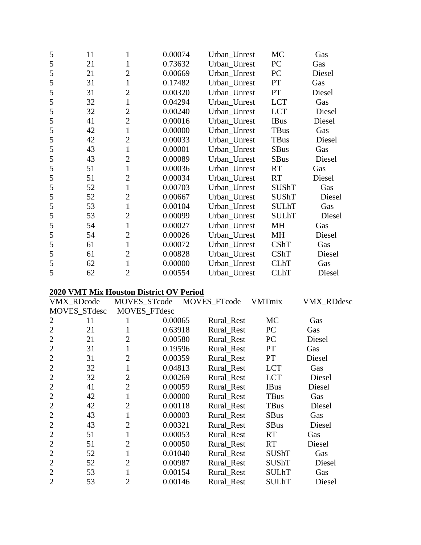| 5 | 11 | 1              | 0.00074 | Urban_Unrest | MC           | Gas    |
|---|----|----------------|---------|--------------|--------------|--------|
| 5 | 21 | 1              | 0.73632 | Urban_Unrest | PC           | Gas    |
| 5 | 21 | $\overline{2}$ | 0.00669 | Urban_Unrest | PC           | Diesel |
| 5 | 31 | $\mathbf{1}$   | 0.17482 | Urban_Unrest | PT           | Gas    |
| 5 | 31 | $\overline{2}$ | 0.00320 | Urban_Unrest | PT           | Diesel |
| 5 | 32 | $\mathbf{1}$   | 0.04294 | Urban_Unrest | <b>LCT</b>   | Gas    |
| 5 | 32 | $\overline{2}$ | 0.00240 | Urban_Unrest | <b>LCT</b>   | Diesel |
| 5 | 41 | $\overline{2}$ | 0.00016 | Urban_Unrest | <b>IBus</b>  | Diesel |
| 5 | 42 | $\mathbf{1}$   | 0.00000 | Urban_Unrest | TBus         | Gas    |
| 5 | 42 | $\overline{2}$ | 0.00033 | Urban_Unrest | <b>TBus</b>  | Diesel |
| 5 | 43 | $\mathbf{1}$   | 0.00001 | Urban_Unrest | <b>SBus</b>  | Gas    |
| 5 | 43 | $\overline{2}$ | 0.00089 | Urban_Unrest | <b>SBus</b>  | Diesel |
| 5 | 51 | $\mathbf{1}$   | 0.00036 | Urban_Unrest | <b>RT</b>    | Gas    |
| 5 | 51 | $\overline{2}$ | 0.00034 | Urban_Unrest | <b>RT</b>    | Diesel |
| 5 | 52 | $\mathbf{1}$   | 0.00703 | Urban_Unrest | <b>SUShT</b> | Gas    |
| 5 | 52 | $\overline{2}$ | 0.00667 | Urban_Unrest | <b>SUShT</b> | Diesel |
| 5 | 53 | $\mathbf{1}$   | 0.00104 | Urban_Unrest | <b>SULhT</b> | Gas    |
| 5 | 53 | $\overline{2}$ | 0.00099 | Urban_Unrest | <b>SULhT</b> | Diesel |
| 5 | 54 | $\mathbf{1}$   | 0.00027 | Urban_Unrest | <b>MH</b>    | Gas    |
| 5 | 54 | $\overline{2}$ | 0.00026 | Urban_Unrest | MH           | Diesel |
| 5 | 61 | $\mathbf{1}$   | 0.00072 | Urban_Unrest | CShT         | Gas    |
| 5 | 61 | $\overline{2}$ | 0.00828 | Urban_Unrest | CShT         | Diesel |
| 5 | 62 | $\mathbf{1}$   | 0.00000 | Urban_Unrest | <b>CLhT</b>  | Gas    |
| 5 | 62 | $\overline{2}$ | 0.00554 | Urban Unrest | <b>CLhT</b>  | Diesel |

#### **2020 VMT Mix Houston District OV Period**

|                | VMX_RDcode   | MOVES_STcode   |              | MOVES_FTcode | <b>VMTmix</b> | VMX_RDdesc |
|----------------|--------------|----------------|--------------|--------------|---------------|------------|
|                | MOVES_STdesc |                | MOVES_FTdesc |              |               |            |
| 2              | 11           |                | 0.00065      | Rural_Rest   | <b>MC</b>     | Gas        |
| $\overline{2}$ | 21           |                | 0.63918      | Rural_Rest   | PC            | Gas        |
| $\overline{2}$ | 21           | 2              | 0.00580      | Rural_Rest   | PC            | Diesel     |
| $\overline{2}$ | 31           |                | 0.19596      | Rural Rest   | <b>PT</b>     | Gas        |
| $\overline{2}$ | 31           | $\overline{2}$ | 0.00359      | Rural Rest   | <b>PT</b>     | Diesel     |
| $\overline{2}$ | 32           | 1              | 0.04813      | Rural_Rest   | <b>LCT</b>    | Gas        |
| $\overline{2}$ | 32           | $\overline{2}$ | 0.00269      | Rural Rest   | <b>LCT</b>    | Diesel     |
| $\overline{2}$ | 41           | $\overline{2}$ | 0.00059      | Rural_Rest   | <b>IBus</b>   | Diesel     |
| $\overline{2}$ | 42           | 1              | 0.00000      | Rural_Rest   | <b>TBus</b>   | Gas        |
| $\overline{2}$ | 42           | $\overline{2}$ | 0.00118      | Rural_Rest   | TBus          | Diesel     |
| $\overline{2}$ | 43           | 1              | 0.00003      | Rural_Rest   | <b>SBus</b>   | Gas        |
| $\overline{2}$ | 43           | $\overline{2}$ | 0.00321      | Rural_Rest   | <b>SBus</b>   | Diesel     |
| $\overline{2}$ | 51           | $\mathbf{1}$   | 0.00053      | Rural_Rest   | <b>RT</b>     | Gas        |
| $\overline{2}$ | 51           | 2              | 0.00050      | Rural Rest   | <b>RT</b>     | Diesel     |
| $\overline{2}$ | 52           | 1              | 0.01040      | Rural Rest   | <b>SUShT</b>  | Gas        |
| $\overline{2}$ | 52           | 2              | 0.00987      | Rural_Rest   | <b>SUShT</b>  | Diesel     |
| $\overline{2}$ | 53           |                | 0.00154      | Rural_Rest   | <b>SULhT</b>  | Gas        |
| $\overline{2}$ | 53           | $\overline{2}$ | 0.00146      | Rural Rest   | <b>SULhT</b>  | Diesel     |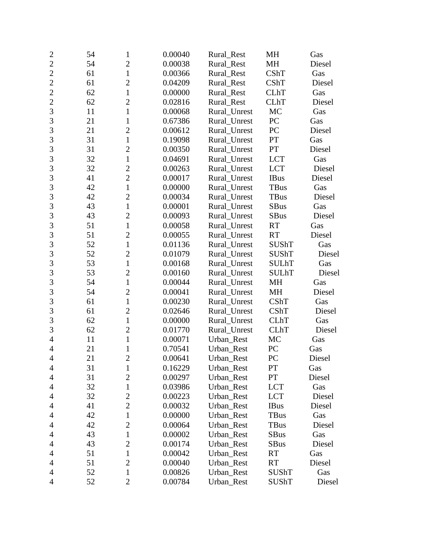| $\overline{2}$ | 54 | 1              | 0.00040 | Rural_Rest   | MH           | Gas    |
|----------------|----|----------------|---------|--------------|--------------|--------|
| $\overline{2}$ | 54 | $\overline{2}$ | 0.00038 | Rural Rest   | <b>MH</b>    | Diesel |
| $\overline{2}$ | 61 | $\mathbf{1}$   | 0.00366 | Rural_Rest   | CShT         | Gas    |
| $\overline{2}$ | 61 | $\overline{2}$ | 0.04209 | Rural_Rest   | CShT         | Diesel |
| $\overline{2}$ | 62 | $\mathbf{1}$   | 0.00000 | Rural_Rest   | <b>CLhT</b>  | Gas    |
| $\overline{2}$ | 62 | $\overline{2}$ | 0.02816 | Rural_Rest   | <b>CLhT</b>  | Diesel |
| $\overline{3}$ | 11 | $\mathbf{1}$   | 0.00068 | Rural_Unrest | MC           | Gas    |
| 3              | 21 | $\mathbf{1}$   | 0.67386 | Rural_Unrest | PC           | Gas    |
| 3              | 21 | $\overline{2}$ | 0.00612 | Rural_Unrest | PC           | Diesel |
| 3              | 31 | $\mathbf{1}$   | 0.19098 | Rural_Unrest | PT           | Gas    |
| 3              | 31 | $\overline{2}$ | 0.00350 | Rural_Unrest | PT           | Diesel |
| $\overline{3}$ | 32 | $\mathbf{1}$   | 0.04691 | Rural_Unrest | <b>LCT</b>   | Gas    |
| 3              | 32 | $\overline{c}$ | 0.00263 | Rural_Unrest | <b>LCT</b>   | Diesel |
| 3              | 41 | $\overline{2}$ | 0.00017 | Rural_Unrest | <b>IBus</b>  | Diesel |
| $\overline{3}$ | 42 | $\mathbf{1}$   | 0.00000 | Rural_Unrest | TBus         | Gas    |
| 3              | 42 | $\overline{2}$ | 0.00034 | Rural_Unrest | <b>TBus</b>  | Diesel |
| 3              | 43 | $\mathbf{1}$   | 0.00001 | Rural_Unrest | <b>SBus</b>  | Gas    |
| 3              | 43 | $\overline{c}$ | 0.00093 | Rural_Unrest | <b>SBus</b>  | Diesel |
| 3              | 51 | $\mathbf{1}$   | 0.00058 | Rural_Unrest | <b>RT</b>    | Gas    |
| $\overline{3}$ | 51 | $\overline{2}$ | 0.00055 | Rural_Unrest | <b>RT</b>    | Diesel |
| 3              | 52 | $\mathbf{1}$   | 0.01136 | Rural_Unrest | <b>SUShT</b> | Gas    |
| 3              | 52 | $\overline{2}$ | 0.01079 | Rural_Unrest | <b>SUShT</b> | Diesel |
| 3              | 53 | $\mathbf{1}$   | 0.00168 | Rural_Unrest | <b>SULhT</b> | Gas    |
| 3              | 53 | $\overline{2}$ | 0.00160 | Rural_Unrest | <b>SULhT</b> | Diesel |
| $\overline{3}$ | 54 | $\mathbf{1}$   | 0.00044 | Rural_Unrest | MH           | Gas    |
| 3              | 54 | $\overline{c}$ | 0.00041 | Rural_Unrest | MH           | Diesel |
| 3              | 61 | $\mathbf{1}$   | 0.00230 | Rural_Unrest | CShT         | Gas    |
| $\overline{3}$ | 61 | $\overline{2}$ | 0.02646 | Rural_Unrest | CShT         | Diesel |
| 3              | 62 | $\mathbf{1}$   | 0.00000 | Rural_Unrest | <b>CLhT</b>  | Gas    |
| 3              | 62 | $\overline{2}$ | 0.01770 | Rural_Unrest | <b>CLhT</b>  | Diesel |
| $\overline{4}$ | 11 | $\mathbf{1}$   | 0.00071 | Urban Rest   | MC           | Gas    |
| $\overline{4}$ | 21 | 1              | 0.70541 | Urban_Rest   | PC           | Gas    |
| $\overline{4}$ | 21 | $\overline{c}$ | 0.00641 | Urban_Rest   | PC           | Diesel |
| $\overline{4}$ | 31 | 1              | 0.16229 | Urban_Rest   | PT           | Gas    |
| 4              | 31 | $\overline{2}$ | 0.00297 | Urban_Rest   | PT           | Diesel |
| 4              | 32 | $\mathbf{1}$   | 0.03986 | Urban_Rest   | <b>LCT</b>   | Gas    |
| $\overline{4}$ | 32 | $\mathbf{2}$   | 0.00223 | Urban_Rest   | <b>LCT</b>   | Diesel |
| 4              | 41 | $\overline{2}$ | 0.00032 | Urban_Rest   | <b>IBus</b>  | Diesel |
| 4              | 42 | $\mathbf 1$    | 0.00000 | Urban_Rest   | <b>TBus</b>  | Gas    |
| $\overline{4}$ | 42 | $\overline{2}$ | 0.00064 | Urban_Rest   | TBus         | Diesel |
| 4              | 43 | $\mathbf{1}$   | 0.00002 | Urban_Rest   | <b>SBus</b>  | Gas    |
| 4              | 43 | $\overline{2}$ | 0.00174 | Urban_Rest   | <b>SBus</b>  | Diesel |
| $\overline{4}$ | 51 | $\mathbf{1}$   | 0.00042 | Urban_Rest   | <b>RT</b>    | Gas    |
| 4              | 51 | $\overline{2}$ | 0.00040 | Urban_Rest   | <b>RT</b>    | Diesel |
| 4              | 52 | $\mathbf 1$    | 0.00826 | Urban_Rest   | <b>SUShT</b> | Gas    |
| $\overline{4}$ | 52 | $\overline{2}$ | 0.00784 | Urban_Rest   | SUShT        | Diesel |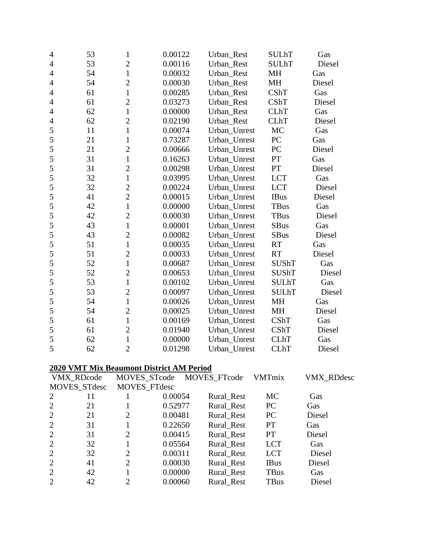| 4              | 53 | $\mathbf{1}$   | 0.00122 | Urban_Rest   | <b>SULhT</b> | Gas    |
|----------------|----|----------------|---------|--------------|--------------|--------|
| 4              | 53 | $\overline{c}$ | 0.00116 | Urban_Rest   | <b>SULhT</b> | Diesel |
| $\overline{4}$ | 54 | $\mathbf{1}$   | 0.00032 | Urban Rest   | <b>MH</b>    | Gas    |
| $\overline{4}$ | 54 | $\overline{c}$ | 0.00030 | Urban_Rest   | MH           | Diesel |
| 4              | 61 | $\mathbf{1}$   | 0.00285 | Urban_Rest   | CShT         | Gas    |
| $\overline{4}$ | 61 | $\overline{c}$ | 0.03273 | Urban Rest   | <b>CShT</b>  | Diesel |
| 4              | 62 | $\mathbf{1}$   | 0.00000 | Urban Rest   | <b>CLhT</b>  | Gas    |
| 4              | 62 | $\overline{c}$ | 0.02190 | Urban_Rest   | <b>CLhT</b>  | Diesel |
| 5              | 11 | $\mathbf{1}$   | 0.00074 | Urban_Unrest | MC           | Gas    |
| 5              | 21 | $\mathbf{1}$   | 0.73287 | Urban_Unrest | PC           | Gas    |
| 5              | 21 | $\overline{2}$ | 0.00666 | Urban_Unrest | PC           | Diesel |
| 5              | 31 | $\mathbf{1}$   | 0.16263 | Urban_Unrest | PT           | Gas    |
| 5              | 31 | $\overline{c}$ | 0.00298 | Urban_Unrest | PT           | Diesel |
| 5              | 32 | $\mathbf{1}$   | 0.03995 | Urban_Unrest | <b>LCT</b>   | Gas    |
| 5              | 32 | $\overline{c}$ | 0.00224 | Urban_Unrest | <b>LCT</b>   | Diesel |
| 5              | 41 | $\overline{2}$ | 0.00015 | Urban_Unrest | <b>IBus</b>  | Diesel |
| 5              | 42 | $\mathbf{1}$   | 0.00000 | Urban_Unrest | <b>TBus</b>  | Gas    |
| 5              | 42 | $\overline{c}$ | 0.00030 | Urban_Unrest | <b>TBus</b>  | Diesel |
| 5              | 43 | $\mathbf{1}$   | 0.00001 | Urban Unrest | <b>SBus</b>  | Gas    |
| 5              | 43 | $\overline{c}$ | 0.00082 | Urban_Unrest | <b>SBus</b>  | Diesel |
| 5              | 51 | $\mathbf{1}$   | 0.00035 | Urban_Unrest | <b>RT</b>    | Gas    |
| 5              | 51 | $\overline{c}$ | 0.00033 | Urban_Unrest | <b>RT</b>    | Diesel |
| 5              | 52 | $\mathbf{1}$   | 0.00687 | Urban_Unrest | <b>SUShT</b> | Gas    |
| 5              | 52 | $\overline{2}$ | 0.00653 | Urban_Unrest | <b>SUShT</b> | Diesel |
| 5              | 53 | $\mathbf{1}$   | 0.00102 | Urban_Unrest | <b>SULhT</b> | Gas    |
| 5              | 53 | $\overline{c}$ | 0.00097 | Urban_Unrest | <b>SULhT</b> | Diesel |
| 5              | 54 | $\mathbf{1}$   | 0.00026 | Urban_Unrest | <b>MH</b>    | Gas    |
| 5              | 54 | $\overline{c}$ | 0.00025 | Urban_Unrest | <b>MH</b>    | Diesel |
| 5              | 61 | $\mathbf{1}$   | 0.00169 | Urban_Unrest | <b>CShT</b>  | Gas    |
| 5              | 61 | $\overline{c}$ | 0.01940 | Urban_Unrest | <b>CShT</b>  | Diesel |
| 5              | 62 | $\mathbf{1}$   | 0.00000 | Urban_Unrest | <b>CLhT</b>  | Gas    |
| 5              | 62 | $\overline{2}$ | 0.01298 | Urban Unrest | <b>CLhT</b>  | Diesel |

## **2020 VMT Mix Beaumont District AM Period**

|                             | VMX_RDcode   |                | MOVES_STcode | MOVES_FTcode | <b>VMTmix</b> | VMX_RDdesc |
|-----------------------------|--------------|----------------|--------------|--------------|---------------|------------|
|                             | MOVES_STdesc |                | MOVES_FTdesc |              |               |            |
| 2                           | 11           |                | 0.00054      | Rural_Rest   | <b>MC</b>     | Gas        |
| 2                           | 21           |                | 0.52977      | Rural_Rest   | <b>PC</b>     | Gas        |
| 2                           | 21           | 2              | 0.00481      | Rural_Rest   | <b>PC</b>     | Diesel     |
| 2                           | 31           |                | 0.22650      | Rural_Rest   | <b>PT</b>     | Gas        |
| 2                           | 31           | 2              | 0.00415      | Rural_Rest   | <b>PT</b>     | Diesel     |
| 2                           | 32           |                | 0.05564      | Rural_Rest   | <b>LCT</b>    | Gas        |
| $\overline{2}$              | 32           | $\overline{2}$ | 0.00311      | Rural Rest   | <b>LCT</b>    | Diesel     |
| 2                           | 41           | $\overline{2}$ | 0.00030      | Rural_Rest   | <b>IBus</b>   | Diesel     |
| 2                           | 42           |                | 0.00000      | Rural Rest   | <b>TBus</b>   | Gas        |
| $\mathcal{D}_{\mathcal{L}}$ | 42           |                | 0.00060      | Rural Rest   | <b>TBus</b>   | Diesel     |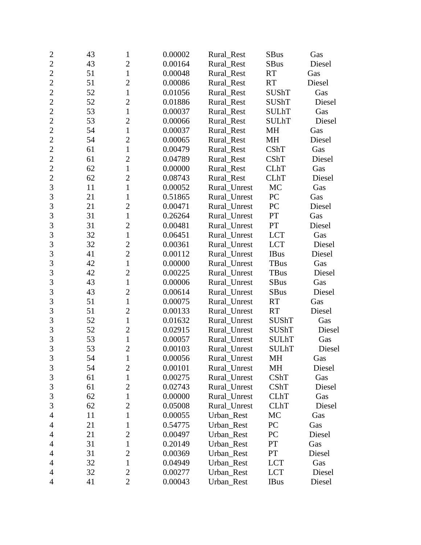| $\overline{c}$ | 43 | 1              | 0.00002 | Rural_Rest   | <b>SBus</b>      | Gas    |
|----------------|----|----------------|---------|--------------|------------------|--------|
| $\overline{2}$ | 43 | $\overline{2}$ | 0.00164 | Rural_Rest   | <b>SBus</b>      | Diesel |
| $\overline{2}$ | 51 | $\mathbf{1}$   | 0.00048 | Rural_Rest   | <b>RT</b>        | Gas    |
| $\overline{c}$ | 51 | $\overline{2}$ | 0.00086 | Rural_Rest   | <b>RT</b>        | Diesel |
| $\overline{2}$ | 52 | $\mathbf{1}$   | 0.01056 | Rural_Rest   | <b>SUShT</b>     | Gas    |
| $\overline{2}$ | 52 | $\overline{c}$ | 0.01886 | Rural_Rest   | <b>SUShT</b>     | Diesel |
| $\overline{c}$ | 53 | $\mathbf{1}$   | 0.00037 | Rural_Rest   | <b>SULhT</b>     | Gas    |
| $\overline{2}$ | 53 | $\overline{2}$ | 0.00066 | Rural Rest   | <b>SULhT</b>     | Diesel |
| $\overline{2}$ | 54 | $\mathbf{1}$   | 0.00037 | Rural_Rest   | MH               | Gas    |
| $\overline{2}$ | 54 | $\overline{2}$ | 0.00065 | Rural_Rest   | MH               | Diesel |
| $\overline{2}$ | 61 | $\mathbf{1}$   | 0.00479 | Rural_Rest   | CShT             | Gas    |
| $\overline{c}$ | 61 | $\overline{2}$ | 0.04789 | Rural_Rest   | CShT             | Diesel |
| $\overline{2}$ | 62 | $\mathbf{1}$   | 0.00000 | Rural_Rest   | <b>CLhT</b>      | Gas    |
| $\overline{c}$ | 62 | $\overline{2}$ | 0.08743 | Rural_Rest   | <b>CLhT</b>      | Diesel |
| $\overline{3}$ | 11 | $\mathbf{1}$   | 0.00052 | Rural_Unrest | MC               | Gas    |
| 3              | 21 | $\mathbf{1}$   | 0.51865 | Rural_Unrest | PC               | Gas    |
| 3              | 21 | $\overline{2}$ | 0.00471 | Rural_Unrest | PC               | Diesel |
| $\overline{3}$ | 31 | $\mathbf{1}$   | 0.26264 | Rural_Unrest | PT               | Gas    |
| $\overline{3}$ | 31 | $\overline{2}$ | 0.00481 | Rural_Unrest | PT               | Diesel |
| $\overline{3}$ | 32 | $\mathbf{1}$   | 0.06451 | Rural_Unrest | <b>LCT</b>       | Gas    |
| 3              | 32 | $\overline{2}$ | 0.00361 | Rural_Unrest | <b>LCT</b>       | Diesel |
| $\overline{3}$ | 41 | $\overline{2}$ | 0.00112 | Rural_Unrest | <b>IBus</b>      | Diesel |
| 3              | 42 | $\mathbf{1}$   | 0.00000 | Rural_Unrest | <b>TBus</b>      | Gas    |
| 3              | 42 | $\overline{2}$ | 0.00225 | Rural_Unrest | TBus             | Diesel |
| $\overline{3}$ | 43 | $\mathbf{1}$   | 0.00006 | Rural_Unrest | <b>SBus</b>      | Gas    |
| 3              | 43 | $\overline{2}$ | 0.00614 | Rural_Unrest | <b>SBus</b>      | Diesel |
| 3              | 51 | $\mathbf{1}$   | 0.00075 | Rural_Unrest | <b>RT</b>        | Gas    |
| $\overline{3}$ | 51 | $\overline{2}$ | 0.00133 | Rural_Unrest | RT               | Diesel |
| 3              | 52 | $\mathbf{1}$   | 0.01632 | Rural_Unrest | <b>SUShT</b>     | Gas    |
| $\overline{3}$ | 52 | $\overline{c}$ | 0.02915 | Rural_Unrest | SUShT            | Diesel |
| 3              | 53 | $\mathbf{1}$   | 0.00057 | Rural_Unrest | <b>SULhT</b>     | Gas    |
| $\overline{3}$ | 53 | $\overline{c}$ | 0.00103 | Rural Unrest | <b>SULhT</b>     | Diesel |
| 3              | 54 | $\mathbf{1}$   | 0.00056 | Rural_Unrest | <b>MH</b>        | Gas    |
| $\mathfrak{Z}$ | 54 | $\overline{2}$ | 0.00101 | Rural_Unrest | MH               | Diesel |
| 3              | 61 | $\mathbf{1}$   | 0.00275 | Rural_Unrest | CShT             | Gas    |
| $\mathfrak{Z}$ | 61 | $\overline{c}$ | 0.02743 | Rural Unrest | CShT             | Diesel |
| $\mathfrak{Z}$ | 62 | $\mathbf{1}$   | 0.00000 | Rural_Unrest | <b>CLhT</b>      | Gas    |
| 3              | 62 | $\overline{2}$ | 0.05008 | Rural_Unrest | <b>CLhT</b>      | Diesel |
| 4              | 11 | 1              | 0.00055 | Urban_Rest   | MC               | Gas    |
| $\overline{4}$ | 21 | 1              | 0.54775 | Urban_Rest   | ${\rm P}{\bf C}$ | Gas    |
| 4              | 21 | $\overline{2}$ | 0.00497 | Urban Rest   | PC               | Diesel |
| 4              | 31 | $\mathbf{1}$   | 0.20149 | Urban_Rest   | PT               | Gas    |
| $\overline{4}$ | 31 | $\overline{2}$ | 0.00369 | Urban_Rest   | PT               | Diesel |
| $\overline{4}$ | 32 | $\mathbf{1}$   | 0.04949 | Urban_Rest   | <b>LCT</b>       | Gas    |
| 4              | 32 | $\overline{2}$ | 0.00277 | Urban_Rest   | <b>LCT</b>       | Diesel |
| $\overline{4}$ | 41 | $\overline{2}$ | 0.00043 | Urban_Rest   | <b>IBus</b>      | Diesel |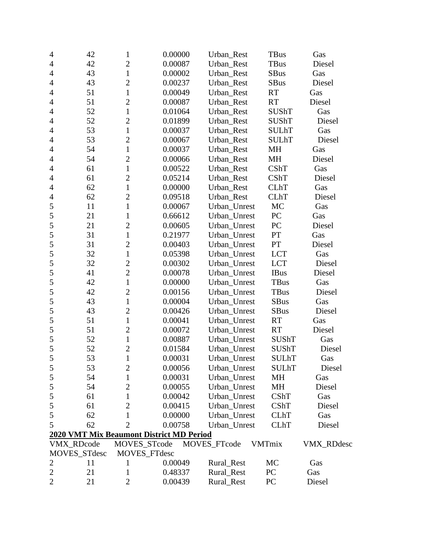| $\overline{4}$ | 42           | $\mathbf{1}$   | 0.00000                                         | Urban_Rest   | <b>TBus</b>   | Gas        |
|----------------|--------------|----------------|-------------------------------------------------|--------------|---------------|------------|
| 4              | 42           | $\overline{2}$ | 0.00087                                         | Urban_Rest   | <b>TBus</b>   | Diesel     |
| $\overline{4}$ | 43           | $\mathbf{1}$   | 0.00002                                         | Urban_Rest   | SBus          | Gas        |
| $\overline{4}$ | 43           | $\overline{2}$ | 0.00237                                         | Urban_Rest   | <b>SBus</b>   | Diesel     |
| 4              | 51           | $\mathbf{1}$   | 0.00049                                         | Urban_Rest   | <b>RT</b>     | Gas        |
| $\overline{4}$ | 51           | $\overline{2}$ | 0.00087                                         | Urban_Rest   | <b>RT</b>     | Diesel     |
| $\overline{4}$ | 52           | $\mathbf{1}$   | 0.01064                                         | Urban_Rest   | <b>SUShT</b>  | Gas        |
| $\overline{4}$ | 52           | $\overline{2}$ | 0.01899                                         | Urban_Rest   | <b>SUShT</b>  | Diesel     |
| 4              | 53           | $\mathbf{1}$   | 0.00037                                         | Urban_Rest   | <b>SULhT</b>  | Gas        |
| $\overline{4}$ | 53           | $\overline{2}$ | 0.00067                                         | Urban_Rest   | <b>SULhT</b>  | Diesel     |
| $\overline{4}$ | 54           | $\mathbf{1}$   | 0.00037                                         | Urban_Rest   | MH            | Gas        |
| 4              | 54           | $\overline{2}$ | 0.00066                                         | Urban_Rest   | MH            | Diesel     |
| $\overline{4}$ | 61           | $\mathbf{1}$   | 0.00522                                         | Urban_Rest   | CShT          | Gas        |
| $\overline{4}$ | 61           | $\overline{2}$ | 0.05214                                         | Urban_Rest   | CShT          | Diesel     |
| 4              | 62           | $\mathbf{1}$   | 0.00000                                         | Urban_Rest   | <b>CLhT</b>   | Gas        |
| $\overline{4}$ | 62           | $\overline{2}$ | 0.09518                                         | Urban_Rest   | <b>CLhT</b>   | Diesel     |
| $\mathfrak s$  | 11           | $\mathbf{1}$   | 0.00067                                         | Urban_Unrest | MC            | Gas        |
| 5              | 21           | $\mathbf{1}$   | 0.66612                                         | Urban_Unrest | PC            | Gas        |
| 5              | 21           | $\overline{2}$ | 0.00605                                         | Urban_Unrest | PC            | Diesel     |
| 5              | 31           | $\mathbf{1}$   | 0.21977                                         | Urban_Unrest | PT            | Gas        |
| 5              | 31           | $\overline{2}$ | 0.00403                                         | Urban_Unrest | PT            | Diesel     |
| 5              | 32           | $\mathbf{1}$   | 0.05398                                         | Urban_Unrest | <b>LCT</b>    | Gas        |
| 5              | 32           | $\overline{c}$ | 0.00302                                         | Urban_Unrest | <b>LCT</b>    | Diesel     |
| 5              | 41           | $\overline{2}$ | 0.00078                                         | Urban_Unrest | <b>IBus</b>   | Diesel     |
| 5              | 42           | $\mathbf{1}$   | 0.00000                                         | Urban_Unrest | TBus          | Gas        |
| 5              | 42           | $\overline{2}$ | 0.00156                                         | Urban_Unrest | <b>TBus</b>   | Diesel     |
| 5              | 43           | $\mathbf{1}$   | 0.00004                                         | Urban_Unrest | <b>SBus</b>   | Gas        |
| 5              | 43           | $\overline{2}$ | 0.00426                                         | Urban_Unrest | <b>SBus</b>   | Diesel     |
| 5              | 51           | $\mathbf{1}$   | 0.00041                                         | Urban_Unrest | <b>RT</b>     | Gas        |
| 5              | 51           | $\overline{2}$ | 0.00072                                         | Urban_Unrest | <b>RT</b>     | Diesel     |
| 5              | 52           | $\mathbf{1}$   | 0.00887                                         | Urban_Unrest | SUShT         | Gas        |
| 5              | 52           | $\overline{2}$ | 0.01584                                         | Urban_Unrest | <b>SUShT</b>  | Diesel     |
| 5              | 53           | $\mathbf{1}$   | 0.00031                                         | Urban_Unrest | <b>SULhT</b>  | Gas        |
| 5              | 53           | $\overline{2}$ | 0.00056                                         | Urban_Unrest | SULhT         | Diesel     |
| 5              | 54           | $\mathbf{1}$   | 0.00031                                         | Urban_Unrest | МH            | Gas        |
| 5              | 54           | $\overline{2}$ | 0.00055                                         | Urban_Unrest | MH            | Diesel     |
| 5              | 61           | $\mathbf{1}$   | 0.00042                                         | Urban_Unrest | <b>CShT</b>   | Gas        |
| 5              | 61           | $\overline{2}$ | 0.00415                                         | Urban_Unrest | CShT          | Diesel     |
| 5              | 62           | 1              | 0.00000                                         | Urban_Unrest | <b>CLhT</b>   | Gas        |
| 5              | 62           | $\overline{2}$ | 0.00758                                         | Urban Unrest | <b>CLhT</b>   | Diesel     |
|                |              |                | <b>2020 VMT Mix Beaumont District MD Period</b> |              |               |            |
|                | VMX_RDcode   | MOVES_STcode   |                                                 | MOVES_FTcode | <b>VMTmix</b> | VMX_RDdesc |
|                | MOVES_STdesc |                | <b>MOVES FTdesc</b>                             |              |               |            |
| $\overline{2}$ | 11           | 1              | 0.00049                                         | Rural_Rest   | MC            | Gas        |
| $\mathbf{2}$   | 21           | 1              | 0.48337                                         | Rural_Rest   | PC            | Gas        |
| $\overline{2}$ | 21           | $\overline{2}$ | 0.00439                                         | Rural_Rest   | PC            | Diesel     |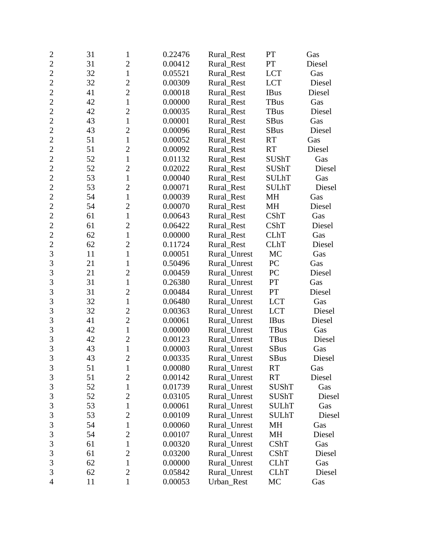| $\overline{c}$ | 31 | 1              | 0.22476 | Rural_Rest   | <b>PT</b>    | Gas    |
|----------------|----|----------------|---------|--------------|--------------|--------|
| $\overline{2}$ | 31 | $\overline{2}$ | 0.00412 | Rural_Rest   | PT           | Diesel |
| $\overline{2}$ | 32 | $\mathbf{1}$   | 0.05521 | Rural_Rest   | <b>LCT</b>   | Gas    |
| $\overline{2}$ | 32 | $\overline{2}$ | 0.00309 | Rural_Rest   | <b>LCT</b>   | Diesel |
| $\overline{2}$ | 41 | $\overline{2}$ | 0.00018 | Rural_Rest   | <b>IBus</b>  | Diesel |
| $\overline{c}$ | 42 | $\mathbf{1}$   | 0.00000 | Rural_Rest   | <b>TBus</b>  | Gas    |
| $\overline{2}$ | 42 | $\overline{2}$ | 0.00035 | Rural_Rest   | <b>TBus</b>  | Diesel |
| $\overline{2}$ | 43 | $\mathbf{1}$   | 0.00001 | Rural_Rest   | <b>SBus</b>  | Gas    |
| $\overline{2}$ | 43 | $\overline{2}$ | 0.00096 | Rural Rest   | <b>SBus</b>  | Diesel |
| $\overline{2}$ | 51 | $\mathbf{1}$   | 0.00052 | Rural_Rest   | <b>RT</b>    | Gas    |
| $\overline{c}$ | 51 | $\overline{2}$ | 0.00092 | Rural_Rest   | <b>RT</b>    | Diesel |
| $\overline{2}$ | 52 | $\mathbf{1}$   | 0.01132 | Rural_Rest   | <b>SUShT</b> | Gas    |
| $\overline{2}$ | 52 | $\overline{c}$ | 0.02022 | Rural_Rest   | <b>SUShT</b> | Diesel |
| $\overline{2}$ | 53 | $\mathbf{1}$   | 0.00040 | Rural_Rest   | <b>SULhT</b> | Gas    |
| $\overline{2}$ | 53 | $\overline{2}$ | 0.00071 | Rural_Rest   | <b>SULhT</b> | Diesel |
| $\overline{c}$ | 54 | $\mathbf{1}$   | 0.00039 | Rural_Rest   | <b>MH</b>    | Gas    |
| $\overline{2}$ | 54 | $\overline{2}$ | 0.00070 | Rural_Rest   | MH           | Diesel |
| $\overline{2}$ | 61 | $\mathbf{1}$   | 0.00643 | Rural_Rest   | CShT         | Gas    |
| $\overline{2}$ | 61 | $\overline{2}$ | 0.06422 | Rural_Rest   | <b>CShT</b>  | Diesel |
| $\overline{2}$ | 62 | $\mathbf{1}$   | 0.00000 | Rural_Rest   | <b>CLhT</b>  | Gas    |
| $\overline{c}$ | 62 | $\overline{2}$ | 0.11724 | Rural_Rest   | <b>CLhT</b>  | Diesel |
| $\overline{3}$ | 11 | $\mathbf{1}$   | 0.00051 | Rural_Unrest | <b>MC</b>    | Gas    |
| 3              | 21 | $\mathbf{1}$   | 0.50496 | Rural_Unrest | PC           | Gas    |
| 3              | 21 | $\overline{2}$ | 0.00459 | Rural_Unrest | PC           | Diesel |
| $\overline{3}$ | 31 | $\mathbf{1}$   | 0.26380 | Rural_Unrest | PT           | Gas    |
| 3              | 31 | $\overline{2}$ | 0.00484 | Rural_Unrest | PT           | Diesel |
| 3              | 32 | $\mathbf{1}$   | 0.06480 | Rural_Unrest | <b>LCT</b>   | Gas    |
| 3              | 32 | $\overline{c}$ | 0.00363 | Rural_Unrest | <b>LCT</b>   | Diesel |
| 3              | 41 | $\overline{2}$ | 0.00061 | Rural_Unrest | <b>IBus</b>  | Diesel |
| 3              | 42 | $\mathbf{1}$   | 0.00000 | Rural_Unrest | <b>TBus</b>  | Gas    |
| 3              | 42 | $\overline{2}$ | 0.00123 | Rural_Unrest | TBus         | Diesel |
| $\overline{3}$ | 43 | $\mathbf{1}$   | 0.00003 | Rural_Unrest | <b>SBus</b>  | Gas    |
| 3              | 43 | $\overline{c}$ | 0.00335 | Rural_Unrest | <b>SBus</b>  | Diesel |
| $\mathfrak{Z}$ | 51 | $\mathbf{1}$   | 0.00080 | Rural_Unrest | <b>RT</b>    | Gas    |
| 3              | 51 | $\overline{2}$ | 0.00142 | Rural Unrest | <b>RT</b>    | Diesel |
| 3              | 52 | 1              | 0.01739 | Rural Unrest | SUShT        | Gas    |
| $\mathfrak{Z}$ | 52 | $\overline{2}$ | 0.03105 | Rural_Unrest | <b>SUShT</b> | Diesel |
| 3              | 53 | 1              | 0.00061 | Rural_Unrest | <b>SULhT</b> | Gas    |
| 3              | 53 | $\overline{2}$ | 0.00109 | Rural_Unrest | <b>SULhT</b> | Diesel |
| 3              | 54 | 1              | 0.00060 | Rural_Unrest | MH           | Gas    |
| 3              | 54 | $\overline{2}$ | 0.00107 | Rural Unrest | MH           | Diesel |
| 3              | 61 | $\mathbf{1}$   | 0.00320 | Rural_Unrest | CShT         | Gas    |
| 3              | 61 | $\overline{2}$ | 0.03200 | Rural_Unrest | CShT         | Diesel |
| 3              | 62 | $\mathbf{1}$   | 0.00000 | Rural_Unrest | <b>CLhT</b>  | Gas    |
| 3              | 62 | $\overline{2}$ | 0.05842 | Rural_Unrest | <b>CLhT</b>  | Diesel |
| $\overline{4}$ | 11 | $\mathbf{1}$   | 0.00053 | Urban_Rest   | MC           | Gas    |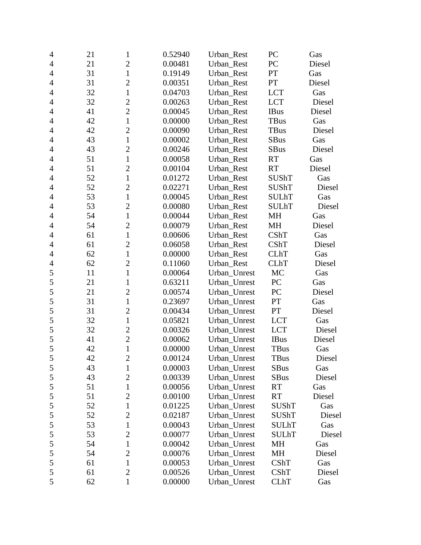| $\overline{4}$ | 21 | 1              | 0.52940 | Urban_Rest   | PC               | Gas    |
|----------------|----|----------------|---------|--------------|------------------|--------|
| $\overline{4}$ | 21 | $\overline{c}$ | 0.00481 | Urban Rest   | PC               | Diesel |
| $\overline{4}$ | 31 | $\mathbf{1}$   | 0.19149 | Urban_Rest   | PT               | Gas    |
| $\overline{4}$ | 31 | $\overline{2}$ | 0.00351 | Urban_Rest   | <b>PT</b>        | Diesel |
| $\overline{4}$ | 32 | $\mathbf{1}$   | 0.04703 | Urban_Rest   | <b>LCT</b>       | Gas    |
| $\overline{4}$ | 32 | $\overline{2}$ | 0.00263 | Urban_Rest   | <b>LCT</b>       | Diesel |
| $\overline{4}$ | 41 | $\overline{2}$ | 0.00045 | Urban_Rest   | <b>IBus</b>      | Diesel |
| $\overline{4}$ | 42 | $\mathbf{1}$   | 0.00000 | Urban_Rest   | TBus             | Gas    |
| $\overline{4}$ | 42 | $\overline{2}$ | 0.00090 | Urban_Rest   | <b>TBus</b>      | Diesel |
| $\overline{4}$ | 43 | $\mathbf{1}$   | 0.00002 | Urban_Rest   | <b>SBus</b>      | Gas    |
| $\overline{4}$ | 43 | $\overline{c}$ | 0.00246 | Urban_Rest   | <b>SBus</b>      | Diesel |
| 4              | 51 | $\mathbf{1}$   | 0.00058 | Urban_Rest   | RT               | Gas    |
| $\overline{4}$ | 51 | $\overline{c}$ | 0.00104 | Urban_Rest   | RT               | Diesel |
| $\overline{4}$ | 52 | $\mathbf{1}$   | 0.01272 | Urban_Rest   | <b>SUShT</b>     | Gas    |
| $\overline{4}$ | 52 | $\overline{2}$ | 0.02271 | Urban_Rest   | <b>SUShT</b>     | Diesel |
| $\overline{4}$ | 53 | $\mathbf{1}$   | 0.00045 | Urban_Rest   | <b>SULhT</b>     | Gas    |
| $\overline{4}$ | 53 | $\overline{2}$ | 0.00080 | Urban_Rest   | <b>SULhT</b>     | Diesel |
| $\overline{4}$ | 54 | $\mathbf{1}$   | 0.00044 | Urban_Rest   | MH               | Gas    |
| $\overline{4}$ | 54 | $\overline{2}$ | 0.00079 | Urban_Rest   | MH               | Diesel |
| $\overline{4}$ | 61 | $\mathbf{1}$   | 0.00606 | Urban_Rest   | CShT             | Gas    |
| $\overline{4}$ | 61 | $\overline{2}$ | 0.06058 | Urban Rest   | CShT             | Diesel |
| $\overline{4}$ | 62 | $\mathbf{1}$   | 0.00000 | Urban_Rest   | <b>CLhT</b>      | Gas    |
| $\overline{4}$ | 62 | $\overline{c}$ | 0.11060 | Urban_Rest   | <b>CLhT</b>      | Diesel |
| 5              | 11 | $\mathbf{1}$   | 0.00064 | Urban_Unrest | MC               | Gas    |
| 5              | 21 | $\mathbf{1}$   | 0.63211 | Urban_Unrest | ${\rm P}{\bf C}$ | Gas    |
| 5              | 21 | $\overline{2}$ | 0.00574 | Urban_Unrest | PC               | Diesel |
| 5              | 31 | $\mathbf{1}$   | 0.23697 | Urban_Unrest | $\mathbf{PT}$    | Gas    |
| 5              | 31 | $\overline{2}$ | 0.00434 | Urban_Unrest | PT               | Diesel |
| 5              | 32 | $\mathbf{1}$   | 0.05821 | Urban_Unrest | <b>LCT</b>       | Gas    |
| 5              | 32 | $\overline{2}$ | 0.00326 | Urban_Unrest | <b>LCT</b>       | Diesel |
| 5              | 41 | $\overline{2}$ | 0.00062 | Urban_Unrest | <b>IBus</b>      | Diesel |
| 5              | 42 | $\mathbf{1}$   | 0.00000 | Urban_Unrest | <b>TBus</b>      | Gas    |
| $\mathfrak s$  | 42 | $\overline{2}$ | 0.00124 | Urban_Unrest | TBus             | Diesel |
| 5              | 43 | $\mathbf{1}$   | 0.00003 | Urban_Unrest | <b>SBus</b>      | Gas    |
| $\mathfrak s$  | 43 | $\overline{2}$ | 0.00339 | Urban_Unrest | SBus             | Diesel |
| 5              | 51 | $\mathbf{1}$   | 0.00056 | Urban_Unrest | <b>RT</b>        | Gas    |
| 5              | 51 | $\overline{2}$ | 0.00100 | Urban_Unrest | <b>RT</b>        | Diesel |
| 5              | 52 | $\mathbf{1}$   | 0.01225 | Urban_Unrest | <b>SUShT</b>     | Gas    |
| $\mathfrak s$  | 52 | $\overline{2}$ | 0.02187 | Urban_Unrest | <b>SUShT</b>     | Diesel |
| $\mathfrak s$  | 53 | $\mathbf{1}$   | 0.00043 | Urban_Unrest | <b>SULhT</b>     | Gas    |
| 5              | 53 | $\overline{c}$ | 0.00077 | Urban_Unrest | <b>SULhT</b>     | Diesel |
| 5              | 54 | $\mathbf{1}$   | 0.00042 | Urban Unrest | MH               | Gas    |
| $\mathfrak s$  | 54 | $\overline{c}$ | 0.00076 | Urban_Unrest | MH               | Diesel |
| 5              | 61 | $\mathbf{1}$   | 0.00053 | Urban_Unrest | CShT             | Gas    |
| 5              | 61 | $\overline{2}$ | 0.00526 | Urban_Unrest | CShT             | Diesel |
| 5              | 62 | 1              | 0.00000 | Urban_Unrest | <b>CLhT</b>      | Gas    |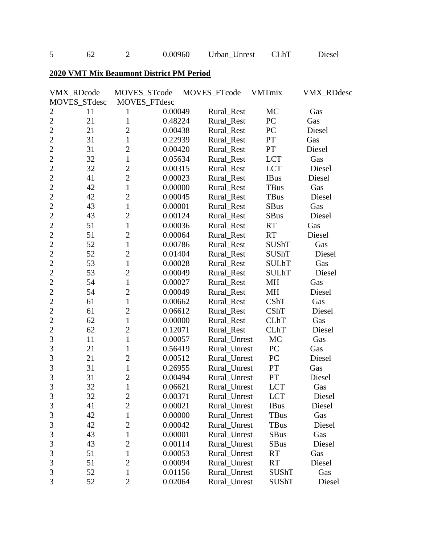5 62 2 0.00960 Urban\_Unrest CLhT Diesel

## **2020 VMT Mix Beaumont District PM Period**

|                | VMX_RDcode   | MOVES_STcode   |              | MOVES_FTcode | VMTmix           | <b>VMX_RDdesc</b> |
|----------------|--------------|----------------|--------------|--------------|------------------|-------------------|
|                | MOVES_STdesc |                | MOVES_FTdesc |              |                  |                   |
| $\overline{c}$ | 11           | 1              | 0.00049      | Rural_Rest   | MC               | Gas               |
| $\overline{2}$ | 21           | $\mathbf{1}$   | 0.48224      | Rural_Rest   | PC               | Gas               |
| $\overline{2}$ | 21           | $\overline{2}$ | 0.00438      | Rural_Rest   | ${\rm P}{\bf C}$ | Diesel            |
| $\overline{2}$ | 31           | $\mathbf{1}$   | 0.22939      | Rural_Rest   | ${\cal PT}$      | Gas               |
| $\overline{2}$ | 31           | $\overline{2}$ | 0.00420      | Rural_Rest   | PT               | Diesel            |
| $\overline{c}$ | 32           | $\mathbf{1}$   | 0.05634      | Rural_Rest   | <b>LCT</b>       | Gas               |
| $\overline{2}$ | 32           | $\overline{2}$ | 0.00315      | Rural_Rest   | <b>LCT</b>       | Diesel            |
| $\overline{2}$ | 41           | $\overline{2}$ | 0.00023      | Rural_Rest   | <b>IBus</b>      | Diesel            |
| $\overline{2}$ | 42           | $\mathbf{1}$   | 0.00000      | Rural_Rest   | TBus             | Gas               |
| $\overline{2}$ | 42           | $\overline{2}$ | 0.00045      | Rural_Rest   | <b>TBus</b>      | Diesel            |
| $\overline{c}$ | 43           | $\mathbf{1}$   | 0.00001      | Rural_Rest   | <b>SBus</b>      | Gas               |
| $\overline{2}$ | 43           | $\overline{2}$ | 0.00124      | Rural_Rest   | <b>SBus</b>      | Diesel            |
| $\overline{2}$ | 51           | $\mathbf{1}$   | 0.00036      | Rural_Rest   | RT               | Gas               |
| $\overline{2}$ | 51           | $\overline{2}$ | 0.00064      | Rural_Rest   | RT               | Diesel            |
| $\overline{2}$ | 52           | $\mathbf{1}$   | 0.00786      | Rural_Rest   | <b>SUShT</b>     | Gas               |
| $\overline{c}$ | 52           | $\overline{2}$ | 0.01404      | Rural_Rest   | <b>SUShT</b>     | Diesel            |
| $\overline{2}$ | 53           | $\mathbf{1}$   | 0.00028      | Rural_Rest   | <b>SULhT</b>     | Gas               |
| $\overline{2}$ | 53           | $\overline{2}$ | 0.00049      | Rural Rest   | <b>SULhT</b>     | Diesel            |
| $\overline{2}$ | 54           | $\mathbf{1}$   | 0.00027      | Rural_Rest   | MH               | Gas               |
| $\overline{2}$ | 54           | $\overline{2}$ | 0.00049      | Rural_Rest   | MH               | Diesel            |
| $\overline{c}$ | 61           | $\mathbf{1}$   | 0.00662      | Rural_Rest   | CShT             | Gas               |
| $\overline{2}$ | 61           | $\overline{2}$ | 0.06612      | Rural_Rest   | CShT             | Diesel            |
| $\overline{2}$ | 62           | $\mathbf{1}$   | 0.00000      | Rural_Rest   | <b>CLhT</b>      | Gas               |
| $\overline{2}$ | 62           | $\overline{2}$ | 0.12071      | Rural_Rest   | <b>CLhT</b>      | Diesel            |
| 3              | 11           | $\mathbf{1}$   | 0.00057      | Rural_Unrest | MC               | Gas               |
| 3              | 21           | $\mathbf{1}$   | 0.56419      | Rural_Unrest | PC               | Gas               |
| 3              | 21           | $\overline{2}$ | 0.00512      | Rural_Unrest | PC               | Diesel            |
| 3              | 31           | $\mathbf{1}$   | 0.26955      | Rural_Unrest | PT               | Gas               |
| 3              | 31           | $\overline{2}$ | 0.00494      | Rural_Unrest | <b>PT</b>        | Diesel            |
| $\overline{3}$ | 32           | $\mathbf{1}$   | 0.06621      | Rural_Unrest | <b>LCT</b>       | Gas               |
| 3              | 32           | $\overline{c}$ | 0.00371      | Rural_Unrest | <b>LCT</b>       | Diesel            |
| 3              | 41           | $\overline{2}$ | 0.00021      | Rural Unrest | <b>IBus</b>      | Diesel            |
| $\mathfrak{Z}$ | 42           | $\mathbf{1}$   | 0.00000      | Rural_Unrest | TBus             | Gas               |
| 3              | 42           | $\overline{2}$ | 0.00042      | Rural_Unrest | <b>TBus</b>      | Diesel            |
| 3              | 43           | $\mathbf{1}$   | 0.00001      | Rural_Unrest | <b>SBus</b>      | Gas               |
| 3              | 43           | $\overline{2}$ | 0.00114      | Rural_Unrest | <b>SBus</b>      | Diesel            |
| 3              | 51           | $\mathbf{1}$   | 0.00053      | Rural Unrest | RT               | Gas               |
| 3              | 51           | $\overline{2}$ | 0.00094      | Rural_Unrest | <b>RT</b>        | Diesel            |
| 3              | 52           | 1              | 0.01156      | Rural Unrest | SUShT            | Gas               |
| 3              | 52           | $\overline{2}$ | 0.02064      | Rural_Unrest | <b>SUShT</b>     | Diesel            |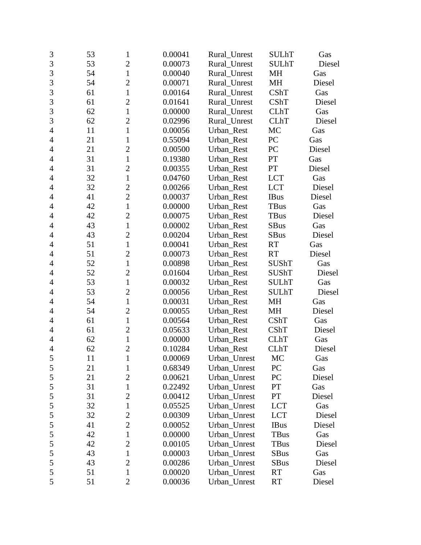| $\mathfrak{Z}$ | 53 | $\mathbf{1}$   | 0.00041 | Rural_Unrest | <b>SULhT</b> | Gas    |
|----------------|----|----------------|---------|--------------|--------------|--------|
| 3              | 53 | $\overline{2}$ | 0.00073 | Rural_Unrest | <b>SULhT</b> | Diesel |
| 3              | 54 | $\mathbf 1$    | 0.00040 | Rural_Unrest | <b>MH</b>    | Gas    |
| 3              | 54 | $\overline{2}$ | 0.00071 | Rural_Unrest | MH           | Diesel |
| 3              | 61 | $\mathbf{1}$   | 0.00164 | Rural_Unrest | CShT         | Gas    |
| 3              | 61 | $\overline{c}$ | 0.01641 | Rural_Unrest | CShT         | Diesel |
| 3              | 62 | $\mathbf{1}$   | 0.00000 | Rural_Unrest | <b>CLhT</b>  | Gas    |
| 3              | 62 | $\overline{2}$ | 0.02996 | Rural_Unrest | <b>CLhT</b>  | Diesel |
| $\overline{4}$ | 11 | $\mathbf{1}$   | 0.00056 | Urban Rest   | MC           | Gas    |
| $\overline{4}$ | 21 | $\mathbf{1}$   | 0.55094 | Urban_Rest   | PC           | Gas    |
| 4              | 21 | $\overline{c}$ | 0.00500 | Urban_Rest   | PC           | Diesel |
| $\overline{4}$ | 31 | $\mathbf{1}$   | 0.19380 | Urban_Rest   | PT           | Gas    |
| $\overline{4}$ | 31 | $\overline{c}$ | 0.00355 | Urban_Rest   | PT           | Diesel |
| $\overline{4}$ | 32 | $\mathbf{1}$   | 0.04760 | Urban_Rest   | <b>LCT</b>   | Gas    |
| 4              | 32 | $\overline{2}$ | 0.00266 | Urban_Rest   | <b>LCT</b>   | Diesel |
| 4              | 41 | $\overline{2}$ | 0.00037 | Urban_Rest   | <b>IBus</b>  | Diesel |
| $\overline{4}$ | 42 | $\mathbf{1}$   | 0.00000 | Urban_Rest   | TBus         | Gas    |
| $\overline{4}$ | 42 | $\overline{2}$ | 0.00075 | Urban_Rest   | <b>TBus</b>  | Diesel |
| 4              | 43 | $\mathbf{1}$   | 0.00002 | Urban_Rest   | SBus         | Gas    |
| $\overline{4}$ | 43 | $\overline{2}$ | 0.00204 | Urban_Rest   | <b>SBus</b>  | Diesel |
| 4              | 51 | $\mathbf{1}$   | 0.00041 | Urban Rest   | <b>RT</b>    | Gas    |
| 4              | 51 | $\overline{2}$ | 0.00073 | Urban_Rest   | <b>RT</b>    | Diesel |
| $\overline{4}$ | 52 | $\mathbf{1}$   | 0.00898 | Urban_Rest   | SUShT        | Gas    |
| $\overline{4}$ | 52 | $\overline{2}$ | 0.01604 | Urban_Rest   | <b>SUShT</b> | Diesel |
| 4              | 53 | $\mathbf{1}$   | 0.00032 | Urban_Rest   | <b>SULhT</b> | Gas    |
| $\overline{4}$ | 53 | $\overline{c}$ | 0.00056 | Urban_Rest   | <b>SULhT</b> | Diesel |
| $\overline{4}$ | 54 | $\mathbf{1}$   | 0.00031 | Urban_Rest   | <b>MH</b>    | Gas    |
| $\overline{4}$ | 54 | $\overline{2}$ | 0.00055 | Urban_Rest   | <b>MH</b>    | Diesel |
| 4              | 61 | $\mathbf{1}$   | 0.00564 | Urban_Rest   | CShT         | Gas    |
| $\overline{4}$ | 61 | $\overline{2}$ | 0.05633 | Urban_Rest   | CShT         | Diesel |
| 4              | 62 | $\mathbf{1}$   | 0.00000 | Urban_Rest   | <b>CLhT</b>  | Gas    |
| $\overline{4}$ | 62 | $\overline{2}$ | 0.10284 | Urban_Rest   | <b>CLhT</b>  | Diesel |
| $\mathfrak s$  | 11 | $\mathbf{1}$   | 0.00069 | Urban_Unrest | MC           | Gas    |
| 5              | 21 | 1              | 0.68349 | Urban_Unrest | PC           | Gas    |
| $\mathfrak s$  | 21 | $\overline{2}$ | 0.00621 | Urban Unrest | PC           | Diesel |
| 5              | 31 | $\mathbf 1$    | 0.22492 | Urban_Unrest | PT           | Gas    |
| 5              | 31 | $\overline{2}$ | 0.00412 | Urban_Unrest | PT           | Diesel |
| 5              | 32 | $\mathbf{1}$   | 0.05525 | Urban_Unrest | <b>LCT</b>   | Gas    |
| 5              | 32 | $\overline{c}$ | 0.00309 | Urban_Unrest | <b>LCT</b>   | Diesel |
| 5              | 41 | $\overline{2}$ | 0.00052 | Urban_Unrest | <b>IBus</b>  | Diesel |
| 5              | 42 | $\mathbf{1}$   | 0.00000 | Urban_Unrest | <b>TBus</b>  | Gas    |
| 5              | 42 | $\overline{2}$ | 0.00105 | Urban_Unrest | TBus         | Diesel |
| 5              | 43 | $\mathbf 1$    | 0.00003 | Urban_Unrest | <b>SBus</b>  | Gas    |
| 5              | 43 | $\overline{2}$ | 0.00286 | Urban_Unrest | <b>SBus</b>  | Diesel |
| 5              | 51 | $\mathbf{1}$   | 0.00020 | Urban_Unrest | RT           | Gas    |
| 5              | 51 | $\mathbf{2}$   | 0.00036 | Urban_Unrest | RT           | Diesel |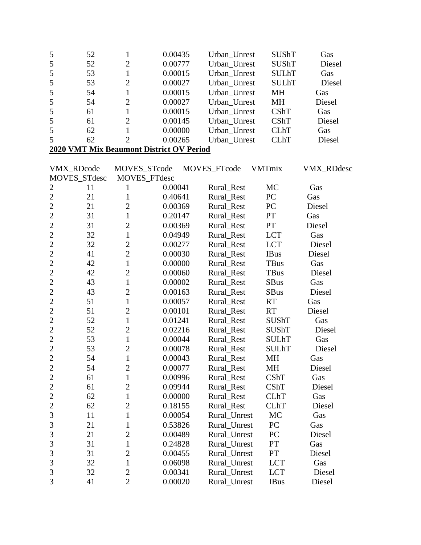| 5              | 52 | 1                                        | 0.00435 | Urban_Unrest | <b>SUShT</b>  | Gas               |
|----------------|----|------------------------------------------|---------|--------------|---------------|-------------------|
| 5              | 52 | $\overline{c}$                           | 0.00777 | Urban_Unrest | <b>SUShT</b>  | Diesel            |
| 5              | 53 | $\mathbf{1}$                             | 0.00015 | Urban_Unrest | <b>SULhT</b>  | Gas               |
| 5              | 53 | $\overline{2}$                           | 0.00027 | Urban_Unrest | <b>SULhT</b>  | Diesel            |
| 5              | 54 | $\mathbf{1}$                             | 0.00015 | Urban_Unrest | MH            | Gas               |
| 5              | 54 | $\overline{c}$                           | 0.00027 | Urban_Unrest | MH            | Diesel            |
| 5              | 61 | $\mathbf{1}$                             | 0.00015 | Urban_Unrest | CShT          | Gas               |
| 5              | 61 | $\overline{c}$                           | 0.00145 | Urban_Unrest | CShT          | Diesel            |
| 5              | 62 | $\mathbf{1}$                             | 0.00000 | Urban_Unrest | <b>CLhT</b>   | Gas               |
| 5              | 62 | $\overline{2}$                           | 0.00265 | Urban Unrest | <b>CLhT</b>   | Diesel            |
|                |    | 2020 VMT Mix Beaumont District OV Period |         |              |               |                   |
|                |    |                                          |         |              |               |                   |
| VMX_RDcode     |    | MOVES_STcode                             |         | MOVES_FTcode | <b>VMTmix</b> | <b>VMX_RDdesc</b> |
| MOVES_STdesc   |    | MOVES_FTdesc                             |         |              |               |                   |
| 2              | 11 | 1                                        | 0.00041 | Rural_Rest   | MC            | Gas               |
| $\overline{2}$ | 21 | $\mathbf{1}$                             | 0.40641 | Rural_Rest   | PC            | Gas               |
| $\overline{c}$ | 21 | $\overline{c}$                           | 0.00369 | Rural_Rest   | PC            | Diesel            |
| $\overline{2}$ | 31 | $\mathbf{1}$                             | 0.20147 | Rural_Rest   | PT            | Gas               |
| $\overline{c}$ | 31 | $\overline{2}$                           | 0.00369 | Rural_Rest   | PT            | Diesel            |
| $\overline{2}$ | 32 | $\mathbf{1}$                             | 0.04949 | Rural_Rest   | <b>LCT</b>    | Gas               |
| $\overline{2}$ | 32 | $\overline{2}$                           | 0.00277 | Rural_Rest   | <b>LCT</b>    | Diesel            |
| $\overline{c}$ | 41 | $\overline{2}$                           | 0.00030 | Rural_Rest   | <b>IBus</b>   | Diesel            |
| $\overline{c}$ | 42 | $\mathbf{1}$                             | 0.00000 | Rural_Rest   | <b>TBus</b>   | Gas               |
| $\overline{c}$ | 42 | $\overline{c}$                           | 0.00060 | Rural_Rest   | <b>TBus</b>   | Diesel            |
| $\overline{2}$ | 43 | $\mathbf{1}$                             | 0.00002 | Rural_Rest   | <b>SBus</b>   | Gas               |
| $\overline{2}$ | 43 | $\overline{c}$                           | 0.00163 | Rural_Rest   | <b>SBus</b>   | Diesel            |
| $\overline{c}$ | 51 | $\mathbf{1}$                             | 0.00057 | Rural_Rest   | <b>RT</b>     | Gas               |
| $\overline{2}$ | 51 | $\overline{2}$                           | 0.00101 | Rural_Rest   | <b>RT</b>     | Diesel            |
| $\overline{2}$ | 52 | $\mathbf{1}$                             | 0.01241 | Rural_Rest   | <b>SUShT</b>  | Gas               |
| $\overline{2}$ | 52 | $\overline{c}$                           | 0.02216 | Rural_Rest   | <b>SUShT</b>  | Diesel            |
| $\overline{2}$ | 53 | $\mathbf{1}$                             | 0.00044 | Rural_Rest   | <b>SULhT</b>  | Gas               |
| $\overline{2}$ | 53 | $\overline{2}$                           | 0.00078 | Rural_Rest   | <b>SULhT</b>  | Diesel            |
| $\overline{2}$ | 54 | $\mathbf{1}$                             | 0.00043 | Rural_Rest   | MH            | Gas               |
| $\overline{c}$ | 54 | $\overline{c}$                           | 0.00077 | Rural_Rest   | MH            | Diesel            |
| $\overline{c}$ | 61 | $\mathbf{1}$                             | 0.00996 | Rural_Rest   | CShT          | Gas               |
| $\overline{2}$ | 61 | $\overline{c}$                           | 0.09944 | Rural_Rest   | CShT          | Diesel            |
| $\overline{c}$ | 62 | $\mathbf{1}$                             | 0.00000 | Rural_Rest   | <b>CLhT</b>   | Gas               |
| $\overline{c}$ | 62 | $\overline{c}$                           | 0.18155 | Rural_Rest   | <b>CLhT</b>   | Diesel            |
| $\overline{3}$ | 11 | $\mathbf{1}$                             | 0.00054 | Rural_Unrest | MC            | Gas               |
| 3              | 21 | $\mathbf{1}$                             | 0.53826 | Rural_Unrest | PC            | Gas               |
| $\overline{3}$ | 21 | $\overline{c}$                           | 0.00489 | Rural_Unrest | PC            | Diesel            |
| 3              | 31 | $\mathbf{1}$                             | 0.24828 | Rural Unrest | PT            | Gas               |
| 3              | 31 | $\overline{c}$                           | 0.00455 | Rural_Unrest | PT            | Diesel            |
| $\overline{3}$ | 32 | $\mathbf{1}$                             | 0.06098 | Rural_Unrest | <b>LCT</b>    | Gas               |
| $\overline{3}$ | 32 | $\overline{c}$                           | 0.00341 | Rural_Unrest | <b>LCT</b>    | Diesel            |
| 3              | 41 | $\overline{2}$                           | 0.00020 | Rural_Unrest | <b>IBus</b>   | Diesel            |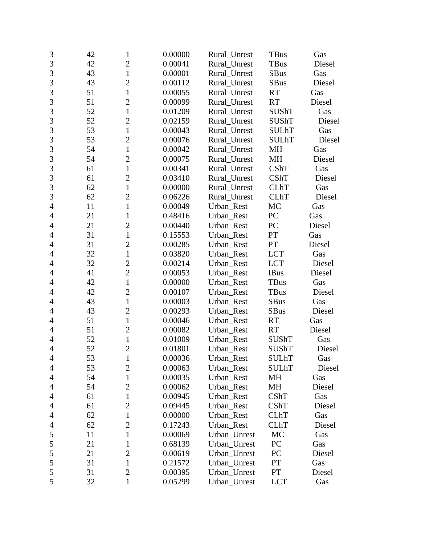| 3              | 42 | $\mathbf{1}$   | 0.00000 | Rural_Unrest | <b>TBus</b>  | Gas    |
|----------------|----|----------------|---------|--------------|--------------|--------|
| $\overline{3}$ | 42 | $\overline{2}$ | 0.00041 | Rural_Unrest | TBus         | Diesel |
| 3              | 43 | $\mathbf{1}$   | 0.00001 | Rural_Unrest | <b>SBus</b>  | Gas    |
| 3              | 43 | $\overline{2}$ | 0.00112 | Rural_Unrest | <b>SBus</b>  | Diesel |
| $\overline{3}$ | 51 | $\mathbf{1}$   | 0.00055 | Rural Unrest | <b>RT</b>    | Gas    |
| 3              | 51 | $\overline{c}$ | 0.00099 | Rural Unrest | <b>RT</b>    | Diesel |
| 3              | 52 | $\mathbf{1}$   | 0.01209 | Rural_Unrest | <b>SUShT</b> | Gas    |
| 3              | 52 | $\overline{2}$ | 0.02159 | Rural Unrest | <b>SUShT</b> | Diesel |
| $\overline{3}$ | 53 | $\mathbf{1}$   | 0.00043 | Rural_Unrest | <b>SULhT</b> | Gas    |
| 3              | 53 | $\overline{2}$ | 0.00076 | Rural_Unrest | <b>SULhT</b> | Diesel |
| 3              | 54 | $\mathbf{1}$   | 0.00042 | Rural_Unrest | MH           | Gas    |
| $\overline{3}$ | 54 | $\overline{2}$ | 0.00075 | Rural_Unrest | MH           | Diesel |
| 3              | 61 | $\mathbf{1}$   | 0.00341 | Rural_Unrest | CShT         | Gas    |
| 3              | 61 | $\overline{2}$ | 0.03410 | Rural_Unrest | CShT         | Diesel |
| $\overline{3}$ | 62 | $\mathbf{1}$   | 0.00000 | Rural Unrest | <b>CLhT</b>  | Gas    |
| 3              | 62 | $\overline{2}$ | 0.06226 | Rural_Unrest | <b>CLhT</b>  | Diesel |
| $\overline{4}$ | 11 | $\mathbf{1}$   | 0.00049 | Urban_Rest   | MC           | Gas    |
| $\overline{4}$ | 21 | $\mathbf{1}$   | 0.48416 | Urban_Rest   | PC           | Gas    |
| 4              | 21 | $\overline{2}$ | 0.00440 | Urban_Rest   | PC           | Diesel |
| $\overline{4}$ | 31 | $\mathbf{1}$   | 0.15553 | Urban_Rest   | PT           | Gas    |
| $\overline{4}$ | 31 | $\overline{2}$ | 0.00285 | Urban_Rest   | PT           | Diesel |
| 4              | 32 | $\mathbf{1}$   | 0.03820 | Urban_Rest   | <b>LCT</b>   | Gas    |
| $\overline{4}$ | 32 | $\overline{c}$ | 0.00214 | Urban_Rest   | <b>LCT</b>   | Diesel |
| $\overline{4}$ | 41 | $\overline{c}$ | 0.00053 | Urban_Rest   | <b>IBus</b>  | Diesel |
| 4              | 42 | $\mathbf{1}$   | 0.00000 | Urban_Rest   | <b>TBus</b>  | Gas    |
| $\overline{4}$ | 42 | $\overline{c}$ | 0.00107 | Urban_Rest   | <b>TBus</b>  | Diesel |
| $\overline{4}$ | 43 | $\mathbf{1}$   | 0.00003 | Urban_Rest   | <b>SBus</b>  | Gas    |
| 4              | 43 | $\overline{2}$ | 0.00293 | Urban_Rest   | <b>SBus</b>  | Diesel |
| 4              | 51 | $\mathbf{1}$   | 0.00046 | Urban_Rest   | <b>RT</b>    | Gas    |
| $\overline{4}$ | 51 | $\overline{2}$ | 0.00082 | Urban_Rest   | <b>RT</b>    | Diesel |
| $\overline{4}$ | 52 | $\mathbf{1}$   | 0.01009 | Urban_Rest   | SUShT        | Gas    |
| 4              | 52 | $\overline{2}$ | 0.01801 | Urban_Rest   | <b>SUShT</b> | Diesel |
| $\overline{4}$ | 53 | $\mathbf{1}$   | 0.00036 | Urban_Rest   | <b>SULhT</b> | Gas    |
| 4              | 53 | $\overline{c}$ | 0.00063 | Urban_Rest   | <b>SULhT</b> | Diesel |
| 4              | 54 | $\mathbf{1}$   | 0.00035 | Urban_Rest   | MH           | Gas    |
| 4              | 54 | $\overline{c}$ | 0.00062 | Urban_Rest   | MH           | Diesel |
| 4              | 61 | $\mathbf{1}$   | 0.00945 | Urban Rest   | <b>CShT</b>  | Gas    |
| 4              | 61 | 2              | 0.09445 | Urban Rest   | CShT         | Diesel |
| 4              | 62 | 1              | 0.00000 | Urban_Rest   | <b>CLhT</b>  | Gas    |
| 4              | 62 | $\overline{2}$ | 0.17243 | Urban_Rest   | <b>CLhT</b>  | Diesel |
| 5              | 11 | $\mathbf{1}$   | 0.00069 | Urban_Unrest | MC           | Gas    |
| 5              | 21 | 1              | 0.68139 | Urban_Unrest | PC           | Gas    |
| 5              | 21 | $\overline{2}$ | 0.00619 | Urban_Unrest | PC           | Diesel |
| 5              | 31 | $\mathbf{1}$   | 0.21572 | Urban_Unrest | PT           | Gas    |
| 5              | 31 | $\overline{2}$ | 0.00395 | Urban_Unrest | PT           | Diesel |
| 5              | 32 | $\mathbf{1}$   | 0.05299 | Urban_Unrest | <b>LCT</b>   | Gas    |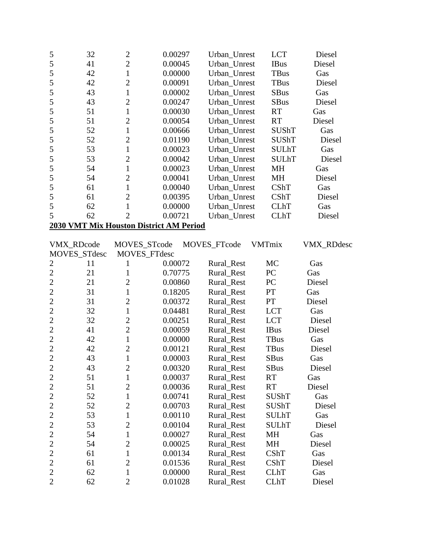| 5              | 32                                      | $\mathbf{2}$   | 0.00297      | Urban Unrest | <b>LCT</b>    | Diesel     |  |  |  |
|----------------|-----------------------------------------|----------------|--------------|--------------|---------------|------------|--|--|--|
| 5              | 41                                      | $\overline{2}$ | 0.00045      | Urban_Unrest | <b>IBus</b>   | Diesel     |  |  |  |
| 5              | 42                                      | $\mathbf{1}$   | 0.00000      | Urban_Unrest | <b>TBus</b>   | Gas        |  |  |  |
| 5              | 42                                      | $\overline{2}$ | 0.00091      | Urban_Unrest | TBus          | Diesel     |  |  |  |
| 5              | 43                                      | $\mathbf{1}$   | 0.00002      | Urban Unrest | <b>SBus</b>   | Gas        |  |  |  |
| 5              | 43                                      | $\overline{2}$ | 0.00247      | Urban_Unrest | <b>SBus</b>   | Diesel     |  |  |  |
| 5              | 51                                      | $\mathbf{1}$   | 0.00030      | Urban_Unrest | <b>RT</b>     | Gas        |  |  |  |
| 5              | 51                                      | $\overline{c}$ | 0.00054      | Urban Unrest | <b>RT</b>     | Diesel     |  |  |  |
| 5              | 52                                      | $\mathbf{1}$   | 0.00666      | Urban_Unrest | <b>SUShT</b>  | Gas        |  |  |  |
| 5              | 52                                      | $\overline{c}$ | 0.01190      | Urban_Unrest | <b>SUShT</b>  | Diesel     |  |  |  |
| 5              | 53                                      | $\mathbf{1}$   | 0.00023      | Urban Unrest | <b>SULhT</b>  | Gas        |  |  |  |
| 5              | 53                                      | $\overline{2}$ | 0.00042      | Urban_Unrest | <b>SULhT</b>  | Diesel     |  |  |  |
| 5              | 54                                      | $\mathbf{1}$   | 0.00023      | Urban_Unrest | MH            | Gas        |  |  |  |
| 5              | 54                                      | $\overline{2}$ | 0.00041      | Urban_Unrest | <b>MH</b>     | Diesel     |  |  |  |
| 5              | 61                                      | $\mathbf{1}$   | 0.00040      | Urban_Unrest | <b>CShT</b>   | Gas        |  |  |  |
| 5              | 61                                      | $\overline{2}$ | 0.00395      | Urban_Unrest | CShT          | Diesel     |  |  |  |
| 5              | 62                                      | $\mathbf{1}$   | 0.00000      | Urban Unrest | <b>CLhT</b>   | Gas        |  |  |  |
| 5              | 62                                      | $\overline{2}$ | 0.00721      | Urban_Unrest | <b>CLhT</b>   | Diesel     |  |  |  |
|                | 2030 VMT Mix Houston District AM Period |                |              |              |               |            |  |  |  |
|                |                                         |                |              |              |               |            |  |  |  |
|                | VMX_RDcode                              | MOVES_STcode   |              | MOVES_FTcode | <b>VMTmix</b> | VMX_RDdesc |  |  |  |
|                | MOVES_STdesc                            |                | MOVES_FTdesc |              |               |            |  |  |  |
| $\overline{c}$ | 11                                      | $\mathbf{1}$   | 0.00072      | Rural_Rest   | MC            | Gas        |  |  |  |
| $\overline{c}$ | 21                                      | $\mathbf{1}$   | 0.70775      | Rural_Rest   | PC            | Gas        |  |  |  |
| $\overline{2}$ | 21                                      | $\overline{c}$ | 0.00860      | Rural_Rest   | PC            | Diesel     |  |  |  |
| $\overline{c}$ | 31                                      | $\mathbf{1}$   | 0.18205      | Rural_Rest   | PT            | Gas        |  |  |  |
| $\overline{2}$ | 31                                      | $\overline{2}$ | 0.00372      | Rural_Rest   | PT            | Diesel     |  |  |  |
| $\overline{2}$ | 32                                      | $\mathbf{1}$   | 0.04481      | Rural_Rest   | <b>LCT</b>    | Gas        |  |  |  |
| $\overline{c}$ | 32                                      | $\overline{2}$ | 0.00251      | Rural_Rest   | <b>LCT</b>    | Diesel     |  |  |  |
| $\overline{2}$ | 41                                      | $\overline{2}$ | 0.00059      | Rural_Rest   | <b>IBus</b>   | Diesel     |  |  |  |
| $\overline{c}$ | 42                                      | $\mathbf{1}$   | 0.00000      | Rural_Rest   | TBus          | Gas        |  |  |  |
| $\overline{2}$ | 42                                      | $\overline{2}$ | 0.00121      | Rural_Rest   | <b>TBus</b>   | Diesel     |  |  |  |
| $\overline{c}$ | 43                                      |                |              |              |               |            |  |  |  |
| $\mathbf{2}$   |                                         | $\mathbf{1}$   | 0.00003      | Rural_Rest   | SBus          | Gas        |  |  |  |
|                | 43                                      | $\mathbf{2}$   | 0.00320      | Rural_Rest   | SBus          | Diesel     |  |  |  |
| $\overline{2}$ | 51                                      | $\mathbf{1}$   | 0.00037      | Rural_Rest   | <b>RT</b>     | Gas        |  |  |  |
| $\overline{c}$ | 51                                      | $\overline{2}$ | 0.00036      | Rural_Rest   | <b>RT</b>     | Diesel     |  |  |  |
| $\mathbf{2}$   | 52                                      | $\mathbf{1}$   | 0.00741      | Rural_Rest   | <b>SUShT</b>  | Gas        |  |  |  |
| $\overline{c}$ | 52                                      | $\overline{2}$ | 0.00703      | Rural_Rest   | <b>SUShT</b>  | Diesel     |  |  |  |
| $\overline{c}$ | 53                                      | $\mathbf 1$    | 0.00110      | Rural_Rest   | <b>SULhT</b>  | Gas        |  |  |  |
| $\overline{c}$ | 53                                      | $\overline{2}$ | 0.00104      | Rural_Rest   | <b>SULhT</b>  | Diesel     |  |  |  |
| $\overline{c}$ | 54                                      | $\mathbf{1}$   | 0.00027      | Rural_Rest   | MH            | Gas        |  |  |  |
| $\overline{2}$ | 54                                      | $\overline{2}$ | 0.00025      | Rural Rest   | MH            | Diesel     |  |  |  |
| $\overline{c}$ | 61                                      | $\mathbf{1}$   | 0.00134      | Rural_Rest   | CShT          | Gas        |  |  |  |
| $\overline{2}$ | 61                                      | $\overline{2}$ | 0.01536      | Rural_Rest   | CShT          | Diesel     |  |  |  |
| $\overline{2}$ | 62                                      | 1              | 0.00000      | Rural_Rest   | <b>CLhT</b>   | Gas        |  |  |  |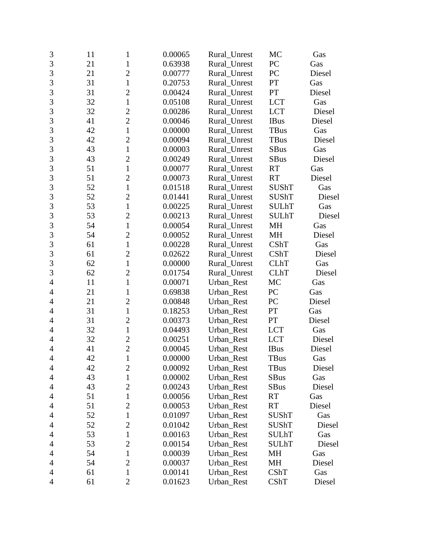| 3                        | 11 | 1              | 0.00065 | Rural_Unrest | MC           | Gas    |
|--------------------------|----|----------------|---------|--------------|--------------|--------|
| 3                        | 21 | 1              | 0.63938 | Rural_Unrest | PC           | Gas    |
| 3                        | 21 | $\overline{c}$ | 0.00777 | Rural_Unrest | PC           | Diesel |
| 3                        | 31 | $\mathbf{1}$   | 0.20753 | Rural_Unrest | PT           | Gas    |
| $\overline{3}$           | 31 | $\overline{2}$ | 0.00424 | Rural Unrest | PT           | Diesel |
| 3                        | 32 | $\mathbf{1}$   | 0.05108 | Rural Unrest | <b>LCT</b>   | Gas    |
| 3                        | 32 | $\overline{c}$ | 0.00286 | Rural_Unrest | <b>LCT</b>   | Diesel |
| 3                        | 41 | $\overline{c}$ | 0.00046 | Rural_Unrest | <b>IBus</b>  | Diesel |
| $\overline{3}$           | 42 | $\mathbf{1}$   | 0.00000 | Rural_Unrest | TBus         | Gas    |
| $\overline{3}$           | 42 | $\overline{2}$ | 0.00094 | Rural_Unrest | <b>TBus</b>  | Diesel |
| 3                        | 43 | $\mathbf{1}$   | 0.00003 | Rural_Unrest | <b>SBus</b>  | Gas    |
| $\overline{3}$           | 43 | $\overline{c}$ | 0.00249 | Rural_Unrest | <b>SBus</b>  | Diesel |
| 3                        | 51 | $\mathbf{1}$   | 0.00077 | Rural_Unrest | <b>RT</b>    | Gas    |
| 3                        | 51 | $\overline{2}$ | 0.00073 | Rural_Unrest | <b>RT</b>    | Diesel |
| $\overline{3}$           | 52 | $\mathbf{1}$   | 0.01518 | Rural_Unrest | <b>SUShT</b> | Gas    |
| 3                        | 52 | $\overline{2}$ | 0.01441 | Rural_Unrest | <b>SUShT</b> | Diesel |
| 3                        | 53 | $\mathbf{1}$   | 0.00225 | Rural_Unrest | <b>SULhT</b> | Gas    |
| 3                        | 53 | $\overline{2}$ | 0.00213 | Rural_Unrest | <b>SULhT</b> | Diesel |
| $\overline{3}$           | 54 | $\mathbf{1}$   | 0.00054 | Rural_Unrest | MH           | Gas    |
| $\overline{3}$           | 54 | $\overline{2}$ | 0.00052 | Rural_Unrest | MH           | Diesel |
| 3                        | 61 | $\mathbf{1}$   | 0.00228 | Rural_Unrest | CShT         | Gas    |
| 3                        | 61 | $\overline{2}$ | 0.02622 | Rural_Unrest | CShT         | Diesel |
| 3                        | 62 | $\mathbf{1}$   | 0.00000 | Rural_Unrest | <b>CLhT</b>  | Gas    |
| 3                        | 62 | $\overline{2}$ | 0.01754 | Rural_Unrest | <b>CLhT</b>  | Diesel |
| $\overline{4}$           | 11 | $\mathbf{1}$   | 0.00071 | Urban_Rest   | MC           | Gas    |
| $\overline{4}$           | 21 | $\mathbf{1}$   | 0.69838 | Urban_Rest   | PC           | Gas    |
| $\overline{4}$           | 21 | $\overline{2}$ | 0.00848 | Urban_Rest   | PC           | Diesel |
| 4                        | 31 | $\mathbf{1}$   | 0.18253 | Urban_Rest   | PT           | Gas    |
| $\overline{4}$           | 31 | $\overline{2}$ | 0.00373 | Urban_Rest   | PT           | Diesel |
| $\overline{4}$           | 32 | $\mathbf{1}$   | 0.04493 | Urban_Rest   | <b>LCT</b>   | Gas    |
| 4                        | 32 | $\overline{c}$ | 0.00251 | Urban_Rest   | <b>LCT</b>   | Diesel |
| 4                        | 41 | $\overline{2}$ | 0.00045 | Urban Rest   | <b>IBus</b>  | Diesel |
| $\overline{\mathcal{A}}$ | 42 | $\mathbf{1}$   | 0.00000 | Urban_Rest   | TBus         | Gas    |
| $\overline{4}$           | 42 | $\overline{2}$ | 0.00092 | Urban_Rest   | TBus         | Diesel |
| 4                        | 43 | $\mathbf{1}$   | 0.00002 | Urban_Rest   | <b>SBus</b>  | Gas    |
| 4                        | 43 | $\overline{c}$ | 0.00243 | Urban_Rest   | <b>SBus</b>  | Diesel |
| 4                        | 51 | $\mathbf{1}$   | 0.00056 | Urban_Rest   | <b>RT</b>    | Gas    |
| 4                        | 51 | $\overline{2}$ | 0.00053 | Urban Rest   | <b>RT</b>    | Diesel |
| 4                        | 52 | 1              | 0.01097 | Urban_Rest   | <b>SUShT</b> | Gas    |
| 4                        | 52 | $\overline{2}$ | 0.01042 | Urban_Rest   | SUShT        | Diesel |
| 4                        | 53 | $\mathbf{1}$   | 0.00163 | Urban_Rest   | <b>SULhT</b> | Gas    |
| 4                        | 53 | $\overline{c}$ | 0.00154 | Urban Rest   | <b>SULhT</b> | Diesel |
| 4                        | 54 | $\mathbf{1}$   | 0.00039 | Urban_Rest   | MH           | Gas    |
| 4                        | 54 | $\overline{2}$ | 0.00037 | Urban_Rest   | MH           | Diesel |
| 4                        | 61 | $\mathbf{1}$   | 0.00141 | Urban_Rest   | <b>CShT</b>  | Gas    |
| $\overline{4}$           | 61 | $\overline{2}$ | 0.01623 | Urban_Rest   | CShT         | Diesel |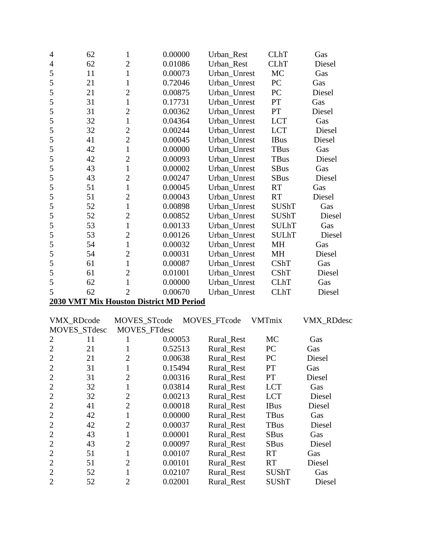| $\overline{4}$ | 62                | $\mathbf{1}$   | 0.00000                                 | Urban_Rest   | <b>CLhT</b>   | Gas        |
|----------------|-------------------|----------------|-----------------------------------------|--------------|---------------|------------|
| $\overline{4}$ | 62                | $\overline{2}$ | 0.01086                                 | Urban Rest   | <b>CLhT</b>   | Diesel     |
| 5              | 11                | $\mathbf{1}$   | 0.00073                                 | Urban Unrest | MC            | Gas        |
| 5              | 21                | $\mathbf{1}$   | 0.72046                                 | Urban_Unrest | PC            | Gas        |
| 5              | 21                | $\overline{2}$ | 0.00875                                 | Urban_Unrest | PC            | Diesel     |
| 5              | 31                | $\mathbf{1}$   | 0.17731                                 | Urban_Unrest | PT            | Gas        |
| 5              | 31                | $\overline{2}$ | 0.00362                                 | Urban_Unrest | PT            | Diesel     |
| 5              | 32                | $\mathbf{1}$   | 0.04364                                 | Urban_Unrest | <b>LCT</b>    | Gas        |
| 5              | 32                | $\overline{2}$ | 0.00244                                 | Urban Unrest | <b>LCT</b>    | Diesel     |
| 5              | 41                | $\overline{2}$ | 0.00045                                 | Urban_Unrest | <b>IBus</b>   | Diesel     |
| 5              | 42                | $\mathbf{1}$   | 0.00000                                 | Urban_Unrest | TBus          | Gas        |
| 5              | 42                | $\overline{2}$ | 0.00093                                 | Urban_Unrest | <b>TBus</b>   | Diesel     |
| 5              | 43                | $\mathbf{1}$   | 0.00002                                 | Urban_Unrest | <b>SBus</b>   | Gas        |
| 5              | 43                | $\overline{2}$ | 0.00247                                 | Urban_Unrest | <b>SBus</b>   | Diesel     |
| 5              | 51                | $\mathbf{1}$   | 0.00045                                 | Urban Unrest | <b>RT</b>     | Gas        |
| 5              | 51                | $\overline{2}$ | 0.00043                                 | Urban_Unrest | <b>RT</b>     | Diesel     |
| 5              | 52                | $\mathbf{1}$   | 0.00898                                 | Urban_Unrest | SUShT         | Gas        |
| 5              | 52                | $\overline{2}$ | 0.00852                                 | Urban_Unrest | <b>SUShT</b>  | Diesel     |
| 5              | 53                | $\mathbf{1}$   | 0.00133                                 | Urban_Unrest | <b>SULhT</b>  | Gas        |
| 5              | 53                | $\overline{2}$ | 0.00126                                 | Urban_Unrest | <b>SULhT</b>  | Diesel     |
| 5              | 54                | $\mathbf{1}$   | 0.00032                                 | Urban_Unrest | MH            | Gas        |
| 5              | 54                | $\overline{2}$ | 0.00031                                 | Urban_Unrest | MH            | Diesel     |
| 5              | 61                | $\mathbf{1}$   | 0.00087                                 | Urban_Unrest | CShT          | Gas        |
| 5              | 61                | $\overline{2}$ | 0.01001                                 | Urban_Unrest | CShT          | Diesel     |
| 5              | 62                | $\mathbf{1}$   | 0.00000                                 | Urban_Unrest | <b>CLhT</b>   | Gas        |
| 5              | 62                | $\overline{2}$ | 0.00670                                 | Urban_Unrest | <b>CLhT</b>   | Diesel     |
|                |                   |                | 2030 VMT Mix Houston District MD Period |              |               |            |
|                | <b>VMX RDcode</b> | MOVES_STcode   |                                         | MOVES_FTcode | <b>VMTmix</b> | VMX_RDdesc |
|                | MOVES_STdesc      |                | MOVES_FTdesc                            |              |               |            |
| $\overline{2}$ | 11                | $\mathbf{1}$   | 0.00053                                 | Rural_Rest   | MC            | Gas        |
| $\overline{2}$ | 21                | $\mathbf{1}$   | 0.52513                                 | Rural_Rest   | PC            | Gas        |
| $\overline{2}$ | 21                | $\overline{c}$ | 0.00638                                 | Rural_Rest   | PC            | Diesel     |
| $\overline{2}$ | 31                | $\mathbf{1}$   | 0.15494                                 | Rural_Rest   | PT            | Gas        |
| $\overline{2}$ | 31                | $\mathfrak{2}$ | 0.00316                                 | Rural_Rest   | PT            | Diesel     |
| $\overline{2}$ | 32                | $\mathbf{1}$   | 0.03814                                 | Rural_Rest   | <b>LCT</b>    | Gas        |
| $\overline{c}$ | 32                | $\overline{2}$ | 0.00213                                 | Rural Rest   | <b>LCT</b>    | Diesel     |
| $\overline{2}$ | 41                | $\overline{2}$ | 0.00018                                 | Rural_Rest   | <b>IBus</b>   | Diesel     |
| $\overline{2}$ | 42                | $\mathbf{1}$   | 0.00000                                 | Rural_Rest   | TBus          | Gas        |
| $\overline{2}$ | 42                | $\overline{2}$ | 0.00037                                 | Rural_Rest   | <b>TBus</b>   | Diesel     |
| $\overline{2}$ | 43                | $\mathbf{1}$   | 0.00001                                 | Rural_Rest   | <b>SBus</b>   | Gas        |
| $\overline{c}$ | 43                | $\overline{2}$ | 0.00097                                 | Rural_Rest   | SBus          | Diesel     |
| $\overline{2}$ | 51                | $\mathbf{1}$   | 0.00107                                 | Rural_Rest   | RT            | Gas        |
| $\overline{2}$ | 51                | $\overline{2}$ | 0.00101                                 | Rural_Rest   | <b>RT</b>     | Diesel     |
| $\overline{2}$ | 52                | $\mathbf{1}$   | 0.02107                                 | Rural_Rest   | <b>SUShT</b>  | Gas        |
| $\mathbf{2}$   | 52                | $\overline{2}$ | 0.02001                                 | Rural_Rest   | SUShT         | Diesel     |
|                |                   |                |                                         |              |               |            |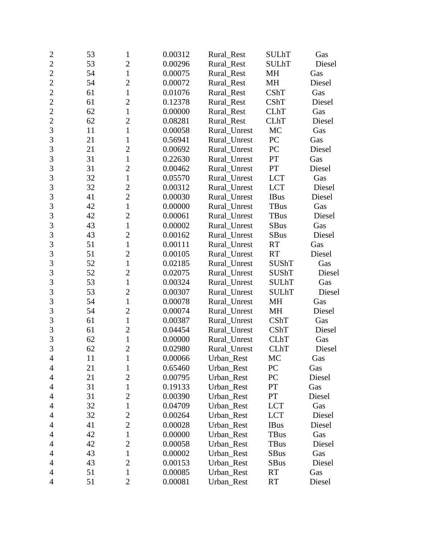| $\overline{c}$ | 53 | $\mathbf{1}$   | 0.00312 | Rural_Rest   | <b>SULhT</b> | Gas    |
|----------------|----|----------------|---------|--------------|--------------|--------|
| $\overline{c}$ | 53 | $\overline{2}$ | 0.00296 | Rural_Rest   | <b>SULhT</b> | Diesel |
| $\overline{c}$ | 54 | $\mathbf{1}$   | 0.00075 | Rural_Rest   | MH           | Gas    |
| $\overline{2}$ | 54 | $\overline{2}$ | 0.00072 | Rural_Rest   | MH           | Diesel |
| $\overline{2}$ | 61 | $\mathbf{1}$   | 0.01076 | Rural Rest   | CShT         | Gas    |
| $\overline{2}$ | 61 | $\overline{c}$ | 0.12378 | Rural_Rest   | <b>CShT</b>  | Diesel |
| $\overline{c}$ | 62 | $\mathbf{1}$   | 0.00000 | Rural_Rest   | <b>CLhT</b>  | Gas    |
| $\overline{2}$ | 62 | $\overline{2}$ | 0.08281 | Rural_Rest   | <b>CLhT</b>  | Diesel |
| $\overline{3}$ | 11 | $\mathbf{1}$   | 0.00058 | Rural_Unrest | MC           | Gas    |
| $\overline{3}$ | 21 | $\mathbf{1}$   | 0.56941 | Rural_Unrest | PC           | Gas    |
| 3              | 21 | $\overline{c}$ | 0.00692 | Rural Unrest | PC           | Diesel |
| 3              | 31 | $\mathbf{1}$   | 0.22630 | Rural_Unrest | PT           | Gas    |
| 3              | 31 | $\overline{c}$ | 0.00462 | Rural_Unrest | PT           | Diesel |
| 3              | 32 | $\mathbf{1}$   | 0.05570 | Rural_Unrest | <b>LCT</b>   | Gas    |
| $\overline{3}$ | 32 | $\overline{2}$ | 0.00312 | Rural_Unrest | <b>LCT</b>   | Diesel |
| 3              | 41 | $\overline{2}$ | 0.00030 | Rural_Unrest | <b>IBus</b>  | Diesel |
| 3              | 42 | $\mathbf{1}$   | 0.00000 | Rural_Unrest | <b>TBus</b>  | Gas    |
| 3              | 42 | $\overline{2}$ | 0.00061 | Rural_Unrest | <b>TBus</b>  | Diesel |
| $\overline{3}$ | 43 | $\mathbf{1}$   | 0.00002 | Rural Unrest | <b>SBus</b>  | Gas    |
| $\overline{3}$ | 43 | $\overline{2}$ | 0.00162 | Rural_Unrest | <b>SBus</b>  | Diesel |
| 3              | 51 | $\mathbf{1}$   | 0.00111 | Rural_Unrest | <b>RT</b>    | Gas    |
| 3              | 51 | $\overline{2}$ | 0.00105 | Rural_Unrest | <b>RT</b>    | Diesel |
| 3              | 52 | $\mathbf{1}$   | 0.02185 | Rural_Unrest | <b>SUShT</b> | Gas    |
| 3              | 52 | $\overline{2}$ | 0.02075 | Rural_Unrest | <b>SUShT</b> | Diesel |
| $\overline{3}$ | 53 | $\mathbf{1}$   | 0.00324 | Rural_Unrest | <b>SULhT</b> | Gas    |
| 3              | 53 | $\overline{c}$ | 0.00307 | Rural_Unrest | <b>SULhT</b> | Diesel |
| 3              | 54 | $\mathbf{1}$   | 0.00078 | Rural_Unrest | MH           | Gas    |
| $\overline{3}$ | 54 | $\overline{2}$ | 0.00074 | Rural_Unrest | MH           | Diesel |
| $\overline{3}$ | 61 | $\mathbf{1}$   | 0.00387 | Rural_Unrest | CShT         | Gas    |
| $\overline{3}$ | 61 | $\overline{2}$ | 0.04454 | Rural_Unrest | CShT         | Diesel |
| 3              | 62 | $\mathbf{1}$   | 0.00000 | Rural_Unrest | <b>CLhT</b>  | Gas    |
| $\overline{3}$ | 62 | $\overline{c}$ | 0.02980 | Rural_Unrest | <b>CLhT</b>  | Diesel |
| $\overline{4}$ | 11 | $\mathbf{1}$   | 0.00066 | Urban_Rest   | MC           | Gas    |
| $\overline{4}$ | 21 | 1              | 0.65460 | Urban_Rest   | PC           | Gas    |
| 4              | 21 | $\overline{2}$ | 0.00795 | Urban_Rest   | PC           | Diesel |
| 4              | 31 | 1              | 0.19133 | Urban_Rest   | PT           | Gas    |
| 4              | 31 | $\overline{2}$ | 0.00390 | Urban_Rest   | PT           | Diesel |
| 4              | 32 | $\mathbf{1}$   | 0.04709 | Urban_Rest   | <b>LCT</b>   | Gas    |
| 4              | 32 | $\overline{2}$ | 0.00264 | Urban_Rest   | <b>LCT</b>   | Diesel |
| 4              | 41 | $\overline{2}$ | 0.00028 | Urban_Rest   | <b>IBus</b>  | Diesel |
| 4              | 42 | $\mathbf{1}$   | 0.00000 | Urban_Rest   | TBus         | Gas    |
| 4              | 42 | $\overline{2}$ | 0.00058 | Urban Rest   | TBus         | Diesel |
| 4              | 43 | $\mathbf{1}$   | 0.00002 | Urban_Rest   | <b>SBus</b>  | Gas    |
| 4              | 43 | $\overline{2}$ | 0.00153 | Urban_Rest   | <b>SBus</b>  | Diesel |
| 4              | 51 | $\mathbf{1}$   | 0.00085 | Urban_Rest   | <b>RT</b>    | Gas    |
| $\overline{4}$ | 51 | $\overline{2}$ | 0.00081 | Urban_Rest   | <b>RT</b>    | Diesel |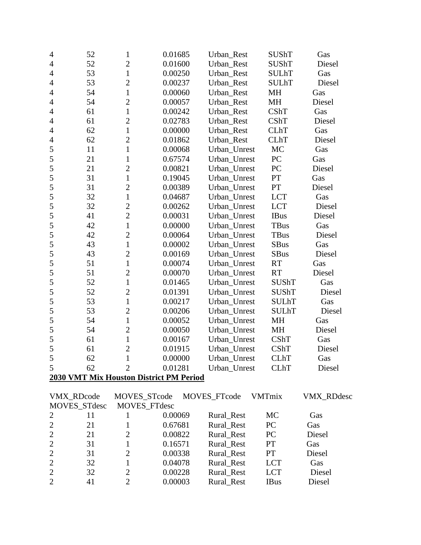| 4                        | 52           | $\mathbf{1}$        | 0.01685                                 | Urban_Rest        | <b>SUShT</b>  | Gas        |
|--------------------------|--------------|---------------------|-----------------------------------------|-------------------|---------------|------------|
| $\overline{4}$           | 52           | $\overline{2}$      | 0.01600                                 | Urban_Rest        | <b>SUShT</b>  | Diesel     |
| $\overline{4}$           | 53           | $\mathbf{1}$        | 0.00250                                 | Urban_Rest        | <b>SULhT</b>  | Gas        |
| $\overline{4}$           | 53           | $\overline{2}$      | 0.00237                                 | Urban_Rest        | <b>SULhT</b>  | Diesel     |
| $\overline{\mathcal{A}}$ | 54           | $\mathbf{1}$        | 0.00060                                 | Urban_Rest        | MH            | Gas        |
| $\overline{4}$           | 54           | $\overline{2}$      | 0.00057                                 | Urban_Rest        | MH            | Diesel     |
| $\overline{4}$           | 61           | $\mathbf{1}$        | 0.00242                                 | Urban_Rest        | CShT          | Gas        |
| 4                        | 61           | $\overline{2}$      | 0.02783                                 | Urban_Rest        | CShT          | Diesel     |
| $\overline{4}$           | 62           | $\mathbf{1}$        | 0.00000                                 | Urban_Rest        | <b>CLhT</b>   | Gas        |
| $\overline{4}$           | 62           | $\overline{2}$      | 0.01862                                 | Urban_Rest        | <b>CLhT</b>   | Diesel     |
| 5                        | 11           | $\mathbf{1}$        | 0.00068                                 | Urban_Unrest      | MC            | Gas        |
| 5                        | 21           | $\mathbf{1}$        | 0.67574                                 | Urban_Unrest      | PC            | Gas        |
| 5                        | 21           | $\overline{2}$      | 0.00821                                 | Urban_Unrest      | PC            | Diesel     |
| 5                        | 31           | $\mathbf{1}$        | 0.19045                                 | Urban_Unrest      | PT            | Gas        |
| 5                        | 31           | $\overline{2}$      | 0.00389                                 | Urban_Unrest      | PT            | Diesel     |
| 5                        | 32           | $\mathbf{1}$        | 0.04687                                 | Urban_Unrest      | <b>LCT</b>    | Gas        |
| 5                        | 32           | $\overline{2}$      | 0.00262                                 | Urban_Unrest      | <b>LCT</b>    | Diesel     |
| 5                        | 41           | $\overline{2}$      | 0.00031                                 | Urban_Unrest      | <b>IBus</b>   | Diesel     |
| 5                        | 42           | $\mathbf{1}$        | 0.00000                                 | Urban_Unrest      | <b>TBus</b>   | Gas        |
| 5                        | 42           | $\overline{2}$      | 0.00064                                 | Urban Unrest      | <b>TBus</b>   | Diesel     |
| 5                        | 43           | $\mathbf{1}$        | 0.00002                                 | Urban_Unrest      | SBus          | Gas        |
| 5                        | 43           | $\overline{2}$      | 0.00169                                 | Urban_Unrest      | <b>SBus</b>   | Diesel     |
| 5                        | 51           | $\mathbf{1}$        | 0.00074                                 | Urban_Unrest      | <b>RT</b>     | Gas        |
| 5                        | 51           | $\overline{2}$      | 0.00070                                 | Urban_Unrest      | <b>RT</b>     | Diesel     |
| 5                        | 52           | $\mathbf{1}$        | 0.01465                                 | Urban_Unrest      | <b>SUShT</b>  | Gas        |
| 5                        | 52           | $\overline{2}$      | 0.01391                                 | Urban_Unrest      | <b>SUShT</b>  | Diesel     |
| 5                        | 53           | $\mathbf{1}$        | 0.00217                                 | Urban_Unrest      | <b>SULhT</b>  | Gas        |
| 5                        | 53           | $\overline{2}$      | 0.00206                                 | Urban_Unrest      | <b>SULhT</b>  | Diesel     |
| 5                        | 54           | $\mathbf{1}$        | 0.00052                                 | Urban_Unrest      | MH            | Gas        |
| 5                        | 54           | $\overline{2}$      | 0.00050                                 | Urban_Unrest      | MH            | Diesel     |
| 5                        | 61           | $\mathbf{1}$        | 0.00167                                 | Urban_Unrest      | CShT          | Gas        |
| 5                        | 61           | $\overline{2}$      | 0.01915                                 | Urban_Unrest      | <b>CShT</b>   | Diesel     |
| 5                        | 62           | $\mathbf{1}$        | 0.00000                                 | Urban_Unrest CLhT |               | Gas        |
| 5                        | 62           | $\overline{2}$      | 0.01281                                 | Urban_Unrest      | <b>CLhT</b>   | Diesel     |
|                          |              |                     | 2030 VMT Mix Houston District PM Period |                   |               |            |
|                          | VMX_RDcode   | MOVES_STcode        |                                         | MOVES_FTcode      | <b>VMTmix</b> | VMX_RDdesc |
|                          | MOVES_STdesc | <b>MOVES FTdesc</b> |                                         |                   |               |            |
| 2                        | 11           |                     | 0.00069                                 | <b>Rural Rest</b> | MC            | Gas        |

|                |    | 0.00069 | Rural_Rest | MC         | Gas    |
|----------------|----|---------|------------|------------|--------|
| $\overline{2}$ | 21 | 0.67681 | Rural Rest | PC         | Gas    |
| $\overline{2}$ | 21 | 0.00822 | Rural_Rest | PC         | Diesel |
| $\overline{2}$ | 31 | 0.16571 | Rural Rest | <b>PT</b>  | Gas    |
| $\overline{2}$ | 31 | 0.00338 | Rural Rest | <b>PT</b>  | Diesel |
| 2              | 32 | 0.04078 | Rural Rest | <b>LCT</b> | Gas    |
| $\overline{2}$ | 32 | 0.00228 | Rural_Rest | <b>LCT</b> | Diesel |
| $\overline{2}$ | 41 | 0.00003 | Rural Rest | IBus       | Diesel |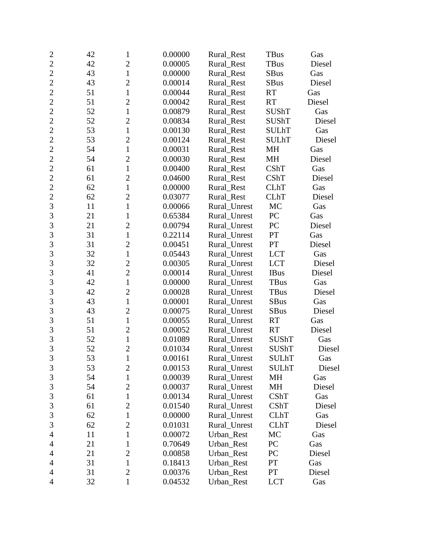| $\overline{c}$ | 42 | 1              | 0.00000 | Rural Rest   | <b>TBus</b>  | Gas    |
|----------------|----|----------------|---------|--------------|--------------|--------|
| $\overline{2}$ | 42 | $\overline{2}$ | 0.00005 | Rural_Rest   | <b>TBus</b>  | Diesel |
| $\overline{2}$ | 43 | $\mathbf{1}$   | 0.00000 | Rural_Rest   | <b>SBus</b>  | Gas    |
| $\overline{2}$ | 43 | $\overline{2}$ | 0.00014 | Rural_Rest   | <b>SBus</b>  | Diesel |
| $\overline{2}$ | 51 | $\mathbf{1}$   | 0.00044 | Rural_Rest   | <b>RT</b>    | Gas    |
| $\overline{2}$ | 51 | $\overline{c}$ | 0.00042 | Rural_Rest   | <b>RT</b>    | Diesel |
| $\overline{2}$ | 52 | $\mathbf{1}$   | 0.00879 | Rural_Rest   | <b>SUShT</b> | Gas    |
| $\overline{2}$ | 52 | $\overline{2}$ | 0.00834 | Rural_Rest   | <b>SUShT</b> | Diesel |
| $\overline{2}$ | 53 | $\mathbf{1}$   | 0.00130 | Rural Rest   | <b>SULhT</b> | Gas    |
| $\overline{2}$ | 53 | $\overline{2}$ | 0.00124 | Rural_Rest   | <b>SULhT</b> | Diesel |
| $\overline{2}$ | 54 | $\mathbf{1}$   | 0.00031 | Rural_Rest   | MH           | Gas    |
| $\overline{2}$ | 54 | $\overline{2}$ | 0.00030 | Rural_Rest   | MH           | Diesel |
| $\overline{2}$ | 61 | $\mathbf{1}$   | 0.00400 | Rural_Rest   | CShT         | Gas    |
| $\overline{2}$ | 61 | $\overline{2}$ | 0.04600 | Rural_Rest   | <b>CShT</b>  | Diesel |
| $\overline{2}$ | 62 | $\mathbf{1}$   | 0.00000 | Rural_Rest   | <b>CLhT</b>  | Gas    |
| $\overline{2}$ | 62 | $\overline{c}$ | 0.03077 | Rural_Rest   | <b>CLhT</b>  | Diesel |
| $\overline{3}$ | 11 | $\mathbf{1}$   | 0.00066 | Rural_Unrest | <b>MC</b>    | Gas    |
| 3              | 21 | $\mathbf{1}$   | 0.65384 | Rural_Unrest | PC           | Gas    |
| 3              | 21 | $\overline{2}$ | 0.00794 | Rural_Unrest | PC           | Diesel |
| $\overline{3}$ | 31 | $\mathbf{1}$   | 0.22114 | Rural_Unrest | PT           | Gas    |
| 3              | 31 | $\overline{2}$ | 0.00451 | Rural_Unrest | PT           | Diesel |
| $\overline{3}$ | 32 | $\mathbf{1}$   | 0.05443 | Rural_Unrest | <b>LCT</b>   | Gas    |
| 3              | 32 | $\overline{c}$ | 0.00305 | Rural_Unrest | <b>LCT</b>   | Diesel |
| 3              | 41 | $\overline{2}$ | 0.00014 | Rural_Unrest | <b>IBus</b>  | Diesel |
| $\overline{3}$ | 42 | $\mathbf{1}$   | 0.00000 | Rural_Unrest | TBus         | Gas    |
| 3              | 42 | $\overline{2}$ | 0.00028 | Rural_Unrest | <b>TBus</b>  | Diesel |
| 3              | 43 | $\mathbf{1}$   | 0.00001 | Rural_Unrest | <b>SBus</b>  | Gas    |
| $\overline{3}$ | 43 | $\overline{2}$ | 0.00075 | Rural_Unrest | <b>SBus</b>  | Diesel |
| 3              | 51 | $\mathbf{1}$   | 0.00055 | Rural_Unrest | <b>RT</b>    | Gas    |
| $\overline{3}$ | 51 | $\overline{2}$ | 0.00052 | Rural_Unrest | <b>RT</b>    | Diesel |
| 3              | 52 | $\mathbf{1}$   | 0.01089 | Rural_Unrest | SUShT        | Gas    |
| $\overline{3}$ | 52 | $\overline{c}$ | 0.01034 | Rural_Unrest | <b>SUShT</b> | Diesel |
| 3              | 53 | $\mathbf{1}$   | 0.00161 | Rural_Unrest | <b>SULhT</b> | Gas    |
| $\mathfrak{Z}$ | 53 | $\overline{2}$ | 0.00153 | Rural_Unrest | <b>SULhT</b> | Diesel |
| 3              | 54 | $\mathbf{1}$   | 0.00039 | Rural_Unrest | MH           | Gas    |
| $\mathfrak{Z}$ | 54 | $\overline{c}$ | 0.00037 | Rural_Unrest | MH           | Diesel |
| $\mathfrak{Z}$ | 61 | $\mathbf 1$    | 0.00134 | Rural_Unrest | CShT         | Gas    |
| 3              | 61 | $\overline{2}$ | 0.01540 | Rural_Unrest | CShT         | Diesel |
| $\mathfrak{Z}$ | 62 | 1              | 0.00000 | Rural_Unrest | <b>CLhT</b>  | Gas    |
| 3              | 62 | $\overline{2}$ | 0.01031 | Rural_Unrest | <b>CLhT</b>  | Diesel |
| 4              | 11 | $\mathbf{1}$   | 0.00072 | Urban Rest   | MC           | Gas    |
| 4              | 21 | 1              | 0.70649 | Urban_Rest   | PC           | Gas    |
| $\overline{4}$ | 21 | $\overline{2}$ | 0.00858 | Urban_Rest   | PC           | Diesel |
| $\overline{4}$ | 31 | $\mathbf{1}$   | 0.18413 | Urban_Rest   | PT           | Gas    |
| 4              | 31 | $\overline{2}$ | 0.00376 | Urban_Rest   | PT           | Diesel |
| $\overline{4}$ | 32 | $\mathbf{1}$   | 0.04532 | Urban_Rest   | <b>LCT</b>   | Gas    |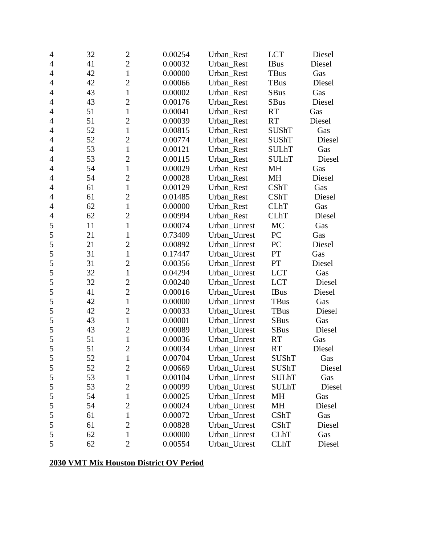| $\overline{4}$ | 32 | $\mathbf{2}$   | 0.00254 | Urban_Rest   | <b>LCT</b>   | Diesel |
|----------------|----|----------------|---------|--------------|--------------|--------|
| 4              | 41 | $\overline{2}$ | 0.00032 | Urban_Rest   | <b>IBus</b>  | Diesel |
| $\overline{4}$ | 42 | $\mathbf{1}$   | 0.00000 | Urban_Rest   | <b>TBus</b>  | Gas    |
| $\overline{4}$ | 42 | $\overline{c}$ | 0.00066 | Urban_Rest   | <b>TBus</b>  | Diesel |
| 4              | 43 | $\mathbf{1}$   | 0.00002 | Urban Rest   | SBus         | Gas    |
| $\overline{4}$ | 43 | $\overline{c}$ | 0.00176 | Urban Rest   | <b>SBus</b>  | Diesel |
| $\overline{4}$ | 51 | $\mathbf{1}$   | 0.00041 | Urban_Rest   | <b>RT</b>    | Gas    |
| $\overline{4}$ | 51 | $\overline{2}$ | 0.00039 | Urban_Rest   | <b>RT</b>    | Diesel |
| 4              | 52 | $\mathbf{1}$   | 0.00815 | Urban_Rest   | <b>SUShT</b> | Gas    |
| $\overline{4}$ | 52 | $\overline{2}$ | 0.00774 | Urban_Rest   | SUShT        | Diesel |
| $\overline{4}$ | 53 | $\mathbf{1}$   | 0.00121 | Urban_Rest   | <b>SULhT</b> | Gas    |
| 4              | 53 | $\overline{2}$ | 0.00115 | Urban_Rest   | <b>SULhT</b> | Diesel |
| $\overline{4}$ | 54 | $\mathbf{1}$   | 0.00029 | Urban_Rest   | MH           | Gas    |
| $\overline{4}$ | 54 | $\overline{c}$ | 0.00028 | Urban_Rest   | MH           | Diesel |
| 4              | 61 | $\mathbf{1}$   | 0.00129 | Urban_Rest   | <b>CShT</b>  | Gas    |
| $\overline{4}$ | 61 | $\overline{c}$ | 0.01485 | Urban Rest   | <b>CShT</b>  | Diesel |
| $\overline{4}$ | 62 | $\mathbf{1}$   | 0.00000 | Urban Rest   | <b>CLhT</b>  | Gas    |
| $\overline{4}$ | 62 | $\overline{c}$ | 0.00994 | Urban_Rest   | <b>CLhT</b>  | Diesel |
| 5              | 11 | $\mathbf{1}$   | 0.00074 | Urban_Unrest | MC           | Gas    |
| 5              | 21 | $\mathbf{1}$   | 0.73409 | Urban_Unrest | PC           | Gas    |
| 5              | 21 | $\overline{2}$ | 0.00892 | Urban_Unrest | PC           | Diesel |
| 5              | 31 | $\mathbf{1}$   | 0.17447 | Urban_Unrest | PT           | Gas    |
| 5              | 31 | $\overline{c}$ | 0.00356 | Urban_Unrest | PT           | Diesel |
| 5              | 32 | $\mathbf{1}$   | 0.04294 | Urban_Unrest | <b>LCT</b>   | Gas    |
| 5              | 32 | $\overline{2}$ | 0.00240 | Urban_Unrest | <b>LCT</b>   | Diesel |
| 5              | 41 | $\overline{c}$ | 0.00016 | Urban_Unrest | <b>IBus</b>  | Diesel |
| 5              | 42 | $\mathbf{1}$   | 0.00000 | Urban_Unrest | <b>TBus</b>  | Gas    |
| 5              | 42 | $\overline{2}$ | 0.00033 | Urban_Unrest | TBus         | Diesel |
| 5              | 43 | $\mathbf{1}$   | 0.00001 | Urban_Unrest | <b>SBus</b>  | Gas    |
| 5              | 43 | $\overline{2}$ | 0.00089 | Urban_Unrest | <b>SBus</b>  | Diesel |
| 5              | 51 | $\mathbf{1}$   | 0.00036 | Urban_Unrest | <b>RT</b>    | Gas    |
| 5              | 51 | $\overline{c}$ | 0.00034 | Urban_Unrest | RT           | Diesel |
| $\mathfrak s$  | 52 | $\mathbf{1}$   | 0.00704 | Urban_Unrest | <b>SUShT</b> | Gas    |
| 5              | 52 | $\overline{c}$ | 0.00669 | Urban_Unrest | <b>SUShT</b> | Diesel |
| $\mathfrak s$  | 53 | $\mathbf{1}$   | 0.00104 | Urban_Unrest | <b>SULhT</b> | Gas    |
| 5              | 53 | $\overline{c}$ | 0.00099 | Urban Unrest | <b>SULhT</b> | Diesel |
| 5              | 54 | $\mathbf{1}$   | 0.00025 | Urban_Unrest | MH           | Gas    |
| $\mathfrak s$  | 54 | $\overline{2}$ | 0.00024 | Urban_Unrest | <b>MH</b>    | Diesel |
| 5              | 61 | $\mathbf 1$    | 0.00072 | Urban_Unrest | CShT         | Gas    |
| $\mathfrak s$  | 61 | $\overline{2}$ | 0.00828 | Urban_Unrest | CShT         | Diesel |
| 5              | 62 | $\mathbf{1}$   | 0.00000 | Urban_Unrest | <b>CLhT</b>  | Gas    |
| 5              | 62 | $\overline{2}$ | 0.00554 | Urban_Unrest | <b>CLhT</b>  | Diesel |

## **2030 VMT Mix Houston District OV Period**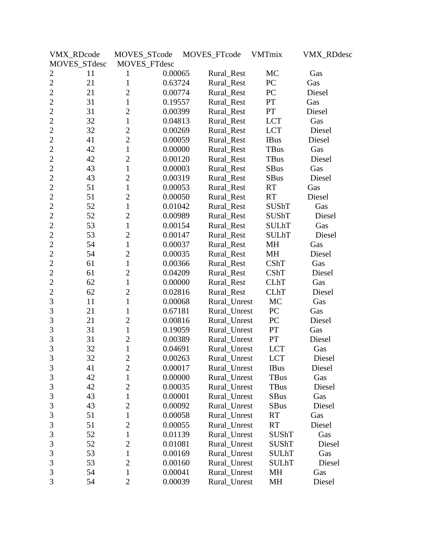|                | VMX_RDcode   | MOVES_STcode   |         | MOVES_FTcode | VMTmix        | <b>VMX_RDdesc</b> |
|----------------|--------------|----------------|---------|--------------|---------------|-------------------|
|                | MOVES_STdesc | MOVES_FTdesc   |         |              |               |                   |
| $\overline{c}$ | 11           | 1              | 0.00065 | Rural_Rest   | MC            | Gas               |
| $\overline{2}$ | 21           | $\mathbf{1}$   | 0.63724 | Rural_Rest   | PC            | Gas               |
| $\overline{2}$ | 21           | $\overline{2}$ | 0.00774 | Rural_Rest   | PC            | Diesel            |
| $\overline{2}$ | 31           | $\mathbf{1}$   | 0.19557 | Rural_Rest   | ${\cal PT}$   | Gas               |
| $\overline{2}$ | 31           | $\overline{2}$ | 0.00399 | Rural_Rest   | PT            | Diesel            |
| $\overline{2}$ | 32           | $\mathbf{1}$   | 0.04813 | Rural_Rest   | <b>LCT</b>    | Gas               |
| $\overline{2}$ | 32           | $\overline{2}$ | 0.00269 | Rural_Rest   | <b>LCT</b>    | Diesel            |
| $\overline{2}$ | 41           | $\overline{2}$ | 0.00059 | Rural_Rest   | <b>IBus</b>   | Diesel            |
| $\overline{c}$ | 42           | $\mathbf{1}$   | 0.00000 | Rural_Rest   | TBus          | Gas               |
| $\overline{2}$ | 42           | $\overline{2}$ | 0.00120 | Rural_Rest   | TBus          | Diesel            |
| $\overline{2}$ | 43           | $\mathbf{1}$   | 0.00003 | Rural_Rest   | <b>SBus</b>   | Gas               |
| $\overline{2}$ | 43           | $\overline{2}$ | 0.00319 | Rural_Rest   | <b>SBus</b>   | Diesel            |
| $\overline{2}$ | 51           | $\mathbf{1}$   | 0.00053 | Rural_Rest   | <b>RT</b>     | Gas               |
| $\overline{2}$ | 51           | $\overline{2}$ | 0.00050 | Rural Rest   | RT            | Diesel            |
| $\overline{2}$ | 52           | $\mathbf{1}$   | 0.01042 | Rural_Rest   | <b>SUShT</b>  | Gas               |
| $\overline{2}$ | 52           | $\overline{2}$ | 0.00989 | Rural_Rest   | SUShT         | Diesel            |
| $\overline{2}$ | 53           | $\mathbf{1}$   | 0.00154 | Rural_Rest   | <b>SULhT</b>  | Gas               |
| $\overline{c}$ | 53           | $\overline{2}$ | 0.00147 | Rural_Rest   | <b>SULhT</b>  | Diesel            |
| $\overline{c}$ | 54           | $\mathbf{1}$   | 0.00037 | Rural_Rest   | MH            | Gas               |
| $\overline{2}$ | 54           | $\overline{2}$ | 0.00035 | Rural_Rest   | MH            | Diesel            |
| $\overline{2}$ | 61           | 1              | 0.00366 | Rural_Rest   | CShT          | Gas               |
| $\overline{2}$ | 61           | $\overline{2}$ | 0.04209 | Rural_Rest   | CShT          | Diesel            |
| $\overline{2}$ | 62           | $\mathbf{1}$   | 0.00000 | Rural_Rest   | <b>CLhT</b>   | Gas               |
| $\overline{c}$ | 62           | $\overline{2}$ | 0.02816 | Rural_Rest   | <b>CLhT</b>   | Diesel            |
| 3              | 11           | $\mathbf{1}$   | 0.00068 | Rural_Unrest | MC            | Gas               |
| 3              | 21           | $\mathbf{1}$   | 0.67181 | Rural_Unrest | PC            | Gas               |
| 3              | 21           | $\overline{2}$ | 0.00816 | Rural_Unrest | PC            | Diesel            |
| 3              | 31           | $\mathbf{1}$   | 0.19059 | Rural_Unrest | $\mathbf{PT}$ | Gas               |
| 3              | 31           | $\overline{2}$ | 0.00389 | Rural_Unrest | PT            | Diesel            |
| $\overline{3}$ | 32           | $\mathbf{1}$   | 0.04691 | Rural_Unrest | <b>LCT</b>    | Gas               |
| 3              | 32           | $\overline{c}$ | 0.00263 | Rural_Unrest | <b>LCT</b>    | Diesel            |
| 3              | 41           | $\overline{2}$ | 0.00017 | Rural_Unrest | <b>IBus</b>   | Diesel            |
| 3              | 42           | $\mathbf{1}$   | 0.00000 | Rural_Unrest | <b>TBus</b>   | Gas               |
| $\mathfrak{Z}$ | 42           | $\overline{2}$ | 0.00035 | Rural_Unrest | <b>TBus</b>   | Diesel            |
| 3              | 43           | $\mathbf{1}$   | 0.00001 | Rural Unrest | <b>SBus</b>   | Gas               |
| $\mathfrak{Z}$ | 43           | $\mathbf{2}$   | 0.00092 | Rural_Unrest | <b>SBus</b>   | Diesel            |
| 3              | 51           | $\mathbf{1}$   | 0.00058 | Rural_Unrest | RT            | Gas               |
| 3              | 51           | $\overline{2}$ | 0.00055 | Rural_Unrest | RT            | Diesel            |
| $\mathfrak{Z}$ | 52           | $\mathbf{1}$   | 0.01139 | Rural Unrest | <b>SUShT</b>  | Gas               |
| 3              | 52           | $\overline{2}$ | 0.01081 | Rural_Unrest | SUShT         | Diesel            |
| $\mathfrak{Z}$ | 53           | $\mathbf{1}$   | 0.00169 | Rural_Unrest | SULhT         | Gas               |
| 3              | 53           | $\overline{2}$ | 0.00160 | Rural_Unrest | <b>SULhT</b>  | Diesel            |
| 3              | 54           | 1              | 0.00041 | Rural_Unrest | MH            | Gas               |
| 3              | 54           | $\overline{2}$ | 0.00039 | Rural_Unrest | MH            | Diesel            |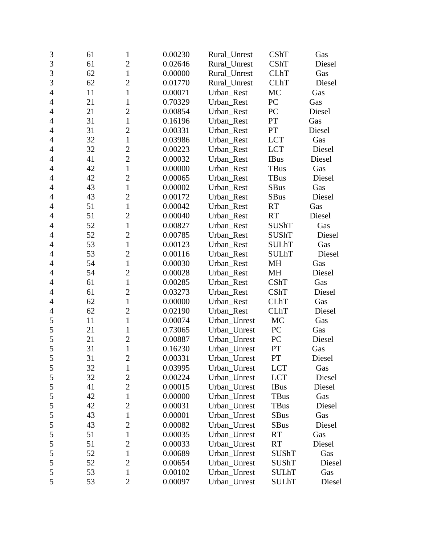| 3              | 61 | $\mathbf{1}$   | 0.00230 | Rural_Unrest | CShT         | Gas    |
|----------------|----|----------------|---------|--------------|--------------|--------|
| $\overline{3}$ | 61 | $\overline{2}$ | 0.02646 | Rural_Unrest | CShT         | Diesel |
| 3              | 62 | $\mathbf{1}$   | 0.00000 | Rural Unrest | <b>CLhT</b>  | Gas    |
| 3              | 62 | $\overline{c}$ | 0.01770 | Rural_Unrest | <b>CLhT</b>  | Diesel |
| $\overline{4}$ | 11 | $\mathbf{1}$   | 0.00071 | Urban_Rest   | MC           | Gas    |
| $\overline{4}$ | 21 | $\mathbf{1}$   | 0.70329 | Urban Rest   | PC           | Gas    |
| $\overline{4}$ | 21 | $\overline{2}$ | 0.00854 | Urban_Rest   | PC           | Diesel |
| $\overline{4}$ | 31 | $\mathbf{1}$   | 0.16196 | Urban_Rest   | PT           | Gas    |
| 4              | 31 | $\overline{2}$ | 0.00331 | Urban_Rest   | PT           | Diesel |
| $\overline{4}$ | 32 | $\mathbf{1}$   | 0.03986 | Urban_Rest   | <b>LCT</b>   | Gas    |
| $\overline{4}$ | 32 | $\overline{2}$ | 0.00223 | Urban_Rest   | <b>LCT</b>   | Diesel |
| $\overline{4}$ | 41 | $\overline{2}$ | 0.00032 | Urban_Rest   | <b>IBus</b>  | Diesel |
| $\overline{4}$ | 42 | $\mathbf{1}$   | 0.00000 | Urban_Rest   | <b>TBus</b>  | Gas    |
| $\overline{4}$ | 42 | $\mathbf{2}$   | 0.00065 | Urban_Rest   | <b>TBus</b>  | Diesel |
| 4              | 43 | $\mathbf{1}$   | 0.00002 | Urban_Rest   | <b>SBus</b>  | Gas    |
| $\overline{4}$ | 43 | $\overline{2}$ | 0.00172 | Urban_Rest   | <b>SBus</b>  | Diesel |
| $\overline{4}$ | 51 | $\mathbf{1}$   | 0.00042 | Urban_Rest   | <b>RT</b>    | Gas    |
| $\overline{4}$ | 51 | $\overline{2}$ | 0.00040 | Urban Rest   | <b>RT</b>    | Diesel |
| $\overline{4}$ | 52 | $\mathbf{1}$   | 0.00827 | Urban_Rest   | <b>SUShT</b> | Gas    |
| $\overline{4}$ | 52 | $\overline{2}$ | 0.00785 | Urban_Rest   | <b>SUShT</b> | Diesel |
| $\overline{4}$ | 53 | $\mathbf{1}$   | 0.00123 | Urban Rest   | <b>SULhT</b> | Gas    |
| $\overline{4}$ | 53 | $\overline{2}$ | 0.00116 | Urban_Rest   | <b>SULhT</b> | Diesel |
| $\overline{4}$ | 54 | $\mathbf{1}$   | 0.00030 | Urban_Rest   | MH           | Gas    |
| $\overline{4}$ | 54 | $\overline{c}$ | 0.00028 | Urban_Rest   | MH           | Diesel |
| $\overline{4}$ | 61 | $\mathbf{1}$   | 0.00285 | Urban_Rest   | <b>CShT</b>  | Gas    |
| $\overline{4}$ | 61 | $\mathbf{2}$   | 0.03273 | Urban_Rest   | CShT         | Diesel |
| $\overline{4}$ | 62 | $\mathbf{1}$   | 0.00000 | Urban_Rest   | <b>CLhT</b>  | Gas    |
| $\overline{4}$ | 62 | $\overline{2}$ | 0.02190 | Urban_Rest   | <b>CLhT</b>  | Diesel |
| 5              | 11 | $\mathbf{1}$   | 0.00074 | Urban_Unrest | <b>MC</b>    | Gas    |
| 5              | 21 | $\mathbf{1}$   | 0.73065 | Urban_Unrest | PC           | Gas    |
| 5              | 21 | $\overline{2}$ | 0.00887 | Urban_Unrest | PC           | Diesel |
| 5              | 31 | $\mathbf{1}$   | 0.16230 | Urban_Unrest | PT           | Gas    |
| 5              | 31 | $\overline{c}$ | 0.00331 | Urban_Unrest | PT           | Diesel |
| 5              | 32 | $\mathbf{1}$   | 0.03995 | Urban_Unrest | <b>LCT</b>   | Gas    |
| $\mathfrak s$  | 32 | $\overline{2}$ | 0.00224 | Urban_Unrest | <b>LCT</b>   | Diesel |
| 5              | 41 | $\overline{2}$ | 0.00015 | Urban_Unrest | <b>IBus</b>  | Diesel |
| 5              | 42 | $\mathbf{1}$   | 0.00000 | Urban_Unrest | TBus         | Gas    |
| 5              | 42 | $\overline{2}$ | 0.00031 | Urban_Unrest | TBus         | Diesel |
| 5              | 43 | $\mathbf 1$    | 0.00001 | Urban_Unrest | <b>SBus</b>  | Gas    |
| 5              | 43 | $\overline{2}$ | 0.00082 | Urban_Unrest | <b>SBus</b>  | Diesel |
| 5              | 51 | 1              | 0.00035 | Urban_Unrest | <b>RT</b>    | Gas    |
| 5              | 51 | $\overline{2}$ | 0.00033 | Urban_Unrest | <b>RT</b>    | Diesel |
| 5              | 52 | $\mathbf 1$    | 0.00689 | Urban_Unrest | <b>SUShT</b> | Gas    |
| 5              | 52 | $\overline{2}$ | 0.00654 | Urban_Unrest | <b>SUShT</b> | Diesel |
| 5              | 53 | $\mathbf 1$    | 0.00102 | Urban_Unrest | <b>SULhT</b> | Gas    |
| 5              | 53 | $\mathbf{2}$   | 0.00097 | Urban_Unrest | <b>SULhT</b> | Diesel |
|                |    |                |         |              |              |        |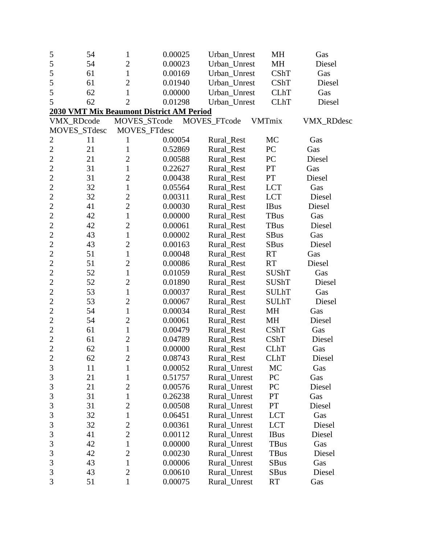| 5              | 54           | $\mathbf 1$    | 0.00025                                         | Urban_Unrest | MH            | Gas               |
|----------------|--------------|----------------|-------------------------------------------------|--------------|---------------|-------------------|
| 5              | 54           | $\overline{2}$ | 0.00023                                         | Urban_Unrest | MH            | Diesel            |
| 5              | 61           | $\mathbf{1}$   | 0.00169                                         | Urban_Unrest | CShT          | Gas               |
| 5              | 61           | $\overline{2}$ | 0.01940                                         | Urban_Unrest | CShT          | Diesel            |
| 5              | 62           | $\mathbf{1}$   | 0.00000                                         | Urban_Unrest | <b>CLhT</b>   | Gas               |
| 5              | 62           | $\overline{2}$ | 0.01298                                         | Urban_Unrest | <b>CLhT</b>   | Diesel            |
|                |              |                | <b>2030 VMT Mix Beaumont District AM Period</b> |              |               |                   |
|                | VMX_RDcode   | MOVES_STcode   |                                                 | MOVES_FTcode | <b>VMTmix</b> | <b>VMX_RDdesc</b> |
|                | MOVES_STdesc |                | MOVES_FTdesc                                    |              |               |                   |
| $\overline{c}$ | 11           | 1              | 0.00054                                         | Rural_Rest   | MC            | Gas               |
| $\overline{2}$ | 21           | 1              | 0.52869                                         | Rural Rest   | PC            | Gas               |
| $\overline{2}$ | 21           | $\overline{2}$ | 0.00588                                         | Rural_Rest   | PC            | Diesel            |
| $\overline{c}$ | 31           | $\mathbf{1}$   | 0.22627                                         | Rural_Rest   | PT            | Gas               |
| $\overline{c}$ | 31           | $\overline{2}$ | 0.00438                                         | Rural_Rest   | <b>PT</b>     | Diesel            |
| $\overline{c}$ | 32           | $\mathbf{1}$   | 0.05564                                         | Rural_Rest   | <b>LCT</b>    | Gas               |
| $\overline{c}$ | 32           | $\overline{2}$ | 0.00311                                         | Rural_Rest   | <b>LCT</b>    | Diesel            |
| $\overline{2}$ | 41           | $\overline{2}$ | 0.00030                                         | Rural_Rest   | <b>IBus</b>   | Diesel            |
| $\overline{c}$ | 42           | $\mathbf{1}$   | 0.00000                                         | Rural_Rest   | <b>TBus</b>   | Gas               |
| $\overline{c}$ | 42           | $\overline{c}$ | 0.00061                                         | Rural_Rest   | <b>TBus</b>   | Diesel            |
| $\overline{2}$ | 43           | $\mathbf{1}$   | 0.00002                                         | Rural_Rest   | <b>SBus</b>   | Gas               |
| $\overline{2}$ | 43           | $\overline{2}$ | 0.00163                                         | Rural_Rest   | <b>SBus</b>   | Diesel            |
| $\overline{2}$ | 51           | $\mathbf{1}$   | 0.00048                                         | Rural_Rest   | RT            | Gas               |
| $\overline{2}$ | 51           | $\overline{2}$ | 0.00086                                         | Rural_Rest   | RT            | Diesel            |
| $\overline{2}$ | 52           | $\mathbf{1}$   | 0.01059                                         | Rural_Rest   | <b>SUShT</b>  | Gas               |
| $\overline{2}$ | 52           | $\overline{c}$ | 0.01890                                         | Rural_Rest   | <b>SUShT</b>  | Diesel            |
| $\overline{2}$ | 53           | $\mathbf{1}$   | 0.00037                                         | Rural_Rest   | <b>SULhT</b>  | Gas               |
| $\overline{2}$ | 53           | $\overline{2}$ | 0.00067                                         | Rural_Rest   | <b>SULhT</b>  | Diesel            |
| $\overline{c}$ | 54           | $\mathbf{1}$   | 0.00034                                         | Rural_Rest   | MH            | Gas               |
| $\overline{2}$ | 54           | $\overline{2}$ | 0.00061                                         | Rural_Rest   | MH            | Diesel            |
| $\overline{2}$ | 61           | $\mathbf{1}$   | 0.00479                                         | Rural_Rest   | CShT          | Gas               |
| $\overline{c}$ | 61           | $\overline{c}$ | 0.04789                                         | Rural_Rest   | CShT          | Diesel            |
| $\overline{2}$ | 62           | $\mathbf{1}$   | 0.00000                                         | Rural_Rest   | <b>CLhT</b>   | Gas               |
| $\sim$<br>∠    | 62           | $\overline{c}$ | 0.08743                                         | Rural_Rest   | <b>CLhT</b>   | Diesel            |
| $\mathfrak{Z}$ | 11           | $\mathbf{1}$   | 0.00052                                         | Rural_Unrest | MC            | Gas               |
| 3              | 21           | $\mathbf{1}$   | 0.51757                                         | Rural_Unrest | PC            | Gas               |
| 3              | 21           | $\mathbf{2}$   | 0.00576                                         | Rural_Unrest | PC            | Diesel            |
| 3              | 31           | $\mathbf{1}$   | 0.26238                                         | Rural Unrest | PT            | Gas               |
| 3              | 31           | $\overline{c}$ | 0.00508                                         | Rural_Unrest | PT            | Diesel            |
| 3              | 32           | $\mathbf{1}$   | 0.06451                                         | Rural_Unrest | <b>LCT</b>    | Gas               |
| 3              | 32           | $\overline{2}$ | 0.00361                                         | Rural_Unrest | <b>LCT</b>    | Diesel            |
| 3              | 41           | $\overline{2}$ | 0.00112                                         | Rural_Unrest | <b>IBus</b>   | Diesel            |
| 3              | 42           | $\mathbf{1}$   | 0.00000                                         | Rural_Unrest | TBus          | Gas               |
| 3              | 42           | $\overline{2}$ | 0.00230                                         | Rural_Unrest | TBus          | Diesel            |
| $\overline{3}$ | 43           | $\mathbf{1}$   | 0.00006                                         | Rural_Unrest | <b>SBus</b>   | Gas               |
| 3              | 43           | $\mathfrak{2}$ | 0.00610                                         | Rural_Unrest | <b>SBus</b>   | Diesel            |
| 3              | 51           | $\mathbf{1}$   | 0.00075                                         | Rural_Unrest | RT            | Gas               |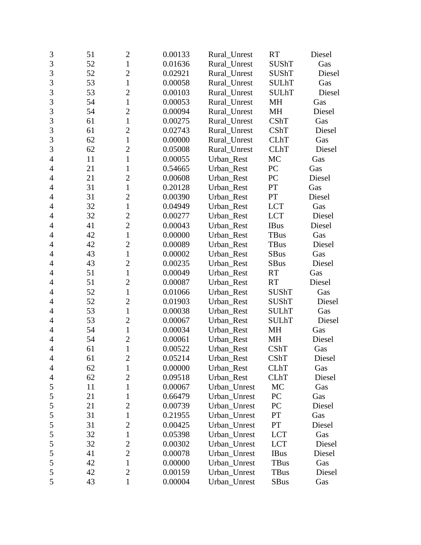| $\mathfrak{Z}$ | 51 | $\mathbf{2}$   | 0.00133 | Rural_Unrest | <b>RT</b>    | Diesel |
|----------------|----|----------------|---------|--------------|--------------|--------|
| 3              | 52 | $\mathbf{1}$   | 0.01636 | Rural Unrest | <b>SUShT</b> | Gas    |
| 3              | 52 | $\overline{c}$ | 0.02921 | Rural_Unrest | <b>SUShT</b> | Diesel |
| 3              | 53 | $\mathbf{1}$   | 0.00058 | Rural_Unrest | <b>SULhT</b> | Gas    |
| 3              | 53 | $\overline{2}$ | 0.00103 | Rural_Unrest | <b>SULhT</b> | Diesel |
| 3              | 54 | $\mathbf{1}$   | 0.00053 | Rural Unrest | MH           | Gas    |
| 3              | 54 | $\overline{2}$ | 0.00094 | Rural_Unrest | <b>MH</b>    | Diesel |
| 3              | 61 | $\mathbf{1}$   | 0.00275 | Rural Unrest | <b>CShT</b>  | Gas    |
| 3              | 61 | $\overline{2}$ | 0.02743 | Rural_Unrest | CShT         | Diesel |
| 3              | 62 | $\mathbf{1}$   | 0.00000 | Rural_Unrest | <b>CLhT</b>  | Gas    |
| 3              | 62 | $\overline{2}$ | 0.05008 | Rural_Unrest | <b>CLhT</b>  | Diesel |
| $\overline{4}$ | 11 | $\mathbf{1}$   | 0.00055 | Urban_Rest   | MC           | Gas    |
| $\overline{4}$ | 21 | $\mathbf{1}$   | 0.54665 | Urban_Rest   | PC           | Gas    |
| $\overline{4}$ | 21 | $\overline{2}$ | 0.00608 | Urban_Rest   | PC           | Diesel |
| 4              | 31 | $\mathbf{1}$   | 0.20128 | Urban_Rest   | PT           | Gas    |
| 4              | 31 | $\overline{c}$ | 0.00390 | Urban Rest   | PT           | Diesel |
| $\overline{4}$ | 32 | $\mathbf{1}$   | 0.04949 | Urban Rest   | <b>LCT</b>   | Gas    |
| $\overline{4}$ | 32 | $\overline{c}$ | 0.00277 | Urban_Rest   | <b>LCT</b>   | Diesel |
| 4              | 41 | $\overline{2}$ | 0.00043 | Urban_Rest   | <b>IBus</b>  | Diesel |
| $\overline{4}$ | 42 | $\mathbf{1}$   | 0.00000 | Urban_Rest   | TBus         | Gas    |
| 4              | 42 | $\overline{2}$ | 0.00089 | Urban_Rest   | <b>TBus</b>  | Diesel |
| 4              | 43 | $\mathbf{1}$   | 0.00002 | Urban_Rest   | <b>SBus</b>  | Gas    |
| $\overline{4}$ | 43 | $\overline{c}$ | 0.00235 | Urban_Rest   | <b>SBus</b>  | Diesel |
| 4              | 51 | $\mathbf{1}$   | 0.00049 | Urban_Rest   | <b>RT</b>    | Gas    |
| 4              | 51 | $\overline{2}$ | 0.00087 | Urban_Rest   | <b>RT</b>    | Diesel |
| $\overline{4}$ | 52 | $\mathbf{1}$   | 0.01066 | Urban_Rest   | <b>SUShT</b> | Gas    |
| $\overline{4}$ | 52 | $\overline{2}$ | 0.01903 | Urban_Rest   | SUShT        | Diesel |
| $\overline{4}$ | 53 | $\mathbf{1}$   | 0.00038 | Urban_Rest   | <b>SULhT</b> | Gas    |
| 4              | 53 | $\overline{2}$ | 0.00067 | Urban_Rest   | <b>SULhT</b> | Diesel |
| $\overline{4}$ | 54 | $\mathbf{1}$   | 0.00034 | Urban_Rest   | MH           | Gas    |
| $\overline{4}$ | 54 | $\overline{c}$ | 0.00061 | Urban_Rest   | MH           | Diesel |
| $\overline{4}$ | 61 | $\mathbf{1}$   | 0.00522 | Urban_Rest   | CShT         | Gas    |
| 4              | 61 | $\overline{c}$ | 0.05214 | Urban_Rest   | CShT         | Diesel |
| 4              | 62 | $\mathbf 1$    | 0.00000 | Urban_Rest   | <b>CLhT</b>  | Gas    |
| 4              | 62 | $\overline{2}$ | 0.09518 | Urban_Rest   | <b>CLhT</b>  | Diesel |
| 5              | 11 | 1              | 0.00067 | Urban_Unrest | MC           | Gas    |
| 5              | 21 | 1              | 0.66479 | Urban_Unrest | PC           | Gas    |
| 5              | 21 | 2              | 0.00739 | Urban_Unrest | PC           | Diesel |
| 5              | 31 | 1              | 0.21955 | Urban_Unrest | PT           | Gas    |
| 5              | 31 | $\overline{2}$ | 0.00425 | Urban_Unrest | PT           | Diesel |
| 5              | 32 | $\mathbf{1}$   | 0.05398 | Urban_Unrest | <b>LCT</b>   | Gas    |
| 5              | 32 | 2              | 0.00302 | Urban_Unrest | <b>LCT</b>   | Diesel |
| 5              | 41 | $\overline{2}$ | 0.00078 | Urban_Unrest | <b>IBus</b>  | Diesel |
| 5              | 42 | $\mathbf{1}$   | 0.00000 | Urban_Unrest | TBus         | Gas    |
| 5              | 42 | $\overline{2}$ | 0.00159 | Urban_Unrest | TBus         | Diesel |
| 5              | 43 | $\mathbf{1}$   | 0.00004 | Urban_Unrest | SBus         | Gas    |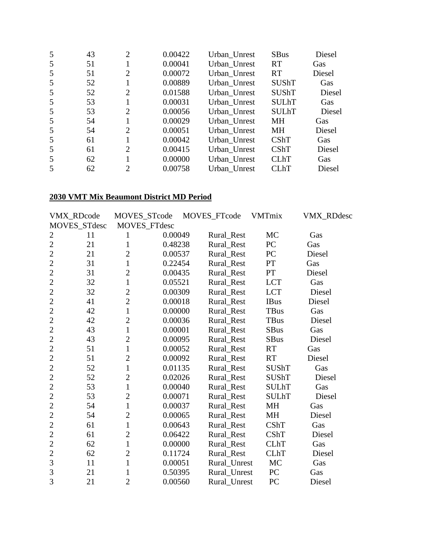| 5 | 43 | $\overline{2}$ | 0.00422 | Urban_Unrest | <b>SBus</b>  | Diesel |
|---|----|----------------|---------|--------------|--------------|--------|
| 5 | 51 |                | 0.00041 | Urban_Unrest | <b>RT</b>    | Gas    |
| 5 | 51 | 2              | 0.00072 | Urban_Unrest | <b>RT</b>    | Diesel |
| 5 | 52 |                | 0.00889 | Urban_Unrest | SUShT        | Gas    |
| 5 | 52 | 2              | 0.01588 | Urban_Unrest | <b>SUShT</b> | Diesel |
| 5 | 53 |                | 0.00031 | Urban_Unrest | <b>SULhT</b> | Gas    |
| 5 | 53 | 2              | 0.00056 | Urban_Unrest | <b>SULhT</b> | Diesel |
| 5 | 54 |                | 0.00029 | Urban_Unrest | MН           | Gas    |
| 5 | 54 | 2              | 0.00051 | Urban_Unrest | MH           | Diesel |
| 5 | 61 |                | 0.00042 | Urban_Unrest | CShT         | Gas    |
| 5 | 61 | 2              | 0.00415 | Urban_Unrest | CShT         | Diesel |
| 5 | 62 |                | 0.00000 | Urban_Unrest | <b>CLhT</b>  | Gas    |
|   | 62 | 2              | 0.00758 | Urban Unrest | <b>CLhT</b>  | Diesel |

## **2030 VMT Mix Beaumont District MD Period**

|                | VMX_RDcode   | MOVES_STcode   |         | MOVES_FTcode | VMTmix       | VMX_RDdesc |
|----------------|--------------|----------------|---------|--------------|--------------|------------|
|                | MOVES_STdesc | MOVES_FTdesc   |         |              |              |            |
| $\overline{2}$ | 11           | 1              | 0.00049 | Rural_Rest   | MC           | Gas        |
| $\overline{2}$ | 21           | $\mathbf{1}$   | 0.48238 | Rural_Rest   | PC           | Gas        |
| $\overline{2}$ | 21           | $\overline{c}$ | 0.00537 | Rural_Rest   | PC           | Diesel     |
| $\overline{2}$ | 31           | $\mathbf{1}$   | 0.22454 | Rural_Rest   | PT           | Gas        |
| $\overline{2}$ | 31           | $\overline{2}$ | 0.00435 | Rural_Rest   | PT           | Diesel     |
| $\overline{2}$ | 32           | $\mathbf{1}$   | 0.05521 | Rural_Rest   | <b>LCT</b>   | Gas        |
| $\overline{2}$ | 32           | $\overline{2}$ | 0.00309 | Rural_Rest   | <b>LCT</b>   | Diesel     |
| $\overline{2}$ | 41           | $\overline{2}$ | 0.00018 | Rural_Rest   | <b>IBus</b>  | Diesel     |
| $\overline{2}$ | 42           | $\mathbf{1}$   | 0.00000 | Rural_Rest   | TBus         | Gas        |
| $\overline{2}$ | 42           | $\overline{2}$ | 0.00036 | Rural_Rest   | <b>TBus</b>  | Diesel     |
| $\overline{2}$ | 43           | $\mathbf{1}$   | 0.00001 | Rural_Rest   | SBus         | Gas        |
| $\overline{2}$ | 43           | $\overline{2}$ | 0.00095 | Rural_Rest   | <b>SBus</b>  | Diesel     |
| $\overline{2}$ | 51           | $\mathbf{1}$   | 0.00052 | Rural Rest   | <b>RT</b>    | Gas        |
| $\overline{2}$ | 51           | $\overline{2}$ | 0.00092 | Rural_Rest   | <b>RT</b>    | Diesel     |
| $\overline{c}$ | 52           | $\mathbf{1}$   | 0.01135 | Rural_Rest   | <b>SUShT</b> | Gas        |
| $\overline{2}$ | 52           | $\overline{c}$ | 0.02026 | Rural_Rest   | <b>SUShT</b> | Diesel     |
| $\overline{2}$ | 53           | $\mathbf{1}$   | 0.00040 | Rural_Rest   | <b>SULhT</b> | Gas        |
| $\overline{2}$ | 53           | $\overline{2}$ | 0.00071 | Rural_Rest   | <b>SULhT</b> | Diesel     |
| $\overline{2}$ | 54           | $\mathbf{1}$   | 0.00037 | Rural_Rest   | <b>MH</b>    | Gas        |
| $\overline{2}$ | 54           | $\overline{2}$ | 0.00065 | Rural_Rest   | MH           | Diesel     |
| $\overline{2}$ | 61           | $\mathbf{1}$   | 0.00643 | Rural_Rest   | <b>CShT</b>  | Gas        |
| $\overline{2}$ | 61           | $\overline{2}$ | 0.06422 | Rural_Rest   | CShT         | Diesel     |
| $\overline{2}$ | 62           | $\mathbf{1}$   | 0.00000 | Rural_Rest   | <b>CLhT</b>  | Gas        |
| $\overline{2}$ | 62           | $\overline{2}$ | 0.11724 | Rural_Rest   | <b>CLhT</b>  | Diesel     |
| $\overline{3}$ | 11           | $\mathbf{1}$   | 0.00051 | Rural_Unrest | MC           | Gas        |
| 3              | 21           | $\mathbf{1}$   | 0.50395 | Rural_Unrest | PC           | Gas        |
| 3              | 21           | $\overline{2}$ | 0.00560 | Rural Unrest | PC           | Diesel     |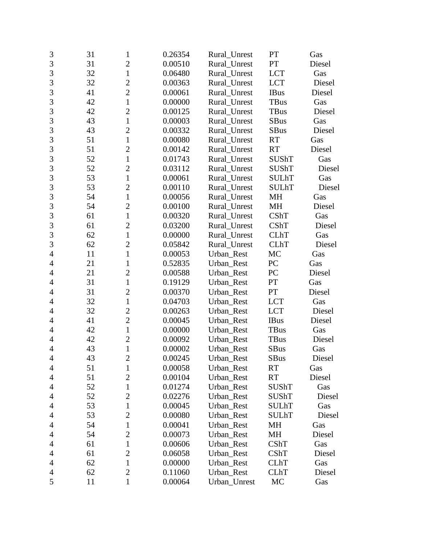| 3              | 31 | $\mathbf{1}$   | 0.26354 | Rural_Unrest | PT           | Gas    |
|----------------|----|----------------|---------|--------------|--------------|--------|
| $\overline{3}$ | 31 | $\overline{2}$ | 0.00510 | Rural Unrest | PT           | Diesel |
| 3              | 32 | $\mathbf 1$    | 0.06480 | Rural Unrest | <b>LCT</b>   | Gas    |
| 3              | 32 | $\overline{2}$ | 0.00363 | Rural_Unrest | <b>LCT</b>   | Diesel |
| $\overline{3}$ | 41 | $\overline{2}$ | 0.00061 | Rural_Unrest | <b>IBus</b>  | Diesel |
| 3              | 42 | $\mathbf{1}$   | 0.00000 | Rural_Unrest | <b>TBus</b>  | Gas    |
| 3              | 42 | $\overline{2}$ | 0.00125 | Rural_Unrest | <b>TBus</b>  | Diesel |
| 3              | 43 | $\mathbf{1}$   | 0.00003 | Rural_Unrest | <b>SBus</b>  | Gas    |
| $\overline{3}$ | 43 | $\overline{2}$ | 0.00332 | Rural_Unrest | <b>SBus</b>  | Diesel |
| 3              | 51 | $\mathbf{1}$   | 0.00080 | Rural_Unrest | <b>RT</b>    | Gas    |
| 3              | 51 | $\overline{2}$ | 0.00142 | Rural_Unrest | <b>RT</b>    | Diesel |
| $\overline{3}$ | 52 | $\mathbf{1}$   | 0.01743 | Rural_Unrest | <b>SUShT</b> | Gas    |
| 3              | 52 | $\overline{c}$ | 0.03112 | Rural_Unrest | <b>SUShT</b> | Diesel |
| 3              | 53 | $\mathbf{1}$   | 0.00061 | Rural_Unrest | <b>SULhT</b> | Gas    |
| $\overline{3}$ | 53 | $\overline{2}$ | 0.00110 | Rural_Unrest | <b>SULhT</b> | Diesel |
| 3              | 54 | $\mathbf{1}$   | 0.00056 | Rural_Unrest | MH           | Gas    |
| 3              | 54 | $\overline{2}$ | 0.00100 | Rural_Unrest | MH           | Diesel |
| 3              | 61 | $\mathbf{1}$   | 0.00320 | Rural_Unrest | CShT         | Gas    |
| $\overline{3}$ | 61 | $\overline{2}$ | 0.03200 | Rural_Unrest | CShT         | Diesel |
| 3              | 62 | $\mathbf{1}$   | 0.00000 | Rural_Unrest | <b>CLhT</b>  | Gas    |
| 3              | 62 | $\overline{2}$ | 0.05842 | Rural_Unrest | <b>CLhT</b>  | Diesel |
| $\overline{4}$ | 11 | $\mathbf{1}$   | 0.00053 | Urban_Rest   | MC           | Gas    |
| $\overline{4}$ | 21 | 1              | 0.52835 | Urban_Rest   | PC           | Gas    |
| $\overline{4}$ | 21 | $\overline{2}$ | 0.00588 | Urban_Rest   | PC           | Diesel |
| 4              | 31 | $\mathbf{1}$   | 0.19129 | Urban_Rest   | PT           | Gas    |
| $\overline{4}$ | 31 | $\overline{c}$ | 0.00370 | Urban_Rest   | PT           | Diesel |
| $\overline{4}$ | 32 | $\mathbf{1}$   | 0.04703 | Urban_Rest   | <b>LCT</b>   | Gas    |
| 4              | 32 | $\overline{c}$ | 0.00263 | Urban_Rest   | <b>LCT</b>   | Diesel |
| 4              | 41 | $\overline{c}$ | 0.00045 | Urban_Rest   | <b>IBus</b>  | Diesel |
| $\overline{4}$ | 42 | $\mathbf{1}$   | 0.00000 | Urban_Rest   | <b>TBus</b>  | Gas    |
| 4              | 42 | $\overline{2}$ | 0.00092 | Urban_Rest   | <b>TBus</b>  | Diesel |
| $\overline{4}$ | 43 | $\mathbf{1}$   | 0.00002 | Urban_Rest   | <b>SBus</b>  | Gas    |
| 4              | 43 | $\overline{c}$ | 0.00245 | Urban_Rest   | <b>SBus</b>  | Diesel |
| 4              | 51 | 1              | 0.00058 | Urban_Rest   | <b>RT</b>    | Gas    |
| 4              | 51 | $\overline{2}$ | 0.00104 | Urban_Rest   | <b>RT</b>    | Diesel |
| 4              | 52 | 1              | 0.01274 | Urban Rest   | SUShT        | Gas    |
| 4              | 52 | $\overline{2}$ | 0.02276 | Urban_Rest   | <b>SUShT</b> | Diesel |
| $\overline{4}$ | 53 | $\mathbf{1}$   | 0.00045 | Urban_Rest   | <b>SULhT</b> | Gas    |
| 4              | 53 | $\overline{2}$ | 0.00080 | Urban_Rest   | <b>SULhT</b> | Diesel |
| 4              | 54 | $\mathbf{1}$   | 0.00041 | Urban_Rest   | MH           | Gas    |
| 4              | 54 | $\overline{c}$ | 0.00073 | Urban_Rest   | MH           | Diesel |
| 4              | 61 | 1              | 0.00606 | Urban_Rest   | <b>CShT</b>  | Gas    |
| 4              | 61 | $\overline{c}$ | 0.06058 | Urban_Rest   | <b>CShT</b>  | Diesel |
| 4              | 62 | $\mathbf{1}$   | 0.00000 | Urban_Rest   | <b>CLhT</b>  | Gas    |
| 4              | 62 | $\overline{2}$ | 0.11060 | Urban_Rest   | <b>CLhT</b>  | Diesel |
| 5              | 11 | $\mathbf 1$    | 0.00064 | Urban_Unrest | MC           | Gas    |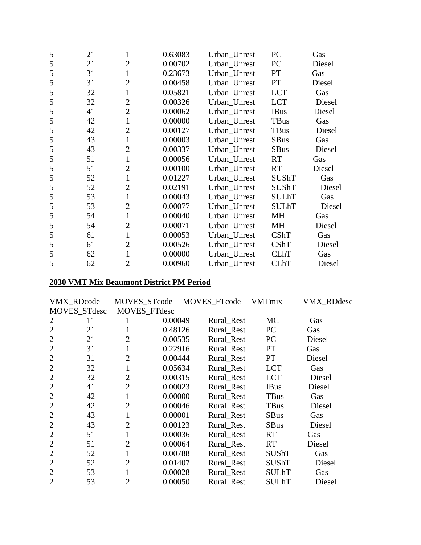| 5 | 21 | 1              | 0.63083 | Urban_Unrest | PC           | Gas    |
|---|----|----------------|---------|--------------|--------------|--------|
| 5 | 21 | $\overline{2}$ | 0.00702 | Urban_Unrest | PC           | Diesel |
| 5 | 31 | $\mathbf{1}$   | 0.23673 | Urban_Unrest | PT           | Gas    |
| 5 | 31 | $\overline{2}$ | 0.00458 | Urban_Unrest | PT           | Diesel |
| 5 | 32 | $\mathbf{1}$   | 0.05821 | Urban_Unrest | <b>LCT</b>   | Gas    |
| 5 | 32 | $\overline{2}$ | 0.00326 | Urban_Unrest | <b>LCT</b>   | Diesel |
| 5 | 41 | $\overline{2}$ | 0.00062 | Urban_Unrest | <b>IBus</b>  | Diesel |
| 5 | 42 | $\mathbf{1}$   | 0.00000 | Urban_Unrest | <b>TBus</b>  | Gas    |
| 5 | 42 | $\overline{2}$ | 0.00127 | Urban_Unrest | TBus         | Diesel |
| 5 | 43 | $\mathbf{1}$   | 0.00003 | Urban_Unrest | <b>SBus</b>  | Gas    |
| 5 | 43 | $\overline{2}$ | 0.00337 | Urban_Unrest | <b>SBus</b>  | Diesel |
| 5 | 51 | $\mathbf{1}$   | 0.00056 | Urban_Unrest | <b>RT</b>    | Gas    |
| 5 | 51 | $\overline{2}$ | 0.00100 | Urban_Unrest | <b>RT</b>    | Diesel |
| 5 | 52 | $\mathbf{1}$   | 0.01227 | Urban_Unrest | <b>SUShT</b> | Gas    |
| 5 | 52 | $\overline{2}$ | 0.02191 | Urban_Unrest | <b>SUShT</b> | Diesel |
| 5 | 53 | $\mathbf{1}$   | 0.00043 | Urban_Unrest | <b>SULhT</b> | Gas    |
| 5 | 53 | $\overline{2}$ | 0.00077 | Urban_Unrest | <b>SULhT</b> | Diesel |
| 5 | 54 | $\mathbf{1}$   | 0.00040 | Urban_Unrest | MH           | Gas    |
| 5 | 54 | $\overline{2}$ | 0.00071 | Urban_Unrest | MH           | Diesel |
| 5 | 61 | $\mathbf{1}$   | 0.00053 | Urban_Unrest | CShT         | Gas    |
| 5 | 61 | $\overline{2}$ | 0.00526 | Urban_Unrest | <b>CShT</b>  | Diesel |
| 5 | 62 | $\mathbf{1}$   | 0.00000 | Urban_Unrest | <b>CLhT</b>  | Gas    |
| 5 | 62 | $\overline{2}$ | 0.00960 | Urban Unrest | <b>CLhT</b>  | Diesel |

## **2030 VMT Mix Beaumont District PM Period**

|                | VMX_RDcode   | MOVES_STcode   |         | MOVES_FTcode | <b>VMTmix</b> | VMX_RDdesc |
|----------------|--------------|----------------|---------|--------------|---------------|------------|
|                | MOVES_STdesc | MOVES_FTdesc   |         |              |               |            |
| 2              | 11           |                | 0.00049 | Rural_Rest   | <b>MC</b>     | Gas        |
| $\overline{2}$ | 21           |                | 0.48126 | Rural_Rest   | PC            | Gas        |
| $\overline{2}$ | 21           | 2              | 0.00535 | Rural_Rest   | PC            | Diesel     |
| $\overline{2}$ | 31           |                | 0.22916 | Rural_Rest   | <b>PT</b>     | Gas        |
| $\overline{2}$ | 31           | $\overline{2}$ | 0.00444 | Rural Rest   | <b>PT</b>     | Diesel     |
| $\overline{2}$ | 32           | 1              | 0.05634 | Rural_Rest   | <b>LCT</b>    | Gas        |
| $\overline{2}$ | 32           | $\overline{2}$ | 0.00315 | Rural Rest   | <b>LCT</b>    | Diesel     |
| $\overline{2}$ | 41           | $\overline{2}$ | 0.00023 | Rural Rest   | <b>IBus</b>   | Diesel     |
| $\overline{2}$ | 42           |                | 0.00000 | Rural_Rest   | <b>TBus</b>   | Gas        |
| $\overline{2}$ | 42           | $\overline{2}$ | 0.00046 | Rural_Rest   | <b>TBus</b>   | Diesel     |
| $\overline{2}$ | 43           |                | 0.00001 | Rural_Rest   | <b>SBus</b>   | Gas        |
| $\overline{2}$ | 43           | 2              | 0.00123 | Rural_Rest   | <b>SBus</b>   | Diesel     |
| $\overline{2}$ | 51           |                | 0.00036 | Rural_Rest   | <b>RT</b>     | Gas        |
| $\overline{2}$ | 51           | $\overline{2}$ | 0.00064 | Rural Rest   | <b>RT</b>     | Diesel     |
| $\overline{2}$ | 52           | 1              | 0.00788 | Rural Rest   | <b>SUShT</b>  | Gas        |
| $\overline{2}$ | 52           | $\overline{2}$ | 0.01407 | Rural_Rest   | <b>SUShT</b>  | Diesel     |
| 2              | 53           |                | 0.00028 | Rural_Rest   | <b>SULhT</b>  | Gas        |
| $\overline{2}$ | 53           | $\overline{2}$ | 0.00050 | Rural Rest   | SULhT         | Diesel     |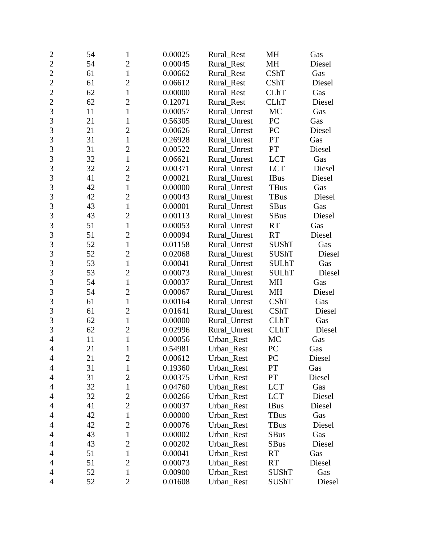| $\overline{2}$ | 54 | 1              | 0.00025 | Rural_Rest         | MH           | Gas    |
|----------------|----|----------------|---------|--------------------|--------------|--------|
| $\overline{2}$ | 54 | $\overline{2}$ | 0.00045 | Rural Rest         | <b>MH</b>    | Diesel |
| $\overline{2}$ | 61 | $\mathbf{1}$   | 0.00662 | CShT<br>Rural_Rest |              | Gas    |
| $\overline{2}$ | 61 | $\overline{2}$ | 0.06612 | Rural_Rest         | <b>CShT</b>  | Diesel |
| $\overline{2}$ | 62 | $\mathbf{1}$   | 0.00000 | Rural_Rest         | <b>CLhT</b>  | Gas    |
| $\overline{2}$ | 62 | $\overline{2}$ | 0.12071 | Rural_Rest         | <b>CLhT</b>  | Diesel |
| $\overline{3}$ | 11 | $\mathbf{1}$   | 0.00057 | Rural_Unrest       | MC           | Gas    |
| 3              | 21 | $\mathbf{1}$   | 0.56305 | Rural_Unrest       | PC           | Gas    |
| 3              | 21 | $\overline{2}$ | 0.00626 | Rural_Unrest       | PC           | Diesel |
| $\overline{3}$ | 31 | $\mathbf{1}$   | 0.26928 | Rural_Unrest       | PT           | Gas    |
| 3              | 31 | $\overline{2}$ | 0.00522 | Rural_Unrest       | PT           | Diesel |
| $\overline{3}$ | 32 | $\mathbf{1}$   | 0.06621 | Rural_Unrest       | <b>LCT</b>   | Gas    |
| 3              | 32 | $\overline{c}$ | 0.00371 | Rural_Unrest       | <b>LCT</b>   | Diesel |
| 3              | 41 | $\overline{2}$ | 0.00021 | Rural_Unrest       | <b>IBus</b>  | Diesel |
| $\overline{3}$ | 42 | $\mathbf{1}$   | 0.00000 | Rural_Unrest       | TBus         | Gas    |
| 3              | 42 | $\overline{2}$ | 0.00043 | Rural_Unrest       | <b>TBus</b>  | Diesel |
| 3              | 43 | $\mathbf{1}$   | 0.00001 | Rural_Unrest       | <b>SBus</b>  | Gas    |
| 3              | 43 | $\overline{c}$ | 0.00113 | Rural_Unrest       | <b>SBus</b>  | Diesel |
| 3              | 51 | $\mathbf{1}$   | 0.00053 | Rural_Unrest       | <b>RT</b>    | Gas    |
| $\overline{3}$ | 51 | $\overline{2}$ | 0.00094 | Rural_Unrest       | <b>RT</b>    | Diesel |
| 3              | 52 | $\mathbf{1}$   | 0.01158 | Rural_Unrest       | <b>SUShT</b> | Gas    |
| $\overline{3}$ | 52 | $\overline{2}$ | 0.02068 | Rural_Unrest       | <b>SUShT</b> | Diesel |
| 3              | 53 | $\mathbf{1}$   | 0.00041 | Rural_Unrest       | <b>SULhT</b> | Gas    |
| 3              | 53 | $\overline{2}$ | 0.00073 | Rural_Unrest       | <b>SULhT</b> | Diesel |
| $\overline{3}$ | 54 | $\mathbf{1}$   | 0.00037 | Rural_Unrest       | MH           | Gas    |
| 3              | 54 | $\overline{c}$ | 0.00067 | Rural_Unrest       | MH           | Diesel |
| 3              | 61 | $\mathbf{1}$   | 0.00164 | Rural_Unrest       | CShT         | Gas    |
| $\overline{3}$ | 61 | $\overline{2}$ | 0.01641 | Rural_Unrest       | CShT         | Diesel |
| 3              | 62 | $\mathbf{1}$   | 0.00000 | Rural_Unrest       | <b>CLhT</b>  | Gas    |
| 3              | 62 | $\overline{2}$ | 0.02996 | Rural_Unrest       | <b>CLhT</b>  | Diesel |
| $\overline{4}$ | 11 | $\mathbf{1}$   | 0.00056 | Urban_Rest         | MC           | Gas    |
| $\overline{4}$ | 21 | 1              | 0.54981 | Urban_Rest         | PC           | Gas    |
| $\overline{4}$ | 21 | $\overline{c}$ | 0.00612 | Urban_Rest         | PC           | Diesel |
| $\overline{4}$ | 31 | 1              | 0.19360 | Urban_Rest         | <b>PT</b>    | Gas    |
| 4              | 31 | $\overline{2}$ | 0.00375 | Urban_Rest         | PT           | Diesel |
| 4              | 32 | $\mathbf{1}$   | 0.04760 | Urban_Rest         | <b>LCT</b>   | Gas    |
| $\overline{4}$ | 32 | $\mathbf{2}$   | 0.00266 | Urban_Rest         | <b>LCT</b>   | Diesel |
| 4              | 41 | $\overline{2}$ | 0.00037 | Urban_Rest         | <b>IBus</b>  | Diesel |
| 4              | 42 | $\mathbf 1$    | 0.00000 | Urban_Rest         | <b>TBus</b>  | Gas    |
| $\overline{4}$ | 42 | $\overline{2}$ | 0.00076 | Urban_Rest         | TBus         | Diesel |
| 4              | 43 | $\mathbf{1}$   | 0.00002 | Urban_Rest         | SBus         | Gas    |
| 4              | 43 | $\overline{2}$ | 0.00202 | Urban_Rest         | <b>SBus</b>  | Diesel |
| $\overline{4}$ | 51 | $\mathbf{1}$   | 0.00041 | Urban_Rest         | <b>RT</b>    | Gas    |
| 4              | 51 | $\overline{2}$ | 0.00073 | Urban_Rest         | <b>RT</b>    | Diesel |
| 4              | 52 | $\mathbf 1$    | 0.00900 | Urban_Rest         | <b>SUShT</b> | Gas    |
| $\overline{4}$ | 52 | $\overline{2}$ | 0.01608 | Urban_Rest         | SUShT        | Diesel |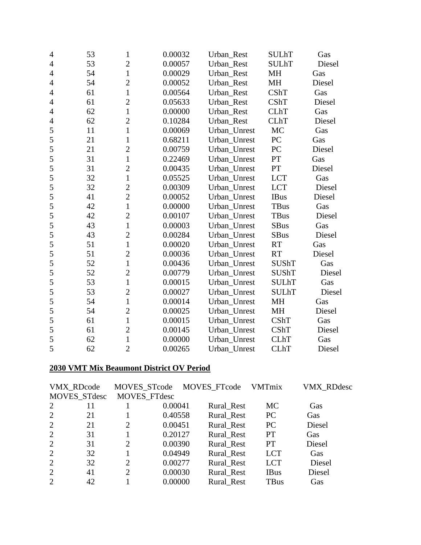| 4              | 53 | $\mathbf{1}$   | 0.00032 | Urban_Rest              | <b>SULhT</b> | Gas    |
|----------------|----|----------------|---------|-------------------------|--------------|--------|
| 4              | 53 | $\overline{c}$ | 0.00057 | Urban_Rest              | <b>SULhT</b> | Diesel |
| $\overline{4}$ | 54 | $\mathbf{1}$   | 0.00029 | Urban Rest<br><b>MH</b> |              | Gas    |
| $\overline{4}$ | 54 | $\overline{c}$ | 0.00052 | Urban_Rest              | MH           | Diesel |
| 4              | 61 | $\mathbf{1}$   | 0.00564 | Urban_Rest              | CShT         | Gas    |
| $\overline{4}$ | 61 | $\overline{c}$ | 0.05633 | Urban Rest              | <b>CShT</b>  | Diesel |
| 4              | 62 | $\mathbf{1}$   | 0.00000 | Urban Rest              | <b>CLhT</b>  | Gas    |
| 4              | 62 | $\overline{c}$ | 0.10284 | Urban_Rest              | <b>CLhT</b>  | Diesel |
| 5              | 11 | $\mathbf{1}$   | 0.00069 | Urban_Unrest            | MC           | Gas    |
| 5              | 21 | $\mathbf{1}$   | 0.68211 | Urban_Unrest            | PC           | Gas    |
| 5              | 21 | $\overline{2}$ | 0.00759 | Urban_Unrest            | PC           | Diesel |
| 5              | 31 | $\mathbf{1}$   | 0.22469 | Urban_Unrest            | PT           | Gas    |
| 5              | 31 | $\overline{c}$ | 0.00435 | Urban_Unrest            | PT           | Diesel |
| 5              | 32 | $\mathbf{1}$   | 0.05525 | Urban_Unrest            | <b>LCT</b>   | Gas    |
| 5              | 32 | $\overline{c}$ | 0.00309 | Urban_Unrest            | <b>LCT</b>   | Diesel |
| 5              | 41 | $\overline{2}$ | 0.00052 | Urban_Unrest            | <b>IBus</b>  | Diesel |
| 5              | 42 | $\mathbf{1}$   | 0.00000 | Urban_Unrest            | <b>TBus</b>  | Gas    |
| 5              | 42 | $\overline{c}$ | 0.00107 | Urban_Unrest            | <b>TBus</b>  | Diesel |
| 5              | 43 | $\mathbf{1}$   | 0.00003 | Urban Unrest            | <b>SBus</b>  | Gas    |
| 5              | 43 | $\overline{c}$ | 0.00284 | Urban_Unrest            | <b>SBus</b>  | Diesel |
| 5              | 51 | $\mathbf{1}$   | 0.00020 | Urban_Unrest            | <b>RT</b>    | Gas    |
| 5              | 51 | $\overline{c}$ | 0.00036 | Urban_Unrest            | <b>RT</b>    | Diesel |
| 5              | 52 | $\mathbf{1}$   | 0.00436 | Urban_Unrest            | SUShT        | Gas    |
| 5              | 52 | $\overline{2}$ | 0.00779 | Urban_Unrest            | <b>SUShT</b> | Diesel |
| 5              | 53 | $\mathbf{1}$   | 0.00015 | Urban_Unrest            | <b>SULhT</b> | Gas    |
| 5              | 53 | $\overline{c}$ | 0.00027 | Urban_Unrest            | <b>SULhT</b> | Diesel |
| 5              | 54 | $\mathbf{1}$   | 0.00014 | Urban_Unrest            | <b>MH</b>    | Gas    |
| 5              | 54 | $\overline{c}$ | 0.00025 | Urban_Unrest            | <b>MH</b>    | Diesel |
| 5              | 61 | $\mathbf{1}$   | 0.00015 | Urban_Unrest            | <b>CShT</b>  | Gas    |
| 5              | 61 | $\overline{c}$ | 0.00145 | Urban_Unrest            | <b>CShT</b>  | Diesel |
| 5              | 62 | $\mathbf{1}$   | 0.00000 | Urban_Unrest            | <b>CLhT</b>  | Gas    |
| 5              | 62 | $\overline{2}$ | 0.00265 | Urban Unrest            | <b>CLhT</b>  | Diesel |

## **2030 VMT Mix Beaumont District OV Period**

|                             | VMX_RDcode   | MOVES_STcode   |         | MOVES_FTcode | <b>VMTmix</b> | <b>VMX RDdesc</b> |
|-----------------------------|--------------|----------------|---------|--------------|---------------|-------------------|
|                             | MOVES_STdesc | MOVES_FTdesc   |         |              |               |                   |
| 2                           | 11           |                | 0.00041 | Rural_Rest   | <b>MC</b>     | Gas               |
| 2                           | 21           |                | 0.40558 | Rural_Rest   | PC            | Gas               |
| 2                           | 21           | 2              | 0.00451 | Rural Rest   | PC            | Diesel            |
| 2                           | 31           |                | 0.20127 | Rural_Rest   | <b>PT</b>     | Gas               |
| 2                           | 31           | 2              | 0.00390 | Rural_Rest   | <b>PT</b>     | Diesel            |
| 2                           | 32           |                | 0.04949 | Rural_Rest   | <b>LCT</b>    | Gas               |
| 2                           | 32           | 2              | 0.00277 | Rural_Rest   | <b>LCT</b>    | Diesel            |
| 2                           | 41           | $\overline{2}$ | 0.00030 | Rural_Rest   | <b>IBus</b>   | Diesel            |
| $\mathcal{D}_{\mathcal{L}}$ | 42           |                | 0.00000 | Rural Rest   | <b>TBus</b>   | Gas               |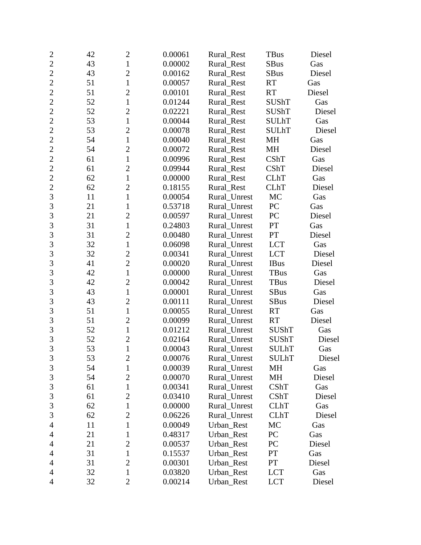| $\overline{c}$ | 42 | $\mathbf{2}$   | 0.00061 | Rural Rest   | <b>TBus</b>  | Diesel |
|----------------|----|----------------|---------|--------------|--------------|--------|
| $\overline{2}$ | 43 | $\mathbf{1}$   | 0.00002 | Rural_Rest   | <b>SBus</b>  | Gas    |
| $\overline{2}$ | 43 | $\overline{c}$ | 0.00162 | Rural_Rest   | <b>SBus</b>  | Diesel |
| $\overline{2}$ | 51 | $\mathbf{1}$   | 0.00057 | Rural_Rest   | <b>RT</b>    | Gas    |
| $\overline{2}$ | 51 | $\overline{2}$ | 0.00101 | Rural_Rest   | <b>RT</b>    | Diesel |
| $\overline{2}$ | 52 | $\mathbf{1}$   | 0.01244 | Rural_Rest   | <b>SUShT</b> | Gas    |
| $\overline{c}$ | 52 | $\mathfrak{2}$ | 0.02221 | Rural_Rest   | <b>SUShT</b> | Diesel |
| $\overline{2}$ | 53 | $\mathbf{1}$   | 0.00044 | Rural_Rest   | <b>SULhT</b> | Gas    |
| $\overline{2}$ | 53 | $\overline{2}$ | 0.00078 | Rural_Rest   | <b>SULhT</b> | Diesel |
| $\overline{2}$ | 54 | $\mathbf{1}$   | 0.00040 | Rural_Rest   | MH           | Gas    |
| $\overline{2}$ | 54 | $\overline{c}$ | 0.00072 | Rural_Rest   | MH           | Diesel |
| $\overline{2}$ | 61 | $\mathbf{1}$   | 0.00996 | Rural_Rest   | CShT         | Gas    |
| $\overline{2}$ | 61 | $\overline{c}$ | 0.09944 | Rural_Rest   | CShT         | Diesel |
| $\overline{2}$ | 62 | $\mathbf{1}$   | 0.00000 | Rural_Rest   | <b>CLhT</b>  | Gas    |
| $\overline{2}$ | 62 | $\overline{2}$ | 0.18155 | Rural_Rest   | <b>CLhT</b>  | Diesel |
| 3              | 11 | $\mathbf{1}$   | 0.00054 | Rural_Unrest | MC           | Gas    |
| 3              | 21 | 1              | 0.53718 | Rural_Unrest | PC           | Gas    |
| 3              | 21 | $\overline{c}$ | 0.00597 | Rural_Unrest | PC           | Diesel |
| $\overline{3}$ | 31 | $\mathbf{1}$   | 0.24803 | Rural_Unrest | PT           | Gas    |
| $\overline{3}$ | 31 | $\overline{2}$ | 0.00480 | Rural_Unrest | PT           | Diesel |
| 3              | 32 | $\mathbf{1}$   | 0.06098 | Rural Unrest | <b>LCT</b>   | Gas    |
| $\overline{3}$ | 32 | $\overline{c}$ | 0.00341 | Rural_Unrest | <b>LCT</b>   | Diesel |
| 3              | 41 | $\overline{2}$ | 0.00020 | Rural_Unrest | <b>IBus</b>  | Diesel |
| 3              | 42 | $\mathbf{1}$   | 0.00000 | Rural_Unrest | <b>TBus</b>  | Gas    |
| $\overline{3}$ | 42 | $\overline{2}$ | 0.00042 | Rural_Unrest | TBus         | Diesel |
| 3              | 43 | $\mathbf{1}$   | 0.00001 | Rural_Unrest | <b>SBus</b>  | Gas    |
| 3              | 43 | $\mathfrak{2}$ | 0.00111 | Rural_Unrest | <b>SBus</b>  | Diesel |
| $\overline{3}$ | 51 | $\mathbf{1}$   | 0.00055 | Rural_Unrest | <b>RT</b>    | Gas    |
| 3              | 51 | $\overline{2}$ | 0.00099 | Rural_Unrest | <b>RT</b>    | Diesel |
| $\overline{3}$ | 52 | $\mathbf{1}$   | 0.01212 | Rural_Unrest | SUShT        | Gas    |
| 3              | 52 | $\overline{c}$ | 0.02164 | Rural_Unrest | <b>SUShT</b> | Diesel |
| $\overline{3}$ | 53 | $\mathbf{1}$   | 0.00043 | Rural Unrest | <b>SULhT</b> | Gas    |
| 3              | 53 | $\overline{c}$ | 0.00076 | Rural_Unrest | <b>SULhT</b> | Diesel |
| $\mathfrak{Z}$ | 54 | $\mathbf{1}$   | 0.00039 | Rural_Unrest | MH           | Gas    |
| 3              | 54 | $\overline{2}$ | 0.00070 | Rural_Unrest | MH           | Diesel |
| $\mathfrak{Z}$ | 61 | $\mathbf{1}$   | 0.00341 | Rural_Unrest | CShT         | Gas    |
| $\mathfrak{Z}$ | 61 | $\overline{c}$ | 0.03410 | Rural Unrest | CShT         | Diesel |
| 3              | 62 | $\mathbf{1}$   | 0.00000 | Rural_Unrest | <b>CLhT</b>  | Gas    |
| 3              | 62 | $\overline{2}$ | 0.06226 | Rural_Unrest | <b>CLhT</b>  | Diesel |
| $\overline{4}$ | 11 | $\mathbf{1}$   | 0.00049 | Urban_Rest   | MC           | Gas    |
| 4              | 21 | 1              | 0.48317 | Urban Rest   | PC           | Gas    |
| 4              | 21 | $\overline{2}$ | 0.00537 | Urban_Rest   | PC           | Diesel |
| $\overline{4}$ | 31 | $\mathbf{1}$   | 0.15537 | Urban_Rest   | PT           | Gas    |
| $\overline{4}$ | 31 | $\mathfrak{2}$ | 0.00301 | Urban_Rest   | PT           | Diesel |
| 4              | 32 | $\mathbf{1}$   | 0.03820 | Urban_Rest   | <b>LCT</b>   | Gas    |
| $\overline{4}$ | 32 | $\overline{2}$ | 0.00214 | Urban_Rest   | <b>LCT</b>   | Diesel |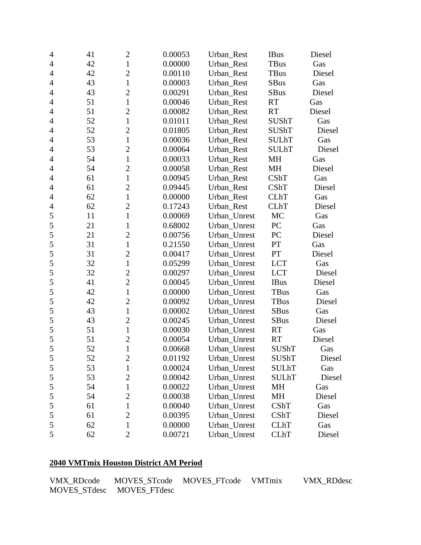| $\overline{4}$ | 41 | $\mathbf{2}$   | 0.00053 | Urban_Rest   | <b>IBus</b>  | Diesel |
|----------------|----|----------------|---------|--------------|--------------|--------|
| 4              | 42 | $\mathbf{1}$   | 0.00000 | Urban_Rest   | TBus         | Gas    |
| $\overline{4}$ | 42 | $\overline{c}$ | 0.00110 | Urban_Rest   | <b>TBus</b>  | Diesel |
| $\overline{4}$ | 43 | $\mathbf{1}$   | 0.00003 | Urban_Rest   | <b>SBus</b>  | Gas    |
| $\overline{4}$ | 43 | $\overline{c}$ | 0.00291 | Urban_Rest   | SBus         | Diesel |
| $\overline{4}$ | 51 | $\mathbf{1}$   | 0.00046 | Urban Rest   | <b>RT</b>    | Gas    |
| $\overline{4}$ | 51 | $\overline{c}$ | 0.00082 | Urban_Rest   | <b>RT</b>    | Diesel |
| $\overline{4}$ | 52 | $\mathbf{1}$   | 0.01011 | Urban_Rest   | <b>SUShT</b> | Gas    |
| 4              | 52 | $\overline{2}$ | 0.01805 | Urban_Rest   | SUShT        | Diesel |
| $\overline{4}$ | 53 | $\mathbf{1}$   | 0.00036 | Urban_Rest   | <b>SULhT</b> | Gas    |
| $\overline{4}$ | 53 | $\overline{2}$ | 0.00064 | Urban_Rest   | <b>SULhT</b> | Diesel |
| 4              | 54 | $\mathbf{1}$   | 0.00033 | Urban_Rest   | MH           | Gas    |
| $\overline{4}$ | 54 | $\overline{c}$ | 0.00058 | Urban_Rest   | MH           | Diesel |
| $\overline{4}$ | 61 | $\mathbf{1}$   | 0.00945 | Urban_Rest   | CShT         | Gas    |
| $\overline{4}$ | 61 | $\overline{2}$ | 0.09445 | Urban_Rest   | <b>CShT</b>  | Diesel |
| $\overline{4}$ | 62 | $\mathbf{1}$   | 0.00000 | Urban_Rest   | <b>CLhT</b>  | Gas    |
| $\overline{4}$ | 62 | $\overline{c}$ | 0.17243 | Urban_Rest   | <b>CLhT</b>  | Diesel |
| 5              | 11 | $\mathbf{1}$   | 0.00069 | Urban_Unrest | MC           | Gas    |
| 5              | 21 | $\mathbf{1}$   | 0.68002 | Urban_Unrest | PC           | Gas    |
| 5              | 21 | $\overline{c}$ | 0.00756 | Urban_Unrest | PC           | Diesel |
| 5              | 31 | $\mathbf{1}$   | 0.21550 | Urban Unrest | PT           | Gas    |
| 5              | 31 | $\overline{2}$ | 0.00417 | Urban_Unrest | PT           | Diesel |
| 5              | 32 | $\mathbf{1}$   | 0.05299 | Urban_Unrest | <b>LCT</b>   | Gas    |
| 5              | 32 | $\overline{c}$ | 0.00297 | Urban_Unrest | <b>LCT</b>   | Diesel |
| 5              | 41 | $\overline{2}$ | 0.00045 | Urban_Unrest | <b>IBus</b>  | Diesel |
| 5              | 42 | $\mathbf{1}$   | 0.00000 | Urban_Unrest | <b>TBus</b>  | Gas    |
| 5              | 42 | $\overline{c}$ | 0.00092 | Urban_Unrest | <b>TBus</b>  | Diesel |
| 5              | 43 | $\mathbf{1}$   | 0.00002 | Urban_Unrest | <b>SBus</b>  | Gas    |
| 5              | 43 | $\overline{c}$ | 0.00245 | Urban_Unrest | <b>SBus</b>  | Diesel |
| 5              | 51 | $\mathbf{1}$   | 0.00030 | Urban_Unrest | RT           | Gas    |
| 5              | 51 | $\overline{c}$ | 0.00054 | Urban_Unrest | RT           | Diesel |
| 5              | 52 | $\mathbf{1}$   | 0.00668 | Urban Unrest | <b>SUShT</b> | Gas    |
| $\mathfrak s$  | 52 | $\overline{c}$ | 0.01192 | Urban_Unrest | SUShT        | Diesel |
| 5              | 53 | $\mathbf{1}$   | 0.00024 | Urban_Unrest | <b>SULhT</b> | Gas    |
| 5              | 53 | $\overline{c}$ | 0.00042 | Urban_Unrest | <b>SULhT</b> | Diesel |
| 5              | 54 | $\mathbf{1}$   | 0.00022 | Urban_Unrest | MH           | Gas    |
| $\mathfrak s$  | 54 | $\overline{c}$ | 0.00038 | Urban_Unrest | MH           | Diesel |
| $\mathfrak s$  | 61 | $\mathbf{1}$   | 0.00040 | Urban Unrest | CShT         | Gas    |
| 5              | 61 | $\overline{2}$ | 0.00395 | Urban_Unrest | CShT         | Diesel |
| 5              | 62 | $\mathbf{1}$   | 0.00000 | Urban_Unrest | <b>CLhT</b>  | Gas    |
| 5              | 62 | $\overline{2}$ | 0.00721 | Urban_Unrest | <b>CLhT</b>  | Diesel |

# **2040 VMTmix Houston District AM Period**

| <b>VMX RDcode</b> |                           | MOVES STcode MOVES FTcode VMTmix | <b>VMX RDdesc</b> |
|-------------------|---------------------------|----------------------------------|-------------------|
|                   | MOVES STdesc MOVES FTdesc |                                  |                   |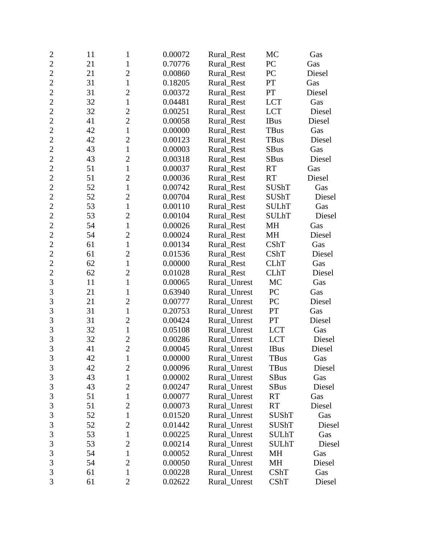| $\overline{c}$ | 11 | 1              | 0.00072 | Rural Rest   | MC           | Gas    |
|----------------|----|----------------|---------|--------------|--------------|--------|
| $\overline{2}$ | 21 | $\mathbf{1}$   | 0.70776 | Rural_Rest   | PC           | Gas    |
| $\overline{2}$ | 21 | $\overline{c}$ | 0.00860 | Rural_Rest   | PC           | Diesel |
| $\overline{2}$ | 31 | $\mathbf{1}$   | 0.18205 | Rural_Rest   | PT           | Gas    |
| $\overline{2}$ | 31 | $\overline{2}$ | 0.00372 | Rural_Rest   | PT           | Diesel |
| $\overline{2}$ | 32 | $\mathbf{1}$   | 0.04481 | Rural_Rest   | <b>LCT</b>   | Gas    |
| $\overline{2}$ | 32 | $\mathbf{2}$   | 0.00251 | Rural_Rest   | <b>LCT</b>   | Diesel |
| $\overline{2}$ | 41 | $\overline{2}$ | 0.00058 | Rural_Rest   | <b>IBus</b>  | Diesel |
| $\overline{2}$ | 42 | $\mathbf{1}$   | 0.00000 | Rural Rest   | TBus         | Gas    |
| $\overline{2}$ | 42 | $\overline{2}$ | 0.00123 | Rural_Rest   | <b>TBus</b>  | Diesel |
| $\overline{2}$ | 43 | $\mathbf{1}$   | 0.00003 | Rural_Rest   | <b>SBus</b>  | Gas    |
| $\overline{2}$ | 43 | $\overline{2}$ | 0.00318 | Rural_Rest   | <b>SBus</b>  | Diesel |
| $\overline{2}$ | 51 | $\mathbf{1}$   | 0.00037 | Rural_Rest   | <b>RT</b>    | Gas    |
| $\overline{2}$ | 51 | $\overline{2}$ | 0.00036 | Rural_Rest   | <b>RT</b>    | Diesel |
| $\overline{2}$ | 52 | $\mathbf{1}$   | 0.00742 | Rural Rest   | <b>SUShT</b> | Gas    |
| $\overline{2}$ | 52 | $\overline{2}$ | 0.00704 | Rural_Rest   | <b>SUShT</b> | Diesel |
| $\overline{c}$ | 53 | $\mathbf{1}$   | 0.00110 | Rural_Rest   | <b>SULhT</b> | Gas    |
| $\overline{2}$ | 53 | $\overline{c}$ | 0.00104 | Rural_Rest   | <b>SULhT</b> | Diesel |
| $\overline{2}$ | 54 | $\mathbf{1}$   | 0.00026 | Rural_Rest   | MH           | Gas    |
| $\overline{c}$ | 54 | $\overline{2}$ | 0.00024 | Rural_Rest   | MH           | Diesel |
| $\overline{2}$ | 61 | $\mathbf{1}$   | 0.00134 | Rural_Rest   | CShT         | Gas    |
| $\overline{c}$ | 61 | $\overline{2}$ | 0.01536 | Rural_Rest   | CShT         | Diesel |
| $\overline{2}$ | 62 | $\mathbf{1}$   | 0.00000 | Rural_Rest   | <b>CLhT</b>  | Gas    |
| $\overline{c}$ | 62 | $\overline{c}$ | 0.01028 | Rural_Rest   | <b>CLhT</b>  | Diesel |
| $\overline{3}$ | 11 | $\mathbf{1}$   | 0.00065 | Rural_Unrest | MC           | Gas    |
| 3              | 21 | $\mathbf{1}$   | 0.63940 | Rural_Unrest | PC           | Gas    |
| 3              | 21 | $\mathfrak{2}$ | 0.00777 | Rural_Unrest | PC           | Diesel |
| $\overline{3}$ | 31 | $\mathbf{1}$   | 0.20753 | Rural_Unrest | PT           | Gas    |
| 3              | 31 | $\overline{2}$ | 0.00424 | Rural_Unrest | PT           | Diesel |
| 3              | 32 | $\mathbf{1}$   | 0.05108 | Rural_Unrest | <b>LCT</b>   | Gas    |
| 3              | 32 | $\overline{c}$ | 0.00286 | Rural_Unrest | <b>LCT</b>   | Diesel |
| $\overline{3}$ | 41 | $\overline{2}$ | 0.00045 | Rural_Unrest | <b>IBus</b>  | Diesel |
| 3              | 42 | $\mathbf{1}$   | 0.00000 | Rural_Unrest | TBus         | Gas    |
| $\mathfrak{Z}$ | 42 | $\overline{2}$ | 0.00096 | Rural_Unrest | <b>TBus</b>  | Diesel |
| 3              | 43 | $\mathbf{1}$   | 0.00002 | Rural_Unrest | <b>SBus</b>  | Gas    |
| 3              | 43 | $\overline{c}$ | 0.00247 | Rural_Unrest | <b>SBus</b>  | Diesel |
| $\mathfrak{Z}$ | 51 | 1              | 0.00077 | Rural_Unrest | <b>RT</b>    | Gas    |
| $\mathfrak{Z}$ | 51 | $\overline{2}$ | 0.00073 | Rural Unrest | <b>RT</b>    | Diesel |
| $\mathfrak{Z}$ | 52 | 1              | 0.01520 | Rural_Unrest | <b>SUShT</b> | Gas    |
| 3              | 52 | $\overline{2}$ | 0.01442 | Rural_Unrest | SUShT        | Diesel |
| $\mathfrak{Z}$ | 53 | $\mathbf{1}$   | 0.00225 | Rural_Unrest | <b>SULhT</b> | Gas    |
| 3              | 53 | $\mathbf{2}$   | 0.00214 | Rural_Unrest | <b>SULhT</b> | Diesel |
| $\mathfrak{Z}$ | 54 | $\mathbf{1}$   | 0.00052 | Rural_Unrest | MH           | Gas    |
| $\mathfrak{Z}$ | 54 | $\mathbf{2}$   | 0.00050 | Rural_Unrest | MH           | Diesel |
| 3              | 61 | $\mathbf{1}$   | 0.00228 | Rural_Unrest | CShT         | Gas    |
| 3              | 61 | $\overline{2}$ | 0.02622 | Rural_Unrest | CShT         | Diesel |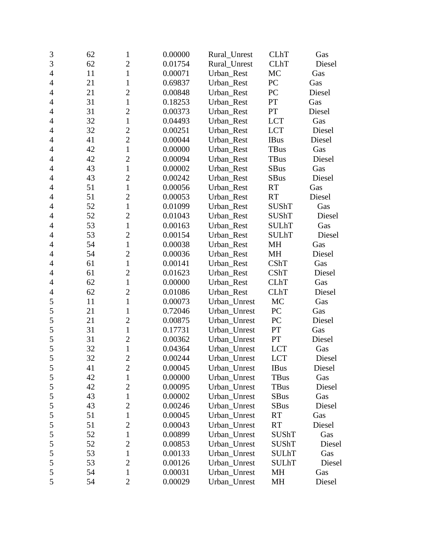| 3              | 62 | $\mathbf{1}$   | 0.00000 | Rural Unrest | <b>CLhT</b>  | Gas    |
|----------------|----|----------------|---------|--------------|--------------|--------|
| $\overline{3}$ | 62 | $\overline{2}$ | 0.01754 | Rural_Unrest | <b>CLhT</b>  | Diesel |
| $\overline{4}$ | 11 | $\mathbf{1}$   | 0.00071 | Urban_Rest   | MC           | Gas    |
| $\overline{4}$ | 21 | $\mathbf{1}$   | 0.69837 | Urban_Rest   | PC           | Gas    |
| $\overline{4}$ | 21 | $\overline{2}$ | 0.00848 | Urban_Rest   | PC           | Diesel |
| $\overline{4}$ | 31 | $\mathbf{1}$   | 0.18253 | Urban_Rest   | PT           | Gas    |
| $\overline{4}$ | 31 | $\overline{2}$ | 0.00373 | Urban_Rest   | PT           | Diesel |
| $\overline{4}$ | 32 | $\mathbf{1}$   | 0.04493 | Urban_Rest   | <b>LCT</b>   | Gas    |
| 4              | 32 | $\overline{c}$ | 0.00251 | Urban_Rest   | <b>LCT</b>   | Diesel |
| $\overline{4}$ | 41 | $\overline{2}$ | 0.00044 | Urban_Rest   | <b>IBus</b>  | Diesel |
| $\overline{4}$ | 42 | $\mathbf{1}$   | 0.00000 | Urban_Rest   | <b>TBus</b>  | Gas    |
| $\overline{4}$ | 42 | $\overline{2}$ | 0.00094 | Urban_Rest   | <b>TBus</b>  | Diesel |
| $\overline{4}$ | 43 | $\mathbf{1}$   | 0.00002 | Urban_Rest   | <b>SBus</b>  | Gas    |
| $\overline{4}$ | 43 | $\overline{2}$ | 0.00242 | Urban_Rest   | <b>SBus</b>  | Diesel |
| 4              | 51 | $\mathbf{1}$   | 0.00056 | Urban_Rest   | <b>RT</b>    | Gas    |
| $\overline{4}$ | 51 | $\overline{2}$ | 0.00053 | Urban Rest   | RT           | Diesel |
| $\overline{4}$ | 52 | $\mathbf{1}$   | 0.01099 | Urban_Rest   | SUShT        | Gas    |
| $\overline{4}$ | 52 | $\overline{2}$ | 0.01043 | Urban Rest   | <b>SUShT</b> | Diesel |
| $\overline{4}$ | 53 | $\mathbf{1}$   | 0.00163 | Urban Rest   | <b>SULhT</b> | Gas    |
| $\overline{4}$ | 53 | $\overline{2}$ | 0.00154 | Urban_Rest   | <b>SULhT</b> | Diesel |
| $\overline{4}$ | 54 | $\mathbf{1}$   | 0.00038 | Urban_Rest   | <b>MH</b>    | Gas    |
| $\overline{4}$ | 54 | $\overline{2}$ | 0.00036 | Urban_Rest   | <b>MH</b>    | Diesel |
| $\overline{4}$ | 61 | $\mathbf{1}$   | 0.00141 | Urban_Rest   | <b>CShT</b>  | Gas    |
| $\overline{4}$ | 61 | $\overline{c}$ | 0.01623 | Urban_Rest   | CShT         | Diesel |
| $\overline{4}$ | 62 | $\mathbf{1}$   | 0.00000 | Urban_Rest   | <b>CLhT</b>  | Gas    |
| $\overline{4}$ | 62 | $\overline{2}$ | 0.01086 | Urban_Rest   | <b>CLhT</b>  | Diesel |
| 5              | 11 | $\mathbf{1}$   | 0.00073 | Urban_Unrest | MC           | Gas    |
| 5              | 21 | $\mathbf{1}$   | 0.72046 | Urban_Unrest | PC           | Gas    |
| 5              | 21 | $\overline{2}$ | 0.00875 | Urban_Unrest | PC           | Diesel |
| 5              | 31 | $\mathbf{1}$   | 0.17731 | Urban_Unrest | PT           | Gas    |
| 5              | 31 | $\overline{2}$ | 0.00362 | Urban_Unrest | PT           | Diesel |
| 5              | 32 | $\mathbf{1}$   | 0.04364 | Urban_Unrest | <b>LCT</b>   | Gas    |
| 5              | 32 | $\overline{c}$ | 0.00244 | Urban_Unrest | <b>LCT</b>   | Diesel |
| 5              | 41 | $\overline{2}$ | 0.00045 | Urban_Unrest | <b>IBus</b>  | Diesel |
| 5              | 42 | $\mathbf{1}$   | 0.00000 | Urban_Unrest | TBus         | Gas    |
| 5              | 42 | $\overline{c}$ | 0.00095 | Urban_Unrest | TBus         | Diesel |
| 5              | 43 | $\mathbf{1}$   | 0.00002 | Urban_Unrest | <b>SBus</b>  | Gas    |
| 5              | 43 | $\overline{2}$ | 0.00246 | Urban_Unrest | <b>SBus</b>  | Diesel |
| 5              | 51 | $\mathbf 1$    | 0.00045 | Urban_Unrest | <b>RT</b>    | Gas    |
| 5              | 51 | $\overline{2}$ | 0.00043 | Urban_Unrest | <b>RT</b>    | Diesel |
| 5              | 52 | $\mathbf 1$    | 0.00899 | Urban_Unrest | SUShT        | Gas    |
| 5              | 52 | $\overline{2}$ | 0.00853 | Urban Unrest | <b>SUShT</b> | Diesel |
| 5              | 53 | $\mathbf 1$    | 0.00133 | Urban_Unrest | <b>SULhT</b> | Gas    |
| 5              | 53 | $\mathbf{2}$   | 0.00126 | Urban_Unrest | <b>SULhT</b> | Diesel |
| 5              | 54 | $\mathbf 1$    | 0.00031 | Urban_Unrest | MH           | Gas    |
| 5              | 54 | $\mathbf{2}$   | 0.00029 | Urban_Unrest | MH           | Diesel |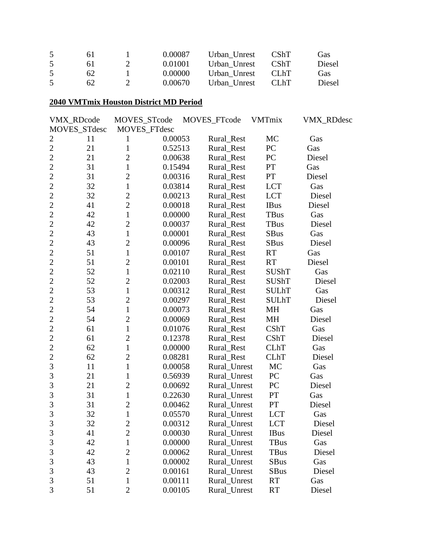| 6 I | 0.00087 | Urban Unrest | <b>CShT</b> | Gas    |
|-----|---------|--------------|-------------|--------|
| 61  | 0.01001 | Urban Unrest | <b>CShT</b> | Diesel |
| 62  | 0.00000 | Urban Unrest | -CLhT       | Gas    |
| 62  | 0.00670 | Urban Unrest | -CLhT       | Diesel |

#### **2040 VMTmix Houston District MD Period**

|                | VMX_RDcode   | MOVES_STcode        |         | MOVES_FTcode | <b>VMTmix</b> | VMX_RDdesc |
|----------------|--------------|---------------------|---------|--------------|---------------|------------|
|                | MOVES_STdesc | <b>MOVES FTdesc</b> |         |              |               |            |
| $\overline{2}$ | 11           | 1                   | 0.00053 | Rural_Rest   | MC            | Gas        |
| $\overline{c}$ | 21           | $\mathbf{1}$        | 0.52513 | Rural_Rest   | PC            | Gas        |
| $\overline{2}$ | 21           | $\overline{2}$      | 0.00638 | Rural_Rest   | PC            | Diesel     |
| $\overline{2}$ | 31           | $\mathbf{1}$        | 0.15494 | Rural_Rest   | ${\cal PT}$   | Gas        |
| $\overline{2}$ | 31           | $\overline{2}$      | 0.00316 | Rural_Rest   | PT            | Diesel     |
| $\overline{2}$ | 32           | $\mathbf{1}$        | 0.03814 | Rural_Rest   | <b>LCT</b>    | Gas        |
| $\overline{c}$ | 32           | $\overline{2}$      | 0.00213 | Rural_Rest   | <b>LCT</b>    | Diesel     |
| $\overline{2}$ | 41           | $\overline{2}$      | 0.00018 | Rural_Rest   | <b>IBus</b>   | Diesel     |
| $\overline{2}$ | 42           | $\mathbf{1}$        | 0.00000 | Rural_Rest   | <b>TBus</b>   | Gas        |
| $\overline{2}$ | 42           | $\overline{2}$      | 0.00037 | Rural_Rest   | TBus          | Diesel     |
| $\overline{2}$ | 43           | $\mathbf{1}$        | 0.00001 | Rural_Rest   | <b>SBus</b>   | Gas        |
| $\overline{c}$ | 43           | $\overline{2}$      | 0.00096 | Rural_Rest   | SBus          | Diesel     |
| $\overline{2}$ | 51           | $\mathbf{1}$        | 0.00107 | Rural_Rest   | <b>RT</b>     | Gas        |
| $\overline{2}$ | 51           | $\overline{2}$      | 0.00101 | Rural_Rest   | <b>RT</b>     | Diesel     |
| $\overline{2}$ | 52           | $\mathbf{1}$        | 0.02110 | Rural_Rest   | <b>SUShT</b>  | Gas        |
| $\overline{2}$ | 52           | $\overline{2}$      | 0.02003 | Rural_Rest   | <b>SUShT</b>  | Diesel     |
| $\overline{c}$ | 53           | $\mathbf{1}$        | 0.00312 | Rural_Rest   | <b>SULhT</b>  | Gas        |
| $\overline{2}$ | 53           | $\overline{2}$      | 0.00297 | Rural Rest   | <b>SULhT</b>  | Diesel     |
| $\overline{2}$ | 54           | $\mathbf{1}$        | 0.00073 | Rural_Rest   | MH            | Gas        |
| $\overline{2}$ | 54           | $\overline{2}$      | 0.00069 | Rural_Rest   | MH            | Diesel     |
| $\overline{2}$ | 61           | $\mathbf{1}$        | 0.01076 | Rural_Rest   | CShT          | Gas        |
| $\overline{c}$ | 61           | $\overline{2}$      | 0.12378 | Rural_Rest   | CShT          | Diesel     |
| $\overline{2}$ | 62           | $\mathbf{1}$        | 0.00000 | Rural_Rest   | <b>CLhT</b>   | Gas        |
| $\overline{2}$ | 62           | $\overline{2}$      | 0.08281 | Rural_Rest   | <b>CLhT</b>   | Diesel     |
| 3              | 11           | $\mathbf{1}$        | 0.00058 | Rural_Unrest | MC            | Gas        |
| $\overline{3}$ | 21           | $\mathbf{1}$        | 0.56939 | Rural_Unrest | PC            | Gas        |
| 3              | 21           | $\overline{2}$      | 0.00692 | Rural_Unrest | PC            | Diesel     |
| 3              | 31           | $\mathbf{1}$        | 0.22630 | Rural_Unrest | PT            | Gas        |
| 3              | 31           | $\overline{2}$      | 0.00462 | Rural_Unrest | <b>PT</b>     | Diesel     |
| $\overline{3}$ | 32           | $\mathbf{1}$        | 0.05570 | Rural_Unrest | <b>LCT</b>    | Gas        |
| 3              | 32           | $\overline{c}$      | 0.00312 | Rural_Unrest | <b>LCT</b>    | Diesel     |
| $\mathfrak{Z}$ | 41           | $\mathbf{2}$        | 0.00030 | Rural_Unrest | <b>IBus</b>   | Diesel     |
| 3              | 42           | $\mathbf{1}$        | 0.00000 | Rural_Unrest | TBus          | Gas        |
| 3              | 42           | $\overline{2}$      | 0.00062 | Rural Unrest | TBus          | Diesel     |
| 3              | 43           | $\mathbf{1}$        | 0.00002 | Rural_Unrest | SBus          | Gas        |
| 3              | 43           | $\overline{2}$      | 0.00161 | Rural_Unrest | SBus          | Diesel     |
| 3              | 51           | 1                   | 0.00111 | Rural_Unrest | RT            | Gas        |
| 3              | 51           | $\overline{2}$      | 0.00105 | Rural_Unrest | <b>RT</b>     | Diesel     |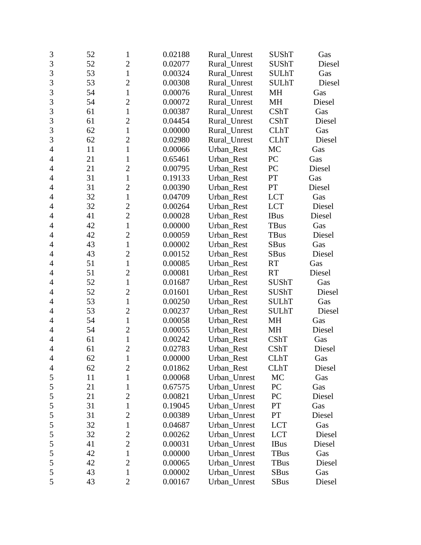| $\mathfrak{Z}$ | 52 | $\mathbf{1}$   | 0.02188 | Rural_Unrest | <b>SUShT</b> | Gas    |
|----------------|----|----------------|---------|--------------|--------------|--------|
| $\overline{3}$ | 52 | $\overline{2}$ | 0.02077 | Rural_Unrest | <b>SUShT</b> | Diesel |
| 3              | 53 | $\mathbf{1}$   | 0.00324 | Rural_Unrest | <b>SULhT</b> | Gas    |
| 3              | 53 | $\overline{2}$ | 0.00308 | Rural_Unrest | <b>SULhT</b> | Diesel |
| 3              | 54 | $\mathbf{1}$   | 0.00076 | Rural_Unrest | MH           | Gas    |
| 3              | 54 | $\overline{c}$ | 0.00072 | Rural Unrest | MH           | Diesel |
| 3              | 61 | $\mathbf{1}$   | 0.00387 | Rural_Unrest | <b>CShT</b>  | Gas    |
| 3              | 61 | $\overline{2}$ | 0.04454 | Rural_Unrest | CShT         | Diesel |
| 3              | 62 | 1              | 0.00000 | Rural Unrest | <b>CLhT</b>  | Gas    |
| 3              | 62 | $\overline{2}$ | 0.02980 | Rural_Unrest | <b>CLhT</b>  | Diesel |
| $\overline{4}$ | 11 | $\mathbf{1}$   | 0.00066 | Urban_Rest   | MC           | Gas    |
| $\overline{4}$ | 21 | 1              | 0.65461 | Urban_Rest   | PC           | Gas    |
| $\overline{4}$ | 21 | $\overline{2}$ | 0.00795 | Urban_Rest   | PC           | Diesel |
| $\overline{4}$ | 31 | $\mathbf{1}$   | 0.19133 | Urban_Rest   | PT           | Gas    |
| 4              | 31 | $\overline{2}$ | 0.00390 | Urban_Rest   | PT           | Diesel |
| $\overline{4}$ | 32 | 1              | 0.04709 | Urban_Rest   | <b>LCT</b>   | Gas    |
| $\overline{4}$ | 32 | $\overline{2}$ | 0.00264 | Urban_Rest   | <b>LCT</b>   | Diesel |
| $\overline{4}$ | 41 | $\overline{2}$ | 0.00028 | Urban_Rest   | <b>IBus</b>  | Diesel |
| 4              | 42 | $\mathbf{1}$   | 0.00000 | Urban_Rest   | TBus         | Gas    |
| $\overline{4}$ | 42 | $\overline{2}$ | 0.00059 | Urban_Rest   | <b>TBus</b>  | Diesel |
| $\overline{4}$ | 43 | $\mathbf{1}$   | 0.00002 | Urban_Rest   | <b>SBus</b>  | Gas    |
| $\overline{4}$ | 43 | $\overline{2}$ | 0.00152 | Urban_Rest   | <b>SBus</b>  | Diesel |
| $\overline{4}$ | 51 | $\mathbf{1}$   | 0.00085 | Urban_Rest   | <b>RT</b>    | Gas    |
| $\overline{4}$ | 51 | $\overline{2}$ | 0.00081 | Urban_Rest   | <b>RT</b>    | Diesel |
| 4              | 52 | $\mathbf{1}$   | 0.01687 | Urban_Rest   | <b>SUShT</b> | Gas    |
| $\overline{4}$ | 52 | $\overline{c}$ | 0.01601 | Urban_Rest   | <b>SUShT</b> | Diesel |
| $\overline{4}$ | 53 | $\mathbf{1}$   | 0.00250 | Urban_Rest   | <b>SULhT</b> | Gas    |
| $\overline{4}$ | 53 | $\overline{2}$ | 0.00237 | Urban_Rest   | <b>SULhT</b> | Diesel |
| 4              | 54 | $\mathbf{1}$   | 0.00058 | Urban_Rest   | MH           | Gas    |
| $\overline{4}$ | 54 | $\overline{2}$ | 0.00055 | Urban_Rest   | MH           | Diesel |
| $\overline{4}$ | 61 | $\mathbf{1}$   | 0.00242 | Urban_Rest   | CShT         | Gas    |
| $\overline{4}$ | 61 | $\overline{2}$ | 0.02783 | Urban Rest   | <b>CShT</b>  | Diesel |
| 4              | 62 | $\mathbf{1}$   | 0.00000 | Urban_Rest   | <b>CLhT</b>  | Gas    |
| 4              | 62 | $\overline{2}$ | 0.01862 | Urban_Rest   | <b>CLhT</b>  | Diesel |
| 5              | 11 | $\mathbf{1}$   | 0.00068 | Urban_Unrest | MC           | Gas    |
| 5              | 21 | 1              | 0.67575 | Urban_Unrest | PC           | Gas    |
| 5              | 21 | $\overline{2}$ | 0.00821 | Urban_Unrest | PC           | Diesel |
| 5              | 31 | $\mathbf{1}$   | 0.19045 | Urban_Unrest | PT           | Gas    |
| 5              | 31 | $\overline{c}$ | 0.00389 | Urban_Unrest | PT           | Diesel |
| 5              | 32 | $\mathbf{1}$   | 0.04687 | Urban_Unrest | <b>LCT</b>   | Gas    |
| 5              | 32 | $\overline{c}$ | 0.00262 | Urban Unrest | <b>LCT</b>   | Diesel |
| 5              | 41 | $\overline{2}$ | 0.00031 | Urban_Unrest | <b>IBus</b>  | Diesel |
| 5              | 42 | $\mathbf{1}$   | 0.00000 | Urban_Unrest | TBus         | Gas    |
| 5              | 42 | $\overline{2}$ | 0.00065 | Urban_Unrest | TBus         | Diesel |
| 5              | 43 | $\mathbf{1}$   | 0.00002 | Urban_Unrest | <b>SBus</b>  | Gas    |
| 5              | 43 | $\mathbf{2}$   | 0.00167 | Urban_Unrest | SBus         | Diesel |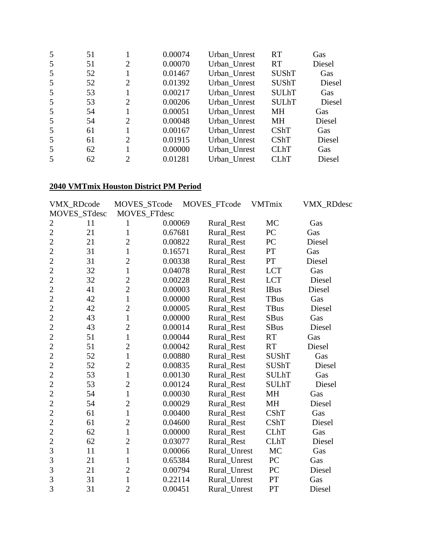| 5  | 51 |   | 0.00074 | Urban_Unrest | <b>RT</b>    | Gas    |
|----|----|---|---------|--------------|--------------|--------|
| 5  | 51 | 2 | 0.00070 | Urban_Unrest | <b>RT</b>    | Diesel |
| 5  | 52 |   | 0.01467 | Urban_Unrest | <b>SUShT</b> | Gas    |
| 5  | 52 | 2 | 0.01392 | Urban_Unrest | <b>SUShT</b> | Diesel |
| 5  | 53 |   | 0.00217 | Urban_Unrest | <b>SULhT</b> | Gas    |
| 5  | 53 | 2 | 0.00206 | Urban_Unrest | <b>SULhT</b> | Diesel |
| .5 | 54 |   | 0.00051 | Urban Unrest | <b>MH</b>    | Gas    |
| 5  | 54 | 2 | 0.00048 | Urban_Unrest | МH           | Diesel |
| 5  | 61 |   | 0.00167 | Urban Unrest | CShT         | Gas    |
| 5  | 61 | 2 | 0.01915 | Urban_Unrest | CShT         | Diesel |
| 5  | 62 |   | 0.00000 | Urban_Unrest | <b>CLhT</b>  | Gas    |
| .5 | 62 | 2 | 0.01281 | Urban Unrest | <b>CLhT</b>  | Diesel |

#### **2040 VMTmix Houston District PM Period**

|                | VMX_RDcode   | MOVES_STcode   |              | MOVES_FTcode | <b>VMTmix</b> | VMX_RDdesc |
|----------------|--------------|----------------|--------------|--------------|---------------|------------|
|                | MOVES_STdesc |                | MOVES_FTdesc |              |               |            |
| $\overline{c}$ | 11           | 1              | 0.00069      | Rural_Rest   | MC            | Gas        |
| $\overline{2}$ | 21           | $\mathbf{1}$   | 0.67681      | Rural_Rest   | PC            | Gas        |
| $\overline{2}$ | 21           | $\overline{2}$ | 0.00822      | Rural Rest   | PC            | Diesel     |
| $\overline{2}$ | 31           | $\mathbf{1}$   | 0.16571      | Rural_Rest   | PT            | Gas        |
| $\overline{2}$ | 31           | $\overline{2}$ | 0.00338      | Rural_Rest   | PT            | Diesel     |
| $\overline{2}$ | 32           | $\mathbf{1}$   | 0.04078      | Rural_Rest   | <b>LCT</b>    | Gas        |
| $\overline{c}$ | 32           | $\overline{2}$ | 0.00228      | Rural_Rest   | <b>LCT</b>    | Diesel     |
| $\overline{2}$ | 41           | $\overline{2}$ | 0.00003      | Rural_Rest   | <b>IBus</b>   | Diesel     |
| $\overline{2}$ | 42           | $\overline{1}$ | 0.00000      | Rural_Rest   | <b>TBus</b>   | Gas        |
| $\overline{2}$ | 42           | $\overline{2}$ | 0.00005      | Rural_Rest   | <b>TBus</b>   | Diesel     |
| $\overline{2}$ | 43           | $\mathbf{1}$   | 0.00000      | Rural_Rest   | <b>SBus</b>   | Gas        |
| $\overline{2}$ | 43           | $\overline{2}$ | 0.00014      | Rural_Rest   | <b>SBus</b>   | Diesel     |
| $\overline{2}$ | 51           | $\mathbf{1}$   | 0.00044      | Rural_Rest   | <b>RT</b>     | Gas        |
| $\overline{2}$ | 51           | $\overline{2}$ | 0.00042      | Rural_Rest   | <b>RT</b>     | Diesel     |
| $\overline{2}$ | 52           | $\mathbf{1}$   | 0.00880      | Rural_Rest   | <b>SUShT</b>  | Gas        |
| $\overline{2}$ | 52           | $\overline{2}$ | 0.00835      | Rural_Rest   | <b>SUShT</b>  | Diesel     |
| $\overline{2}$ | 53           | $\mathbf{1}$   | 0.00130      | Rural_Rest   | <b>SULhT</b>  | Gas        |
| $\overline{2}$ | 53           | $\overline{2}$ | 0.00124      | Rural Rest   | <b>SULhT</b>  | Diesel     |
| $\overline{2}$ | 54           | $\mathbf{1}$   | 0.00030      | Rural_Rest   | MH            | Gas        |
| $\overline{2}$ | 54           | $\overline{2}$ | 0.00029      | Rural_Rest   | <b>MH</b>     | Diesel     |
| $\overline{2}$ | 61           | $\mathbf{1}$   | 0.00400      | Rural_Rest   | <b>CShT</b>   | Gas        |
| $\overline{2}$ | 61           | $\overline{2}$ | 0.04600      | Rural_Rest   | <b>CShT</b>   | Diesel     |
| $\overline{2}$ | 62           | $\mathbf{1}$   | 0.00000      | Rural Rest   | <b>CLhT</b>   | Gas        |
| $\overline{c}$ | 62           | $\overline{2}$ | 0.03077      | Rural_Rest   | <b>CLhT</b>   | Diesel     |
| 3              | 11           | $\mathbf{1}$   | 0.00066      | Rural_Unrest | <b>MC</b>     | Gas        |
| 3              | 21           | $\mathbf{1}$   | 0.65384      | Rural_Unrest | PC            | Gas        |
| 3              | 21           | $\overline{2}$ | 0.00794      | Rural_Unrest | PC            | Diesel     |
| 3              | 31           | $\mathbf{1}$   | 0.22114      | Rural_Unrest | PT            | Gas        |
| 3              | 31           | $\overline{2}$ | 0.00451      | Rural Unrest | PT            | Diesel     |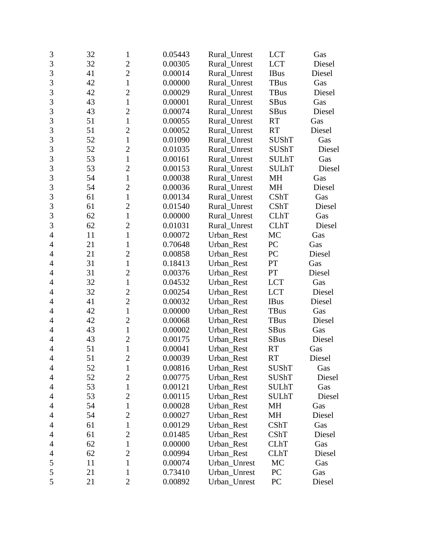| 3              | 32 | $\mathbf{1}$   | 0.05443 | Rural_Unrest | <b>LCT</b>   | Gas    |
|----------------|----|----------------|---------|--------------|--------------|--------|
| $\overline{3}$ | 32 | $\overline{2}$ | 0.00305 | Rural Unrest | <b>LCT</b>   | Diesel |
| 3              | 41 | $\overline{2}$ | 0.00014 | Rural_Unrest | <b>IBus</b>  | Diesel |
| 3              | 42 | $\mathbf{1}$   | 0.00000 | Rural_Unrest | TBus         | Gas    |
| $\overline{3}$ | 42 | $\overline{2}$ | 0.00029 | Rural_Unrest | <b>TBus</b>  | Diesel |
| 3              | 43 | $\mathbf{1}$   | 0.00001 | Rural_Unrest | <b>SBus</b>  | Gas    |
| 3              | 43 | $\overline{2}$ | 0.00074 | Rural_Unrest | <b>SBus</b>  | Diesel |
| 3              | 51 | $\mathbf{1}$   | 0.00055 | Rural_Unrest | <b>RT</b>    | Gas    |
| $\overline{3}$ | 51 | $\overline{2}$ | 0.00052 | Rural_Unrest | <b>RT</b>    | Diesel |
| 3              | 52 | $\mathbf{1}$   | 0.01090 | Rural_Unrest | SUShT        | Gas    |
| 3              | 52 | $\overline{2}$ | 0.01035 | Rural_Unrest | <b>SUShT</b> | Diesel |
| $\overline{3}$ | 53 | $\mathbf{1}$   | 0.00161 | Rural_Unrest | <b>SULhT</b> | Gas    |
| 3              | 53 | $\overline{c}$ | 0.00153 | Rural_Unrest | <b>SULhT</b> | Diesel |
| 3              | 54 | $\mathbf{1}$   | 0.00038 | Rural_Unrest | MH           | Gas    |
| $\overline{3}$ | 54 | $\overline{2}$ | 0.00036 | Rural_Unrest | MH           | Diesel |
| 3              | 61 | $\mathbf{1}$   | 0.00134 | Rural_Unrest | CShT         | Gas    |
| 3              | 61 | $\overline{2}$ | 0.01540 | Rural_Unrest | CShT         | Diesel |
| 3              | 62 | $\mathbf{1}$   | 0.00000 | Rural_Unrest | <b>CLhT</b>  | Gas    |
| 3              | 62 | $\overline{2}$ | 0.01031 | Rural_Unrest | <b>CLhT</b>  | Diesel |
| $\overline{4}$ | 11 | $\mathbf{1}$   | 0.00072 | Urban_Rest   | MC           | Gas    |
| $\overline{4}$ | 21 | $\mathbf{1}$   | 0.70648 | Urban_Rest   | PC           | Gas    |
| 4              | 21 | $\overline{2}$ | 0.00858 | Urban_Rest   | PC           | Diesel |
| $\overline{4}$ | 31 | $\mathbf{1}$   | 0.18413 | Urban_Rest   | PT           | Gas    |
| $\overline{4}$ | 31 | $\overline{2}$ | 0.00376 | Urban_Rest   | PT           | Diesel |
| 4              | 32 | $\mathbf{1}$   | 0.04532 | Urban_Rest   | <b>LCT</b>   | Gas    |
| $\overline{4}$ | 32 | $\overline{c}$ | 0.00254 | Urban_Rest   | <b>LCT</b>   | Diesel |
| $\overline{4}$ | 41 | $\overline{2}$ | 0.00032 | Urban_Rest   | <b>IBus</b>  | Diesel |
| 4              | 42 | $\mathbf{1}$   | 0.00000 | Urban_Rest   | <b>TBus</b>  | Gas    |
| 4              | 42 | $\overline{2}$ | 0.00068 | Urban_Rest   | TBus         | Diesel |
| $\overline{4}$ | 43 | $\mathbf{1}$   | 0.00002 | Urban_Rest   | <b>SBus</b>  | Gas    |
| 4              | 43 | $\overline{2}$ | 0.00175 | Urban_Rest   | <b>SBus</b>  | Diesel |
| $\overline{4}$ | 51 | $\mathbf{1}$   | 0.00041 | Urban_Rest   | <b>RT</b>    | Gas    |
| $\overline{4}$ | 51 | $\overline{c}$ | 0.00039 | Urban_Rest   | RT           | Diesel |
| 4              | 52 | 1              | 0.00816 | Urban_Rest   | SUShT        | Gas    |
| 4              | 52 | $\overline{2}$ | 0.00775 | Urban_Rest   | SUShT        | Diesel |
| 4              | 53 | 1              | 0.00121 | Urban Rest   | <b>SULhT</b> | Gas    |
| 4              | 53 | $\overline{2}$ | 0.00115 | Urban_Rest   | <b>SULhT</b> | Diesel |
| 4              | 54 | $\mathbf{1}$   | 0.00028 | Urban Rest   | MH           | Gas    |
| 4              | 54 | $\overline{2}$ | 0.00027 | Urban_Rest   | MH           | Diesel |
| 4              | 61 | $\mathbf{1}$   | 0.00129 | Urban_Rest   | <b>CShT</b>  | Gas    |
| 4              | 61 | $\overline{c}$ | 0.01485 | Urban_Rest   | CShT         | Diesel |
| 4              | 62 | 1              | 0.00000 | Urban_Rest   | <b>CLhT</b>  | Gas    |
| $\overline{4}$ | 62 | $\overline{c}$ | 0.00994 | Urban_Rest   | <b>CLhT</b>  | Diesel |
| 5              | 11 | 1              | 0.00074 | Urban_Unrest | MC           | Gas    |
| 5              | 21 | $\mathbf{1}$   | 0.73410 | Urban_Unrest | PC           | Gas    |
| 5              | 21 | $\overline{2}$ | 0.00892 | Urban_Unrest | PC           | Diesel |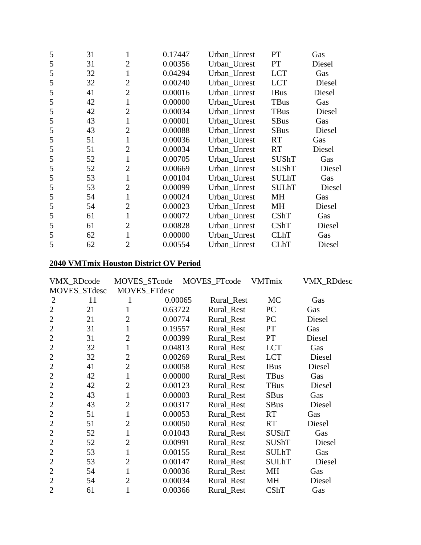| 5 | 31 | 1              | 0.17447 | Urban_Unrest | PT           | Gas    |
|---|----|----------------|---------|--------------|--------------|--------|
| 5 | 31 | $\overline{2}$ | 0.00356 | Urban_Unrest | PT           | Diesel |
| 5 | 32 | 1              | 0.04294 | Urban_Unrest | <b>LCT</b>   | Gas    |
| 5 | 32 | $\overline{2}$ | 0.00240 | Urban_Unrest | <b>LCT</b>   | Diesel |
| 5 | 41 | $\overline{2}$ | 0.00016 | Urban_Unrest | <b>IBus</b>  | Diesel |
| 5 | 42 | 1              | 0.00000 | Urban_Unrest | <b>TBus</b>  | Gas    |
| 5 | 42 | $\overline{2}$ | 0.00034 | Urban_Unrest | TBus         | Diesel |
| 5 | 43 | 1              | 0.00001 | Urban_Unrest | <b>SBus</b>  | Gas    |
| 5 | 43 | $\overline{2}$ | 0.00088 | Urban Unrest | <b>SBus</b>  | Diesel |
| 5 | 51 | $\mathbf{1}$   | 0.00036 | Urban_Unrest | <b>RT</b>    | Gas    |
| 5 | 51 | $\overline{2}$ | 0.00034 | Urban_Unrest | <b>RT</b>    | Diesel |
| 5 | 52 | $\mathbf{1}$   | 0.00705 | Urban_Unrest | <b>SUShT</b> | Gas    |
| 5 | 52 | $\overline{2}$ | 0.00669 | Urban_Unrest | <b>SUShT</b> | Diesel |
| 5 | 53 | $\mathbf{1}$   | 0.00104 | Urban_Unrest | <b>SULhT</b> | Gas    |
| 5 | 53 | $\overline{2}$ | 0.00099 | Urban_Unrest | <b>SULhT</b> | Diesel |
| 5 | 54 | $\mathbf{1}$   | 0.00024 | Urban_Unrest | MH           | Gas    |
| 5 | 54 | $\overline{2}$ | 0.00023 | Urban_Unrest | <b>MH</b>    | Diesel |
| 5 | 61 | 1              | 0.00072 | Urban_Unrest | CShT         | Gas    |
| 5 | 61 | $\overline{2}$ | 0.00828 | Urban_Unrest | CShT         | Diesel |
| 5 | 62 | $\mathbf{1}$   | 0.00000 | Urban_Unrest | <b>CLhT</b>  | Gas    |
| 5 | 62 | $\overline{2}$ | 0.00554 | Urban_Unrest | <b>CLhT</b>  | Diesel |
|   |    |                |         |              |              |        |

# **2040 VMTmix Houston District OV Period**

|                | VMX_RDcode   | MOVES_STcode   |         | MOVES_FTcode | <b>VMTmix</b> | VMX_RDdesc |
|----------------|--------------|----------------|---------|--------------|---------------|------------|
|                | MOVES_STdesc | MOVES_FTdesc   |         |              |               |            |
| 2              | 11           | 1              | 0.00065 | Rural_Rest   | <b>MC</b>     | Gas        |
| $\overline{2}$ | 21           |                | 0.63722 | Rural_Rest   | PC            | Gas        |
| $\overline{2}$ | 21           | $\overline{2}$ | 0.00774 | Rural_Rest   | PC            | Diesel     |
| $\overline{2}$ | 31           | $\mathbf{1}$   | 0.19557 | Rural_Rest   | <b>PT</b>     | Gas        |
| $\overline{2}$ | 31           | $\overline{2}$ | 0.00399 | Rural_Rest   | PT            | Diesel     |
| $\overline{2}$ | 32           | 1              | 0.04813 | Rural_Rest   | <b>LCT</b>    | Gas        |
| $\overline{2}$ | 32           | $\overline{2}$ | 0.00269 | Rural Rest   | <b>LCT</b>    | Diesel     |
| $\overline{2}$ | 41           | $\overline{2}$ | 0.00058 | Rural_Rest   | <b>IBus</b>   | Diesel     |
| $\overline{2}$ | 42           | 1              | 0.00000 | Rural_Rest   | <b>TBus</b>   | Gas        |
| $\overline{2}$ | 42           | $\overline{2}$ | 0.00123 | Rural_Rest   | <b>TBus</b>   | Diesel     |
| $\overline{2}$ | 43           | $\mathbf{1}$   | 0.00003 | Rural_Rest   | <b>SBus</b>   | Gas        |
| $\overline{2}$ | 43           | $\overline{2}$ | 0.00317 | Rural Rest   | <b>SBus</b>   | Diesel     |
| $\overline{2}$ | 51           | 1              | 0.00053 | Rural_Rest   | <b>RT</b>     | Gas        |
| $\overline{2}$ | 51           | $\overline{2}$ | 0.00050 | Rural_Rest   | <b>RT</b>     | Diesel     |
| $\overline{2}$ | 52           | 1              | 0.01043 | Rural Rest   | <b>SUShT</b>  | Gas        |
| $\overline{2}$ | 52           | $\overline{2}$ | 0.00991 | Rural_Rest   | <b>SUShT</b>  | Diesel     |
| $\overline{2}$ | 53           | $\mathbf{1}$   | 0.00155 | Rural_Rest   | <b>SULhT</b>  | Gas        |
| $\overline{2}$ | 53           | $\overline{2}$ | 0.00147 | Rural_Rest   | <b>SULhT</b>  | Diesel     |
| $\overline{2}$ | 54           |                | 0.00036 | Rural_Rest   | MH            | Gas        |
| $\overline{2}$ | 54           | $\overline{2}$ | 0.00034 | Rural_Rest   | <b>MH</b>     | Diesel     |
| $\overline{2}$ | 61           |                | 0.00366 | Rural Rest   | <b>CShT</b>   | Gas        |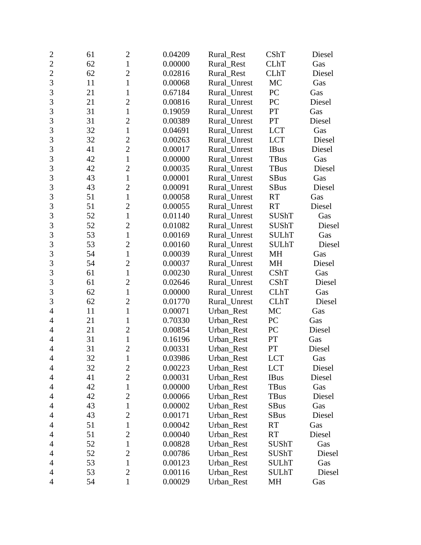| $\overline{2}$ | 61 | $\mathbf{2}$   | 0.04209 | Rural_Rest   | CShT         | Diesel |
|----------------|----|----------------|---------|--------------|--------------|--------|
| $\overline{2}$ | 62 | $\mathbf{1}$   | 0.00000 | Rural_Rest   | <b>CLhT</b>  | Gas    |
| $\overline{2}$ | 62 | $\overline{c}$ | 0.02816 | Rural_Rest   | <b>CLhT</b>  | Diesel |
| 3              | 11 | $\mathbf{1}$   | 0.00068 | Rural_Unrest | MC           | Gas    |
| $\overline{3}$ | 21 | $\mathbf{1}$   | 0.67184 | Rural_Unrest | PC           | Gas    |
| 3              | 21 | $\overline{2}$ | 0.00816 | Rural_Unrest | PC           | Diesel |
| 3              | 31 | $\mathbf{1}$   | 0.19059 | Rural_Unrest | PT           | Gas    |
| 3              | 31 | $\overline{2}$ | 0.00389 | Rural_Unrest | PT           | Diesel |
| 3              | 32 | $\mathbf{1}$   | 0.04691 | Rural_Unrest | <b>LCT</b>   | Gas    |
| 3              | 32 | $\overline{c}$ | 0.00263 | Rural_Unrest | <b>LCT</b>   | Diesel |
| 3              | 41 | $\overline{2}$ | 0.00017 | Rural_Unrest | <b>IBus</b>  | Diesel |
| $\overline{3}$ | 42 | $\mathbf{1}$   | 0.00000 | Rural_Unrest | <b>TBus</b>  | Gas    |
| 3              | 42 | $\overline{c}$ | 0.00035 | Rural_Unrest | <b>TBus</b>  | Diesel |
| 3              | 43 | $\mathbf{1}$   | 0.00001 | Rural_Unrest | <b>SBus</b>  | Gas    |
| $\overline{3}$ | 43 | $\overline{2}$ | 0.00091 | Rural_Unrest | <b>SBus</b>  | Diesel |
| 3              | 51 | $\mathbf{1}$   | 0.00058 | Rural Unrest | <b>RT</b>    | Gas    |
| 3              | 51 | $\overline{2}$ | 0.00055 | Rural_Unrest | <b>RT</b>    | Diesel |
| 3              | 52 | $\mathbf{1}$   | 0.01140 | Rural_Unrest | <b>SUShT</b> | Gas    |
| $\overline{3}$ | 52 | $\overline{2}$ | 0.01082 | Rural_Unrest | <b>SUShT</b> | Diesel |
| $\overline{3}$ | 53 | $\mathbf{1}$   | 0.00169 | Rural_Unrest | <b>SULhT</b> | Gas    |
| 3              | 53 | $\overline{2}$ | 0.00160 | Rural_Unrest | <b>SULhT</b> | Diesel |
| 3              | 54 | $\mathbf{1}$   | 0.00039 | Rural_Unrest | MH           | Gas    |
| 3              | 54 | $\overline{c}$ | 0.00037 | Rural_Unrest | MH           | Diesel |
| 3              | 61 | $\mathbf{1}$   | 0.00230 | Rural_Unrest | CShT         | Gas    |
| $\overline{3}$ | 61 | $\overline{2}$ | 0.02646 | Rural_Unrest | CShT         | Diesel |
| 3              | 62 | $\mathbf{1}$   | 0.00000 | Rural_Unrest | <b>CLhT</b>  | Gas    |
| 3              | 62 | $\mathfrak{2}$ | 0.01770 | Rural_Unrest | <b>CLhT</b>  | Diesel |
| $\overline{4}$ | 11 | $\mathbf{1}$   | 0.00071 | Urban_Rest   | MC           | Gas    |
| $\overline{4}$ | 21 | 1              | 0.70330 | Urban_Rest   | PC           | Gas    |
| $\overline{4}$ | 21 | $\overline{2}$ | 0.00854 | Urban_Rest   | PC           | Diesel |
| 4              | 31 | $\mathbf{1}$   | 0.16196 | Urban_Rest   | PT           | Gas    |
| 4              | 31 | $\overline{c}$ | 0.00331 | Urban_Rest   | PT           | Diesel |
| $\overline{4}$ | 32 | $\mathbf{1}$   | 0.03986 | Urban_Rest   | LCT          | Gas    |
| $\overline{4}$ | 32 | $\mathbf{2}$   | 0.00223 | Urban_Rest   | <b>LCT</b>   | Diesel |
| 4              | 41 | $\overline{2}$ | 0.00031 | Urban_Rest   | <b>IBus</b>  | Diesel |
| 4              | 42 | $\mathbf{1}$   | 0.00000 | Urban_Rest   | TBus         | Gas    |
| $\overline{4}$ | 42 | $\mathbf{2}$   | 0.00066 | Urban_Rest   | <b>TBus</b>  | Diesel |
| 4              | 43 | $\mathbf{1}$   | 0.00002 | Urban Rest   | <b>SBus</b>  | Gas    |
| $\overline{4}$ | 43 | $\overline{2}$ | 0.00171 | Urban_Rest   | <b>SBus</b>  | Diesel |
| $\overline{4}$ | 51 | 1              | 0.00042 | Urban_Rest   | <b>RT</b>    | Gas    |
| 4              | 51 | $\overline{2}$ | 0.00040 | Urban_Rest   | <b>RT</b>    | Diesel |
| 4              | 52 | $\mathbf 1$    | 0.00828 | Urban_Rest   | <b>SUShT</b> | Gas    |
| $\overline{4}$ | 52 | $\overline{2}$ | 0.00786 | Urban_Rest   | SUShT        | Diesel |
| $\overline{4}$ | 53 | $\mathbf{1}$   | 0.00123 | Urban_Rest   | <b>SULhT</b> | Gas    |
| 4              | 53 | $\overline{2}$ | 0.00116 | Urban_Rest   | <b>SULhT</b> | Diesel |
| $\overline{4}$ | 54 | $\mathbf{1}$   | 0.00029 | Urban_Rest   | MH           | Gas    |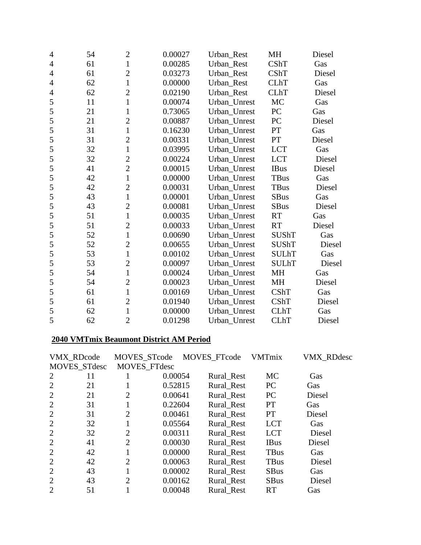| $\overline{4}$ | 54 | $\overline{c}$ | 0.00027 | Urban_Rest   | MH           | Diesel |
|----------------|----|----------------|---------|--------------|--------------|--------|
| $\overline{4}$ | 61 | $\mathbf{1}$   | 0.00285 | Urban Rest   | <b>CShT</b>  | Gas    |
| $\overline{4}$ | 61 | $\overline{2}$ | 0.03273 | Urban Rest   | <b>CShT</b>  | Diesel |
| 4              | 62 | $\mathbf{1}$   | 0.00000 | Urban_Rest   | <b>CLhT</b>  | Gas    |
| 4              | 62 | $\overline{2}$ | 0.02190 | Urban_Rest   | <b>CLhT</b>  | Diesel |
| 5              | 11 | $\mathbf{1}$   | 0.00074 | Urban_Unrest | MC           | Gas    |
| 5              | 21 | $\mathbf{1}$   | 0.73065 | Urban_Unrest | PC           | Gas    |
| 5              | 21 | $\overline{2}$ | 0.00887 | Urban_Unrest | PC           | Diesel |
| 5              | 31 | $\mathbf{1}$   | 0.16230 | Urban Unrest | PT           | Gas    |
| 5              | 31 | $\overline{c}$ | 0.00331 | Urban_Unrest | PT           | Diesel |
| 5              | 32 | $\mathbf{1}$   | 0.03995 | Urban Unrest | <b>LCT</b>   | Gas    |
| 5              | 32 | $\overline{2}$ | 0.00224 | Urban_Unrest | <b>LCT</b>   | Diesel |
| 5              | 41 | $\overline{c}$ | 0.00015 | Urban_Unrest | <b>IBus</b>  | Diesel |
| 5              | 42 | $\mathbf{1}$   | 0.00000 | Urban_Unrest | <b>TBus</b>  | Gas    |
| 5              | 42 | $\overline{2}$ | 0.00031 | Urban Unrest | TBus         | Diesel |
| 5              | 43 | $\mathbf{1}$   | 0.00001 | Urban_Unrest | <b>SBus</b>  | Gas    |
| 5              | 43 | $\overline{2}$ | 0.00081 | Urban_Unrest | <b>SBus</b>  | Diesel |
| 5              | 51 | $\mathbf{1}$   | 0.00035 | Urban Unrest | <b>RT</b>    | Gas    |
| 5              | 51 | $\overline{c}$ | 0.00033 | Urban_Unrest | <b>RT</b>    | Diesel |
| 5              | 52 | $\mathbf{1}$   | 0.00690 | Urban_Unrest | <b>SUShT</b> | Gas    |
| 5              | 52 | $\overline{2}$ | 0.00655 | Urban Unrest | <b>SUShT</b> | Diesel |
| 5              | 53 | $\mathbf{1}$   | 0.00102 | Urban_Unrest | <b>SULhT</b> | Gas    |
| 5              | 53 | $\overline{2}$ | 0.00097 | Urban_Unrest | <b>SULhT</b> | Diesel |
| 5              | 54 | $\mathbf{1}$   | 0.00024 | Urban Unrest | <b>MH</b>    | Gas    |
| 5              | 54 | $\overline{c}$ | 0.00023 | Urban_Unrest | <b>MH</b>    | Diesel |
| 5              | 61 | $\mathbf{1}$   | 0.00169 | Urban_Unrest | CShT         | Gas    |
| 5              | 61 | $\overline{2}$ | 0.01940 | Urban_Unrest | CShT         | Diesel |
| 5              | 62 | $\mathbf{1}$   | 0.00000 | Urban_Unrest | <b>CLhT</b>  | Gas    |
| 5              | 62 | $\overline{2}$ | 0.01298 | Urban Unrest | <b>CLhT</b>  | Diesel |

# **2040 VMTmix Beaumont District AM Period**

|                | <b>VMX RDcode</b> | MOVES_STcode   |         | MOVES_FTcode | <b>VMTmix</b> | <b>VMX RDdesc</b> |
|----------------|-------------------|----------------|---------|--------------|---------------|-------------------|
|                | MOVES_STdesc      | MOVES_FTdesc   |         |              |               |                   |
| 2              | 11                |                | 0.00054 | Rural_Rest   | <b>MC</b>     | Gas               |
| $\overline{2}$ | 21                | 1              | 0.52815 | Rural Rest   | PC            | Gas               |
| $\overline{2}$ | 21                | $\overline{2}$ | 0.00641 | Rural Rest   | PC            | Diesel            |
| $\overline{2}$ | 31                | 1              | 0.22604 | Rural Rest   | <b>PT</b>     | Gas               |
| $\overline{2}$ | 31                | $\overline{2}$ | 0.00461 | Rural Rest   | <b>PT</b>     | Diesel            |
| $\overline{2}$ | 32                | 1              | 0.05564 | Rural Rest   | <b>LCT</b>    | Gas               |
| $\overline{2}$ | 32                | $\overline{2}$ | 0.00311 | Rural Rest   | <b>LCT</b>    | Diesel            |
| $\overline{2}$ | 41                | $\overline{2}$ | 0.00030 | Rural Rest   | <b>IBus</b>   | Diesel            |
| $\overline{2}$ | 42                |                | 0.00000 | Rural Rest   | <b>TBus</b>   | Gas               |
| $\overline{2}$ | 42                | $\overline{2}$ | 0.00063 | Rural Rest   | <b>TBus</b>   | Diesel            |
| $\overline{2}$ | 43                |                | 0.00002 | Rural Rest   | <b>SBus</b>   | Gas               |
| $\overline{2}$ | 43                | $\overline{2}$ | 0.00162 | Rural_Rest   | <b>SBus</b>   | Diesel            |
| $\overline{2}$ | 51                |                | 0.00048 | Rural Rest   | <b>RT</b>     | Gas               |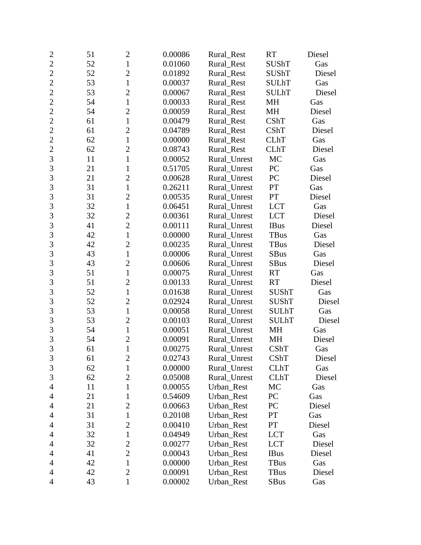| $\overline{c}$ | 51 | $\mathbf{2}$   | 0.00086 | Rural_Rest   | <b>RT</b>    | Diesel |
|----------------|----|----------------|---------|--------------|--------------|--------|
| $\overline{2}$ | 52 | $\mathbf{1}$   | 0.01060 | Rural Rest   | <b>SUShT</b> | Gas    |
| $\overline{2}$ | 52 | $\overline{c}$ | 0.01892 | Rural_Rest   | <b>SUShT</b> | Diesel |
| $\overline{2}$ | 53 | $\mathbf{1}$   | 0.00037 | Rural_Rest   | <b>SULhT</b> | Gas    |
| $\overline{2}$ | 53 | $\overline{2}$ | 0.00067 | Rural_Rest   | <b>SULhT</b> | Diesel |
| $\overline{2}$ | 54 | $\mathbf{1}$   | 0.00033 | Rural_Rest   | MH           | Gas    |
| $\overline{c}$ | 54 | $\mathfrak{2}$ | 0.00059 | Rural_Rest   | MH           | Diesel |
| $\overline{2}$ | 61 | $\mathbf{1}$   | 0.00479 | Rural_Rest   | CShT         | Gas    |
| $\overline{2}$ | 61 | $\overline{2}$ | 0.04789 | Rural Rest   | CShT         | Diesel |
| $\overline{2}$ | 62 | $\mathbf{1}$   | 0.00000 | Rural Rest   | <b>CLhT</b>  | Gas    |
| $\overline{c}$ | 62 | $\overline{2}$ | 0.08743 | Rural_Rest   | <b>CLhT</b>  | Diesel |
| $\overline{3}$ | 11 | $\mathbf{1}$   | 0.00052 | Rural_Unrest | MC           | Gas    |
| 3              | 21 | $\mathbf{1}$   | 0.51705 | Rural_Unrest | PC           | Gas    |
| 3              | 21 | $\overline{2}$ | 0.00628 | Rural_Unrest | PC           | Diesel |
| $\overline{3}$ | 31 | $\mathbf{1}$   | 0.26211 | Rural Unrest | PT           | Gas    |
| 3              | 31 | $\overline{2}$ | 0.00535 | Rural_Unrest | PT           | Diesel |
| 3              | 32 | $\mathbf{1}$   | 0.06451 | Rural_Unrest | <b>LCT</b>   | Gas    |
| 3              | 32 | $\overline{c}$ | 0.00361 | Rural_Unrest | <b>LCT</b>   | Diesel |
| 3              | 41 | $\overline{2}$ | 0.00111 | Rural_Unrest | <b>IBus</b>  | Diesel |
| 3              | 42 | $\mathbf{1}$   | 0.00000 | Rural_Unrest | TBus         | Gas    |
| 3              | 42 | $\overline{2}$ | 0.00235 | Rural Unrest | <b>TBus</b>  | Diesel |
| 3              | 43 | $\mathbf{1}$   | 0.00006 | Rural_Unrest | <b>SBus</b>  | Gas    |
| 3              | 43 | $\overline{c}$ | 0.00606 | Rural_Unrest | SBus         | Diesel |
| 3              | 51 | $\mathbf{1}$   | 0.00075 | Rural_Unrest | <b>RT</b>    | Gas    |
| $\overline{3}$ | 51 | $\overline{2}$ | 0.00133 | Rural_Unrest | <b>RT</b>    | Diesel |
| 3              | 52 | $\mathbf{1}$   | 0.01638 | Rural_Unrest | <b>SUShT</b> | Gas    |
| 3              | 52 | $\mathfrak{2}$ | 0.02924 | Rural_Unrest | <b>SUShT</b> | Diesel |
| $\overline{3}$ | 53 | $\mathbf{1}$   | 0.00058 | Rural_Unrest | <b>SULhT</b> | Gas    |
| 3              | 53 | $\overline{2}$ | 0.00103 | Rural_Unrest | <b>SULhT</b> | Diesel |
| 3              | 54 | $\mathbf{1}$   | 0.00051 | Rural_Unrest | MH           | Gas    |
| 3              | 54 | $\overline{c}$ | 0.00091 | Rural_Unrest | MH           | Diesel |
| $\overline{3}$ | 61 | $\mathbf{1}$   | 0.00275 | Rural Unrest | <b>CShT</b>  | Gas    |
| 3              | 61 | $\overline{c}$ | 0.02743 | Rural_Unrest | CShT         | Diesel |
| $\mathfrak{Z}$ | 62 | $\mathbf{1}$   | 0.00000 | Rural_Unrest | <b>CLhT</b>  | Gas    |
| 3              | 62 | $\overline{2}$ | 0.05008 | Rural_Unrest | <b>CLhT</b>  | Diesel |
| 4              | 11 | $\mathbf{1}$   | 0.00055 | Urban_Rest   | MC           | Gas    |
| $\overline{4}$ | 21 | 1              | 0.54609 | Urban_Rest   | PC           | Gas    |
| 4              | 21 | $\overline{2}$ | 0.00663 | Urban_Rest   | PC           | Diesel |
| $\overline{4}$ | 31 | 1              | 0.20108 | Urban_Rest   | PT           | Gas    |
| $\overline{4}$ | 31 | $\overline{2}$ | 0.00410 | Urban_Rest   | PT           | Diesel |
| 4              | 32 | $\mathbf{1}$   | 0.04949 | Urban_Rest   | <b>LCT</b>   | Gas    |
| 4              | 32 | $\overline{c}$ | 0.00277 | Urban Rest   | <b>LCT</b>   | Diesel |
| $\overline{4}$ | 41 | $\overline{2}$ | 0.00043 | Urban_Rest   | <b>IBus</b>  | Diesel |
| 4              | 42 | $\mathbf{1}$   | 0.00000 | Urban_Rest   | <b>TBus</b>  | Gas    |
| 4              | 42 | $\overline{2}$ | 0.00091 | Urban_Rest   | TBus         | Diesel |
| $\overline{4}$ | 43 | $\mathbf{1}$   | 0.00002 | Urban_Rest   | <b>SBus</b>  | Gas    |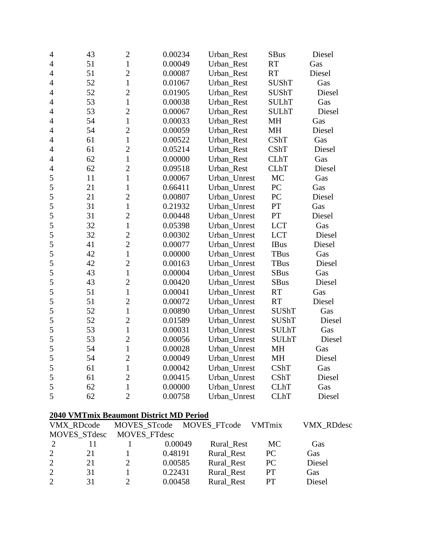| $\overline{4}$ | 43 | $\overline{c}$ | 0.00234 | Urban_Rest   | <b>SBus</b>  | Diesel |
|----------------|----|----------------|---------|--------------|--------------|--------|
| $\overline{4}$ | 51 | $\mathbf{1}$   | 0.00049 | Urban_Rest   | <b>RT</b>    | Gas    |
| $\overline{4}$ | 51 | $\overline{2}$ | 0.00087 | Urban_Rest   | <b>RT</b>    | Diesel |
| $\overline{4}$ | 52 | $\mathbf{1}$   | 0.01067 | Urban_Rest   | <b>SUShT</b> | Gas    |
| $\overline{4}$ | 52 | $\overline{c}$ | 0.01905 | Urban_Rest   | <b>SUShT</b> | Diesel |
| $\overline{4}$ | 53 | $\mathbf{1}$   | 0.00038 | Urban_Rest   | <b>SULhT</b> | Gas    |
| $\overline{4}$ | 53 | $\overline{2}$ | 0.00067 | Urban_Rest   | <b>SULhT</b> | Diesel |
| $\overline{4}$ | 54 | $\mathbf{1}$   | 0.00033 | Urban_Rest   | MH           | Gas    |
| $\overline{4}$ | 54 | $\overline{2}$ | 0.00059 | Urban_Rest   | MH           | Diesel |
| $\overline{4}$ | 61 | $\mathbf{1}$   | 0.00522 | Urban_Rest   | <b>CShT</b>  | Gas    |
| $\overline{4}$ | 61 | $\overline{c}$ | 0.05214 | Urban_Rest   | <b>CShT</b>  | Diesel |
| $\overline{4}$ | 62 | $\mathbf{1}$   | 0.00000 | Urban_Rest   | <b>CLhT</b>  | Gas    |
| $\overline{4}$ | 62 | $\overline{c}$ | 0.09518 | Urban_Rest   | <b>CLhT</b>  | Diesel |
| 5              | 11 | $\mathbf{1}$   | 0.00067 | Urban_Unrest | MC           | Gas    |
| 5              | 21 | $\mathbf{1}$   | 0.66411 | Urban_Unrest | PC           | Gas    |
| 5              | 21 | $\overline{2}$ | 0.00807 | Urban_Unrest | PC           | Diesel |
| 5              | 31 | $\mathbf{1}$   | 0.21932 | Urban Unrest | PT           | Gas    |
| 5              | 31 | $\overline{2}$ | 0.00448 | Urban_Unrest | PT           | Diesel |
| 5              | 32 | $\mathbf{1}$   | 0.05398 | Urban_Unrest | <b>LCT</b>   | Gas    |
| 5              | 32 | $\overline{2}$ | 0.00302 | Urban_Unrest | <b>LCT</b>   | Diesel |
| 5              | 41 | $\overline{2}$ | 0.00077 | Urban_Unrest | <b>IBus</b>  | Diesel |
| 5              | 42 | $\mathbf{1}$   | 0.00000 | Urban_Unrest | <b>TBus</b>  | Gas    |
| 5              | 42 | $\overline{2}$ | 0.00163 | Urban_Unrest | <b>TBus</b>  | Diesel |
| 5              | 43 | $\mathbf{1}$   | 0.00004 | Urban_Unrest | <b>SBus</b>  | Gas    |
| 5              | 43 | $\overline{2}$ | 0.00420 | Urban_Unrest | <b>SBus</b>  | Diesel |
| 5              | 51 | $\mathbf{1}$   | 0.00041 | Urban_Unrest | RT           | Gas    |
| 5              | 51 | $\overline{2}$ | 0.00072 | Urban_Unrest | <b>RT</b>    | Diesel |
| 5              | 52 | $\mathbf{1}$   | 0.00890 | Urban_Unrest | <b>SUShT</b> | Gas    |
| 5              | 52 | $\overline{2}$ | 0.01589 | Urban_Unrest | <b>SUShT</b> | Diesel |
| 5              | 53 | $\mathbf{1}$   | 0.00031 | Urban_Unrest | <b>SULhT</b> | Gas    |
| 5              | 53 | $\overline{2}$ | 0.00056 | Urban_Unrest | <b>SULhT</b> | Diesel |
| 5              | 54 | $\mathbf{1}$   | 0.00028 | Urban_Unrest | <b>MH</b>    | Gas    |
| 5              | 54 | $\overline{c}$ | 0.00049 | Urban_Unrest | MH           | Diesel |
| 5              | 61 | $\mathbf{1}$   | 0.00042 | Urban_Unrest | CShT         | Gas    |
| 5              | 61 | $\overline{2}$ | 0.00415 | Urban_Unrest | <b>CShT</b>  | Diesel |
| 5              | 62 | $\mathbf{1}$   | 0.00000 | Urban_Unrest | <b>CLhT</b>  | Gas    |
| 5              | 62 | $\overline{2}$ | 0.00758 | Urban_Unrest | <b>CLhT</b>  | Diesel |
|                |    |                |         |              |              |        |

# **2040 VMTmix Beaumont District MD Period**

|                             | VMX RDcode          |                     | MOVES STcode MOVES FTcode |            | VMTmix    | <b>VMX RDdesc</b> |
|-----------------------------|---------------------|---------------------|---------------------------|------------|-----------|-------------------|
|                             | <b>MOVES STdesc</b> | <b>MOVES FTdesc</b> |                           |            |           |                   |
| $\mathcal{D}_{\mathcal{L}}$ |                     |                     | 0.00049                   | Rural Rest | MC        | Gas               |
| 2                           | 21                  |                     | 0.48191                   | Rural Rest | PC        | Gas               |
| 2                           | 21                  |                     | 0.00585                   | Rural Rest | PC        | Diesel            |
| 2                           | 31                  |                     | 0.22431                   | Rural Rest | <b>PT</b> | Gas               |
| $\mathcal{D}_{\mathcal{L}}$ | 31                  |                     | 0.00458                   | Rural Rest | PT        | Diesel            |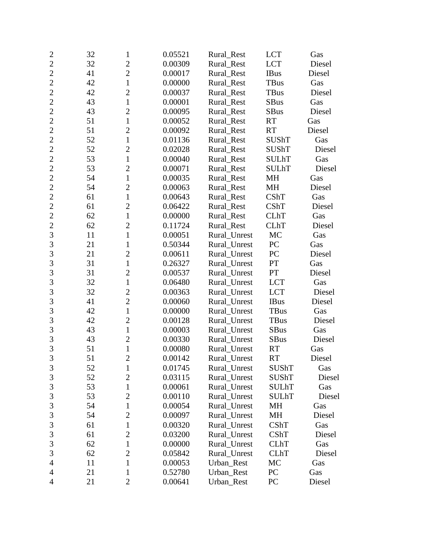| $\overline{2}$ | 32 | 1              | 0.05521 | Rural_Rest   | <b>LCT</b>   | Gas    |
|----------------|----|----------------|---------|--------------|--------------|--------|
| $\overline{2}$ | 32 | $\overline{c}$ | 0.00309 | Rural Rest   | <b>LCT</b>   | Diesel |
| $\overline{2}$ | 41 | $\overline{2}$ | 0.00017 | Rural_Rest   | <b>IBus</b>  | Diesel |
| $\overline{2}$ | 42 | $\mathbf{1}$   | 0.00000 | Rural_Rest   | TBus         | Gas    |
| $\overline{2}$ | 42 | $\overline{2}$ | 0.00037 | Rural_Rest   | TBus         | Diesel |
| $\overline{2}$ | 43 | $\mathbf{1}$   | 0.00001 | Rural_Rest   | <b>SBus</b>  | Gas    |
| $\overline{2}$ | 43 | $\mathfrak{2}$ | 0.00095 | Rural_Rest   | <b>SBus</b>  | Diesel |
| $\overline{2}$ | 51 | $\mathbf{1}$   | 0.00052 | Rural_Rest   | <b>RT</b>    | Gas    |
| $\overline{2}$ | 51 | $\overline{2}$ | 0.00092 | Rural_Rest   | <b>RT</b>    | Diesel |
| $\overline{2}$ | 52 | $\mathbf{1}$   | 0.01136 | Rural_Rest   | <b>SUShT</b> | Gas    |
| $\overline{2}$ | 52 | $\overline{2}$ | 0.02028 | Rural_Rest   | <b>SUShT</b> | Diesel |
| $\overline{c}$ | 53 | $\mathbf{1}$   | 0.00040 | Rural_Rest   | <b>SULhT</b> | Gas    |
| $\overline{2}$ | 53 | $\overline{2}$ | 0.00071 | Rural_Rest   | <b>SULhT</b> | Diesel |
| $\overline{2}$ | 54 | $\mathbf{1}$   | 0.00035 | Rural_Rest   | MH           | Gas    |
| $\overline{2}$ | 54 | $\overline{2}$ | 0.00063 | Rural_Rest   | <b>MH</b>    | Diesel |
| $\overline{2}$ | 61 | $\mathbf{1}$   | 0.00643 | Rural_Rest   | CShT         | Gas    |
| $\overline{c}$ | 61 | $\overline{2}$ | 0.06422 | Rural_Rest   | CShT         | Diesel |
| $\overline{2}$ | 62 | $\mathbf{1}$   | 0.00000 | Rural_Rest   | <b>CLhT</b>  | Gas    |
| $\overline{2}$ | 62 | $\overline{2}$ | 0.11724 | Rural Rest   | <b>CLhT</b>  | Diesel |
| 3              | 11 | $\mathbf{1}$   | 0.00051 | Rural Unrest | MC           | Gas    |
| 3              | 21 | $\mathbf{1}$   | 0.50344 | Rural Unrest | PC           | Gas    |
| 3              | 21 | $\overline{2}$ | 0.00611 | Rural_Unrest | PC           | Diesel |
| 3              | 31 | $\mathbf{1}$   | 0.26327 | Rural_Unrest | PT           | Gas    |
| 3              | 31 | $\overline{2}$ | 0.00537 | Rural_Unrest | PT           | Diesel |
| $\overline{3}$ | 32 | $\mathbf{1}$   | 0.06480 | Rural_Unrest | <b>LCT</b>   | Gas    |
| 3              | 32 | $\overline{c}$ | 0.00363 | Rural_Unrest | <b>LCT</b>   | Diesel |
| 3              | 41 | $\overline{c}$ | 0.00060 | Rural_Unrest | <b>IBus</b>  | Diesel |
| $\overline{3}$ | 42 | $\mathbf{1}$   | 0.00000 | Rural_Unrest | TBus         | Gas    |
| 3              | 42 | $\overline{2}$ | 0.00128 | Rural_Unrest | TBus         | Diesel |
| 3              | 43 | $\mathbf{1}$   | 0.00003 | Rural_Unrest | <b>SBus</b>  | Gas    |
| 3              | 43 | $\overline{2}$ | 0.00330 | Rural_Unrest | <b>SBus</b>  | Diesel |
| $\overline{3}$ | 51 | $\mathbf{1}$   | 0.00080 | Rural_Unrest | <b>RT</b>    | Gas    |
| 3              | 51 | $\overline{c}$ | 0.00142 | Rural_Unrest | RT           | Diesel |
| $\mathfrak{Z}$ | 52 | 1              | 0.01745 | Rural_Unrest | SUShT        | Gas    |
| 3              | 52 | $\overline{2}$ | 0.03115 | Rural Unrest | <b>SUShT</b> | Diesel |
| $\mathfrak{Z}$ | 53 | $\mathbf{1}$   | 0.00061 | Rural_Unrest | <b>SULhT</b> | Gas    |
| $\mathfrak{Z}$ | 53 | $\mathbf{2}$   | 0.00110 | Rural_Unrest | <b>SULhT</b> | Diesel |
| 3              | 54 | 1              | 0.00054 | Rural_Unrest | MH           | Gas    |
| $\mathfrak{Z}$ | 54 | $\overline{2}$ | 0.00097 | Rural_Unrest | MH           | Diesel |
| 3              | 61 | 1              | 0.00320 | Rural_Unrest | <b>CShT</b>  | Gas    |
| $\mathfrak{Z}$ | 61 | $\overline{2}$ | 0.03200 | Rural_Unrest | CShT         | Diesel |
| 3              | 62 | $\mathbf 1$    | 0.00000 | Rural_Unrest | <b>CLhT</b>  | Gas    |
| $\mathfrak{Z}$ | 62 | $\overline{2}$ | 0.05842 | Rural_Unrest | <b>CLhT</b>  | Diesel |
| $\overline{4}$ | 11 | $\mathbf{1}$   | 0.00053 | Urban_Rest   | MC           | Gas    |
| 4              | 21 | 1              | 0.52780 | Urban_Rest   | PC           | Gas    |
| $\overline{4}$ | 21 | $\overline{2}$ | 0.00641 | Urban_Rest   | PC           | Diesel |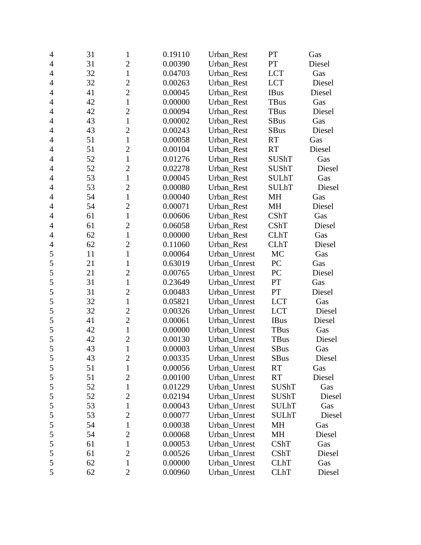| $\overline{4}$ | 31 | $\mathbf{1}$   | 0.19110 | Urban_Rest   | PT           | Gas    |  |
|----------------|----|----------------|---------|--------------|--------------|--------|--|
| $\overline{4}$ | 31 | $\overline{2}$ | 0.00390 | Urban_Rest   | PT           | Diesel |  |
| $\overline{4}$ | 32 | $\mathbf{1}$   | 0.04703 | Urban_Rest   | <b>LCT</b>   | Gas    |  |
| $\overline{4}$ | 32 | $\overline{2}$ | 0.00263 | Urban_Rest   | <b>LCT</b>   | Diesel |  |
| $\overline{4}$ | 41 | $\overline{2}$ | 0.00045 | Urban_Rest   | <b>IBus</b>  | Diesel |  |
| $\overline{4}$ | 42 | $\mathbf{1}$   | 0.00000 | Urban Rest   | <b>TBus</b>  | Gas    |  |
| $\overline{4}$ | 42 | $\overline{2}$ | 0.00094 | Urban_Rest   | <b>TBus</b>  | Diesel |  |
| $\overline{4}$ | 43 | $\mathbf{1}$   | 0.00002 | Urban Rest   | <b>SBus</b>  | Gas    |  |
| $\overline{4}$ | 43 | $\overline{2}$ | 0.00243 | Urban_Rest   | <b>SBus</b>  | Diesel |  |
| $\overline{4}$ | 51 | $\mathbf{1}$   | 0.00058 | Urban_Rest   | RT           | Gas    |  |
| $\overline{4}$ | 51 | $\overline{2}$ | 0.00104 | Urban Rest   | <b>RT</b>    | Diesel |  |
| 4              | 52 | $\mathbf{1}$   | 0.01276 | Urban_Rest   | SUShT        | Gas    |  |
| $\overline{4}$ | 52 | $\overline{2}$ | 0.02278 | Urban_Rest   | <b>SUShT</b> | Diesel |  |
| $\overline{4}$ | 53 | $\mathbf{1}$   | 0.00045 | Urban_Rest   | <b>SULhT</b> | Gas    |  |
| $\overline{4}$ | 53 | $\overline{2}$ | 0.00080 | Urban Rest   | <b>SULhT</b> | Diesel |  |
| $\overline{4}$ | 54 | $\mathbf{1}$   | 0.00040 | Urban_Rest   | MH           | Gas    |  |
| $\overline{4}$ | 54 | $\overline{2}$ | 0.00071 | Urban_Rest   | MH           | Diesel |  |
| 4              | 61 | $\mathbf{1}$   | 0.00606 | Urban_Rest   | <b>CShT</b>  | Gas    |  |
| $\overline{4}$ | 61 | $\overline{2}$ | 0.06058 | Urban_Rest   | <b>CShT</b>  | Diesel |  |
| $\overline{4}$ | 62 | $\mathbf{1}$   | 0.00000 | Urban_Rest   | <b>CLhT</b>  | Gas    |  |
| $\overline{4}$ | 62 | $\overline{2}$ | 0.11060 | Urban_Rest   | <b>CLhT</b>  | Diesel |  |
| 5              | 11 | $\mathbf{1}$   | 0.00064 | Urban_Unrest | MC           | Gas    |  |
| 5              | 21 | $\mathbf{1}$   | 0.63019 | Urban_Unrest | PC           | Gas    |  |
| 5              | 21 | $\overline{2}$ | 0.00765 | Urban_Unrest | PC           | Diesel |  |
| 5              | 31 | $\mathbf{1}$   | 0.23649 | Urban_Unrest | PT           | Gas    |  |
| 5              | 31 | $\overline{2}$ | 0.00483 | Urban_Unrest | PT           | Diesel |  |
| 5              | 32 | $\mathbf{1}$   | 0.05821 | Urban_Unrest | <b>LCT</b>   | Gas    |  |
| 5              | 32 | $\overline{2}$ | 0.00326 | Urban_Unrest | <b>LCT</b>   | Diesel |  |
| 5              | 41 | $\overline{2}$ | 0.00061 | Urban_Unrest | <b>IBus</b>  | Diesel |  |
| 5              | 42 | $\mathbf{1}$   | 0.00000 | Urban_Unrest | TBus         | Gas    |  |
| 5              | 42 | $\overline{2}$ | 0.00130 | Urban_Unrest | <b>TBus</b>  | Diesel |  |
| 5              | 43 | $\mathbf{1}$   | 0.00003 | Urban_Unrest | <b>SBus</b>  | Gas    |  |
| 5              | 43 | $\overline{c}$ | 0.00335 | Urban_Unrest | SBus         | Diesel |  |
| 5              | 51 | $\mathbf{1}$   | 0.00056 | Urban_Unrest | <b>RT</b>    | Gas    |  |
| 5              | 51 | $\overline{2}$ | 0.00100 | Urban_Unrest | RT           | Diesel |  |
| 5              | 52 | 1              | 0.01229 | Urban_Unrest | <b>SUShT</b> | Gas    |  |
| 5              | 52 | $\overline{2}$ | 0.02194 | Urban_Unrest | <b>SUShT</b> | Diesel |  |
| 5              | 53 | 1              | 0.00043 | Urban_Unrest | <b>SULhT</b> | Gas    |  |
| 5              | 53 | $\mathfrak{2}$ | 0.00077 | Urban_Unrest | <b>SULhT</b> | Diesel |  |
| 5              | 54 | 1              | 0.00038 | Urban_Unrest | MH           | Gas    |  |
| 5              | 54 | $\mathbf{2}$   | 0.00068 | Urban_Unrest | MH           | Diesel |  |
| 5              | 61 | 1              | 0.00053 | Urban_Unrest | CShT         | Gas    |  |
| 5              | 61 | $\overline{2}$ | 0.00526 | Urban_Unrest | CShT         | Diesel |  |
| 5              | 62 | 1              | 0.00000 | Urban_Unrest | <b>CLhT</b>  | Gas    |  |
| 5              | 62 | $\overline{2}$ | 0.00960 | Urban_Unrest | <b>CLhT</b>  | Diesel |  |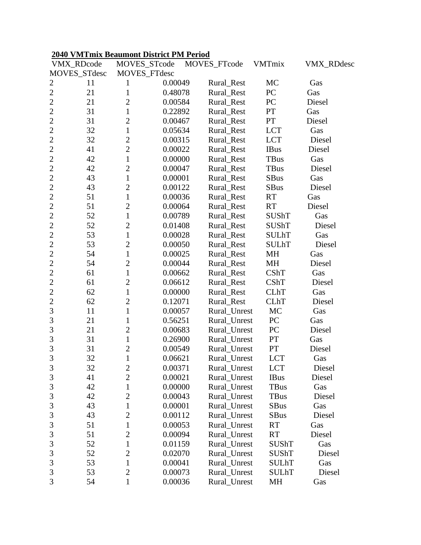#### **2040 VMTmix Beaumont District PM Period**

|                | VMX_RDcode   | MOVES_STcode   |         | MOVES_FTcode | <b>VMTmix</b> | <b>VMX_RDdesc</b> |
|----------------|--------------|----------------|---------|--------------|---------------|-------------------|
|                | MOVES_STdesc | MOVES_FTdesc   |         |              |               |                   |
| 2              | 11           | 1              | 0.00049 | Rural_Rest   | MC            | Gas               |
| $\overline{c}$ | 21           | 1              | 0.48078 | Rural_Rest   | PC            | Gas               |
| $\overline{c}$ | 21           | $\overline{c}$ | 0.00584 | Rural_Rest   | PC            | Diesel            |
| $\overline{2}$ | 31           | $\mathbf{1}$   | 0.22892 | Rural_Rest   | PT            | Gas               |
| $\overline{2}$ | 31           | $\overline{2}$ | 0.00467 | Rural_Rest   | PT            | Diesel            |
| $\overline{2}$ | 32           | 1              | 0.05634 | Rural_Rest   | <b>LCT</b>    | Gas               |
| $\overline{2}$ | 32           | $\overline{c}$ | 0.00315 | Rural_Rest   | <b>LCT</b>    | Diesel            |
| $\overline{2}$ | 41           | $\overline{2}$ | 0.00022 | Rural_Rest   | <b>IBus</b>   | Diesel            |
| $\overline{c}$ | 42           | $\mathbf{1}$   | 0.00000 | Rural_Rest   | <b>TBus</b>   | Gas               |
| $\overline{2}$ | 42           | $\overline{2}$ | 0.00047 | Rural_Rest   | <b>TBus</b>   | Diesel            |
| $\overline{c}$ | 43           | $\mathbf{1}$   | 0.00001 | Rural_Rest   | <b>SBus</b>   | Gas               |
| $\overline{2}$ | 43           | $\overline{2}$ | 0.00122 | Rural_Rest   | <b>SBus</b>   | Diesel            |
| $\overline{c}$ | 51           | $\mathbf{1}$   | 0.00036 | Rural_Rest   | <b>RT</b>     | Gas               |
| $\overline{c}$ | 51           | $\overline{c}$ | 0.00064 | Rural_Rest   | <b>RT</b>     | Diesel            |
| $\overline{2}$ | 52           | $\mathbf{1}$   | 0.00789 | Rural_Rest   | <b>SUShT</b>  | Gas               |
| $\overline{c}$ | 52           | $\overline{2}$ | 0.01408 | Rural_Rest   | <b>SUShT</b>  | Diesel            |
| $\overline{2}$ | 53           | $\mathbf{1}$   | 0.00028 | Rural_Rest   | <b>SULhT</b>  | Gas               |
| $\overline{c}$ | 53           | $\overline{2}$ | 0.00050 | Rural_Rest   | <b>SULhT</b>  | Diesel            |
| $\overline{c}$ | 54           | $\mathbf{1}$   | 0.00025 | Rural Rest   | MH            | Gas               |
| $\overline{2}$ | 54           | $\overline{c}$ | 0.00044 | Rural_Rest   | MH            | Diesel            |
| $\overline{c}$ | 61           | $\mathbf{1}$   | 0.00662 | Rural_Rest   | CShT          | Gas               |
| $\overline{2}$ | 61           | $\overline{2}$ | 0.06612 | Rural_Rest   | CShT          | Diesel            |
| $\overline{c}$ | 62           | $\mathbf{1}$   | 0.00000 | Rural_Rest   | <b>CLhT</b>   | Gas               |
| $\overline{2}$ | 62           | $\overline{2}$ | 0.12071 | Rural_Rest   | <b>CLhT</b>   | Diesel            |
| 3              | 11           | $\mathbf{1}$   | 0.00057 | Rural_Unrest | MC            | Gas               |
| 3              | 21           | $\mathbf{1}$   | 0.56251 | Rural_Unrest | PC            | Gas               |
| 3              | 21           | $\overline{2}$ | 0.00683 | Rural_Unrest | PC            | Diesel            |
| 3              | 31           | $\mathbf{1}$   | 0.26900 | Rural_Unrest | PT            | Gas               |
| 3              | 31           | $\overline{2}$ | 0.00549 | Rural_Unrest | PT            | Diesel            |
| 3              | 32           | $\mathbf{1}$   | 0.06621 | Rural_Unrest | <b>LCT</b>    | Gas               |
| 3              | 32           | $\overline{c}$ | 0.00371 | Rural_Unrest | <b>LCT</b>    | Diesel            |
| $\mathfrak{Z}$ | 41           | $\overline{2}$ | 0.00021 | Rural_Unrest | <b>IBus</b>   | Diesel            |
| 3              | 42           | $\mathbf{1}$   | 0.00000 | Rural_Unrest | TBus          | Gas               |
| 3              | 42           | $\overline{2}$ | 0.00043 | Rural Unrest | TBus          | Diesel            |
| 3              | 43           | $\mathbf{1}$   | 0.00001 | Rural Unrest | <b>SBus</b>   | Gas               |
| 3              | 43           | $\overline{2}$ | 0.00112 | Rural_Unrest | <b>SBus</b>   | Diesel            |
| 3              | 51           | $\mathbf{1}$   | 0.00053 | Rural_Unrest | <b>RT</b>     | Gas               |
| 3              | 51           | $\overline{2}$ | 0.00094 | Rural_Unrest | <b>RT</b>     | Diesel            |
| 3              | 52           | $\mathbf{1}$   | 0.01159 | Rural_Unrest | <b>SUShT</b>  | Gas               |
| 3              | 52           | $\overline{c}$ | 0.02070 | Rural_Unrest | <b>SUShT</b>  | Diesel            |
| 3              | 53           | $\mathbf{1}$   | 0.00041 | Rural_Unrest | <b>SULhT</b>  | Gas               |
| 3              | 53           | $\overline{2}$ | 0.00073 | Rural_Unrest | <b>SULhT</b>  | Diesel            |
| 3              | 54           | $\mathbf{1}$   | 0.00036 | Rural_Unrest | MH            | Gas               |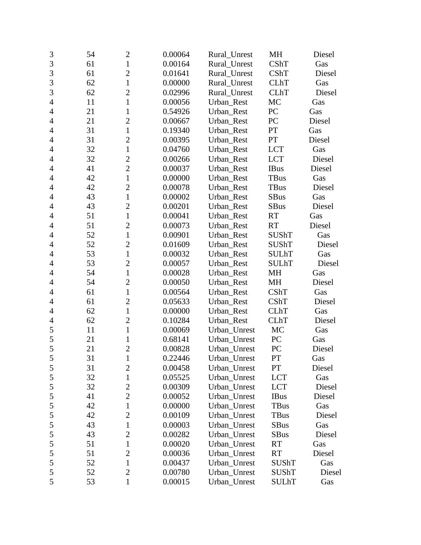| 3              | 54 | $\overline{2}$ | 0.00064 | Rural_Unrest | MH           | Diesel |
|----------------|----|----------------|---------|--------------|--------------|--------|
| 3              | 61 | $\mathbf{1}$   | 0.00164 | Rural_Unrest | <b>CShT</b>  | Gas    |
| 3              | 61 | $\overline{2}$ | 0.01641 | Rural_Unrest | CShT         | Diesel |
| 3              | 62 | $\mathbf{1}$   | 0.00000 | Rural_Unrest | <b>CLhT</b>  | Gas    |
| 3              | 62 | $\overline{2}$ | 0.02996 | Rural_Unrest | <b>CLhT</b>  | Diesel |
| $\overline{4}$ | 11 | $\mathbf{1}$   | 0.00056 | Urban_Rest   | MC           | Gas    |
| $\overline{4}$ | 21 | $\mathbf{1}$   | 0.54926 | Urban_Rest   | PC           | Gas    |
| $\overline{4}$ | 21 | $\overline{2}$ | 0.00667 | Urban_Rest   | PC           | Diesel |
| 4              | 31 | $\mathbf{1}$   | 0.19340 | Urban_Rest   | PT           | Gas    |
| $\overline{4}$ | 31 | $\overline{2}$ | 0.00395 | Urban Rest   | PT           | Diesel |
| $\overline{4}$ | 32 | $\mathbf{1}$   | 0.04760 | Urban_Rest   | <b>LCT</b>   | Gas    |
| 4              | 32 | $\overline{2}$ | 0.00266 | Urban_Rest   | <b>LCT</b>   | Diesel |
| $\overline{4}$ | 41 | $\overline{2}$ | 0.00037 | Urban_Rest   | <b>IBus</b>  | Diesel |
| $\overline{4}$ | 42 | $\mathbf{1}$   | 0.00000 | Urban_Rest   | <b>TBus</b>  | Gas    |
| 4              | 42 | $\overline{2}$ | 0.00078 | Urban Rest   | TBus         | Diesel |
| $\overline{4}$ | 43 | $\mathbf{1}$   | 0.00002 | Urban Rest   | <b>SBus</b>  | Gas    |
| $\overline{4}$ | 43 | $\overline{2}$ | 0.00201 | Urban_Rest   | <b>SBus</b>  | Diesel |
| 4              | 51 | $\mathbf{1}$   | 0.00041 | Urban_Rest   | <b>RT</b>    | Gas    |
| 4              | 51 | $\overline{2}$ | 0.00073 | Urban Rest   | <b>RT</b>    | Diesel |
| $\overline{4}$ | 52 | $\mathbf{1}$   | 0.00901 | Urban_Rest   | <b>SUShT</b> | Gas    |
| $\overline{4}$ | 52 | $\overline{2}$ | 0.01609 | Urban_Rest   | <b>SUShT</b> | Diesel |
| 4              | 53 | $\mathbf{1}$   | 0.00032 | Urban_Rest   | <b>SULhT</b> | Gas    |
| $\overline{4}$ | 53 | $\overline{2}$ | 0.00057 | Urban_Rest   | <b>SULhT</b> | Diesel |
| $\overline{4}$ | 54 | $\mathbf{1}$   | 0.00028 | Urban_Rest   | MH           | Gas    |
| 4              | 54 | $\overline{2}$ | 0.00050 | Urban_Rest   | MH           | Diesel |
| $\overline{4}$ | 61 | $\mathbf{1}$   | 0.00564 | Urban_Rest   | CShT         | Gas    |
| $\overline{4}$ | 61 | $\overline{2}$ | 0.05633 | Urban_Rest   | CShT         | Diesel |
| $\overline{4}$ | 62 | $\mathbf{1}$   | 0.00000 | Urban_Rest   | <b>CLhT</b>  | Gas    |
| 4              | 62 | $\mathbf{2}$   | 0.10284 | Urban_Rest   | <b>CLhT</b>  | Diesel |
| 5              | 11 | $\mathbf{1}$   | 0.00069 | Urban_Unrest | MC           | Gas    |
| 5              | 21 | $\mathbf{1}$   | 0.68141 | Urban Unrest | PC           | Gas    |
| 5              | 21 | $\overline{2}$ | 0.00828 | Urban_Unrest | PC           | Diesel |
| 5              | 31 | $\mathbf{1}$   | 0.22446 | Urban_Unrest | PT           | Gas    |
| 5              | 31 | $\overline{2}$ | 0.00458 | Urban_Unrest | PT           | Diesel |
| $\mathfrak s$  | 32 | $\mathbf{1}$   | 0.05525 | Urban_Unrest | <b>LCT</b>   | Gas    |
| 5              | 32 | $\mathbf{2}$   | 0.00309 | Urban_Unrest | <b>LCT</b>   | Diesel |
| 5              | 41 | $\overline{2}$ | 0.00052 | Urban_Unrest | <b>IBus</b>  | Diesel |
| $\mathfrak s$  | 42 | $\mathbf{1}$   | 0.00000 | Urban_Unrest | <b>TBus</b>  | Gas    |
| 5              | 42 | $\mathbf{2}$   | 0.00109 | Urban_Unrest | TBus         | Diesel |
| $\mathfrak s$  | 43 | $\mathbf{1}$   | 0.00003 | Urban_Unrest | <b>SBus</b>  | Gas    |
| 5              | 43 | $\overline{2}$ | 0.00282 | Urban_Unrest | <b>SBus</b>  | Diesel |
| 5              | 51 | $\mathbf{1}$   | 0.00020 | Urban Unrest | <b>RT</b>    | Gas    |
| 5              | 51 | $\mathbf{2}$   | 0.00036 | Urban_Unrest | <b>RT</b>    | Diesel |
| 5              | 52 | $\mathbf{1}$   | 0.00437 | Urban_Unrest | SUShT        | Gas    |
| 5              | 52 | $\overline{2}$ | 0.00780 | Urban_Unrest | SUShT        | Diesel |
| 5              | 53 | $\mathbf{1}$   | 0.00015 | Urban_Unrest | <b>SULhT</b> | Gas    |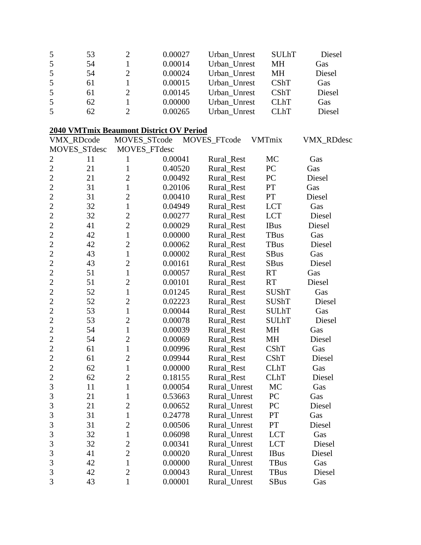| 5  | 53 | 0.00027 | Urban Unrest | <b>SULhT</b> | Diesel |
|----|----|---------|--------------|--------------|--------|
| .5 | 54 | 0.00014 | Urban Unrest | MН           | Gas    |
| 5  | 54 | 0.00024 | Urban Unrest | MН           | Diesel |
| 5  | 61 | 0.00015 | Urban Unrest | CShT         | Gas    |
| .5 | 61 | 0.00145 | Urban Unrest | CShT         | Diesel |
| 5  | 62 | 0.00000 | Urban Unrest | <b>CLhT</b>  | Gas    |
| 5  | 62 | 0.00265 | Urban Unrest | <b>CLhT</b>  | Diesel |

# **2040 VMTmix Beaumont District OV Period**

|                | VMX_RDcode   | MOVES_STcode   |              | MOVES_FTcode | VMTmix                   | <b>VMX_RDdesc</b> |
|----------------|--------------|----------------|--------------|--------------|--------------------------|-------------------|
|                | MOVES_STdesc |                | MOVES_FTdesc |              |                          |                   |
| $\mathbf{2}$   | 11           | 1              | 0.00041      | Rural_Rest   | MC                       | Gas               |
| $\overline{2}$ | 21           | $\mathbf{1}$   | 0.40520      | Rural_Rest   | PC                       | Gas               |
| $\overline{2}$ | 21           | $\overline{2}$ | 0.00492      | Rural_Rest   | PC                       | Diesel            |
| $\overline{2}$ | 31           | $\mathbf{1}$   | 0.20106      | Rural_Rest   | <b>PT</b>                | Gas               |
| $\overline{2}$ | 31           | $\overline{2}$ | 0.00410      | Rural_Rest   | $\mathcal{P}\mathcal{T}$ | Diesel            |
| $\overline{2}$ | 32           | $\mathbf{1}$   | 0.04949      | Rural_Rest   | <b>LCT</b>               | Gas               |
| $\overline{2}$ | 32           | $\overline{2}$ | 0.00277      | Rural_Rest   | <b>LCT</b>               | Diesel            |
| $\overline{2}$ | 41           | $\overline{2}$ | 0.00029      | Rural_Rest   | <b>IBus</b>              | Diesel            |
| $\overline{2}$ | 42           | $\mathbf{1}$   | 0.00000      | Rural_Rest   | <b>TBus</b>              | Gas               |
| $\overline{2}$ | 42           | $\overline{2}$ | 0.00062      | Rural_Rest   | <b>TBus</b>              | Diesel            |
| $\overline{c}$ | 43           | $\mathbf{1}$   | 0.00002      | Rural_Rest   | <b>SBus</b>              | Gas               |
| $\overline{2}$ | 43           | $\overline{2}$ | 0.00161      | Rural_Rest   | <b>SBus</b>              | Diesel            |
| $\overline{2}$ | 51           | $\mathbf{1}$   | 0.00057      | Rural_Rest   | <b>RT</b>                | Gas               |
| $\overline{2}$ | 51           | $\overline{2}$ | 0.00101      | Rural_Rest   | <b>RT</b>                | Diesel            |
| $\overline{2}$ | 52           | $\mathbf{1}$   | 0.01245      | Rural_Rest   | <b>SUShT</b>             | Gas               |
| $\overline{2}$ | 52           | $\overline{2}$ | 0.02223      | Rural_Rest   | SUShT                    | Diesel            |
| $\overline{2}$ | 53           | $\mathbf{1}$   | 0.00044      | Rural_Rest   | <b>SULhT</b>             | Gas               |
| $\overline{2}$ | 53           | $\overline{2}$ | 0.00078      | Rural_Rest   | <b>SULhT</b>             | Diesel            |
| $\overline{2}$ | 54           | $\mathbf{1}$   | 0.00039      | Rural_Rest   | MH                       | Gas               |
| $\overline{2}$ | 54           | $\overline{2}$ | 0.00069      | Rural_Rest   | MH                       | Diesel            |
| $\overline{2}$ | 61           | $\mathbf{1}$   | 0.00996      | Rural_Rest   | <b>CShT</b>              | Gas               |
| $\overline{2}$ | 61           | $\overline{2}$ | 0.09944      | Rural_Rest   | CShT                     | Diesel            |
| $\overline{2}$ | 62           | $\mathbf{1}$   | 0.00000      | Rural_Rest   | <b>CLhT</b>              | Gas               |
| $\overline{c}$ | 62           | $\overline{2}$ | 0.18155      | Rural_Rest   | <b>CLhT</b>              | Diesel            |
| 3              | 11           | $\mathbf{1}$   | 0.00054      | Rural_Unrest | MC                       | Gas               |
| 3              | 21           | $\mathbf{1}$   | 0.53663      | Rural_Unrest | PC                       | Gas               |
| 3              | 21           | $\overline{2}$ | 0.00652      | Rural_Unrest | PC                       | Diesel            |
| 3              | 31           | $\mathbf{1}$   | 0.24778      | Rural_Unrest | PT                       | Gas               |
| 3              | 31           | $\overline{c}$ | 0.00506      | Rural_Unrest | PT                       | Diesel            |
| 3              | 32           | $\mathbf{1}$   | 0.06098      | Rural_Unrest | <b>LCT</b>               | Gas               |
| 3              | 32           | $\overline{c}$ | 0.00341      | Rural_Unrest | <b>LCT</b>               | Diesel            |
| 3              | 41           | $\overline{2}$ | 0.00020      | Rural_Unrest | <b>IBus</b>              | Diesel            |
| 3              | 42           | $\mathbf{1}$   | 0.00000      | Rural_Unrest | <b>TBus</b>              | Gas               |
| 3              | 42           | $\overline{c}$ | 0.00043      | Rural_Unrest | <b>TBus</b>              | Diesel            |
| $\overline{3}$ | 43           | $\overline{1}$ | 0.00001      | Rural_Unrest | SBus                     | Gas               |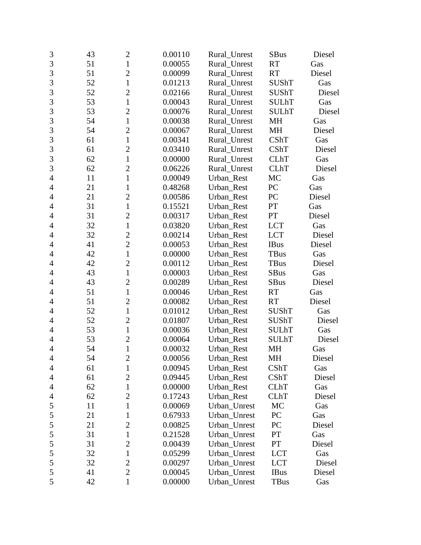| 3              | 43 | $\mathbf{2}$   | 0.00110 | Rural_Unrest | <b>SBus</b>  | Diesel |
|----------------|----|----------------|---------|--------------|--------------|--------|
| 3              | 51 | $\mathbf{1}$   | 0.00055 | Rural_Unrest | <b>RT</b>    | Gas    |
| 3              | 51 | $\overline{c}$ | 0.00099 | Rural_Unrest | <b>RT</b>    | Diesel |
| 3              | 52 | $\mathbf{1}$   | 0.01213 | Rural_Unrest | <b>SUShT</b> | Gas    |
| $\overline{3}$ | 52 | $\overline{2}$ | 0.02166 | Rural Unrest | <b>SUShT</b> | Diesel |
| 3              | 53 | $\mathbf{1}$   | 0.00043 | Rural_Unrest | <b>SULhT</b> | Gas    |
| 3              | 53 | $\overline{c}$ | 0.00076 | Rural_Unrest | <b>SULhT</b> | Diesel |
| 3              | 54 | $\mathbf{1}$   | 0.00038 | Rural Unrest | MH           | Gas    |
| $\overline{3}$ | 54 | $\overline{2}$ | 0.00067 | Rural_Unrest | MH           | Diesel |
| $\overline{3}$ | 61 | $\mathbf{1}$   | 0.00341 | Rural_Unrest | CShT         | Gas    |
| 3              | 61 | $\overline{2}$ | 0.03410 | Rural_Unrest | CShT         | Diesel |
| $\overline{3}$ | 62 | $\mathbf{1}$   | 0.00000 | Rural_Unrest | <b>CLhT</b>  | Gas    |
| 3              | 62 | $\overline{c}$ | 0.06226 | Rural_Unrest | <b>CLhT</b>  | Diesel |
| $\overline{4}$ | 11 | $\mathbf{1}$   | 0.00049 | Urban_Rest   | MC           | Gas    |
| $\overline{4}$ | 21 | $\mathbf{1}$   | 0.48268 | Urban_Rest   | PC           | Gas    |
| $\overline{4}$ | 21 | $\overline{2}$ | 0.00586 | Urban_Rest   | PC           | Diesel |
| $\overline{4}$ | 31 | $\mathbf{1}$   | 0.15521 | Urban_Rest   | PT           | Gas    |
| $\overline{4}$ | 31 | $\overline{c}$ | 0.00317 | Urban_Rest   | PT           | Diesel |
| 4              | 32 | $\mathbf{1}$   | 0.03820 | Urban_Rest   | <b>LCT</b>   | Gas    |
| $\overline{4}$ | 32 | $\overline{2}$ | 0.00214 | Urban_Rest   | <b>LCT</b>   | Diesel |
| 4              | 41 | $\overline{2}$ | 0.00053 | Urban Rest   | <b>IBus</b>  | Diesel |
| 4              | 42 | $\mathbf{1}$   | 0.00000 | Urban_Rest   | <b>TBus</b>  | Gas    |
| $\overline{4}$ | 42 | $\overline{c}$ | 0.00112 | Urban_Rest   | TBus         | Diesel |
| $\overline{4}$ | 43 | $\mathbf{1}$   | 0.00003 | Urban_Rest   | SBus         | Gas    |
| 4              | 43 | $\overline{2}$ | 0.00289 | Urban_Rest   | <b>SBus</b>  | Diesel |
| $\overline{4}$ | 51 | $\mathbf{1}$   | 0.00046 | Urban_Rest   | <b>RT</b>    | Gas    |
| $\overline{4}$ | 51 | $\overline{2}$ | 0.00082 | Urban_Rest   | <b>RT</b>    | Diesel |
| 4              | 52 | $\mathbf{1}$   | 0.01012 | Urban_Rest   | <b>SUShT</b> | Gas    |
| $\overline{4}$ | 52 | $\overline{2}$ | 0.01807 | Urban_Rest   | <b>SUShT</b> | Diesel |
| $\overline{4}$ | 53 | $\mathbf{1}$   | 0.00036 | Urban_Rest   | <b>SULhT</b> | Gas    |
| 4              | 53 | $\overline{2}$ | 0.00064 | Urban Rest   | <b>SULhT</b> | Diesel |
| $\overline{4}$ | 54 | $\mathbf{1}$   | 0.00032 | Urban_Rest   | <b>MH</b>    | Gas    |
| $\overline{4}$ | 54 | $\overline{c}$ | 0.00056 | Urban_Rest   | MH           | Diesel |
| 4              | 61 | 1              | 0.00945 | Urban_Rest   | <b>CShT</b>  | Gas    |
| 4              | 61 | $\overline{2}$ | 0.09445 | Urban_Rest   | CShT         | Diesel |
| 4              | 62 | 1              | 0.00000 | Urban_Rest   | <b>CLhT</b>  | Gas    |
| 4              | 62 | 2              | 0.17243 | Urban Rest   | <b>CLhT</b>  | Diesel |
| 5              | 11 | $\mathbf{1}$   | 0.00069 | Urban_Unrest | MC           | Gas    |
| 5              | 21 | 1              | 0.67933 | Urban_Unrest | PC           | Gas    |
| $\mathfrak s$  | 21 | $\overline{2}$ | 0.00825 | Urban_Unrest | PC           | Diesel |
| 5              | 31 | $\mathbf{1}$   | 0.21528 | Urban_Unrest | PT           | Gas    |
| 5              | 31 | $\overline{c}$ | 0.00439 | Urban Unrest | PT           | Diesel |
| $\mathfrak s$  | 32 | $\mathbf{1}$   | 0.05299 | Urban_Unrest | <b>LCT</b>   | Gas    |
| 5              | 32 | $\mathbf{2}$   | 0.00297 | Urban_Unrest | <b>LCT</b>   | Diesel |
| 5              | 41 | $\overline{2}$ | 0.00045 | Urban_Unrest | <b>IBus</b>  | Diesel |
| 5              | 42 | $\mathbf{1}$   | 0.00000 | Urban_Unrest | TBus         | Gas    |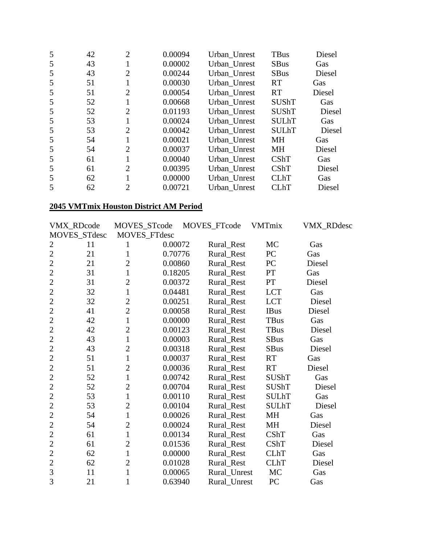| 5 | 42 | $\overline{2}$ | 0.00094 | Urban Unrest | <b>TBus</b>  | Diesel |
|---|----|----------------|---------|--------------|--------------|--------|
| 5 | 43 |                | 0.00002 | Urban Unrest | <b>SBus</b>  | Gas    |
| 5 | 43 | $\overline{2}$ | 0.00244 | Urban_Unrest | <b>SBus</b>  | Diesel |
| 5 | 51 |                | 0.00030 | Urban Unrest | RT           | Gas    |
| 5 | 51 | $\overline{2}$ | 0.00054 | Urban Unrest | <b>RT</b>    | Diesel |
| 5 | 52 | 1              | 0.00668 | Urban Unrest | <b>SUShT</b> | Gas    |
| 5 | 52 | $\overline{2}$ | 0.01193 | Urban Unrest | <b>SUShT</b> | Diesel |
| 5 | 53 |                | 0.00024 | Urban Unrest | <b>SULhT</b> | Gas    |
| 5 | 53 | $\overline{2}$ | 0.00042 | Urban Unrest | <b>SULhT</b> | Diesel |
| 5 | 54 |                | 0.00021 | Urban Unrest | <b>MH</b>    | Gas    |
| 5 | 54 | $\overline{2}$ | 0.00037 | Urban Unrest | MH           | Diesel |
| 5 | 61 |                | 0.00040 | Urban Unrest | <b>CShT</b>  | Gas    |
| 5 | 61 | $\overline{2}$ | 0.00395 | Urban Unrest | <b>CShT</b>  | Diesel |
| 5 | 62 |                | 0.00000 | Urban_Unrest | <b>CLhT</b>  | Gas    |
|   | 62 | $\overline{2}$ | 0.00721 | Urban Unrest | <b>CLhT</b>  | Diesel |

# **2045 VMTmix Houston District AM Period**

|                | VMX_RDcode   | MOVES_STcode   |         | MOVES_FTcode | <b>VMTmix</b> | VMX_RDdesc |
|----------------|--------------|----------------|---------|--------------|---------------|------------|
|                | MOVES_STdesc | MOVES_FTdesc   |         |              |               |            |
| 2              | 11           |                | 0.00072 | Rural_Rest   | <b>MC</b>     | Gas        |
| $\overline{2}$ | 21           | $\mathbf{1}$   | 0.70776 | Rural_Rest   | PC            | Gas        |
| $\overline{2}$ | 21           | $\overline{2}$ | 0.00860 | Rural_Rest   | PC            | Diesel     |
| $\overline{2}$ | 31           | $\mathbf{1}$   | 0.18205 | Rural_Rest   | PT            | Gas        |
| $\overline{2}$ | 31           | $\overline{2}$ | 0.00372 | Rural_Rest   | PT            | Diesel     |
| $\overline{2}$ | 32           | $\mathbf{1}$   | 0.04481 | Rural_Rest   | <b>LCT</b>    | Gas        |
| $\overline{c}$ | 32           | $\overline{c}$ | 0.00251 | Rural_Rest   | <b>LCT</b>    | Diesel     |
| $\overline{2}$ | 41           | $\overline{2}$ | 0.00058 | Rural_Rest   | <b>IBus</b>   | Diesel     |
| $\overline{2}$ | 42           | $\mathbf{1}$   | 0.00000 | Rural_Rest   | <b>TBus</b>   | Gas        |
| $\overline{c}$ | 42           | $\overline{2}$ | 0.00123 | Rural_Rest   | <b>TBus</b>   | Diesel     |
| $\overline{2}$ | 43           | $\mathbf{1}$   | 0.00003 | Rural_Rest   | <b>SBus</b>   | Gas        |
| $\overline{2}$ | 43           | $\overline{2}$ | 0.00318 | Rural_Rest   | <b>SBus</b>   | Diesel     |
| $\overline{2}$ | 51           | $\mathbf{1}$   | 0.00037 | Rural_Rest   | <b>RT</b>     | Gas        |
| $\overline{2}$ | 51           | $\overline{2}$ | 0.00036 | Rural_Rest   | RT            | Diesel     |
| $\overline{2}$ | 52           | $\mathbf{1}$   | 0.00742 | Rural_Rest   | <b>SUShT</b>  | Gas        |
| $\overline{c}$ | 52           | $\overline{2}$ | 0.00704 | Rural_Rest   | <b>SUShT</b>  | Diesel     |
| $\overline{2}$ | 53           | $\mathbf{1}$   | 0.00110 | Rural_Rest   | <b>SULhT</b>  | Gas        |
| $\overline{2}$ | 53           | $\overline{2}$ | 0.00104 | Rural_Rest   | <b>SULhT</b>  | Diesel     |
| $\overline{2}$ | 54           | $\mathbf{1}$   | 0.00026 | Rural_Rest   | <b>MH</b>     | Gas        |
| $\overline{2}$ | 54           | $\overline{2}$ | 0.00024 | Rural_Rest   | <b>MH</b>     | Diesel     |
| $\overline{2}$ | 61           | $\mathbf{1}$   | 0.00134 | Rural_Rest   | <b>CShT</b>   | Gas        |
| $\overline{c}$ | 61           | $\overline{2}$ | 0.01536 | Rural_Rest   | <b>CShT</b>   | Diesel     |
| $\overline{2}$ | 62           | $\mathbf{1}$   | 0.00000 | Rural_Rest   | <b>CLhT</b>   | Gas        |
| $\overline{2}$ | 62           | $\overline{2}$ | 0.01028 | Rural_Rest   | <b>CLhT</b>   | Diesel     |
| 3              | 11           | $\mathbf{1}$   | 0.00065 | Rural_Unrest | MC            | Gas        |
| 3              | 21           | 1              | 0.63940 | Rural Unrest | PC            | Gas        |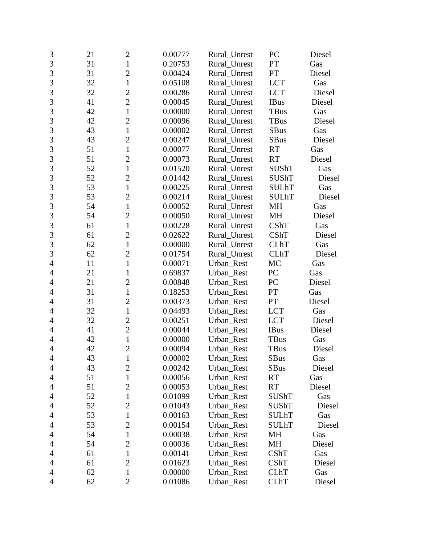| 3              | 21 | $\overline{2}$ | 0.00777 | Rural_Unrest | PC           | Diesel |
|----------------|----|----------------|---------|--------------|--------------|--------|
| $\overline{3}$ | 31 | $\mathbf{1}$   | 0.20753 | Rural Unrest | PT           | Gas    |
| 3              | 31 | $\overline{2}$ | 0.00424 | Rural Unrest | PT           | Diesel |
| 3              | 32 | $\mathbf{1}$   | 0.05108 | Rural_Unrest | <b>LCT</b>   | Gas    |
| $\overline{3}$ | 32 | $\overline{2}$ | 0.00286 | Rural_Unrest | <b>LCT</b>   | Diesel |
| 3              | 41 | $\overline{c}$ | 0.00045 | Rural_Unrest | <b>IBus</b>  | Diesel |
| 3              | 42 | $\mathbf{1}$   | 0.00000 | Rural_Unrest | <b>TBus</b>  | Gas    |
| 3              | 42 | $\overline{2}$ | 0.00096 | Rural_Unrest | <b>TBus</b>  | Diesel |
| $\overline{3}$ | 43 | $\mathbf{1}$   | 0.00002 | Rural_Unrest | <b>SBus</b>  | Gas    |
| 3              | 43 | $\overline{2}$ | 0.00247 | Rural_Unrest | <b>SBus</b>  | Diesel |
| 3              | 51 | $\mathbf{1}$   | 0.00077 | Rural_Unrest | <b>RT</b>    | Gas    |
| $\overline{3}$ | 51 | $\overline{2}$ | 0.00073 | Rural_Unrest | <b>RT</b>    | Diesel |
| 3              | 52 | $\mathbf{1}$   | 0.01520 | Rural_Unrest | <b>SUShT</b> | Gas    |
| 3              | 52 | $\overline{2}$ | 0.01442 | Rural_Unrest | <b>SUShT</b> | Diesel |
| $\overline{3}$ | 53 | $\mathbf{1}$   | 0.00225 | Rural Unrest | <b>SULhT</b> | Gas    |
| 3              | 53 | $\overline{c}$ | 0.00214 | Rural_Unrest | <b>SULhT</b> | Diesel |
| 3              | 54 | $\mathbf{1}$   | 0.00052 | Rural_Unrest | MH           | Gas    |
| 3              | 54 | $\overline{2}$ | 0.00050 | Rural_Unrest | MH           | Diesel |
| $\overline{3}$ | 61 | $\mathbf{1}$   | 0.00228 | Rural_Unrest | CShT         | Gas    |
| 3              | 61 | $\overline{2}$ | 0.02622 | Rural_Unrest | CShT         | Diesel |
| 3              | 62 | $\mathbf{1}$   | 0.00000 | Rural_Unrest | <b>CLhT</b>  | Gas    |
| $\overline{3}$ | 62 | $\overline{2}$ | 0.01754 | Rural_Unrest | <b>CLhT</b>  | Diesel |
| $\overline{4}$ | 11 | $\mathbf{1}$   | 0.00071 | Urban_Rest   | MC           | Gas    |
| $\overline{4}$ | 21 | 1              | 0.69837 | Urban_Rest   | PC           | Gas    |
| 4              | 21 | $\overline{2}$ | 0.00848 | Urban_Rest   | PC           | Diesel |
| $\overline{4}$ | 31 | $\mathbf{1}$   | 0.18253 | Urban_Rest   | PT           | Gas    |
| $\overline{4}$ | 31 | $\overline{2}$ | 0.00373 | Urban_Rest   | PT           | Diesel |
| 4              | 32 | $\mathbf{1}$   | 0.04493 | Urban_Rest   | <b>LCT</b>   | Gas    |
| 4              | 32 | $\overline{c}$ | 0.00251 | Urban_Rest   | <b>LCT</b>   | Diesel |
| $\overline{4}$ | 41 | $\overline{2}$ | 0.00044 | Urban_Rest   | <b>IBus</b>  | Diesel |
| $\overline{4}$ | 42 | $\mathbf{1}$   | 0.00000 | Urban_Rest   | <b>TBus</b>  | Gas    |
| $\overline{4}$ | 42 | $\overline{2}$ | 0.00094 | Urban_Rest   | TBus         | Diesel |
| $\overline{4}$ | 43 | $\mathbf{1}$   | 0.00002 | Urban_Rest   | SBus         | Gas    |
| 4              | 43 | $\overline{2}$ | 0.00242 | Urban_Rest   | <b>SBus</b>  | Diesel |
| 4              | 51 | $\mathbf{1}$   | 0.00056 | Urban_Rest   | <b>RT</b>    | Gas    |
| 4              | 51 | $\overline{c}$ | 0.00053 | Urban_Rest   | <b>RT</b>    | Diesel |
| 4              | 52 | $\mathbf{1}$   | 0.01099 | Urban_Rest   | <b>SUShT</b> | Gas    |
| $\overline{4}$ | 52 | $\overline{2}$ | 0.01043 | Urban_Rest   | <b>SUShT</b> | Diesel |
| 4              | 53 | 1              | 0.00163 | Urban_Rest   | <b>SULhT</b> | Gas    |
| 4              | 53 | $\overline{2}$ | 0.00154 | Urban_Rest   | <b>SULhT</b> | Diesel |
| 4              | 54 | $\mathbf{1}$   | 0.00038 | Urban_Rest   | MH           | Gas    |
| 4              | 54 | $\overline{2}$ | 0.00036 | Urban_Rest   | MH           | Diesel |
| 4              | 61 | 1              | 0.00141 | Urban_Rest   | CShT         | Gas    |
| 4              | 61 | $\overline{2}$ | 0.01623 | Urban_Rest   | CShT         | Diesel |
| 4              | 62 | $\mathbf{1}$   | 0.00000 | Urban_Rest   | <b>CLhT</b>  | Gas    |
| 4              | 62 | $\mathbf{2}$   | 0.01086 | Urban_Rest   | <b>CLhT</b>  | Diesel |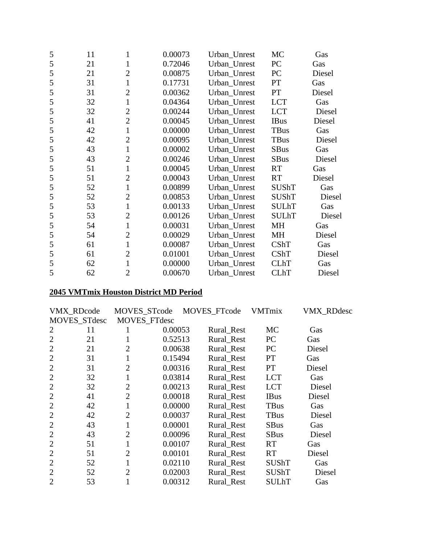| 5 | 11 | 1              | 0.00073 | Urban_Unrest | MC           | Gas    |
|---|----|----------------|---------|--------------|--------------|--------|
| 5 | 21 | $\mathbf{1}$   | 0.72046 | Urban_Unrest | PC           | Gas    |
| 5 | 21 | $\overline{2}$ | 0.00875 | Urban_Unrest | PC           | Diesel |
| 5 | 31 | 1              | 0.17731 | Urban_Unrest | PT           | Gas    |
| 5 | 31 | $\overline{2}$ | 0.00362 | Urban_Unrest | PT           | Diesel |
| 5 | 32 | 1              | 0.04364 | Urban_Unrest | <b>LCT</b>   | Gas    |
| 5 | 32 | $\overline{2}$ | 0.00244 | Urban_Unrest | <b>LCT</b>   | Diesel |
| 5 | 41 | $\overline{2}$ | 0.00045 | Urban_Unrest | <b>IBus</b>  | Diesel |
| 5 | 42 | $\mathbf{1}$   | 0.00000 | Urban_Unrest | TBus         | Gas    |
| 5 | 42 | $\overline{2}$ | 0.00095 | Urban_Unrest | TBus         | Diesel |
| 5 | 43 | $\mathbf{1}$   | 0.00002 | Urban_Unrest | <b>SBus</b>  | Gas    |
| 5 | 43 | $\overline{2}$ | 0.00246 | Urban_Unrest | <b>SBus</b>  | Diesel |
| 5 | 51 | $\mathbf{1}$   | 0.00045 | Urban_Unrest | <b>RT</b>    | Gas    |
| 5 | 51 | $\overline{2}$ | 0.00043 | Urban_Unrest | RT           | Diesel |
| 5 | 52 | $\mathbf{1}$   | 0.00899 | Urban_Unrest | <b>SUShT</b> | Gas    |
| 5 | 52 | $\overline{2}$ | 0.00853 | Urban_Unrest | <b>SUShT</b> | Diesel |
| 5 | 53 | $\mathbf{1}$   | 0.00133 | Urban_Unrest | <b>SULhT</b> | Gas    |
| 5 | 53 | $\overline{2}$ | 0.00126 | Urban_Unrest | <b>SULhT</b> | Diesel |
| 5 | 54 | $\mathbf{1}$   | 0.00031 | Urban_Unrest | MH           | Gas    |
| 5 | 54 | $\overline{2}$ | 0.00029 | Urban_Unrest | <b>MH</b>    | Diesel |
| 5 | 61 | $\mathbf{1}$   | 0.00087 | Urban_Unrest | <b>CShT</b>  | Gas    |
| 5 | 61 | $\overline{2}$ | 0.01001 | Urban_Unrest | <b>CShT</b>  | Diesel |
| 5 | 62 | $\mathbf{1}$   | 0.00000 | Urban_Unrest | <b>CLhT</b>  | Gas    |
| 5 | 62 | $\overline{2}$ | 0.00670 | Urban Unrest | <b>CLhT</b>  | Diesel |

# **2045 VMTmix Houston District MD Period**

|                | <b>VMX RDcode</b>   | <b>MOVES STcode</b> |         | MOVES_FTcode | <b>VMTmix</b> | <b>VMX RDdesc</b> |
|----------------|---------------------|---------------------|---------|--------------|---------------|-------------------|
|                | <b>MOVES STdesc</b> | MOVES_FTdesc        |         |              |               |                   |
| 2              | 11                  |                     | 0.00053 | Rural_Rest   | <b>MC</b>     | Gas               |
| $\overline{2}$ | 21                  |                     | 0.52513 | Rural Rest   | PC            | Gas               |
| $\overline{2}$ | 21                  | 2                   | 0.00638 | Rural Rest   | <b>PC</b>     | Diesel            |
| $\overline{2}$ | 31                  | 1                   | 0.15494 | Rural Rest   | <b>PT</b>     | Gas               |
| $\overline{2}$ | 31                  | $\overline{2}$      | 0.00316 | Rural Rest   | <b>PT</b>     | Diesel            |
| $\overline{2}$ | 32                  | 1                   | 0.03814 | Rural_Rest   | <b>LCT</b>    | Gas               |
| $\overline{2}$ | 32                  | $\overline{2}$      | 0.00213 | Rural_Rest   | <b>LCT</b>    | Diesel            |
| $\overline{2}$ | 41                  | $\overline{2}$      | 0.00018 | Rural Rest   | <b>IBus</b>   | Diesel            |
| 2              | 42                  |                     | 0.00000 | Rural Rest   | <b>TBus</b>   | Gas               |
| $\overline{2}$ | 42                  | 2                   | 0.00037 | Rural_Rest   | <b>TBus</b>   | Diesel            |
| $\overline{2}$ | 43                  |                     | 0.00001 | Rural_Rest   | <b>SBus</b>   | Gas               |
| $\overline{2}$ | 43                  | $\overline{2}$      | 0.00096 | Rural_Rest   | <b>SBus</b>   | Diesel            |
| $\overline{2}$ | 51                  | 1                   | 0.00107 | Rural_Rest   | <b>RT</b>     | Gas               |
| $\overline{2}$ | 51                  | $\overline{2}$      | 0.00101 | Rural_Rest   | <b>RT</b>     | Diesel            |
| $\overline{2}$ | 52                  |                     | 0.02110 | Rural_Rest   | <b>SUShT</b>  | Gas               |
| $\overline{2}$ | 52                  | 2                   | 0.02003 | Rural_Rest   | <b>SUShT</b>  | Diesel            |
| $\overline{2}$ | 53                  |                     | 0.00312 | Rural_Rest   | SULhT         | Gas               |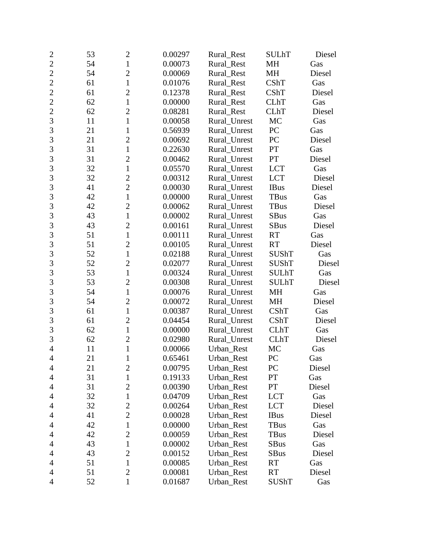| $\mathbf{2}$   | 53 | $\overline{2}$ | 0.00297 | Rural_Rest   | <b>SULhT</b> | Diesel |
|----------------|----|----------------|---------|--------------|--------------|--------|
| $\overline{2}$ | 54 | $\mathbf{1}$   | 0.00073 | Rural_Rest   | <b>MH</b>    | Gas    |
| $\overline{2}$ | 54 | $\overline{c}$ | 0.00069 | Rural Rest   | MH           | Diesel |
| $\overline{c}$ | 61 | $\mathbf{1}$   | 0.01076 | Rural_Rest   | CShT         | Gas    |
| $\overline{2}$ | 61 | $\overline{2}$ | 0.12378 | Rural_Rest   | CShT         | Diesel |
| $\overline{2}$ | 62 | $\mathbf{1}$   | 0.00000 | Rural_Rest   | <b>CLhT</b>  | Gas    |
| $\overline{2}$ | 62 | $\overline{2}$ | 0.08281 | Rural Rest   | <b>CLhT</b>  | Diesel |
| 3              | 11 | $\mathbf{1}$   | 0.00058 | Rural Unrest | MC           | Gas    |
| 3              | 21 | 1              | 0.56939 | Rural_Unrest | PC           | Gas    |
| 3              | 21 | $\overline{2}$ | 0.00692 | Rural_Unrest | PC           | Diesel |
| 3              | 31 | $\mathbf{1}$   | 0.22630 | Rural_Unrest | PT           | Gas    |
| $\overline{3}$ | 31 | $\overline{2}$ | 0.00462 | Rural_Unrest | PT           | Diesel |
| 3              | 32 | $\mathbf{1}$   | 0.05570 | Rural_Unrest | <b>LCT</b>   | Gas    |
| 3              | 32 | $\overline{c}$ | 0.00312 | Rural_Unrest | <b>LCT</b>   | Diesel |
| $\overline{3}$ | 41 | $\overline{2}$ | 0.00030 | Rural_Unrest | <b>IBus</b>  | Diesel |
| 3              | 42 | $\mathbf{1}$   | 0.00000 | Rural_Unrest | <b>TBus</b>  | Gas    |
| 3              | 42 | $\overline{2}$ | 0.00062 | Rural_Unrest | <b>TBus</b>  | Diesel |
| 3              | 43 | $\mathbf{1}$   | 0.00002 | Rural_Unrest | <b>SBus</b>  | Gas    |
| $\overline{3}$ | 43 | $\overline{2}$ | 0.00161 | Rural_Unrest | <b>SBus</b>  | Diesel |
| 3              | 51 | $\mathbf{1}$   | 0.00111 | Rural Unrest | <b>RT</b>    | Gas    |
| 3              | 51 | $\overline{2}$ | 0.00105 | Rural Unrest | <b>RT</b>    | Diesel |
| $\overline{3}$ | 52 | $\mathbf{1}$   | 0.02188 | Rural_Unrest | <b>SUShT</b> | Gas    |
| 3              | 52 | $\overline{c}$ | 0.02077 | Rural_Unrest | <b>SUShT</b> | Diesel |
| 3              | 53 | $\mathbf{1}$   | 0.00324 | Rural_Unrest | <b>SULhT</b> | Gas    |
| $\overline{3}$ | 53 | $\overline{2}$ | 0.00308 | Rural_Unrest | <b>SULhT</b> | Diesel |
| 3              | 54 | $\mathbf{1}$   | 0.00076 | Rural_Unrest | MH           | Gas    |
| 3              | 54 | $\overline{2}$ | 0.00072 | Rural_Unrest | MH           | Diesel |
| 3              | 61 | $\mathbf{1}$   | 0.00387 | Rural_Unrest | CShT         | Gas    |
| $\overline{3}$ | 61 | $\overline{2}$ | 0.04454 | Rural_Unrest | CShT         | Diesel |
| 3              | 62 | $\mathbf{1}$   | 0.00000 | Rural_Unrest | <b>CLhT</b>  | Gas    |
| 3              | 62 | $\mathbf{2}$   | 0.02980 | Rural_Unrest | <b>CLhT</b>  | Diesel |
| $\overline{4}$ | 11 | $\mathbf{1}$   | 0.00066 | Urban_Rest   | MC           | Gas    |
| $\overline{4}$ | 21 | $\mathbf{1}$   | 0.65461 | Urban_Rest   | PC           | Gas    |
| 4              | 21 | $\overline{2}$ | 0.00795 | Urban_Rest   | PC           | Diesel |
| 4              | 31 | $\mathbf{1}$   | 0.19133 | Urban_Rest   | PT           | Gas    |
| 4              | 31 | $\overline{c}$ | 0.00390 | Urban_Rest   | PT           | Diesel |
| 4              | 32 | $\mathbf{1}$   | 0.04709 | Urban_Rest   | <b>LCT</b>   | Gas    |
| 4              | 32 | 2              | 0.00264 | Urban Rest   | <b>LCT</b>   | Diesel |
| 4              | 41 | $\overline{2}$ | 0.00028 | Urban_Rest   | <b>IBus</b>  | Diesel |
| 4              | 42 | $\mathbf{1}$   | 0.00000 | Urban_Rest   | TBus         | Gas    |
| $\overline{4}$ | 42 | $\mathbf{2}$   | 0.00059 | Urban_Rest   | <b>TBus</b>  | Diesel |
| 4              | 43 | $\mathbf{1}$   | 0.00002 | Urban_Rest   | <b>SBus</b>  | Gas    |
| 4              | 43 | $\overline{2}$ | 0.00152 | Urban_Rest   | <b>SBus</b>  | Diesel |
| 4              | 51 | $\mathbf{1}$   | 0.00085 | Urban_Rest   | <b>RT</b>    | Gas    |
| 4              | 51 | $\overline{2}$ | 0.00081 | Urban_Rest   | <b>RT</b>    | Diesel |
| 4              | 52 | $\mathbf{1}$   | 0.01687 | Urban_Rest   | SUShT        | Gas    |
|                |    |                |         |              |              |        |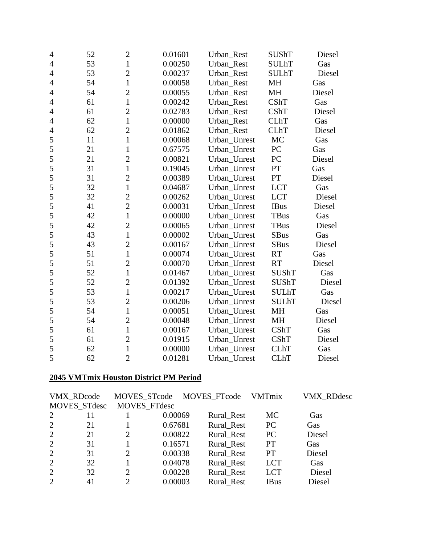| 4              | 52 | $\overline{c}$ | 0.01601 | Urban_Rest   | <b>SUShT</b> | Diesel |
|----------------|----|----------------|---------|--------------|--------------|--------|
| 4              | 53 | $\mathbf{1}$   | 0.00250 | Urban Rest   | <b>SULhT</b> | Gas    |
| $\overline{4}$ | 53 | $\overline{c}$ | 0.00237 | Urban_Rest   | <b>SULhT</b> | Diesel |
| $\overline{4}$ | 54 | $\mathbf{1}$   | 0.00058 | Urban_Rest   | MH           | Gas    |
| $\overline{4}$ | 54 | $\overline{c}$ | 0.00055 | Urban_Rest   | MH           | Diesel |
| 4              | 61 | $\mathbf{1}$   | 0.00242 | Urban_Rest   | <b>CShT</b>  | Gas    |
| $\overline{4}$ | 61 | $\overline{2}$ | 0.02783 | Urban Rest   | <b>CShT</b>  | Diesel |
| $\overline{4}$ | 62 | $\mathbf{1}$   | 0.00000 | Urban_Rest   | <b>CLhT</b>  | Gas    |
| $\overline{4}$ | 62 | $\overline{2}$ | 0.01862 | Urban Rest   | <b>CLhT</b>  | Diesel |
| 5              | 11 | $\mathbf{1}$   | 0.00068 | Urban_Unrest | <b>MC</b>    | Gas    |
| 5              | 21 | $\mathbf{1}$   | 0.67575 | Urban_Unrest | PC           | Gas    |
| 5              | 21 | $\overline{c}$ | 0.00821 | Urban_Unrest | PC           | Diesel |
| 5              | 31 | $\mathbf{1}$   | 0.19045 | Urban_Unrest | PT           | Gas    |
| 5              | 31 | $\overline{c}$ | 0.00389 | Urban_Unrest | PT           | Diesel |
| 5              | 32 | $\mathbf{1}$   | 0.04687 | Urban_Unrest | <b>LCT</b>   | Gas    |
| 5              | 32 | $\overline{c}$ | 0.00262 | Urban Unrest | <b>LCT</b>   | Diesel |
| 5              | 41 | $\overline{2}$ | 0.00031 | Urban_Unrest | <b>IBus</b>  | Diesel |
| 5              | 42 | $\mathbf{1}$   | 0.00000 | Urban_Unrest | TBus         | Gas    |
| 5              | 42 | $\overline{c}$ | 0.00065 | Urban_Unrest | TBus         | Diesel |
| 5              | 43 | $\mathbf{1}$   | 0.00002 | Urban_Unrest | <b>SBus</b>  | Gas    |
| 5              | 43 | $\overline{2}$ | 0.00167 | Urban_Unrest | <b>SBus</b>  | Diesel |
| 5              | 51 | $\mathbf{1}$   | 0.00074 | Urban_Unrest | <b>RT</b>    | Gas    |
| 5              | 51 | $\overline{c}$ | 0.00070 | Urban_Unrest | <b>RT</b>    | Diesel |
| 5              | 52 | $\mathbf{1}$   | 0.01467 | Urban_Unrest | <b>SUShT</b> | Gas    |
| 5              | 52 | $\overline{c}$ | 0.01392 | Urban_Unrest | <b>SUShT</b> | Diesel |
| 5              | 53 | $\mathbf{1}$   | 0.00217 | Urban Unrest | <b>SULhT</b> | Gas    |
| 5              | 53 | $\overline{c}$ | 0.00206 | Urban_Unrest | <b>SULhT</b> | Diesel |
| 5              | 54 | $\mathbf{1}$   | 0.00051 | Urban Unrest | <b>MH</b>    | Gas    |
| 5              | 54 | $\overline{c}$ | 0.00048 | Urban_Unrest | MH           | Diesel |
| 5              | 61 | $\mathbf{1}$   | 0.00167 | Urban_Unrest | <b>CShT</b>  | Gas    |
| 5              | 61 | $\overline{2}$ | 0.01915 | Urban_Unrest | <b>CShT</b>  | Diesel |
| 5              | 62 | $\mathbf{1}$   | 0.00000 | Urban_Unrest | <b>CLhT</b>  | Gas    |
| 5              | 62 | $\overline{2}$ | 0.01281 | Urban Unrest | <b>CLhT</b>  | Diesel |

#### **2045 VMTmix Houston District PM Period**

|                | <b>VMX RDcode</b> | MOVES_STcode          |         | MOVES_FTcode | <b>VMTmix</b> | <b>VMX RDdesc</b> |
|----------------|-------------------|-----------------------|---------|--------------|---------------|-------------------|
|                | MOVES_STdesc      | MOVES_FTdesc          |         |              |               |                   |
| 2              | 11                |                       | 0.00069 | Rural_Rest   | MC            | Gas               |
| 2              | 21                |                       | 0.67681 | Rural Rest   | <b>PC</b>     | Gas               |
| 2              | 21                | 2                     | 0.00822 | Rural_Rest   | PC            | Diesel            |
| 2              | 31                |                       | 0.16571 | Rural Rest   | <b>PT</b>     | Gas               |
| 2              | 31                | 2                     | 0.00338 | Rural Rest   | <b>PT</b>     | Diesel            |
| 2              | 32                |                       | 0.04078 | Rural_Rest   | <b>LCT</b>    | Gas               |
| 2              | 32                | $\mathcal{D}_{\cdot}$ | 0.00228 | Rural Rest   | <b>LCT</b>    | Diesel            |
| $\overline{2}$ | 41                | $\mathcal{D}$         | 0.00003 | Rural Rest   | <b>IBus</b>   | Diesel            |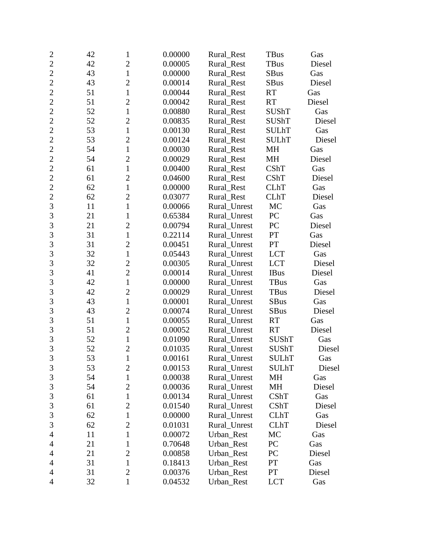| $\overline{c}$ | 42 | 1              | 0.00000 | Rural_Rest   | <b>TBus</b>  | Gas    |
|----------------|----|----------------|---------|--------------|--------------|--------|
| $\overline{2}$ | 42 | $\overline{2}$ | 0.00005 | Rural_Rest   | TBus         | Diesel |
| $\overline{2}$ | 43 | $\mathbf{1}$   | 0.00000 | Rural Rest   | SBus         | Gas    |
| $\overline{2}$ | 43 | $\overline{2}$ | 0.00014 | Rural_Rest   | <b>SBus</b>  | Diesel |
| $\overline{2}$ | 51 | $\mathbf{1}$   | 0.00044 | Rural_Rest   | <b>RT</b>    | Gas    |
| $\overline{c}$ | 51 | $\overline{2}$ | 0.00042 | Rural_Rest   | <b>RT</b>    | Diesel |
| $\overline{2}$ | 52 | $\mathbf{1}$   | 0.00880 | Rural_Rest   | <b>SUShT</b> | Gas    |
| $\overline{2}$ | 52 | $\overline{2}$ | 0.00835 | Rural_Rest   | <b>SUShT</b> | Diesel |
| $\overline{2}$ | 53 | $\mathbf{1}$   | 0.00130 | Rural_Rest   | <b>SULhT</b> | Gas    |
| $\overline{2}$ | 53 | $\overline{2}$ | 0.00124 | Rural_Rest   | <b>SULhT</b> | Diesel |
| $\overline{c}$ | 54 | $\mathbf{1}$   | 0.00030 | Rural_Rest   | MH           | Gas    |
| $\overline{2}$ | 54 | $\overline{2}$ | 0.00029 | Rural_Rest   | MH           | Diesel |
| $\overline{2}$ | 61 | $\mathbf{1}$   | 0.00400 | Rural_Rest   | CShT         | Gas    |
| $\overline{2}$ | 61 | $\mathfrak{2}$ | 0.04600 | Rural_Rest   | CShT         | Diesel |
| $\overline{2}$ | 62 | $\mathbf{1}$   | 0.00000 | Rural_Rest   | <b>CLhT</b>  | Gas    |
| $\overline{c}$ | 62 | $\overline{c}$ | 0.03077 | Rural_Rest   | <b>CLhT</b>  | Diesel |
| $\overline{3}$ | 11 | $\mathbf{1}$   | 0.00066 | Rural_Unrest | MC           | Gas    |
| 3              | 21 | $\mathbf{1}$   | 0.65384 | Rural_Unrest | PC           | Gas    |
| $\overline{3}$ | 21 | $\overline{2}$ | 0.00794 | Rural_Unrest | PC           | Diesel |
| 3              | 31 | $\mathbf{1}$   | 0.22114 | Rural_Unrest | PT           | Gas    |
| 3              | 31 | $\overline{2}$ | 0.00451 | Rural_Unrest | PT           | Diesel |
| $\overline{3}$ | 32 | $\mathbf{1}$   | 0.05443 | Rural_Unrest | <b>LCT</b>   | Gas    |
| 3              | 32 | $\overline{c}$ | 0.00305 | Rural_Unrest | <b>LCT</b>   | Diesel |
| 3              | 41 | $\overline{c}$ | 0.00014 | Rural_Unrest | <b>IBus</b>  | Diesel |
| $\overline{3}$ | 42 | $\mathbf{1}$   | 0.00000 | Rural_Unrest | TBus         | Gas    |
| 3              | 42 | $\overline{2}$ | 0.00029 | Rural_Unrest | <b>TBus</b>  | Diesel |
| 3              | 43 | $\mathbf{1}$   | 0.00001 | Rural_Unrest | <b>SBus</b>  | Gas    |
| 3              | 43 | $\overline{2}$ | 0.00074 | Rural_Unrest | <b>SBus</b>  | Diesel |
| 3              | 51 | $\mathbf{1}$   | 0.00055 | Rural_Unrest | <b>RT</b>    | Gas    |
| 3              | 51 | $\overline{2}$ | 0.00052 | Rural_Unrest | RT           | Diesel |
| 3              | 52 | $\mathbf{1}$   | 0.01090 | Rural_Unrest | <b>SUShT</b> | Gas    |
| $\overline{3}$ | 52 | $\overline{2}$ | 0.01035 | Rural_Unrest | <b>SUShT</b> | Diesel |
| 3              | 53 | $\mathbf{1}$   | 0.00161 | Rural_Unrest | <b>SULhT</b> | Gas    |
| 3              | 53 | $\mathbf{2}$   | 0.00153 | Rural_Unrest | <b>SULhT</b> | Diesel |
| 3              | 54 | $\mathbf{1}$   | 0.00038 | Rural Unrest | MH           | Gas    |
| 3              | 54 | $\overline{c}$ | 0.00036 | Rural Unrest | MH           | Diesel |
| $\mathfrak{Z}$ | 61 | $\mathbf{1}$   | 0.00134 | Rural_Unrest | CShT         | Gas    |
| $\mathfrak{Z}$ | 61 | $\overline{2}$ | 0.01540 | Rural_Unrest | CShT         | Diesel |
| 3              | 62 | 1              | 0.00000 | Rural_Unrest | <b>CLhT</b>  | Gas    |
| 3              | 62 | $\overline{2}$ | 0.01031 | Rural_Unrest | <b>CLhT</b>  | Diesel |
| $\overline{4}$ | 11 | 1              | 0.00072 | Urban Rest   | MC           | Gas    |
| 4              | 21 | 1              | 0.70648 | Urban_Rest   | PC           | Gas    |
| 4              | 21 | $\overline{2}$ | 0.00858 | Urban_Rest   | PC           | Diesel |
| $\overline{4}$ | 31 | $\mathbf{1}$   | 0.18413 | Urban_Rest   | PT           | Gas    |
| 4              | 31 | $\overline{2}$ | 0.00376 | Urban_Rest   | PT           | Diesel |
| 4              | 32 | $\mathbf{1}$   | 0.04532 | Urban_Rest   | <b>LCT</b>   | Gas    |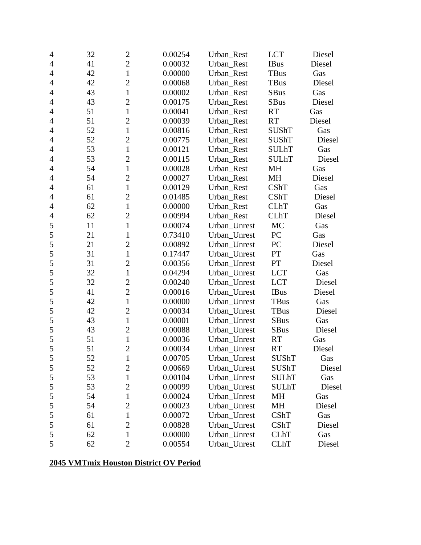| $\overline{4}$ | 32 | $\overline{c}$ | 0.00254 | Urban_Rest   | <b>LCT</b>   | Diesel |
|----------------|----|----------------|---------|--------------|--------------|--------|
| 4              | 41 | $\overline{2}$ | 0.00032 | Urban_Rest   | <b>IBus</b>  | Diesel |
| $\overline{4}$ | 42 | $\mathbf{1}$   | 0.00000 | Urban_Rest   | <b>TBus</b>  | Gas    |
| $\overline{4}$ | 42 | $\overline{c}$ | 0.00068 | Urban_Rest   | TBus         | Diesel |
| 4              | 43 | $\mathbf{1}$   | 0.00002 | Urban_Rest   | <b>SBus</b>  | Gas    |
| $\overline{4}$ | 43 | $\overline{c}$ | 0.00175 | Urban_Rest   | <b>SBus</b>  | Diesel |
| $\overline{4}$ | 51 | $\mathbf{1}$   | 0.00041 | Urban_Rest   | <b>RT</b>    | Gas    |
| 4              | 51 | $\overline{c}$ | 0.00039 | Urban Rest   | <b>RT</b>    | Diesel |
| $\overline{4}$ | 52 | $\mathbf{1}$   | 0.00816 | Urban_Rest   | <b>SUShT</b> | Gas    |
| $\overline{4}$ | 52 | $\overline{2}$ | 0.00775 | Urban_Rest   | <b>SUShT</b> | Diesel |
| $\overline{4}$ | 53 | $\mathbf{1}$   | 0.00121 | Urban_Rest   | <b>SULhT</b> | Gas    |
| 4              | 53 | $\overline{c}$ | 0.00115 | Urban_Rest   | <b>SULhT</b> | Diesel |
| $\overline{4}$ | 54 | $\mathbf{1}$   | 0.00028 | Urban_Rest   | MH           | Gas    |
| $\overline{4}$ | 54 | $\overline{c}$ | 0.00027 | Urban_Rest   | MH           | Diesel |
| 4              | 61 | $\mathbf{1}$   | 0.00129 | Urban Rest   | CShT         | Gas    |
| $\overline{4}$ | 61 | $\overline{c}$ | 0.01485 | Urban Rest   | <b>CShT</b>  | Diesel |
| $\overline{4}$ | 62 | $\mathbf{1}$   | 0.00000 | Urban_Rest   | <b>CLhT</b>  | Gas    |
| $\overline{4}$ | 62 | $\overline{c}$ | 0.00994 | Urban_Rest   | <b>CLhT</b>  | Diesel |
| 5              | 11 | $\mathbf{1}$   | 0.00074 | Urban_Unrest | MC           | Gas    |
| 5              | 21 | $\mathbf{1}$   | 0.73410 | Urban_Unrest | PC           | Gas    |
| 5              | 21 | $\overline{c}$ | 0.00892 | Urban_Unrest | PC           | Diesel |
| 5              | 31 | $\mathbf{1}$   | 0.17447 | Urban_Unrest | PT           | Gas    |
| 5              | 31 | $\overline{c}$ | 0.00356 | Urban_Unrest | PT           | Diesel |
| 5              | 32 | $\mathbf{1}$   | 0.04294 | Urban_Unrest | <b>LCT</b>   | Gas    |
| 5              | 32 | $\overline{c}$ | 0.00240 | Urban_Unrest | <b>LCT</b>   | Diesel |
| 5              | 41 | $\overline{c}$ | 0.00016 | Urban_Unrest | <b>IBus</b>  | Diesel |
| 5              | 42 | $\mathbf{1}$   | 0.00000 | Urban_Unrest | <b>TBus</b>  | Gas    |
| 5              | 42 | $\overline{c}$ | 0.00034 | Urban_Unrest | TBus         | Diesel |
| 5              | 43 | $\mathbf{1}$   | 0.00001 | Urban_Unrest | SBus         | Gas    |
| 5              | 43 | $\overline{2}$ | 0.00088 | Urban_Unrest | SBus         | Diesel |
| 5              | 51 | $\mathbf{1}$   | 0.00036 | Urban_Unrest | <b>RT</b>    | Gas    |
| 5              | 51 | $\overline{c}$ | 0.00034 | Urban_Unrest | <b>RT</b>    | Diesel |
| 5              | 52 | $\mathbf{1}$   | 0.00705 | Urban_Unrest | SUShT        | Gas    |
| 5              | 52 | $\overline{2}$ | 0.00669 | Urban_Unrest | SUShT        | Diesel |
| $\mathfrak s$  | 53 | $\mathbf{1}$   | 0.00104 | Urban_Unrest | SULhT        | Gas    |
| 5              | 53 | $\overline{2}$ | 0.00099 | Urban Unrest | <b>SULhT</b> | Diesel |
| $\mathfrak s$  | 54 | $\mathbf{1}$   | 0.00024 | Urban_Unrest | MH           | Gas    |
| 5              | 54 | $\overline{2}$ | 0.00023 | Urban_Unrest | MH           | Diesel |
| 5              | 61 | $\mathbf 1$    | 0.00072 | Urban_Unrest | CShT         | Gas    |
| 5              | 61 | $\overline{2}$ | 0.00828 | Urban_Unrest | CShT         | Diesel |
| 5              | 62 | $\mathbf{1}$   | 0.00000 | Urban Unrest | <b>CLhT</b>  | Gas    |
| 5              | 62 | $\overline{2}$ | 0.00554 | Urban_Unrest | <b>CLhT</b>  | Diesel |

# **2045 VMTmix Houston District OV Period**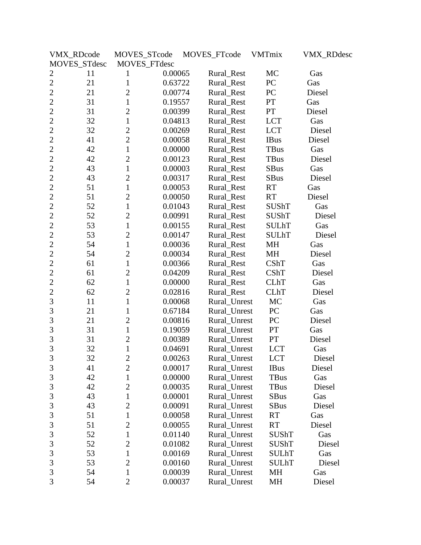|                | VMX_RDcode   | MOVES_STcode   |         | MOVES_FTcode | VMTmix        | <b>VMX_RDdesc</b> |
|----------------|--------------|----------------|---------|--------------|---------------|-------------------|
|                | MOVES_STdesc | MOVES_FTdesc   |         |              |               |                   |
| $\overline{c}$ | 11           | 1              | 0.00065 | Rural_Rest   | MC            | Gas               |
| $\overline{2}$ | 21           | $\mathbf{1}$   | 0.63722 | Rural_Rest   | PC            | Gas               |
| $\overline{2}$ | 21           | $\overline{2}$ | 0.00774 | Rural_Rest   | PC            | Diesel            |
| $\overline{2}$ | 31           | $\mathbf{1}$   | 0.19557 | Rural_Rest   | ${\cal PT}$   | Gas               |
| $\overline{2}$ | 31           | $\overline{2}$ | 0.00399 | Rural_Rest   | PT            | Diesel            |
| $\overline{2}$ | 32           | $\mathbf{1}$   | 0.04813 | Rural_Rest   | <b>LCT</b>    | Gas               |
| $\overline{2}$ | 32           | $\overline{2}$ | 0.00269 | Rural_Rest   | <b>LCT</b>    | Diesel            |
| $\overline{2}$ | 41           | $\overline{2}$ | 0.00058 | Rural_Rest   | <b>IBus</b>   | Diesel            |
| $\overline{c}$ | 42           | $\mathbf{1}$   | 0.00000 | Rural_Rest   | TBus          | Gas               |
| $\overline{2}$ | 42           | $\overline{2}$ | 0.00123 | Rural_Rest   | TBus          | Diesel            |
| $\overline{2}$ | 43           | $\mathbf{1}$   | 0.00003 | Rural_Rest   | <b>SBus</b>   | Gas               |
| $\overline{2}$ | 43           | $\overline{2}$ | 0.00317 | Rural_Rest   | <b>SBus</b>   | Diesel            |
| $\overline{2}$ | 51           | $\mathbf{1}$   | 0.00053 | Rural_Rest   | <b>RT</b>     | Gas               |
| $\overline{2}$ | 51           | $\overline{2}$ | 0.00050 | Rural Rest   | RT            | Diesel            |
| $\overline{2}$ | 52           | $\mathbf{1}$   | 0.01043 | Rural_Rest   | <b>SUShT</b>  | Gas               |
| $\overline{2}$ | 52           | $\overline{2}$ | 0.00991 | Rural_Rest   | SUShT         | Diesel            |
| $\overline{2}$ | 53           | $\mathbf{1}$   | 0.00155 | Rural_Rest   | <b>SULhT</b>  | Gas               |
| $\overline{c}$ | 53           | $\overline{2}$ | 0.00147 | Rural_Rest   | <b>SULhT</b>  | Diesel            |
| $\overline{2}$ | 54           | $\mathbf{1}$   | 0.00036 | Rural_Rest   | MH            | Gas               |
| $\overline{2}$ | 54           | $\overline{2}$ | 0.00034 | Rural_Rest   | MH            | Diesel            |
| $\overline{2}$ | 61           | 1              | 0.00366 | Rural_Rest   | CShT          | Gas               |
| $\overline{2}$ | 61           | $\overline{2}$ | 0.04209 | Rural_Rest   | CShT          | Diesel            |
| $\overline{2}$ | 62           | $\mathbf{1}$   | 0.00000 | Rural_Rest   | <b>CLhT</b>   | Gas               |
| $\overline{c}$ | 62           | $\overline{2}$ | 0.02816 | Rural_Rest   | <b>CLhT</b>   | Diesel            |
| 3              | 11           | $\mathbf{1}$   | 0.00068 | Rural_Unrest | MC            | Gas               |
| 3              | 21           | $\mathbf{1}$   | 0.67184 | Rural_Unrest | PC            | Gas               |
| 3              | 21           | $\overline{2}$ | 0.00816 | Rural_Unrest | PC            | Diesel            |
| 3              | 31           | $\mathbf{1}$   | 0.19059 | Rural_Unrest | $\mathbf{PT}$ | Gas               |
| 3              | 31           | $\overline{2}$ | 0.00389 | Rural_Unrest | PT            | Diesel            |
| $\overline{3}$ | 32           | $\mathbf{1}$   | 0.04691 | Rural_Unrest | <b>LCT</b>    | Gas               |
| 3              | 32           | $\overline{c}$ | 0.00263 | Rural_Unrest | <b>LCT</b>    | Diesel            |
| 3              | 41           | $\overline{2}$ | 0.00017 | Rural_Unrest | <b>IBus</b>   | Diesel            |
| 3              | 42           | $\mathbf{1}$   | 0.00000 | Rural Unrest | <b>TBus</b>   | Gas               |
| $\mathfrak{Z}$ | 42           | $\overline{2}$ | 0.00035 | Rural_Unrest | <b>TBus</b>   | Diesel            |
| 3              | 43           | $\mathbf{1}$   | 0.00001 | Rural Unrest | <b>SBus</b>   | Gas               |
| $\mathfrak{Z}$ | 43           | $\mathbf{2}$   | 0.00091 | Rural_Unrest | SBus          | Diesel            |
| 3              | 51           | $\mathbf{1}$   | 0.00058 | Rural_Unrest | RT            | Gas               |
| 3              | 51           | $\overline{2}$ | 0.00055 | Rural_Unrest | RT            | Diesel            |
| $\mathfrak{Z}$ | 52           | $\mathbf{1}$   | 0.01140 | Rural Unrest | SUShT         | Gas               |
| 3              | 52           | $\overline{2}$ | 0.01082 | Rural_Unrest | SUShT         | Diesel            |
| $\mathfrak{Z}$ | 53           | $\mathbf{1}$   | 0.00169 | Rural_Unrest | SULhT         | Gas               |
| 3              | 53           | $\overline{2}$ | 0.00160 | Rural_Unrest | <b>SULhT</b>  | Diesel            |
| 3              | 54           | 1              | 0.00039 | Rural_Unrest | MH            | Gas               |
| 3              | 54           | $\overline{2}$ | 0.00037 | Rural_Unrest | MH            | Diesel            |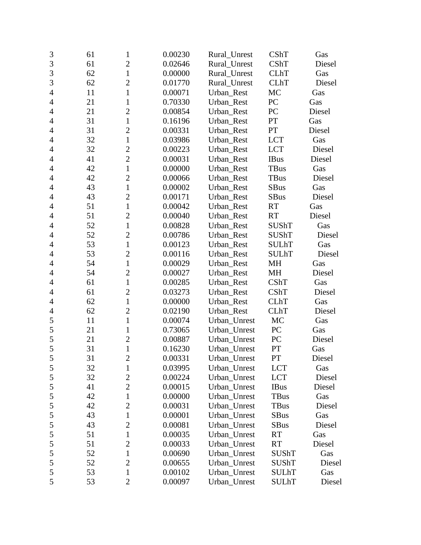| 3              | 61 | $\mathbf{1}$   | 0.00230 | Rural_Unrest | CShT         | Gas    |
|----------------|----|----------------|---------|--------------|--------------|--------|
| $\overline{3}$ | 61 | $\overline{2}$ | 0.02646 | Rural_Unrest | CShT         | Diesel |
| 3              | 62 | $\mathbf{1}$   | 0.00000 | Rural Unrest | <b>CLhT</b>  | Gas    |
| 3              | 62 | $\overline{c}$ | 0.01770 | Rural_Unrest | <b>CLhT</b>  | Diesel |
| $\overline{4}$ | 11 | $\mathbf{1}$   | 0.00071 | Urban_Rest   | MC           | Gas    |
| $\overline{4}$ | 21 | $\mathbf{1}$   | 0.70330 | Urban Rest   | PC           | Gas    |
| $\overline{4}$ | 21 | $\overline{2}$ | 0.00854 | Urban_Rest   | PC           | Diesel |
| $\overline{4}$ | 31 | $\mathbf{1}$   | 0.16196 | Urban_Rest   | PT           | Gas    |
| 4              | 31 | $\overline{2}$ | 0.00331 | Urban_Rest   | PT           | Diesel |
| $\overline{4}$ | 32 | $\mathbf{1}$   | 0.03986 | Urban Rest   | <b>LCT</b>   | Gas    |
| $\overline{4}$ | 32 | $\overline{2}$ | 0.00223 | Urban_Rest   | <b>LCT</b>   | Diesel |
| $\overline{4}$ | 41 | $\overline{2}$ | 0.00031 | Urban_Rest   | <b>IBus</b>  | Diesel |
| $\overline{4}$ | 42 | $\mathbf{1}$   | 0.00000 | Urban_Rest   | <b>TBus</b>  | Gas    |
| $\overline{4}$ | 42 | $\mathbf{2}$   | 0.00066 | Urban_Rest   | <b>TBus</b>  | Diesel |
| 4              | 43 | $\mathbf{1}$   | 0.00002 | Urban_Rest   | <b>SBus</b>  | Gas    |
| $\overline{4}$ | 43 | $\overline{2}$ | 0.00171 | Urban_Rest   | <b>SBus</b>  | Diesel |
| $\overline{4}$ | 51 | $\mathbf{1}$   | 0.00042 | Urban_Rest   | <b>RT</b>    | Gas    |
| $\overline{4}$ | 51 | $\overline{2}$ | 0.00040 | Urban Rest   | <b>RT</b>    | Diesel |
| $\overline{4}$ | 52 | $\mathbf{1}$   | 0.00828 | Urban Rest   | <b>SUShT</b> | Gas    |
| $\overline{4}$ | 52 | $\overline{2}$ | 0.00786 | Urban_Rest   | <b>SUShT</b> | Diesel |
| $\overline{4}$ | 53 | $\mathbf{1}$   | 0.00123 | Urban Rest   | <b>SULhT</b> | Gas    |
| $\overline{4}$ | 53 | $\overline{2}$ | 0.00116 | Urban_Rest   | <b>SULhT</b> | Diesel |
| $\overline{4}$ | 54 | $\mathbf{1}$   | 0.00029 | Urban_Rest   | MH           | Gas    |
| $\overline{4}$ | 54 | $\overline{c}$ | 0.00027 | Urban_Rest   | MH           | Diesel |
| $\overline{4}$ | 61 | $\mathbf{1}$   | 0.00285 | Urban_Rest   | CShT         | Gas    |
| $\overline{4}$ | 61 | $\mathbf{2}$   | 0.03273 | Urban_Rest   | CShT         | Diesel |
| $\overline{4}$ | 62 | $\mathbf{1}$   | 0.00000 | Urban_Rest   | <b>CLhT</b>  | Gas    |
| $\overline{4}$ | 62 | $\overline{2}$ | 0.02190 | Urban_Rest   | <b>CLhT</b>  | Diesel |
| 5              | 11 | $\mathbf{1}$   | 0.00074 | Urban_Unrest | MC           | Gas    |
| 5              | 21 | $\mathbf{1}$   | 0.73065 | Urban_Unrest | PC           | Gas    |
| 5              | 21 | $\overline{2}$ | 0.00887 | Urban_Unrest | PC           | Diesel |
| 5              | 31 | $\mathbf{1}$   | 0.16230 | Urban_Unrest | PT           | Gas    |
| 5              | 31 | $\overline{c}$ | 0.00331 | Urban_Unrest | PT           | Diesel |
| 5              | 32 | $\mathbf{1}$   | 0.03995 | Urban_Unrest | <b>LCT</b>   | Gas    |
| $\mathfrak s$  | 32 | $\overline{2}$ | 0.00224 | Urban_Unrest | <b>LCT</b>   | Diesel |
| 5              | 41 | $\overline{2}$ | 0.00015 | Urban_Unrest | <b>IBus</b>  | Diesel |
| 5              | 42 | $\mathbf{1}$   | 0.00000 | Urban_Unrest | TBus         | Gas    |
| 5              | 42 | $\overline{2}$ | 0.00031 | Urban_Unrest | TBus         | Diesel |
| 5              | 43 | $\mathbf 1$    | 0.00001 | Urban_Unrest | <b>SBus</b>  | Gas    |
| 5              | 43 | $\overline{2}$ | 0.00081 | Urban_Unrest | <b>SBus</b>  | Diesel |
| 5              | 51 | 1              | 0.00035 | Urban_Unrest | <b>RT</b>    | Gas    |
| 5              | 51 | $\overline{2}$ | 0.00033 | Urban_Unrest | <b>RT</b>    | Diesel |
| 5              | 52 | $\mathbf 1$    | 0.00690 | Urban_Unrest | <b>SUShT</b> | Gas    |
| 5              | 52 | $\overline{2}$ | 0.00655 | Urban_Unrest | <b>SUShT</b> | Diesel |
| 5              | 53 | $\mathbf 1$    | 0.00102 | Urban_Unrest | <b>SULhT</b> | Gas    |
| 5              | 53 | $\mathbf{2}$   | 0.00097 | Urban_Unrest | <b>SULhT</b> | Diesel |
|                |    |                |         |              |              |        |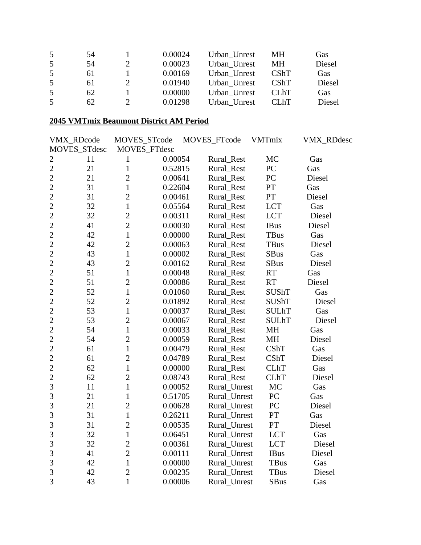| 5  | 54 | 0.00024 | Urban Unrest | MН                | Gas        |
|----|----|---------|--------------|-------------------|------------|
| .5 | 54 | 0.00023 | Urban Unrest | MН                | Diesel     |
| .5 | 61 | 0.00169 | Urban Unrest | CShT              | Gas        |
| .5 | 61 | 0.01940 | Urban Unrest | <b>CShT</b>       | Diesel     |
| .5 | 62 | 0.00000 | Urban Unrest | <b>CLhT</b>       | <b>Gas</b> |
|    | 62 | 0.01298 | Urban Unrest | CL <sub>h</sub> T | Diesel     |

#### **2045 VMTmix Beaumont District AM Period**

|                | VMX_RDcode   | MOVES_STcode   |         | MOVES_FTcode | <b>VMTmix</b> | <b>VMX_RDdesc</b> |
|----------------|--------------|----------------|---------|--------------|---------------|-------------------|
|                | MOVES_STdesc | MOVES_FTdesc   |         |              |               |                   |
| $\mathbf{2}$   | 11           | $\mathbf{1}$   | 0.00054 | Rural_Rest   | MC            | Gas               |
| $\overline{2}$ | 21           | $\mathbf{1}$   | 0.52815 | Rural_Rest   | PC            | Gas               |
| $\overline{c}$ | 21           | $\overline{2}$ | 0.00641 | Rural_Rest   | PC            | Diesel            |
| $\overline{2}$ | 31           | $\mathbf{1}$   | 0.22604 | Rural_Rest   | PT            | Gas               |
| $\overline{2}$ | 31           | $\overline{2}$ | 0.00461 | Rural_Rest   | $\cal{PT}$    | Diesel            |
| $\overline{2}$ | 32           | $\mathbf{1}$   | 0.05564 | Rural_Rest   | <b>LCT</b>    | Gas               |
| $\overline{2}$ | 32           | $\overline{2}$ | 0.00311 | Rural_Rest   | <b>LCT</b>    | Diesel            |
| $\overline{c}$ | 41           | $\overline{2}$ | 0.00030 | Rural_Rest   | <b>IBus</b>   | Diesel            |
| $\overline{2}$ | 42           | $\mathbf{1}$   | 0.00000 | Rural_Rest   | <b>TBus</b>   | Gas               |
| $\overline{c}$ | 42           | $\overline{2}$ | 0.00063 | Rural_Rest   | <b>TBus</b>   | Diesel            |
| $\overline{c}$ | 43           | $\mathbf{1}$   | 0.00002 | Rural_Rest   | <b>SBus</b>   | Gas               |
| $\overline{c}$ | 43           | $\overline{2}$ | 0.00162 | Rural_Rest   | <b>SBus</b>   | Diesel            |
| $\overline{c}$ | 51           | $\mathbf{1}$   | 0.00048 | Rural_Rest   | <b>RT</b>     | Gas               |
| $\overline{c}$ | 51           | $\overline{2}$ | 0.00086 | Rural_Rest   | <b>RT</b>     | Diesel            |
| $\overline{2}$ | 52           | $\mathbf{1}$   | 0.01060 | Rural_Rest   | <b>SUShT</b>  | Gas               |
| $\overline{2}$ | 52           | $\overline{2}$ | 0.01892 | Rural_Rest   | <b>SUShT</b>  | Diesel            |
| $\overline{c}$ | 53           | $\mathbf{1}$   | 0.00037 | Rural Rest   | <b>SULhT</b>  | Gas               |
| $\overline{2}$ | 53           | $\overline{2}$ | 0.00067 | Rural_Rest   | <b>SULhT</b>  | Diesel            |
| $\overline{2}$ | 54           | $\mathbf{1}$   | 0.00033 | Rural_Rest   | MH            | Gas               |
| $\overline{c}$ | 54           | $\overline{2}$ | 0.00059 | Rural_Rest   | <b>MH</b>     | Diesel            |
| $\overline{2}$ | 61           | $\mathbf{1}$   | 0.00479 | Rural_Rest   | <b>CShT</b>   | Gas               |
| $\overline{2}$ | 61           | $\overline{2}$ | 0.04789 | Rural_Rest   | <b>CShT</b>   | Diesel            |
| $\overline{2}$ | 62           | $\mathbf{1}$   | 0.00000 | Rural_Rest   | <b>CLhT</b>   | Gas               |
| $\overline{2}$ | 62           | $\overline{2}$ | 0.08743 | Rural_Rest   | <b>CLhT</b>   | Diesel            |
| 3              | 11           | $\mathbf{1}$   | 0.00052 | Rural_Unrest | <b>MC</b>     | Gas               |
| 3              | 21           | $\mathbf{1}$   | 0.51705 | Rural_Unrest | PC            | Gas               |
| 3              | 21           | $\overline{2}$ | 0.00628 | Rural_Unrest | PC            | Diesel            |
| 3              | 31           | $\mathbf{1}$   | 0.26211 | Rural_Unrest | PT            | Gas               |
| 3              | 31           | $\overline{2}$ | 0.00535 | Rural_Unrest | PT            | Diesel            |
| 3              | 32           | $\mathbf{1}$   | 0.06451 | Rural_Unrest | <b>LCT</b>    | Gas               |
| 3              | 32           | $\overline{2}$ | 0.00361 | Rural_Unrest | <b>LCT</b>    | Diesel            |
| 3              | 41           | $\overline{2}$ | 0.00111 | Rural_Unrest | <b>IBus</b>   | Diesel            |
| 3              | 42           | $\mathbf{1}$   | 0.00000 | Rural_Unrest | <b>TBus</b>   | Gas               |
| 3              | 42           | $\overline{2}$ | 0.00235 | Rural_Unrest | <b>TBus</b>   | Diesel            |
| $\overline{3}$ | 43           | $\mathbf{1}$   | 0.00006 | Rural Unrest | <b>SBus</b>   | Gas               |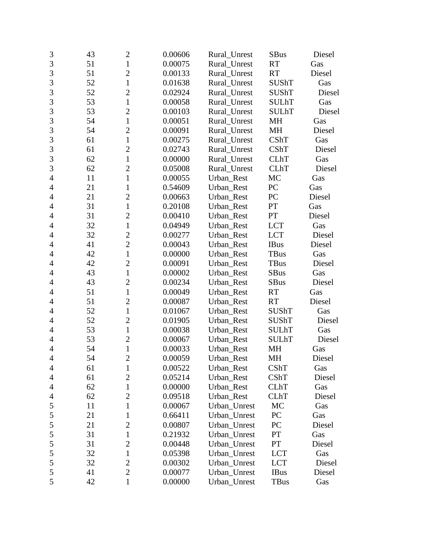| 3              | 43 | $\mathbf{2}$   | 0.00606 | Rural_Unrest | <b>SBus</b>  | Diesel |
|----------------|----|----------------|---------|--------------|--------------|--------|
| 3              | 51 | $\mathbf{1}$   | 0.00075 | Rural_Unrest | <b>RT</b>    | Gas    |
| 3              | 51 | $\overline{c}$ | 0.00133 | Rural_Unrest | <b>RT</b>    | Diesel |
| 3              | 52 | $\mathbf{1}$   | 0.01638 | Rural_Unrest | <b>SUShT</b> | Gas    |
| $\overline{3}$ | 52 | $\overline{2}$ | 0.02924 | Rural Unrest | <b>SUShT</b> | Diesel |
| 3              | 53 | $\mathbf{1}$   | 0.00058 | Rural_Unrest | <b>SULhT</b> | Gas    |
| 3              | 53 | $\overline{c}$ | 0.00103 | Rural_Unrest | <b>SULhT</b> | Diesel |
| 3              | 54 | $\mathbf{1}$   | 0.00051 | Rural_Unrest | <b>MH</b>    | Gas    |
| $\overline{3}$ | 54 | $\overline{2}$ | 0.00091 | Rural_Unrest | MH           | Diesel |
| $\overline{3}$ | 61 | $\mathbf{1}$   | 0.00275 | Rural_Unrest | CShT         | Gas    |
| 3              | 61 | $\overline{2}$ | 0.02743 | Rural_Unrest | CShT         | Diesel |
| $\overline{3}$ | 62 | $\mathbf{1}$   | 0.00000 | Rural_Unrest | <b>CLhT</b>  | Gas    |
| 3              | 62 | $\overline{c}$ | 0.05008 | Rural_Unrest | <b>CLhT</b>  | Diesel |
| $\overline{4}$ | 11 | $\mathbf{1}$   | 0.00055 | Urban_Rest   | MC           | Gas    |
| 4              | 21 | $\mathbf{1}$   | 0.54609 | Urban_Rest   | PC           | Gas    |
| $\overline{4}$ | 21 | $\overline{2}$ | 0.00663 | Urban_Rest   | PC           | Diesel |
| $\overline{4}$ | 31 | $\mathbf{1}$   | 0.20108 | Urban_Rest   | PT           | Gas    |
| 4              | 31 | $\overline{c}$ | 0.00410 | Urban Rest   | PT           | Diesel |
| 4              | 32 | $\mathbf{1}$   | 0.04949 | Urban_Rest   | <b>LCT</b>   | Gas    |
| $\overline{4}$ | 32 | $\overline{2}$ | 0.00277 | Urban Rest   | <b>LCT</b>   | Diesel |
| 4              | 41 | $\overline{2}$ | 0.00043 | Urban Rest   | <b>IBus</b>  | Diesel |
| 4              | 42 | $\mathbf{1}$   | 0.00000 | Urban_Rest   | TBus         | Gas    |
| $\overline{4}$ | 42 | $\overline{c}$ | 0.00091 | Urban_Rest   | TBus         | Diesel |
| $\overline{4}$ | 43 | $\mathbf{1}$   | 0.00002 | Urban_Rest   | <b>SBus</b>  | Gas    |
| 4              | 43 | $\overline{2}$ | 0.00234 | Urban_Rest   | <b>SBus</b>  | Diesel |
| $\overline{4}$ | 51 | $\mathbf{1}$   | 0.00049 | Urban_Rest   | <b>RT</b>    | Gas    |
| $\overline{4}$ | 51 | $\overline{2}$ | 0.00087 | Urban_Rest   | <b>RT</b>    | Diesel |
| 4              | 52 | $\mathbf{1}$   | 0.01067 | Urban_Rest   | <b>SUShT</b> | Gas    |
| $\overline{4}$ | 52 | $\overline{2}$ | 0.01905 | Urban_Rest   | <b>SUShT</b> | Diesel |
| $\overline{4}$ | 53 | $\mathbf{1}$   | 0.00038 | Urban_Rest   | <b>SULhT</b> | Gas    |
| 4              | 53 | $\overline{2}$ | 0.00067 | Urban Rest   | <b>SULhT</b> | Diesel |
| 4              | 54 | $\mathbf{1}$   | 0.00033 | Urban Rest   | <b>MH</b>    | Gas    |
| $\overline{4}$ | 54 | $\overline{c}$ | 0.00059 | Urban_Rest   | MH           | Diesel |
| 4              | 61 | 1              | 0.00522 | Urban_Rest   | <b>CShT</b>  | Gas    |
| 4              | 61 | $\overline{2}$ | 0.05214 | Urban_Rest   | CShT         | Diesel |
| 4              | 62 | 1              | 0.00000 | Urban_Rest   | <b>CLhT</b>  | Gas    |
| 4              | 62 | 2              | 0.09518 | Urban_Rest   | <b>CLhT</b>  | Diesel |
| 5              | 11 | $\mathbf{1}$   | 0.00067 | Urban_Unrest | MC           | Gas    |
| 5              | 21 | 1              | 0.66411 | Urban_Unrest | PC           | Gas    |
| $\mathfrak s$  | 21 | $\overline{2}$ | 0.00807 | Urban_Unrest | PC           | Diesel |
| 5              | 31 | $\mathbf{1}$   | 0.21932 | Urban Unrest | PT           | Gas    |
| 5              | 31 | $\overline{c}$ | 0.00448 | Urban Unrest | <b>PT</b>    | Diesel |
| $\mathfrak s$  | 32 | $\mathbf{1}$   | 0.05398 | Urban_Unrest | <b>LCT</b>   | Gas    |
| 5              | 32 | $\mathbf{2}$   | 0.00302 | Urban_Unrest | <b>LCT</b>   | Diesel |
| 5              | 41 | $\overline{2}$ | 0.00077 | Urban_Unrest | <b>IBus</b>  | Diesel |
| 5              | 42 | $\mathbf{1}$   | 0.00000 | Urban_Unrest | TBus         | Gas    |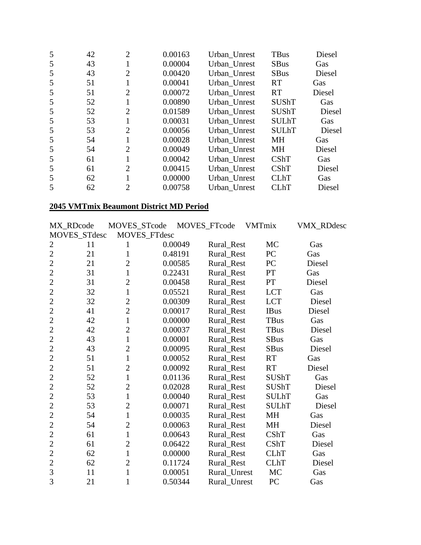| 5 | 42 | $\overline{2}$ | 0.00163 | Urban Unrest | TBus         | Diesel |
|---|----|----------------|---------|--------------|--------------|--------|
| 5 | 43 |                | 0.00004 | Urban Unrest | <b>SBus</b>  | Gas    |
| 5 | 43 | $\overline{2}$ | 0.00420 | Urban_Unrest | <b>SBus</b>  | Diesel |
| 5 | 51 |                | 0.00041 | Urban Unrest | RT           | Gas    |
| 5 | 51 | $\overline{2}$ | 0.00072 | Urban Unrest | <b>RT</b>    | Diesel |
| 5 | 52 |                | 0.00890 | Urban Unrest | <b>SUShT</b> | Gas    |
| 5 | 52 | $\overline{2}$ | 0.01589 | Urban Unrest | <b>SUShT</b> | Diesel |
| 5 | 53 |                | 0.00031 | Urban Unrest | <b>SULhT</b> | Gas    |
| 5 | 53 | $\overline{2}$ | 0.00056 | Urban_Unrest | <b>SULhT</b> | Diesel |
| 5 | 54 |                | 0.00028 | Urban Unrest | <b>MH</b>    | Gas    |
| 5 | 54 | $\overline{2}$ | 0.00049 | Urban Unrest | MH           | Diesel |
| 5 | 61 |                | 0.00042 | Urban Unrest | <b>CShT</b>  | Gas    |
| 5 | 61 | $\overline{2}$ | 0.00415 | Urban_Unrest | <b>CShT</b>  | Diesel |
| 5 | 62 |                | 0.00000 | Urban Unrest | <b>CLhT</b>  | Gas    |
|   | 62 | $\overline{2}$ | 0.00758 | Urban Unrest | <b>CLhT</b>  | Diesel |

# **2045 VMTmix Beaumont District MD Period**

| MX_RDcode      |    | MOVES_STcode   | MOVES_FTcode |              | <b>VMTmix</b> |              | <b>VMX_RDdesc</b> |
|----------------|----|----------------|--------------|--------------|---------------|--------------|-------------------|
| MOVES_STdesc   |    | MOVES_FTdesc   |              |              |               |              |                   |
| $\overline{2}$ | 11 | 1              | 0.00049      | Rural Rest   |               | <b>MC</b>    | Gas               |
| $\overline{2}$ | 21 | $\mathbf{1}$   | 0.48191      | Rural_Rest   |               | PC           | Gas               |
| $\overline{2}$ | 21 | $\overline{2}$ | 0.00585      | Rural_Rest   |               | PC           | Diesel            |
| $\overline{2}$ | 31 | $\mathbf{1}$   | 0.22431      | Rural_Rest   |               | <b>PT</b>    | Gas               |
| $\overline{2}$ | 31 | $\overline{2}$ | 0.00458      | Rural_Rest   |               | PT           | Diesel            |
| $\overline{2}$ | 32 | $\mathbf{1}$   | 0.05521      | Rural_Rest   |               | <b>LCT</b>   | Gas               |
| $\overline{2}$ | 32 | $\overline{2}$ | 0.00309      | Rural_Rest   |               | <b>LCT</b>   | Diesel            |
| $\overline{2}$ | 41 | $\overline{2}$ | 0.00017      | Rural_Rest   |               | <b>IBus</b>  | Diesel            |
| $\overline{2}$ | 42 | $\mathbf{1}$   | 0.00000      | Rural_Rest   |               | <b>TBus</b>  | Gas               |
| $\overline{2}$ | 42 | $\overline{2}$ | 0.00037      | Rural_Rest   |               | <b>TBus</b>  | Diesel            |
| $\overline{2}$ | 43 | $\mathbf{1}$   | 0.00001      | Rural_Rest   |               | <b>SBus</b>  | Gas               |
| $\overline{2}$ | 43 | $\overline{2}$ | 0.00095      | Rural_Rest   |               | <b>SBus</b>  | Diesel            |
| $\overline{2}$ | 51 | $\mathbf{1}$   | 0.00052      | Rural_Rest   |               | <b>RT</b>    | Gas               |
| $\overline{2}$ | 51 | $\overline{2}$ | 0.00092      | Rural_Rest   |               | <b>RT</b>    | Diesel            |
| $\overline{2}$ | 52 | $\mathbf{1}$   | 0.01136      | Rural_Rest   |               | <b>SUShT</b> | Gas               |
| $\overline{2}$ | 52 | $\overline{2}$ | 0.02028      | Rural_Rest   |               | <b>SUShT</b> | Diesel            |
| $\overline{2}$ | 53 | $\mathbf{1}$   | 0.00040      | Rural_Rest   |               | <b>SULhT</b> | Gas               |
| $\overline{2}$ | 53 | $\overline{2}$ | 0.00071      | Rural_Rest   |               | <b>SULhT</b> | Diesel            |
| $\overline{2}$ | 54 | $\mathbf{1}$   | 0.00035      | Rural_Rest   |               | MH           | Gas               |
| $\overline{2}$ | 54 | $\overline{2}$ | 0.00063      | Rural_Rest   |               | <b>MH</b>    | Diesel            |
| $\overline{2}$ | 61 | $\mathbf{1}$   | 0.00643      | Rural_Rest   |               | <b>CShT</b>  | Gas               |
| $\overline{2}$ | 61 | $\overline{2}$ | 0.06422      | Rural_Rest   |               | <b>CShT</b>  | Diesel            |
| $\overline{2}$ | 62 | $\mathbf{1}$   | 0.00000      | Rural_Rest   |               | <b>CLhT</b>  | Gas               |
| $\overline{2}$ | 62 | $\overline{2}$ | 0.11724      | Rural_Rest   |               | <b>CLhT</b>  | Diesel            |
| 3              | 11 | $\mathbf{1}$   | 0.00051      | Rural_Unrest |               | MC           | Gas               |
| $\overline{3}$ | 21 | $\mathbf{1}$   | 0.50344      | Rural_Unrest |               | PC           | Gas               |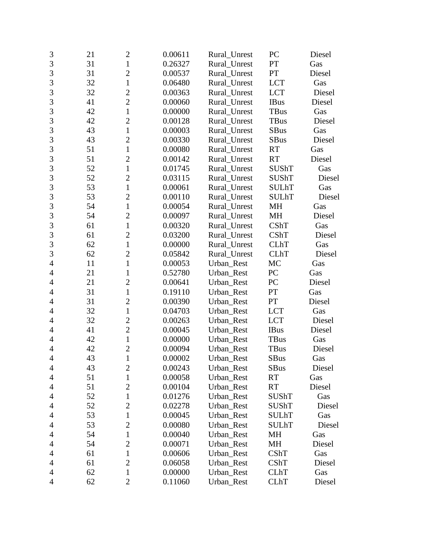| 3              | 21 | $\overline{2}$ | 0.00611 | Rural_Unrest | PC           | Diesel |
|----------------|----|----------------|---------|--------------|--------------|--------|
| $\overline{3}$ | 31 | $\mathbf{1}$   | 0.26327 | Rural Unrest | PT           | Gas    |
| 3              | 31 | $\overline{2}$ | 0.00537 | Rural_Unrest | PT           | Diesel |
| 3              | 32 | $\mathbf{1}$   | 0.06480 | Rural_Unrest | <b>LCT</b>   | Gas    |
| $\overline{3}$ | 32 | $\overline{2}$ | 0.00363 | Rural_Unrest | <b>LCT</b>   | Diesel |
| 3              | 41 | $\overline{c}$ | 0.00060 | Rural Unrest | <b>IBus</b>  | Diesel |
| 3              | 42 | $\mathbf{1}$   | 0.00000 | Rural_Unrest | <b>TBus</b>  | Gas    |
| 3              | 42 | $\overline{2}$ | 0.00128 | Rural_Unrest | <b>TBus</b>  | Diesel |
| $\overline{3}$ | 43 | $\mathbf{1}$   | 0.00003 | Rural_Unrest | <b>SBus</b>  | Gas    |
| 3              | 43 | $\overline{2}$ | 0.00330 | Rural_Unrest | <b>SBus</b>  | Diesel |
| 3              | 51 | $\mathbf{1}$   | 0.00080 | Rural_Unrest | <b>RT</b>    | Gas    |
| $\overline{3}$ | 51 | $\overline{2}$ | 0.00142 | Rural_Unrest | <b>RT</b>    | Diesel |
| 3              | 52 | $\mathbf{1}$   | 0.01745 | Rural_Unrest | <b>SUShT</b> | Gas    |
| 3              | 52 | $\overline{2}$ | 0.03115 | Rural_Unrest | <b>SUShT</b> | Diesel |
| $\overline{3}$ | 53 | $\mathbf{1}$   | 0.00061 | Rural_Unrest | <b>SULhT</b> | Gas    |
| 3              | 53 | $\overline{c}$ | 0.00110 | Rural_Unrest | <b>SULhT</b> | Diesel |
| 3              | 54 | $\mathbf{1}$   | 0.00054 | Rural_Unrest | MH           | Gas    |
| 3              | 54 | $\overline{2}$ | 0.00097 | Rural_Unrest | MH           | Diesel |
| $\overline{3}$ | 61 | $\mathbf{1}$   | 0.00320 | Rural_Unrest | CShT         | Gas    |
| 3              | 61 | $\overline{2}$ | 0.03200 | Rural_Unrest | CShT         | Diesel |
| 3              | 62 | $\mathbf{1}$   | 0.00000 | Rural Unrest | <b>CLhT</b>  | Gas    |
| $\overline{3}$ | 62 | $\overline{2}$ | 0.05842 | Rural_Unrest | <b>CLhT</b>  | Diesel |
| $\overline{4}$ | 11 | $\mathbf{1}$   | 0.00053 | Urban_Rest   | MC           | Gas    |
| $\overline{4}$ | 21 | 1              | 0.52780 | Urban_Rest   | PC           | Gas    |
| 4              | 21 | $\overline{2}$ | 0.00641 | Urban_Rest   | PC           | Diesel |
| $\overline{4}$ | 31 | $\mathbf{1}$   | 0.19110 | Urban_Rest   | PT           | Gas    |
| $\overline{4}$ | 31 | $\overline{2}$ | 0.00390 | Urban_Rest   | PT           | Diesel |
| 4              | 32 | $\mathbf{1}$   | 0.04703 | Urban_Rest   | <b>LCT</b>   | Gas    |
| 4              | 32 | $\overline{c}$ | 0.00263 | Urban_Rest   | <b>LCT</b>   | Diesel |
| $\overline{4}$ | 41 | $\overline{2}$ | 0.00045 | Urban_Rest   | <b>IBus</b>  | Diesel |
| $\overline{4}$ | 42 | $\mathbf{1}$   | 0.00000 | Urban_Rest   | <b>TBus</b>  | Gas    |
| $\overline{4}$ | 42 | $\overline{2}$ | 0.00094 | Urban_Rest   | TBus         | Diesel |
| $\overline{4}$ | 43 | $\mathbf{1}$   | 0.00002 | Urban_Rest   | SBus         | Gas    |
| 4              | 43 | $\overline{2}$ | 0.00243 | Urban_Rest   | <b>SBus</b>  | Diesel |
| 4              | 51 | $\mathbf{1}$   | 0.00058 | Urban_Rest   | <b>RT</b>    | Gas    |
| 4              | 51 | $\overline{c}$ | 0.00104 | Urban_Rest   | <b>RT</b>    | Diesel |
| 4              | 52 | $\mathbf{1}$   | 0.01276 | Urban_Rest   | SUShT        | Gas    |
| $\overline{4}$ | 52 | $\overline{2}$ | 0.02278 | Urban Rest   | <b>SUShT</b> | Diesel |
| 4              | 53 | 1              | 0.00045 | Urban_Rest   | <b>SULhT</b> | Gas    |
| 4              | 53 | $\overline{2}$ | 0.00080 | Urban_Rest   | <b>SULhT</b> | Diesel |
| 4              | 54 | $\mathbf{1}$   | 0.00040 | Urban_Rest   | MH           | Gas    |
| 4              | 54 | $\overline{2}$ | 0.00071 | Urban_Rest   | MH           | Diesel |
| 4              | 61 | 1              | 0.00606 | Urban_Rest   | CShT         | Gas    |
| 4              | 61 | $\overline{2}$ | 0.06058 | Urban_Rest   | <b>CShT</b>  | Diesel |
| 4              | 62 | $\mathbf{1}$   | 0.00000 | Urban_Rest   | <b>CLhT</b>  | Gas    |
| 4              | 62 | $\mathbf{2}$   | 0.11060 | Urban_Rest   | <b>CLhT</b>  | Diesel |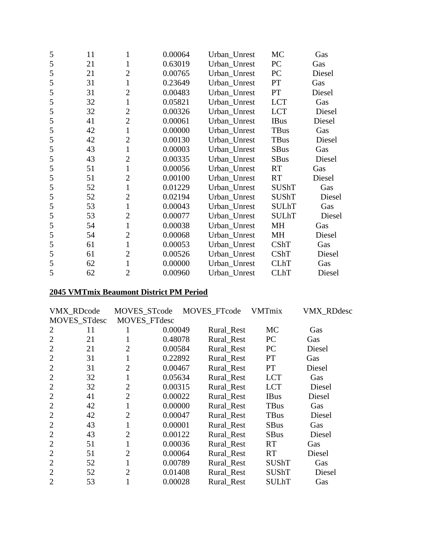| 5 | 11 | 1              | 0.00064 | Urban_Unrest | MC           | Gas    |
|---|----|----------------|---------|--------------|--------------|--------|
| 5 | 21 | 1              | 0.63019 | Urban_Unrest | PC           | Gas    |
| 5 | 21 | $\overline{2}$ | 0.00765 | Urban_Unrest | PC           | Diesel |
| 5 | 31 | $\mathbf{1}$   | 0.23649 | Urban_Unrest | PT           | Gas    |
| 5 | 31 | $\overline{2}$ | 0.00483 | Urban_Unrest | PT           | Diesel |
| 5 | 32 | $\mathbf{1}$   | 0.05821 | Urban_Unrest | <b>LCT</b>   | Gas    |
| 5 | 32 | $\overline{2}$ | 0.00326 | Urban_Unrest | <b>LCT</b>   | Diesel |
| 5 | 41 | $\overline{2}$ | 0.00061 | Urban_Unrest | <b>IBus</b>  | Diesel |
| 5 | 42 | $\mathbf{1}$   | 0.00000 | Urban_Unrest | TBus         | Gas    |
| 5 | 42 | $\overline{2}$ | 0.00130 | Urban_Unrest | TBus         | Diesel |
| 5 | 43 | $\mathbf{1}$   | 0.00003 | Urban_Unrest | <b>SBus</b>  | Gas    |
| 5 | 43 | $\overline{2}$ | 0.00335 | Urban_Unrest | <b>SBus</b>  | Diesel |
| 5 | 51 | $\mathbf{1}$   | 0.00056 | Urban_Unrest | <b>RT</b>    | Gas    |
| 5 | 51 | $\overline{2}$ | 0.00100 | Urban_Unrest | <b>RT</b>    | Diesel |
| 5 | 52 | $\mathbf{1}$   | 0.01229 | Urban_Unrest | <b>SUShT</b> | Gas    |
| 5 | 52 | $\overline{2}$ | 0.02194 | Urban_Unrest | <b>SUShT</b> | Diesel |
| 5 | 53 | $\mathbf{1}$   | 0.00043 | Urban_Unrest | <b>SULhT</b> | Gas    |
| 5 | 53 | $\overline{2}$ | 0.00077 | Urban_Unrest | <b>SULhT</b> | Diesel |
| 5 | 54 | $\mathbf{1}$   | 0.00038 | Urban_Unrest | <b>MH</b>    | Gas    |
| 5 | 54 | $\overline{2}$ | 0.00068 | Urban_Unrest | MH           | Diesel |
| 5 | 61 | $\mathbf{1}$   | 0.00053 | Urban_Unrest | CShT         | Gas    |
| 5 | 61 | $\overline{2}$ | 0.00526 | Urban_Unrest | CShT         | Diesel |
| 5 | 62 | $\mathbf{1}$   | 0.00000 | Urban_Unrest | <b>CLhT</b>  | Gas    |
| 5 | 62 | $\overline{2}$ | 0.00960 | Urban Unrest | <b>CLhT</b>  | Diesel |

# **2045 VMTmix Beaumont District PM Period**

|                | VMX_RDcode          | MOVES_STcode   |         | MOVES_FTcode | <b>VMTmix</b> | <b>VMX_RDdesc</b> |
|----------------|---------------------|----------------|---------|--------------|---------------|-------------------|
|                | <b>MOVES STdesc</b> | MOVES_FTdesc   |         |              |               |                   |
| 2              | 11                  |                | 0.00049 | Rural Rest   | MC            | Gas               |
| $\overline{2}$ | 21                  |                | 0.48078 | Rural Rest   | PC            | Gas               |
| $\overline{2}$ | 21                  | $\overline{2}$ | 0.00584 | Rural Rest   | PC            | Diesel            |
| $\overline{2}$ | 31                  |                | 0.22892 | Rural Rest   | <b>PT</b>     | Gas               |
| $\overline{2}$ | 31                  | $\overline{2}$ | 0.00467 | Rural Rest   | <b>PT</b>     | Diesel            |
| $\overline{2}$ | 32                  |                | 0.05634 | Rural Rest   | <b>LCT</b>    | Gas               |
| $\overline{2}$ | 32                  | $\overline{2}$ | 0.00315 | Rural Rest   | <b>LCT</b>    | Diesel            |
| $\overline{2}$ | 41                  | $\overline{2}$ | 0.00022 | Rural_Rest   | <b>IBus</b>   | Diesel            |
| $\overline{2}$ | 42                  |                | 0.00000 | Rural_Rest   | <b>TBus</b>   | Gas               |
| $\overline{2}$ | 42                  | $\overline{2}$ | 0.00047 | Rural_Rest   | <b>TBus</b>   | Diesel            |
| $\overline{2}$ | 43                  |                | 0.00001 | Rural_Rest   | <b>SBus</b>   | Gas               |
| 2              | 43                  | $\overline{2}$ | 0.00122 | Rural_Rest   | <b>SBus</b>   | Diesel            |
| $\overline{2}$ | 51                  |                | 0.00036 | Rural_Rest   | <b>RT</b>     | Gas               |
| $\overline{2}$ | 51                  | $\overline{2}$ | 0.00064 | Rural_Rest   | <b>RT</b>     | Diesel            |
| $\overline{2}$ | 52                  |                | 0.00789 | Rural_Rest   | <b>SUShT</b>  | Gas               |
| $\overline{2}$ | 52                  | $\overline{2}$ | 0.01408 | Rural_Rest   | SUShT         | Diesel            |
| $\overline{2}$ | 53                  |                | 0.00028 | Rural Rest   | SULhT         | Gas               |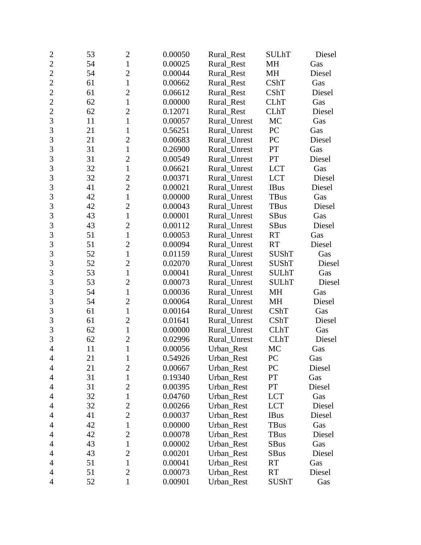| $\mathbf{2}$   | 53 | $\overline{2}$ | 0.00050 | Rural_Rest   | <b>SULhT</b> | Diesel |
|----------------|----|----------------|---------|--------------|--------------|--------|
| $\overline{2}$ | 54 | $\mathbf{1}$   | 0.00025 | Rural Rest   | <b>MH</b>    | Gas    |
| $\overline{2}$ | 54 | $\overline{c}$ | 0.00044 | Rural_Rest   | MH           | Diesel |
| $\overline{c}$ | 61 | $\mathbf{1}$   | 0.00662 | Rural_Rest   | CShT         | Gas    |
| $\overline{2}$ | 61 | $\overline{2}$ | 0.06612 | Rural_Rest   | CShT         | Diesel |
| $\overline{2}$ | 62 | $\mathbf{1}$   | 0.00000 | Rural_Rest   | <b>CLhT</b>  | Gas    |
| $\overline{2}$ | 62 | $\overline{2}$ | 0.12071 | Rural Rest   | <b>CLhT</b>  | Diesel |
| 3              | 11 | $\mathbf{1}$   | 0.00057 | Rural_Unrest | MC           | Gas    |
| 3              | 21 | 1              | 0.56251 | Rural_Unrest | PC           | Gas    |
| 3              | 21 | $\overline{2}$ | 0.00683 | Rural_Unrest | PC           | Diesel |
| 3              | 31 | $\mathbf{1}$   | 0.26900 | Rural Unrest | PT           | Gas    |
| $\overline{3}$ | 31 | $\overline{2}$ | 0.00549 | Rural_Unrest | PT           | Diesel |
| 3              | 32 | $\mathbf{1}$   | 0.06621 | Rural_Unrest | <b>LCT</b>   | Gas    |
| 3              | 32 | $\overline{c}$ | 0.00371 | Rural_Unrest | <b>LCT</b>   | Diesel |
| $\overline{3}$ | 41 | $\overline{2}$ | 0.00021 | Rural_Unrest | <b>IBus</b>  | Diesel |
| 3              | 42 | $\mathbf{1}$   | 0.00000 | Rural_Unrest | <b>TBus</b>  | Gas    |
| 3              | 42 | $\overline{2}$ | 0.00043 | Rural_Unrest | <b>TBus</b>  | Diesel |
| 3              | 43 | $\mathbf{1}$   | 0.00001 | Rural_Unrest | <b>SBus</b>  | Gas    |
| $\overline{3}$ | 43 | $\overline{2}$ | 0.00112 | Rural_Unrest | <b>SBus</b>  | Diesel |
| 3              | 51 | $\mathbf{1}$   | 0.00053 | Rural_Unrest | <b>RT</b>    | Gas    |
| 3              | 51 | $\overline{2}$ | 0.00094 | Rural Unrest | <b>RT</b>    | Diesel |
| $\overline{3}$ | 52 | $\mathbf{1}$   | 0.01159 | Rural_Unrest | <b>SUShT</b> | Gas    |
| 3              | 52 | $\overline{2}$ | 0.02070 | Rural_Unrest | <b>SUShT</b> | Diesel |
| 3              | 53 | $\mathbf{1}$   | 0.00041 | Rural_Unrest | <b>SULhT</b> | Gas    |
| $\overline{3}$ | 53 | $\overline{2}$ | 0.00073 | Rural_Unrest | <b>SULhT</b> | Diesel |
| 3              | 54 | $\mathbf{1}$   | 0.00036 | Rural_Unrest | MH           | Gas    |
| 3              | 54 | $\overline{2}$ | 0.00064 | Rural_Unrest | MH           | Diesel |
| 3              | 61 | $\mathbf{1}$   | 0.00164 | Rural_Unrest | CShT         | Gas    |
| $\overline{3}$ | 61 | $\overline{2}$ | 0.01641 | Rural_Unrest | CShT         | Diesel |
| 3              | 62 | $\mathbf{1}$   | 0.00000 | Rural_Unrest | <b>CLhT</b>  | Gas    |
| 3              | 62 | $\overline{2}$ | 0.02996 | Rural_Unrest | <b>CLhT</b>  | Diesel |
| $\overline{4}$ | 11 | $\mathbf{1}$   | 0.00056 | Urban_Rest   | MC           | Gas    |
| $\overline{4}$ | 21 | $\mathbf{1}$   | 0.54926 | Urban_Rest   | PC           | Gas    |
| 4              | 21 | $\overline{2}$ | 0.00667 | Urban_Rest   | PC           | Diesel |
| 4              | 31 | $\mathbf{1}$   | 0.19340 | Urban_Rest   | PT           | Gas    |
| 4              | 31 | $\overline{c}$ | 0.00395 | Urban_Rest   | PT           | Diesel |
| 4              | 32 | $\mathbf{1}$   | 0.04760 | Urban_Rest   | <b>LCT</b>   | Gas    |
| 4              | 32 | 2              | 0.00266 | Urban Rest   | <b>LCT</b>   | Diesel |
| 4              | 41 | $\overline{2}$ | 0.00037 | Urban_Rest   | <b>IBus</b>  | Diesel |
| 4              | 42 | $\mathbf{1}$   | 0.00000 | Urban_Rest   | <b>TBus</b>  | Gas    |
| $\overline{4}$ | 42 | $\overline{2}$ | 0.00078 | Urban_Rest   | <b>TBus</b>  | Diesel |
| 4              | 43 | $\mathbf{1}$   | 0.00002 | Urban_Rest   | <b>SBus</b>  | Gas    |
| 4              | 43 | $\overline{2}$ | 0.00201 | Urban_Rest   | <b>SBus</b>  | Diesel |
| 4              | 51 | $\mathbf{1}$   | 0.00041 | Urban_Rest   | <b>RT</b>    | Gas    |
| 4              | 51 | $\overline{2}$ | 0.00073 | Urban_Rest   | <b>RT</b>    | Diesel |
| 4              | 52 | $\mathbf{1}$   | 0.00901 | Urban_Rest   | SUShT        | Gas    |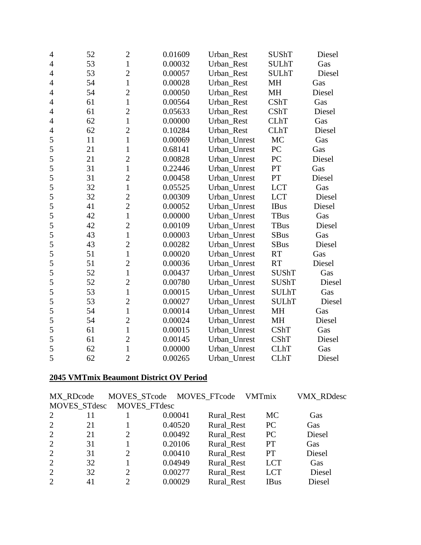| 4              | 52 | $\overline{c}$ | 0.01609 | Urban_Rest   | <b>SUShT</b> | Diesel |
|----------------|----|----------------|---------|--------------|--------------|--------|
| 4              | 53 | $\mathbf{1}$   | 0.00032 | Urban Rest   | <b>SULhT</b> | Gas    |
| 4              | 53 | $\overline{c}$ | 0.00057 | Urban_Rest   | <b>SULhT</b> | Diesel |
| $\overline{4}$ | 54 | $\mathbf{1}$   | 0.00028 | Urban_Rest   | <b>MH</b>    | Gas    |
| $\overline{4}$ | 54 | $\overline{2}$ | 0.00050 | Urban_Rest   | MH           | Diesel |
| 4              | 61 | $\mathbf{1}$   | 0.00564 | Urban_Rest   | CShT         | Gas    |
| $\overline{4}$ | 61 | $\overline{2}$ | 0.05633 | Urban_Rest   | <b>CShT</b>  | Diesel |
| $\overline{4}$ | 62 | $\mathbf{1}$   | 0.00000 | Urban_Rest   | <b>CLhT</b>  | Gas    |
| $\overline{4}$ | 62 | $\overline{c}$ | 0.10284 | Urban_Rest   | <b>CLhT</b>  | Diesel |
| 5              | 11 | $\mathbf{1}$   | 0.00069 | Urban_Unrest | MC           | Gas    |
| 5              | 21 | $\mathbf{1}$   | 0.68141 | Urban_Unrest | PC           | Gas    |
| 5              | 21 | $\overline{c}$ | 0.00828 | Urban_Unrest | PC           | Diesel |
| 5              | 31 | $\mathbf{1}$   | 0.22446 | Urban_Unrest | PT           | Gas    |
| 5              | 31 | $\overline{c}$ | 0.00458 | Urban_Unrest | PT           | Diesel |
| 5              | 32 | $\mathbf{1}$   | 0.05525 | Urban_Unrest | <b>LCT</b>   | Gas    |
| 5              | 32 | $\overline{2}$ | 0.00309 | Urban_Unrest | <b>LCT</b>   | Diesel |
| 5              | 41 | $\overline{2}$ | 0.00052 | Urban_Unrest | <b>IBus</b>  | Diesel |
| 5              | 42 | $\mathbf{1}$   | 0.00000 | Urban_Unrest | <b>TBus</b>  | Gas    |
| 5              | 42 | $\overline{c}$ | 0.00109 | Urban_Unrest | <b>TBus</b>  | Diesel |
| 5              | 43 | $\mathbf{1}$   | 0.00003 | Urban_Unrest | <b>SBus</b>  | Gas    |
| 5              | 43 | $\overline{c}$ | 0.00282 | Urban_Unrest | <b>SBus</b>  | Diesel |
| 5              | 51 | $\mathbf{1}$   | 0.00020 | Urban Unrest | <b>RT</b>    | Gas    |
| 5              | 51 | $\overline{c}$ | 0.00036 | Urban_Unrest | <b>RT</b>    | Diesel |
| 5              | 52 | $\mathbf{1}$   | 0.00437 | Urban Unrest | <b>SUShT</b> | Gas    |
| 5              | 52 | $\overline{2}$ | 0.00780 | Urban_Unrest | <b>SUShT</b> | Diesel |
| 5              | 53 | $\mathbf{1}$   | 0.00015 | Urban_Unrest | <b>SULhT</b> | Gas    |
| 5              | 53 | $\overline{2}$ | 0.00027 | Urban_Unrest | <b>SULhT</b> | Diesel |
| 5              | 54 | $\mathbf{1}$   | 0.00014 | Urban_Unrest | <b>MH</b>    | Gas    |
| 5              | 54 | $\overline{c}$ | 0.00024 | Urban_Unrest | MH           | Diesel |
| 5              | 61 | $\mathbf{1}$   | 0.00015 | Urban_Unrest | <b>CShT</b>  | Gas    |
| 5              | 61 | $\overline{c}$ | 0.00145 | Urban_Unrest | <b>CShT</b>  | Diesel |
| 5              | 62 | $\mathbf{1}$   | 0.00000 | Urban_Unrest | <b>CLhT</b>  | Gas    |
| 5              | 62 | $\overline{2}$ | 0.00265 | Urban Unrest | <b>CLhT</b>  | Diesel |

#### **2045 VMTmix Beaumont District OV Period**

|   | MX RDcode    |              |         | MOVES_STcode MOVES_FTcode VMTmix |             | <b>VMX RDdesc</b> |
|---|--------------|--------------|---------|----------------------------------|-------------|-------------------|
|   | MOVES_STdesc | MOVES_FTdesc |         |                                  |             |                   |
| 2 | 11           |              | 0.00041 | Rural_Rest                       | MC          | Gas               |
| 2 | 21           |              | 0.40520 | Rural Rest                       | <b>PC</b>   | Gas               |
| 2 | 21           | 2            | 0.00492 | Rural_Rest                       | PC          | Diesel            |
| 2 | 31           |              | 0.20106 | Rural Rest                       | <b>PT</b>   | Gas               |
| 2 | 31           | 2            | 0.00410 | Rural Rest                       | <b>PT</b>   | Diesel            |
| 2 | 32           |              | 0.04949 | Rural_Rest                       | <b>LCT</b>  | Gas               |
| 2 | 32           | 2            | 0.00277 | Rural Rest                       | <b>LCT</b>  | Diesel            |
| 2 | 41           | 2            | 0.00029 | Rural Rest                       | <b>IBus</b> | Diesel            |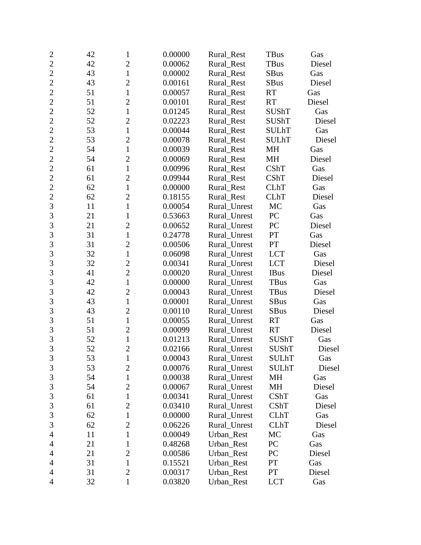| $\overline{c}$ | 42 | 1              | 0.00000 | Rural Rest   | <b>TBus</b>  | Gas    |
|----------------|----|----------------|---------|--------------|--------------|--------|
| $\overline{2}$ | 42 | $\overline{2}$ | 0.00062 | Rural_Rest   | TBus         | Diesel |
| $\overline{2}$ | 43 | $\mathbf{1}$   | 0.00002 | Rural_Rest   | <b>SBus</b>  | Gas    |
| $\overline{2}$ | 43 | $\overline{2}$ | 0.00161 | Rural_Rest   | <b>SBus</b>  | Diesel |
| $\overline{2}$ | 51 | $\mathbf{1}$   | 0.00057 | Rural_Rest   | <b>RT</b>    | Gas    |
| $\overline{2}$ | 51 | $\overline{c}$ | 0.00101 | Rural_Rest   | <b>RT</b>    | Diesel |
| $\overline{2}$ | 52 | $\mathbf{1}$   | 0.01245 | Rural_Rest   | <b>SUShT</b> | Gas    |
| $\overline{2}$ | 52 | $\overline{2}$ | 0.02223 | Rural_Rest   | <b>SUShT</b> | Diesel |
| $\overline{2}$ | 53 | $\mathbf{1}$   | 0.00044 | Rural Rest   | <b>SULhT</b> | Gas    |
| $\overline{2}$ | 53 | $\overline{2}$ | 0.00078 | Rural_Rest   | <b>SULhT</b> | Diesel |
| $\overline{2}$ | 54 | $\mathbf{1}$   | 0.00039 | Rural_Rest   | MH           | Gas    |
| $\overline{c}$ | 54 | $\overline{2}$ | 0.00069 | Rural_Rest   | MH           | Diesel |
| $\overline{2}$ | 61 | $\mathbf{1}$   | 0.00996 | Rural_Rest   | CShT         | Gas    |
| $\overline{2}$ | 61 | $\overline{2}$ | 0.09944 | Rural_Rest   | CShT         | Diesel |
| $\overline{2}$ | 62 | $\mathbf{1}$   | 0.00000 | Rural_Rest   | <b>CLhT</b>  | Gas    |
| $\overline{2}$ | 62 | $\overline{c}$ | 0.18155 | Rural_Rest   | <b>CLhT</b>  | Diesel |
| $\overline{3}$ | 11 | $\mathbf{1}$   | 0.00054 | Rural_Unrest | MC           | Gas    |
| 3              | 21 | $\mathbf{1}$   | 0.53663 | Rural_Unrest | PC           | Gas    |
| 3              | 21 | $\overline{2}$ | 0.00652 | Rural_Unrest | PC           | Diesel |
| $\overline{3}$ | 31 | $\mathbf{1}$   | 0.24778 | Rural_Unrest | PT           | Gas    |
| 3              | 31 | $\overline{2}$ | 0.00506 | Rural_Unrest | PT           | Diesel |
| $\overline{3}$ | 32 | $\mathbf{1}$   | 0.06098 | Rural_Unrest | <b>LCT</b>   | Gas    |
| 3              | 32 | $\overline{c}$ | 0.00341 | Rural_Unrest | <b>LCT</b>   | Diesel |
| 3              | 41 | $\overline{2}$ | 0.00020 | Rural_Unrest | <b>IBus</b>  | Diesel |
| $\overline{3}$ | 42 | $\mathbf{1}$   | 0.00000 | Rural_Unrest | TBus         | Gas    |
| 3              | 42 | $\overline{2}$ | 0.00043 | Rural_Unrest | <b>TBus</b>  | Diesel |
| 3              | 43 | $\mathbf{1}$   | 0.00001 | Rural_Unrest | <b>SBus</b>  | Gas    |
| $\overline{3}$ | 43 | $\overline{2}$ | 0.00110 | Rural_Unrest | <b>SBus</b>  | Diesel |
| 3              | 51 | $\mathbf{1}$   | 0.00055 | Rural_Unrest | <b>RT</b>    | Gas    |
| 3              | 51 | $\overline{2}$ | 0.00099 | Rural_Unrest | RT           | Diesel |
| 3              | 52 | $\mathbf{1}$   | 0.01213 | Rural_Unrest | SUShT        | Gas    |
| $\overline{3}$ | 52 | $\overline{c}$ | 0.02166 | Rural_Unrest | <b>SUShT</b> | Diesel |
| 3              | 53 | $\mathbf{1}$   | 0.00043 | Rural_Unrest | <b>SULhT</b> | Gas    |
| $\mathfrak{Z}$ | 53 | $\overline{2}$ | 0.00076 | Rural_Unrest | <b>SULhT</b> | Diesel |
| 3              | 54 | $\mathbf{1}$   | 0.00038 | Rural_Unrest | MH           | Gas    |
| $\mathfrak{Z}$ | 54 | $\overline{c}$ | 0.00067 | Rural_Unrest | MH           | Diesel |
| $\mathfrak{Z}$ | 61 | $\mathbf 1$    | 0.00341 | Rural_Unrest | CShT         | Gas    |
| 3              | 61 | $\overline{2}$ | 0.03410 | Rural_Unrest | CShT         | Diesel |
| 3              | 62 | 1              | 0.00000 | Rural_Unrest | <b>CLhT</b>  | Gas    |
| 3              | 62 | $\overline{2}$ | 0.06226 | Rural_Unrest | <b>CLhT</b>  | Diesel |
| 4              | 11 | $\mathbf{1}$   | 0.00049 | Urban Rest   | MC           | Gas    |
| 4              | 21 | 1              | 0.48268 | Urban Rest   | PC           | Gas    |
| $\overline{4}$ | 21 | $\overline{2}$ | 0.00586 | Urban_Rest   | PC           | Diesel |
| $\overline{4}$ | 31 | $\mathbf{1}$   | 0.15521 | Urban_Rest   | PT           | Gas    |
| 4              | 31 | $\overline{2}$ | 0.00317 | Urban_Rest   | PT           | Diesel |
| $\overline{4}$ | 32 | $\mathbf{1}$   | 0.03820 | Urban_Rest   | <b>LCT</b>   | Gas    |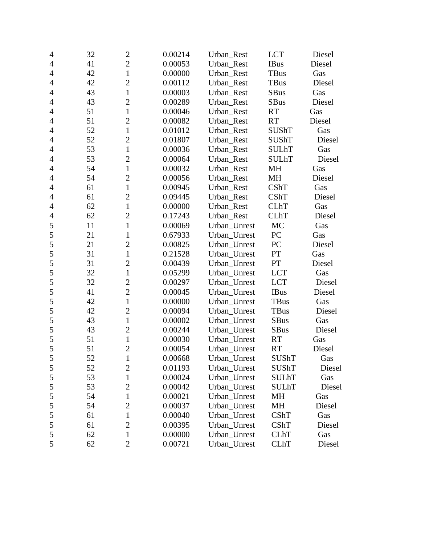| $\overline{4}$ | 32 | $\overline{2}$ | 0.00214 | Urban_Rest   | <b>LCT</b>   | Diesel |  |
|----------------|----|----------------|---------|--------------|--------------|--------|--|
| $\overline{4}$ | 41 | $\overline{2}$ | 0.00053 | Urban_Rest   | <b>IBus</b>  | Diesel |  |
| $\overline{4}$ | 42 | $\mathbf{1}$   | 0.00000 | Urban_Rest   | TBus         | Gas    |  |
| $\overline{4}$ | 42 | $\overline{c}$ | 0.00112 | Urban_Rest   | TBus         | Diesel |  |
| $\overline{4}$ | 43 | $\mathbf{1}$   | 0.00003 | Urban_Rest   | <b>SBus</b>  | Gas    |  |
| $\overline{4}$ | 43 | $\overline{c}$ | 0.00289 | Urban_Rest   | <b>SBus</b>  | Diesel |  |
| $\overline{4}$ | 51 | $\mathbf{1}$   | 0.00046 | Urban_Rest   | <b>RT</b>    | Gas    |  |
| $\overline{4}$ | 51 | $\overline{c}$ | 0.00082 | Urban Rest   | <b>RT</b>    | Diesel |  |
| $\overline{4}$ | 52 | $\mathbf{1}$   | 0.01012 | Urban_Rest   | <b>SUShT</b> | Gas    |  |
| $\overline{4}$ | 52 | $\overline{2}$ | 0.01807 | Urban_Rest   | <b>SUShT</b> | Diesel |  |
| 4              | 53 | $\mathbf{1}$   | 0.00036 | Urban Rest   | <b>SULhT</b> | Gas    |  |
| $\overline{4}$ | 53 | $\overline{c}$ | 0.00064 | Urban_Rest   | <b>SULhT</b> | Diesel |  |
| $\overline{4}$ | 54 | $\mathbf{1}$   | 0.00032 | Urban_Rest   | MH           | Gas    |  |
| $\overline{4}$ | 54 | $\overline{c}$ | 0.00056 | Urban_Rest   | MH           | Diesel |  |
| $\overline{4}$ | 61 | $\mathbf{1}$   | 0.00945 | Urban_Rest   | <b>CShT</b>  | Gas    |  |
| $\overline{4}$ | 61 | $\overline{c}$ | 0.09445 | Urban_Rest   | <b>CShT</b>  | Diesel |  |
| $\overline{4}$ | 62 | $\mathbf{1}$   | 0.00000 | Urban_Rest   | CLhT         | Gas    |  |
| 4              | 62 | $\overline{c}$ | 0.17243 | Urban_Rest   | <b>CLhT</b>  | Diesel |  |
| 5              | 11 | $\mathbf{1}$   | 0.00069 | Urban_Unrest | <b>MC</b>    | Gas    |  |
| 5              | 21 | $\mathbf{1}$   | 0.67933 | Urban_Unrest | PC           | Gas    |  |
| 5              | 21 | $\overline{c}$ | 0.00825 | Urban_Unrest | PC           | Diesel |  |
| 5              | 31 | $\mathbf{1}$   | 0.21528 | Urban_Unrest | PT           | Gas    |  |
| 5              | 31 | $\overline{c}$ | 0.00439 | Urban_Unrest | ${\cal PT}$  | Diesel |  |
| 5              | 32 | $\mathbf{1}$   | 0.05299 | Urban_Unrest | <b>LCT</b>   | Gas    |  |
| 5              | 32 | $\overline{2}$ | 0.00297 | Urban_Unrest | <b>LCT</b>   | Diesel |  |
| 5              | 41 | $\overline{2}$ | 0.00045 | Urban_Unrest | <b>IBus</b>  | Diesel |  |
| 5              | 42 | $\mathbf{1}$   | 0.00000 | Urban_Unrest | <b>TBus</b>  | Gas    |  |
| 5              | 42 | $\overline{c}$ | 0.00094 | Urban_Unrest | TBus         | Diesel |  |
| 5              | 43 | $\mathbf{1}$   | 0.00002 | Urban_Unrest | <b>SBus</b>  | Gas    |  |
| 5              | 43 | $\overline{2}$ | 0.00244 | Urban_Unrest | <b>SBus</b>  | Diesel |  |
| 5              | 51 | $\mathbf{1}$   | 0.00030 | Urban_Unrest | <b>RT</b>    | Gas    |  |
| 5              | 51 | $\overline{c}$ | 0.00054 | Urban_Unrest | <b>RT</b>    | Diesel |  |
| 5              | 52 | $\mathbf{1}$   | 0.00668 | Urban_Unrest | SUShT        | Gas    |  |
| 5              | 52 | $\overline{c}$ | 0.01193 | Urban_Unrest | <b>SUShT</b> | Diesel |  |
| 5              | 53 | $\mathbf{1}$   | 0.00024 | Urban_Unrest | <b>SULhT</b> | Gas    |  |
| 5              | 53 | $\overline{c}$ | 0.00042 | Urban Unrest | <b>SULhT</b> | Diesel |  |
| 5              | 54 | 1              | 0.00021 | Urban_Unrest | MH           | Gas    |  |
| 5              | 54 | $\overline{2}$ | 0.00037 | Urban Unrest | <b>MH</b>    | Diesel |  |
| 5              | 61 | 1              | 0.00040 | Urban_Unrest | CShT         | Gas    |  |
| 5              | 61 | $\overline{2}$ | 0.00395 | Urban_Unrest | CShT         | Diesel |  |
| 5              | 62 | $\mathbf 1$    | 0.00000 | Urban_Unrest | <b>CLhT</b>  | Gas    |  |
| 5              | 62 | $\overline{2}$ | 0.00721 | Urban_Unrest | <b>CLhT</b>  | Diesel |  |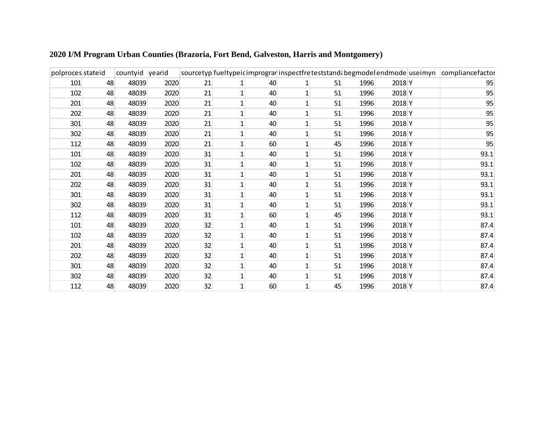| polproces stateid |    | countyid yearid |      |    |              |    |    |      |        | sourcetyp fueltypeid imprograminspectfre teststand begmode endmode useimyn compliance factor |
|-------------------|----|-----------------|------|----|--------------|----|----|------|--------|----------------------------------------------------------------------------------------------|
| 101               | 48 | 48039           | 2020 | 21 |              | 40 | 51 | 1996 | 2018 Y | 95                                                                                           |
| 102               | 48 | 48039           | 2020 | 21 |              | 40 | 51 | 1996 | 2018 Y | 95                                                                                           |
| 201               | 48 | 48039           | 2020 | 21 |              | 40 | 51 | 1996 | 2018 Y | 95                                                                                           |
| 202               | 48 | 48039           | 2020 | 21 |              | 40 | 51 | 1996 | 2018 Y | 95                                                                                           |
| 301               | 48 | 48039           | 2020 | 21 | $\mathbf{1}$ | 40 | 51 | 1996 | 2018 Y | 95                                                                                           |
| 302               | 48 | 48039           | 2020 | 21 | 1            | 40 | 51 | 1996 | 2018 Y | 95                                                                                           |
| 112               | 48 | 48039           | 2020 | 21 |              | 60 | 45 | 1996 | 2018 Y | 95                                                                                           |
| 101               | 48 | 48039           | 2020 | 31 |              | 40 | 51 | 1996 | 2018 Y | 93.1                                                                                         |
| 102               | 48 | 48039           | 2020 | 31 |              | 40 | 51 | 1996 | 2018 Y | 93.1                                                                                         |
| 201               | 48 | 48039           | 2020 | 31 | $1\vert$     | 40 | 51 | 1996 | 2018 Y | 93.1                                                                                         |
| 202               | 48 | 48039           | 2020 | 31 | 1            | 40 | 51 | 1996 | 2018 Y | 93.1                                                                                         |
| 301               | 48 | 48039           | 2020 | 31 | 1            | 40 | 51 | 1996 | 2018 Y | 93.1                                                                                         |
| 302               | 48 | 48039           | 2020 | 31 |              | 40 | 51 | 1996 | 2018 Y | 93.1                                                                                         |
| 112               | 48 | 48039           | 2020 | 31 |              | 60 | 45 | 1996 | 2018 Y | 93.1                                                                                         |
| 101               | 48 | 48039           | 2020 | 32 | $\mathbf{1}$ | 40 | 51 | 1996 | 2018 Y | 87.4                                                                                         |
| 102               | 48 | 48039           | 2020 | 32 | 1            | 40 | 51 | 1996 | 2018 Y | 87.4                                                                                         |
| 201               | 48 | 48039           | 2020 | 32 |              | 40 | 51 | 1996 | 2018 Y | 87.4                                                                                         |
| 202               | 48 | 48039           | 2020 | 32 |              | 40 | 51 | 1996 | 2018 Y | 87.4                                                                                         |
| 301               | 48 | 48039           | 2020 | 32 | 1            | 40 | 51 | 1996 | 2018 Y | 87.4                                                                                         |
| 302               | 48 | 48039           | 2020 | 32 | 1            | 40 | 51 | 1996 | 2018 Y | 87.4                                                                                         |
| 112               | 48 | 48039           | 2020 | 32 | $\mathbf{1}$ | 60 | 45 | 1996 | 2018 Y | 87.4                                                                                         |

## **2020 I/M Program Urban Counties (Brazoria, Fort Bend, Galveston, Harris and Montgomery)**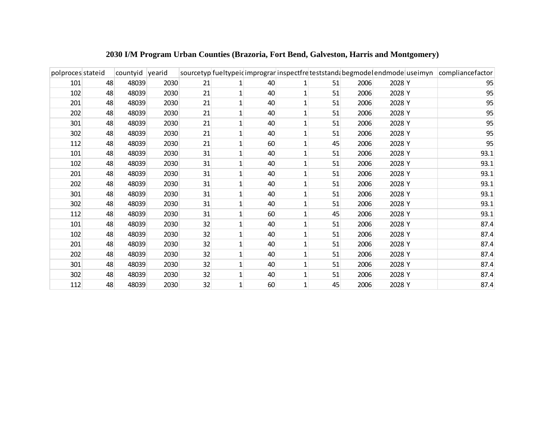| polproces stateid |    | countyid yearid |      |    |   |    |   |    |      |        | sourcetyp fueltypeid imprograr inspectfre teststand begmodelendmode useimyn compliancefactor |
|-------------------|----|-----------------|------|----|---|----|---|----|------|--------|----------------------------------------------------------------------------------------------|
| 101               | 48 | 48039           | 2030 | 21 |   | 40 |   | 51 | 2006 | 2028 Y | 95                                                                                           |
| 102               | 48 | 48039           | 2030 | 21 |   | 40 |   | 51 | 2006 | 2028 Y | 95                                                                                           |
| 201               | 48 | 48039           | 2030 | 21 |   | 40 |   | 51 | 2006 | 2028 Y | 95                                                                                           |
| 202               | 48 | 48039           | 2030 | 21 |   | 40 |   | 51 | 2006 | 2028 Y | 95                                                                                           |
| 301               | 48 | 48039           | 2030 | 21 | 1 | 40 | 1 | 51 | 2006 | 2028 Y | 95                                                                                           |
| 302               | 48 | 48039           | 2030 | 21 |   | 40 |   | 51 | 2006 | 2028 Y | 95                                                                                           |
| 112               | 48 | 48039           | 2030 | 21 |   | 60 |   | 45 | 2006 | 2028 Y | 95                                                                                           |
| 101               | 48 | 48039           | 2030 | 31 |   | 40 |   | 51 | 2006 | 2028 Y | 93.1                                                                                         |
| 102               | 48 | 48039           | 2030 | 31 |   | 40 |   | 51 | 2006 | 2028 Y | 93.1                                                                                         |
| 201               | 48 | 48039           | 2030 | 31 |   | 40 | 1 | 51 | 2006 | 2028 Y | 93.1                                                                                         |
| 202               | 48 | 48039           | 2030 | 31 |   | 40 |   | 51 | 2006 | 2028 Y | 93.1                                                                                         |
| 301               | 48 | 48039           | 2030 | 31 |   | 40 |   | 51 | 2006 | 2028 Y | 93.1                                                                                         |
| 302               | 48 | 48039           | 2030 | 31 |   | 40 |   | 51 | 2006 | 2028 Y | 93.1                                                                                         |
| 112               | 48 | 48039           | 2030 | 31 |   | 60 |   | 45 | 2006 | 2028 Y | 93.1                                                                                         |
| 101               | 48 | 48039           | 2030 | 32 |   | 40 | 1 | 51 | 2006 | 2028 Y | 87.4                                                                                         |
| 102               | 48 | 48039           | 2030 | 32 |   | 40 |   | 51 | 2006 | 2028 Y | 87.4                                                                                         |
| 201               | 48 | 48039           | 2030 | 32 |   | 40 |   | 51 | 2006 | 2028 Y | 87.4                                                                                         |
| 202               | 48 | 48039           | 2030 | 32 |   | 40 |   | 51 | 2006 | 2028 Y | 87.4                                                                                         |
| 301               | 48 | 48039           | 2030 | 32 |   | 40 |   | 51 | 2006 | 2028 Y | 87.4                                                                                         |
| 302               | 48 | 48039           | 2030 | 32 |   | 40 |   | 51 | 2006 | 2028 Y | 87.4                                                                                         |
| 112               | 48 | 48039           | 2030 | 32 |   | 60 |   | 45 | 2006 | 2028 Y | 87.4                                                                                         |

**I/M Program Urban Counties (Brazoria, Fort Bend, Galveston, Harris and Montgomery)**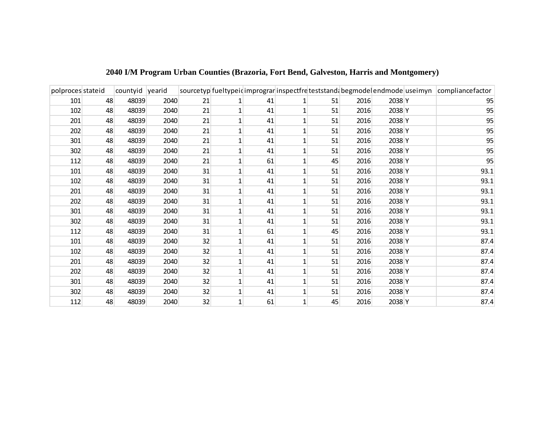| polproces stateid |    | countyid yearid |      |    |   |    |    |      |        | sourcetyp fueltypeid imprograminspectfre teststand begmodelend mode use im yn compliance factor |
|-------------------|----|-----------------|------|----|---|----|----|------|--------|-------------------------------------------------------------------------------------------------|
| 101               | 48 | 48039           | 2040 | 21 |   | 41 | 51 | 2016 | 2038 Y | 95                                                                                              |
| 102               | 48 | 48039           | 2040 | 21 |   | 41 | 51 | 2016 | 2038 Y | 95                                                                                              |
| 201               | 48 | 48039           | 2040 | 21 |   | 41 | 51 | 2016 | 2038 Y | 95                                                                                              |
| 202               | 48 | 48039           | 2040 | 21 |   | 41 | 51 | 2016 | 2038 Y | 95                                                                                              |
| 301               | 48 | 48039           | 2040 | 21 | 1 | 41 | 51 | 2016 | 2038 Y | 95                                                                                              |
| 302               | 48 | 48039           | 2040 | 21 |   | 41 | 51 | 2016 | 2038 Y | 95                                                                                              |
| 112               | 48 | 48039           | 2040 | 21 |   | 61 | 45 | 2016 | 2038 Y | 95                                                                                              |
| 101               | 48 | 48039           | 2040 | 31 |   | 41 | 51 | 2016 | 2038 Y | 93.1                                                                                            |
| 102               | 48 | 48039           | 2040 | 31 |   | 41 | 51 | 2016 | 2038 Y | 93.1                                                                                            |
| 201               | 48 | 48039           | 2040 | 31 |   | 41 | 51 | 2016 | 2038 Y | 93.1                                                                                            |
| 202               | 48 | 48039           | 2040 | 31 |   | 41 | 51 | 2016 | 2038 Y | 93.1                                                                                            |
| 301               | 48 | 48039           | 2040 | 31 | 1 | 41 | 51 | 2016 | 2038 Y | 93.1                                                                                            |
| 302               | 48 | 48039           | 2040 | 31 |   | 41 | 51 | 2016 | 2038 Y | 93.1                                                                                            |
| 112               | 48 | 48039           | 2040 | 31 |   | 61 | 45 | 2016 | 2038 Y | 93.1                                                                                            |
| 101               | 48 | 48039           | 2040 | 32 | 1 | 41 | 51 | 2016 | 2038 Y | 87.4                                                                                            |
| 102               | 48 | 48039           | 2040 | 32 |   | 41 | 51 | 2016 | 2038 Y | 87.4                                                                                            |
| 201               | 48 | 48039           | 2040 | 32 |   | 41 | 51 | 2016 | 2038 Y | 87.4                                                                                            |
| 202               | 48 | 48039           | 2040 | 32 |   | 41 | 51 | 2016 | 2038 Y | 87.4                                                                                            |
| 301               | 48 | 48039           | 2040 | 32 |   | 41 | 51 | 2016 | 2038 Y | 87.4                                                                                            |
| 302               | 48 | 48039           | 2040 | 32 |   | 41 | 51 | 2016 | 2038 Y | 87.4                                                                                            |
| 112               | 48 | 48039           | 2040 | 32 | 1 | 61 | 45 | 2016 | 2038 Y | 87.4                                                                                            |

## **2040 I/M Program Urban Counties (Brazoria, Fort Bend, Galveston, Harris and Montgomery)**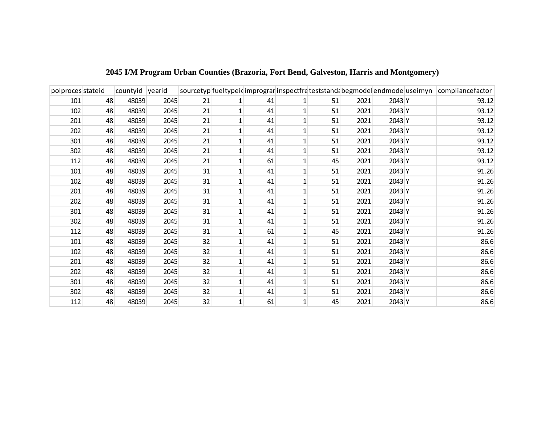| polproces stateid |    | countyid yearid |      |    |              |    |    |      |        | sourcetyp fueltypeid imprograminspectfre teststand begmode endmode use im yn compliance factor |
|-------------------|----|-----------------|------|----|--------------|----|----|------|--------|------------------------------------------------------------------------------------------------|
| 101               | 48 | 48039           | 2045 | 21 |              | 41 | 51 | 2021 | 2043 Y | 93.12                                                                                          |
| 102               | 48 | 48039           | 2045 | 21 |              | 41 | 51 | 2021 | 2043 Y | 93.12                                                                                          |
| 201               | 48 | 48039           | 2045 | 21 | 1            | 41 | 51 | 2021 | 2043 Y | 93.12                                                                                          |
| 202               | 48 | 48039           | 2045 | 21 |              | 41 | 51 | 2021 | 2043 Y | 93.12                                                                                          |
| 301               | 48 | 48039           | 2045 | 21 | 1            | 41 | 51 | 2021 | 2043 Y | 93.12                                                                                          |
| 302               | 48 | 48039           | 2045 | 21 |              | 41 | 51 | 2021 | 2043 Y | 93.12                                                                                          |
| 112               | 48 | 48039           | 2045 | 21 |              | 61 | 45 | 2021 | 2043 Y | 93.12                                                                                          |
| 101               | 48 | 48039           | 2045 | 31 | 1            | 41 | 51 | 2021 | 2043 Y | 91.26                                                                                          |
| 102               | 48 | 48039           | 2045 | 31 |              | 41 | 51 | 2021 | 2043 Y | 91.26                                                                                          |
| 201               | 48 | 48039           | 2045 | 31 |              | 41 | 51 | 2021 | 2043 Y | 91.26                                                                                          |
| 202               | 48 | 48039           | 2045 | 31 | 1            | 41 | 51 | 2021 | 2043 Y | 91.26                                                                                          |
| 301               | 48 | 48039           | 2045 | 31 | 1            | 41 | 51 | 2021 | 2043 Y | 91.26                                                                                          |
| 302               | 48 | 48039           | 2045 | 31 | 1            | 41 | 51 | 2021 | 2043 Y | 91.26                                                                                          |
| 112               | 48 | 48039           | 2045 | 31 |              | 61 | 45 | 2021 | 2043 Y | 91.26                                                                                          |
| 101               | 48 | 48039           | 2045 | 32 | 1            | 41 | 51 | 2021 | 2043 Y | 86.6                                                                                           |
| 102               | 48 | 48039           | 2045 | 32 |              | 41 | 51 | 2021 | 2043 Y | 86.6                                                                                           |
| 201               | 48 | 48039           | 2045 | 32 |              | 41 | 51 | 2021 | 2043 Y | 86.6                                                                                           |
| 202               | 48 | 48039           | 2045 | 32 | 1            | 41 | 51 | 2021 | 2043 Y | 86.6                                                                                           |
| 301               | 48 | 48039           | 2045 | 32 |              | 41 | 51 | 2021 | 2043 Y | 86.6                                                                                           |
| 302               | 48 | 48039           | 2045 | 32 |              | 41 | 51 | 2021 | 2043 Y | 86.6                                                                                           |
| 112               | 48 | 48039           | 2045 | 32 | $\mathbf{1}$ | 61 | 45 | 2021 | 2043 Y | 86.6                                                                                           |

**2045 I/M Program Urban Counties (Brazoria, Fort Bend, Galveston, Harris and Montgomery)**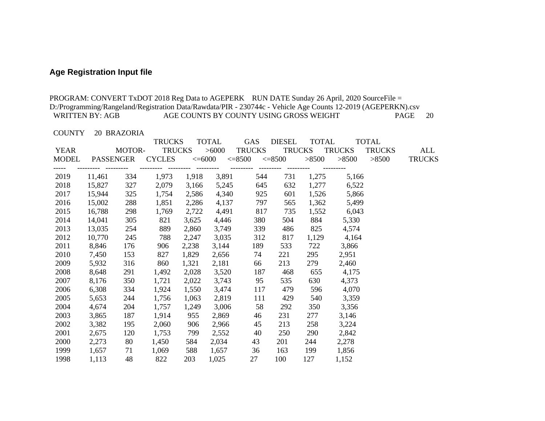# **Age Registration Input file**

|                             |                  |             |                                |       |                       |                                         |                              |              |               | PROGRAM: CONVERT TxDOT 2018 Reg Data to AGEPERK RUN DATE Sunday 26 April, 2020 SourceFile =                  |                      |
|-----------------------------|------------------|-------------|--------------------------------|-------|-----------------------|-----------------------------------------|------------------------------|--------------|---------------|--------------------------------------------------------------------------------------------------------------|----------------------|
|                             |                  |             |                                |       |                       |                                         |                              |              |               | D:/Programming/Rangeland/Registration Data/Rawdata/PIR - 230744c - Vehicle Age Counts 12-2019 (AGEPERKN).csv |                      |
| <b>WRITTEN BY: AGB</b>      |                  |             |                                |       |                       | AGE COUNTS BY COUNTY USING GROSS WEIGHT |                              |              |               |                                                                                                              | 20<br>PAGE           |
|                             |                  |             |                                |       |                       |                                         |                              |              |               |                                                                                                              |                      |
| <b>COUNTY</b>               |                  | 20 BRAZORIA |                                |       |                       |                                         |                              |              |               |                                                                                                              |                      |
|                             |                  | MOTOR-      | <b>TRUCKS</b><br><b>TRUCKS</b> |       | <b>TOTAL</b><br>>6000 | <b>GAS</b>                              | <b>DIESEL</b>                | <b>TOTAL</b> | <b>TRUCKS</b> | <b>TOTAL</b>                                                                                                 |                      |
| <b>YEAR</b><br><b>MODEL</b> | <b>PASSENGER</b> |             | <b>CYCLES</b>                  |       | $<=6000$              | <b>TRUCKS</b><br>$\leq 8500$            | <b>TRUCKS</b><br>$\leq 8500$ | >8500        | >8500         | <b>TRUCKS</b><br>>8500                                                                                       | ALL<br><b>TRUCKS</b> |
|                             |                  | ----------  |                                |       |                       |                                         | ----------                   |              |               |                                                                                                              |                      |
| 2019                        | 11,461           | 334         | 1,973                          | 1,918 | 3,891                 | 544                                     | 731                          | 1,275        | 5,166         |                                                                                                              |                      |
| 2018                        | 15,827           | 327         | 2,079                          | 3,166 | 5,245                 | 645                                     | 632                          | 1,277        | 6,522         |                                                                                                              |                      |
| 2017                        | 15,944           | 325         | 1,754                          | 2,586 | 4,340                 | 925                                     | 601                          | 1,526        | 5,866         |                                                                                                              |                      |
| 2016                        | 15,002           | 288         | 1,851                          | 2,286 | 4,137                 | 797                                     | 565                          | 1,362        | 5,499         |                                                                                                              |                      |
| 2015                        | 16,788           | 298         | 1,769                          | 2,722 | 4,491                 | 817                                     | 735                          | 1,552        | 6,043         |                                                                                                              |                      |
| 2014                        | 14,041           | 305         | 821                            | 3,625 | 4,446                 | 380                                     | 504                          | 884          | 5,330         |                                                                                                              |                      |
| 2013                        | 13,035           | 254         | 889                            | 2,860 | 3,749                 | 339                                     | 486                          | 825          | 4,574         |                                                                                                              |                      |
| 2012                        | 10,770           | 245         | 788                            | 2,247 | 3,035                 | 312                                     | 817                          | 1,129        | 4,164         |                                                                                                              |                      |
| 2011                        | 8,846            | 176         | 906                            | 2,238 | 3,144                 | 189                                     | 533                          | 722          | 3,866         |                                                                                                              |                      |
| 2010                        | 7,450            | 153         | 827                            | 1,829 | 2,656                 | 74                                      | 221                          | 295          | 2,951         |                                                                                                              |                      |
| 2009                        | 5,932            | 316         | 860                            | 1,321 | 2,181                 | 66                                      | 213                          | 279          | 2,460         |                                                                                                              |                      |
| 2008                        | 8,648            | 291         | 1,492                          | 2,028 | 3,520                 | 187                                     | 468                          | 655          | 4,175         |                                                                                                              |                      |
| 2007                        | 8,176            | 350         | 1,721                          | 2,022 | 3,743                 | 95                                      | 535                          | 630          | 4,373         |                                                                                                              |                      |
| 2006                        | 6,308            | 334         | 1,924                          | 1,550 | 3,474                 | 117                                     | 479                          | 596          | 4,070         |                                                                                                              |                      |
| 2005                        | 5,653            | 244         | 1,756                          | 1,063 | 2,819                 | 111                                     | 429                          | 540          | 3,359         |                                                                                                              |                      |
| 2004                        | 4,674            | 204         | 1,757                          | 1,249 | 3,006                 | 58                                      | 292                          | 350          | 3,356         |                                                                                                              |                      |
| 2003                        | 3,865            | 187         | 1,914                          | 955   | 2,869                 | 46                                      | 231                          | 277          | 3,146         |                                                                                                              |                      |
| 2002                        | 3,382            | 195         | 2,060                          | 906   | 2,966                 | 45                                      | 213                          | 258          | 3,224         |                                                                                                              |                      |
| 2001                        | 2,675            | 120         | 1,753                          | 799   | 2,552                 | 40                                      | 250                          | 290          | 2,842         |                                                                                                              |                      |
| 2000                        | 2,273            | 80          | 1,450                          | 584   | 2,034                 | 43                                      | 201                          | 244          | 2,278         |                                                                                                              |                      |
| 1999                        | 1,657            | 71          | 1,069                          | 588   | 1,657                 | 36                                      | 163                          | 199          | 1,856         |                                                                                                              |                      |
| 1998                        | 1,113            | 48          | 822                            | 203   | 1,025                 | 27                                      | 100                          | 127          | 1,152         |                                                                                                              |                      |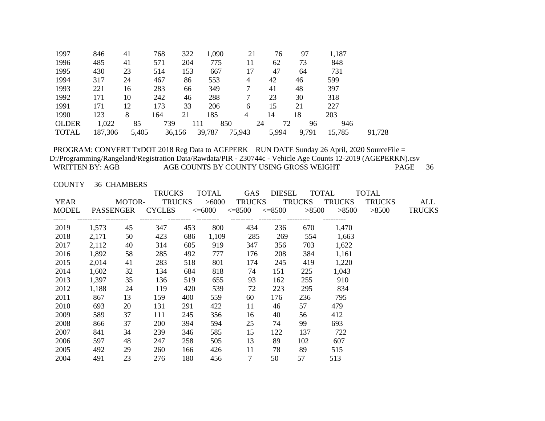| 1997         | 846     | 41    | 768    | 322 | 1,090  | 21     |    | 76    | 97    | 1,187  |        |
|--------------|---------|-------|--------|-----|--------|--------|----|-------|-------|--------|--------|
| 1996         | 485     | 41    | 571    | 204 | 775    | 11     |    | 62    | 73    | 848    |        |
| 1995         | 430     | 23    | 514    | 153 | 667    | 17     |    | 47    | 64    | 731    |        |
| 1994         | 317     | 24    | 467    | 86  | 553    | 4      |    | 42    | 46    | 599    |        |
| 1993         | 221     | 16    | 283    | 66  | 349    |        |    | 41    | 48    | 397    |        |
| 1992         | 171     | 10    | 242    | 46  | 288    |        |    | 23    | 30    | 318    |        |
| 1991         | 171     | 12    | 173    | 33  | 206    | 6      |    | 15    | 21    | 227    |        |
| 1990         | 123     | 8     | 164    | 21  | 185    | 4      | 14 |       | 18    | 203    |        |
| <b>OLDER</b> | 1,022   | 85    | 739    | 111 |        | 850    | 24 | 72    | 96    | 946    |        |
| <b>TOTAL</b> | 187,306 | 5,405 | 36,156 |     | 39,787 | 75,943 |    | 5,994 | 9,791 | 15,785 | 91,728 |
|              |         |       |        |     |        |        |    |       |       |        |        |

COUNTY 36 CHAMBERS

|    | <b>TRUCKS</b> |     | <b>TOTAL</b>                      | <b>GAS</b>     |                |               |                                                                                         | TOTAL                                     |               |
|----|---------------|-----|-----------------------------------|----------------|----------------|---------------|-----------------------------------------------------------------------------------------|-------------------------------------------|---------------|
|    |               |     |                                   |                |                |               |                                                                                         | <b>TRUCKS</b>                             | ALL           |
|    |               |     |                                   |                |                |               |                                                                                         | >8500                                     | <b>TRUCKS</b> |
|    |               |     |                                   |                |                |               |                                                                                         |                                           |               |
|    |               | 453 |                                   | 434            | 236            | 670           | 1,470                                                                                   |                                           |               |
| 50 | 423           | 686 |                                   | 285            | 269            | 554           | 1,663                                                                                   |                                           |               |
| 40 | 314           | 605 | 919                               | 347            | 356            | 703           | 1,622                                                                                   |                                           |               |
| 58 | 285           | 492 | 777                               | 176            | 208            | 384           | 1,161                                                                                   |                                           |               |
| 41 | 283           | 518 | 801                               | 174            | 245            | 419           | 1,220                                                                                   |                                           |               |
| 32 | 134           | 684 | 818                               | 74             | 151            | 225           | 1,043                                                                                   |                                           |               |
| 35 | 136           | 519 | 655                               | 93             | 162            | 255           | 910                                                                                     |                                           |               |
| 24 | 119           | 420 | 539                               | 72             | 223            | 295           | 834                                                                                     |                                           |               |
| 13 | 159           | 400 | 559                               | 60             | 176            | 236           | 795                                                                                     |                                           |               |
| 20 | 131           | 291 | 422                               | 11             | 46             | 57            | 479                                                                                     |                                           |               |
| 37 | 111           | 245 | 356                               | 16             | 40             | 56            | 412                                                                                     |                                           |               |
| 37 | 200           | 394 | 594                               | 25             | 74             | 99            | 693                                                                                     |                                           |               |
| 34 | 239           | 346 | 585                               | 15             | 122            | 137           | 722                                                                                     |                                           |               |
| 48 | 247           | 258 | 505                               | 13             | 89             | 102           | 607                                                                                     |                                           |               |
| 29 | 260           | 166 | 426                               | 11             | 78             | 89            | 515                                                                                     |                                           |               |
| 23 | 276           | 180 | 456                               | $\overline{7}$ | 50             | 57            | 513                                                                                     |                                           |               |
|    | MOTOR-<br>45  | 347 | <b>TRUCKS</b><br>PASSENGER CYCLES | 800            | >6000<br>1,109 | <b>TRUCKS</b> | <b>DIESEL</b><br><b>TRUCKS</b><br>$\epsilon = 6000$ $\epsilon = 8500$ $\epsilon = 8500$ | <b>TOTAL</b><br>TRUCKS<br>$>8500$ $>8500$ |               |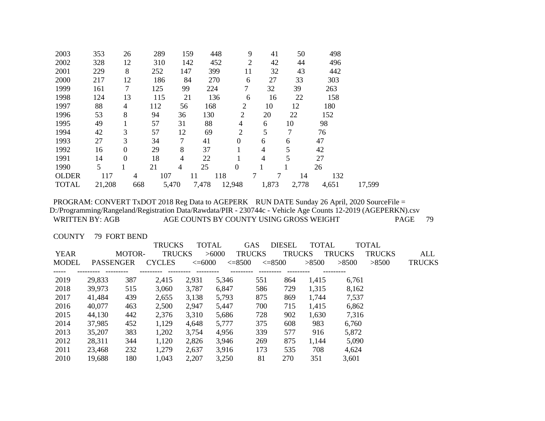| 2002<br>328<br>12<br>142<br>2<br>496<br>310<br>452<br>42<br>44<br>8<br>2001<br>147<br>399<br>442<br>229<br>252<br>32<br>43<br>11 |        |
|----------------------------------------------------------------------------------------------------------------------------------|--------|
|                                                                                                                                  |        |
|                                                                                                                                  |        |
| 2000<br>12<br>270<br>27<br>33<br>303<br>217<br>186<br>84<br>6                                                                    |        |
| 7<br>1999<br>7<br>125<br>99<br>32<br>39<br>263<br>161<br>224                                                                     |        |
| 1998<br>13<br>136<br>158<br>124<br>115<br>22<br>21<br>16<br>6                                                                    |        |
| 88<br>1997<br>168<br>2<br>10<br>112<br>12<br>180<br>4<br>56                                                                      |        |
| 1996<br>8<br>2<br>53<br>94<br>130<br>20<br>22<br>152<br>36                                                                       |        |
| 1995<br>57<br>88<br>10<br>49<br>31<br>4<br>98<br>6                                                                               |        |
| 57<br>$\overline{2}$<br>5<br>7<br>1994<br>3<br>12<br>69<br>42<br>76                                                              |        |
| 3<br>1993<br>27<br>34<br>7<br>41<br>47<br>$\Omega$<br>6<br>6                                                                     |        |
| 8<br>5<br>1992<br>37<br>$\boldsymbol{0}$<br>29<br>4<br>42<br>16                                                                  |        |
| 5<br>18<br>27<br>1991<br>$\boldsymbol{0}$<br>4<br>22<br>4<br>14                                                                  |        |
| 5<br>1990<br>25<br>$\boldsymbol{0}$<br>21<br>4<br>26                                                                             |        |
| 107<br>118<br>7<br><b>OLDER</b><br>117<br>132<br>4<br>14<br>11                                                                   |        |
| <b>TOTAL</b><br>5,470<br>7,478<br>12,948<br>1,873<br>2,778<br>21,208<br>668<br>4,651                                             | 17,599 |

COUNTY 79 FORT BEND

|              |                  |        | <b>TRUCKS</b> |             | <b>TOTAL</b> | <b>GAS</b>    | <b>DIESEL</b> | <b>TOTAL</b> |               | <b>TOTAL</b>  |               |
|--------------|------------------|--------|---------------|-------------|--------------|---------------|---------------|--------------|---------------|---------------|---------------|
| <b>YEAR</b>  |                  | MOTOR- | <b>TRUCKS</b> |             | > 6000       | <b>TRUCKS</b> | <b>TRUCKS</b> |              | <b>TRUCKS</b> | <b>TRUCKS</b> | ALL           |
| <b>MODEL</b> | <b>PASSENGER</b> |        | <b>CYCLES</b> | $\leq=6000$ |              | $\leq=8500$   | $\leq=8500$   | >8500        | >8500         | >8500         | <b>TRUCKS</b> |
|              |                  |        |               |             |              |               |               |              |               |               |               |
| 2019         | 29,833           | 387    | 2,415         | 2,931       | 5,346        | 551           | 864           | 1,415        | 6,761         |               |               |
| 2018         | 39,973           | 515    | 3,060         | 3,787       | 6,847        | 586           | 729           | 1,315        | 8,162         |               |               |
| 2017         | 41,484           | 439    | 2,655         | 3,138       | 5,793        | 875           | 869           | 1,744        | 7,537         |               |               |
| 2016         | 40,077           | 463    | 2,500         | 2,947       | 5,447        | 700           | 715           | 1,415        | 6,862         |               |               |
| 2015         | 44,130           | 442    | 2,376         | 3,310       | 5,686        | 728           | 902           | 1,630        | 7,316         |               |               |
| 2014         | 37,985           | 452    | 1,129         | 4,648       | 5,777        | 375           | 608           | 983          | 6,760         |               |               |
| 2013         | 35,207           | 383    | 1,202         | 3,754       | 4,956        | 339           | 577           | 916          | 5,872         |               |               |
| 2012         | 28,311           | 344    | 1,120         | 2,826       | 3,946        | 269           | 875           | 1,144        | 5,090         |               |               |
| 2011         | 23,468           | 232    | 1,279         | 2,637       | 3,916        | 173           | 535           | 708          | 4,624         |               |               |
| 2010         | 19,688           | 180    | 1,043         | 2,207       | 3,250        | 81            | 270           | 351          | 3,601         |               |               |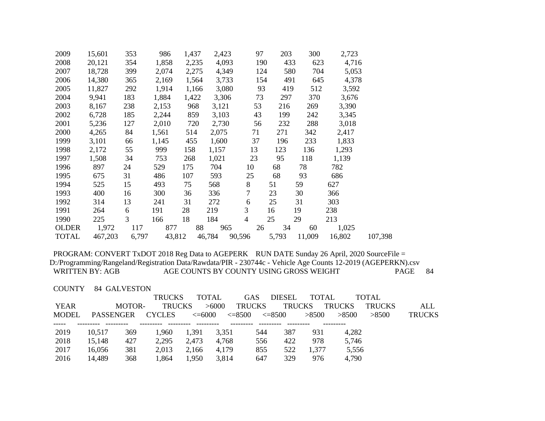| 2009         | 15,601  | 353   | 986    | 1,437 | 2,423  |                | 97  | 203   | 300    | 2,723  |         |
|--------------|---------|-------|--------|-------|--------|----------------|-----|-------|--------|--------|---------|
| 2008         | 20,121  | 354   | 1,858  | 2,235 | 4,093  |                | 190 | 433   | 623    | 4,716  |         |
| 2007         | 18,728  | 399   | 2,074  | 2,275 | 4,349  |                | 124 | 580   | 704    | 5,053  |         |
| 2006         | 14,380  | 365   | 2,169  | 1,564 | 3,733  |                | 154 | 491   | 645    | 4,378  |         |
| 2005         | 11,827  | 292   | 1,914  | 1,166 | 3,080  |                | 93  | 419   | 512    | 3,592  |         |
| 2004         | 9,941   | 183   | 1,884  | 1,422 | 3,306  |                | 73  | 297   | 370    | 3,676  |         |
| 2003         | 8,167   | 238   | 2,153  | 968   | 3,121  |                | 53  | 216   | 269    | 3,390  |         |
| 2002         | 6,728   | 185   | 2,244  | 859   | 3,103  |                | 43  | 199   | 242    | 3,345  |         |
| 2001         | 5,236   | 127   | 2,010  | 720   | 2,730  |                | 56  | 232   | 288    | 3,018  |         |
| 2000         | 4,265   | 84    | 1,561  | 514   | 2,075  |                | 71  | 271   | 342    | 2,417  |         |
| 1999         | 3,101   | 66    | 1,145  | 455   | 1,600  |                | 37  | 196   | 233    | 1,833  |         |
| 1998         | 2,172   | 55    | 999    | 158   | 1,157  |                | 13  | 123   | 136    | 1,293  |         |
| 1997         | 1,508   | 34    | 753    | 268   | 1,021  |                | 23  | 95    | 118    | 1,139  |         |
| 1996         | 897     | 24    | 529    | 175   | 704    | 10             |     | 68    | 78     | 782    |         |
| 1995         | 675     | 31    | 486    | 107   | 593    | 25             |     | 68    | 93     | 686    |         |
| 1994         | 525     | 15    | 493    | 75    | 568    | $8\,$          |     | 51    | 59     | 627    |         |
| 1993         | 400     | 16    | 300    | 36    | 336    | 7              |     | 23    | 30     | 366    |         |
| 1992         | 314     | 13    | 241    | 31    | 272    | 6              |     | 25    | 31     | 303    |         |
| 1991         | 264     | 6     | 191    | 28    | 219    | $\overline{3}$ |     | 16    | 19     | 238    |         |
| 1990         | 225     | 3     | 166    | 18    | 184    | 4              |     | 25    | 29     | 213    |         |
| <b>OLDER</b> | 1,972   | 117   | 877    | 88    | 965    |                | 26  | 34    | 60     | 1,025  |         |
| <b>TOTAL</b> | 467,203 | 6,797 | 43,812 |       | 46,784 | 90,596         |     | 5,793 | 11,009 | 16,802 | 107,398 |

COUNTY 84 GALVESTON

|              |           |        | <b>TRUCKS</b> |             | TOTAL             | GAS.              | <b>DIESEL</b> | <b>TOTAL</b> |               | TOTAL         |               |
|--------------|-----------|--------|---------------|-------------|-------------------|-------------------|---------------|--------------|---------------|---------------|---------------|
| YEAR         |           | MOTOR- | <b>TRUCKS</b> |             | >6000             | <b>TRUCKS</b>     | <b>TRUCKS</b> |              | <b>TRUCKS</b> | <b>TRUCKS</b> | ALL           |
| <b>MODEL</b> | PASSENGER |        | <b>CYCLES</b> | $\leq=6000$ | $\lessdot = 8500$ | $\epsilon = 8500$ |               | >8500        | >8500         | >8500         | <b>TRUCKS</b> |
|              |           |        |               |             |                   |                   |               |              |               |               |               |
| 2019         | 10.517    | 369    | 1,960         | 1,391       | 3,351             | 544               | 387           | 931          | 4.282         |               |               |
| 2018         | 15.148    | 427    | 2,295         | 2,473       | 4,768             | 556               | 422           | 978          | 5,746         |               |               |
| 2017         | 16,056    | 381    | 2.013         | 2.166       | 4.179             | 855               | 522           | 1.377        | 5.556         |               |               |
| 2016         | 14,489    | 368    | 1,864         | 1,950       | 3.814             | 647               | 329           | 976          | 4,790         |               |               |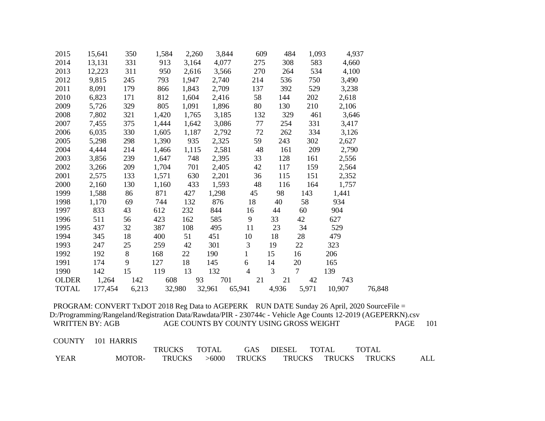| 2015         | 15,641  | 350   | 1,584  | 2,260 | 3,844  | 609            | 484   | 1,093           | 4,937  |        |
|--------------|---------|-------|--------|-------|--------|----------------|-------|-----------------|--------|--------|
| 2014         | 13,131  | 331   | 913    | 3,164 | 4,077  | 275            | 308   | 583             | 4,660  |        |
| 2013         | 12,223  | 311   | 950    | 2,616 | 3,566  | 270            | 264   | 534             | 4,100  |        |
| 2012         | 9,815   | 245   | 793    | 1,947 | 2,740  | 214            | 536   | 750             | 3,490  |        |
| 2011         | 8,091   | 179   | 866    | 1,843 | 2,709  | 137            | 392   | 529             | 3,238  |        |
| 2010         | 6,823   | 171   | 812    | 1,604 | 2,416  | 58             | 144   | 202             | 2,618  |        |
| 2009         | 5,726   | 329   | 805    | 1,091 | 1,896  | 80             | 130   | 210             | 2,106  |        |
| 2008         | 7,802   | 321   | 1,420  | 1,765 | 3,185  | 132            | 329   | 461             | 3,646  |        |
| 2007         | 7,455   | 375   | 1,444  | 1,642 | 3,086  | 77             | 254   | 331             | 3,417  |        |
| 2006         | 6,035   | 330   | 1,605  | 1,187 | 2,792  | 72             | 262   | 334             | 3,126  |        |
| 2005         | 5,298   | 298   | 1,390  | 935   | 2,325  | 59             | 243   | 302             | 2,627  |        |
| 2004         | 4,444   | 214   | 1,466  | 1,115 | 2,581  | 48             | 161   | 209             | 2,790  |        |
| 2003         | 3,856   | 239   | 1,647  | 748   | 2,395  | 33             | 128   | 161             | 2,556  |        |
| 2002         | 3,266   | 209   | 1,704  | 701   | 2,405  | 42             | 117   | 159             | 2,564  |        |
| 2001         | 2,575   | 133   | 1,571  | 630   | 2,201  | 36             | 115   | 151             | 2,352  |        |
| 2000         | 2,160   | 130   | 1,160  | 433   | 1,593  | 48             | 116   | 164             | 1,757  |        |
| 1999         | 1,588   | 86    | 871    | 427   | 1,298  | 45             | 98    | 143             | 1,441  |        |
| 1998         | 1,170   | 69    | 744    | 132   | 876    | 18             | 40    | 58              | 934    |        |
| 1997         | 833     | 43    | 612    | 232   | 844    | 16             | 44    | 60              | 904    |        |
| 1996         | 511     | 56    | 423    | 162   | 585    | 9              | 33    | 42              | 627    |        |
| 1995         | 437     | 32    | 387    | 108   | 495    | 11             | 23    | 34              | 529    |        |
| 1994         | 345     | 18    | 400    | 51    | 451    | 10             | 18    | 28              | 479    |        |
| 1993         | 247     | 25    | 259    | 42    | 301    | 3              | 19    | 22              | 323    |        |
| 1992         | 192     | 8     | 168    | 22    | 190    | $\mathbf{1}$   | 15    | 16              | 206    |        |
| 1991         | 174     | 9     | 127    | 18    | 145    | 6              | 14    | 20              | 165    |        |
| 1990         | 142     | 15    | 119    | 13    | 132    | $\overline{4}$ | 3     | $7\overline{ }$ | 139    |        |
| <b>OLDER</b> | 1,264   | 142   | 608    | 93    | 701    | 21             | 21    | 42              | 743    |        |
| <b>TOTAL</b> | 177,454 | 6,213 | 32,980 |       | 32,961 | 65,941         | 4,936 | 5,971           | 10,907 | 76,848 |

| <b>COUNTY</b> | 101 HARRIS |               |              |        |               |              |               |     |
|---------------|------------|---------------|--------------|--------|---------------|--------------|---------------|-----|
|               |            | <b>TRUCKS</b> | <b>TOTAL</b> | GAS    | <b>DIESEL</b> | <b>TOTAL</b> | <b>TOTAL</b>  |     |
| YEAR          | MOTOR-     | TRUCKS        | >6000        | TRUCKS | <b>TRUCKS</b> | TRUCKS       | <b>TRUCKS</b> | ALL |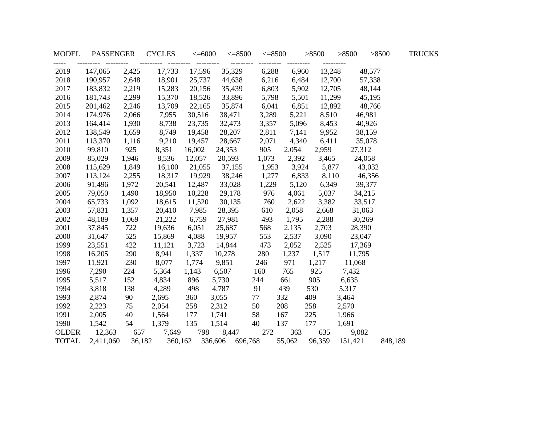| <b>MODEL</b>  | PASSENGER |        | <b>CYCLES</b> | $<=6000$ | $\leq 8500$             | $\leq 8500$ |             | >8500       | >8500   | >8500   | <b>TRUCKS</b> |
|---------------|-----------|--------|---------------|----------|-------------------------|-------------|-------------|-------------|---------|---------|---------------|
| -----<br>2019 | 147,065   | 2,425  | 17,733        | 17,596   | 35,329                  | 6,288       | 6,960       | 13,248      |         | 48,577  |               |
| 2018          | 190,957   | 2,648  | 18,901        | 25,737   | 44,638                  | 6,216       | 6,484       |             | 12,700  | 57,338  |               |
| 2017          | 183,832   | 2,219  | 15,283        | 20,156   | 35,439                  | 6,803       | 5,902       |             | 12,705  | 48,144  |               |
| 2016          | 181,743   | 2,299  | 15,370        | 18,526   | 33,896                  | 5,798       | 5,501       | 11,299      |         | 45,195  |               |
| 2015          | 201,462   | 2,246  | 13,709        | 22,165   | 35,874                  | 6,041       | 6,851       | 12,892      |         | 48,766  |               |
| 2014          | 174,976   | 2,066  | 7,955         | 30,516   | 38,471                  | 3,289       | 5,221       | 8,510       | 46,981  |         |               |
| 2013          | 164,414   | 1,930  | 8,738         | 23,735   | 32,473                  | 3,357       | 5,096       | 8,453       | 40,926  |         |               |
| 2012          | 138,549   | 1,659  | 8,749         | 19,458   | 28,207                  | 2,811       | 7,141       | 9,952       | 38,159  |         |               |
| 2011          | 113,370   | 1,116  | 9,210         | 19,457   | 28,667                  | 2,071       | 4,340       | 6,411       | 35,078  |         |               |
| 2010          | 99,810    | 925    | 8,351         | 16,002   | 24,353                  | 905         | 2,054       | 2,959       | 27,312  |         |               |
| 2009          | 85,029    | 1,946  | 8,536         | 12,057   | 20,593                  | 1,073       | 2,392       | 3,465       | 24,058  |         |               |
| 2008          | 115,629   | 1,849  | 16,100        |          | 21,055 37,155           | 1,953       |             | 3,924 5,877 | 43,032  |         |               |
| 2007          | 113,124   | 2,255  | 18,317        |          | 19,929 38,246           |             | 1,277 6,833 | 8,110       | 46,356  |         |               |
| 2006          | 91,496    | 1,972  | 20,541        | 12,487   | 33,028                  | 1,229       | 5,120       | 6,349       | 39,377  |         |               |
| 2005          | 79,050    | 1,490  | 18,950        | 10,228   | 29,178                  | 976         | 4,061       | 5,037       | 34,215  |         |               |
| 2004          | 65,733    | 1,092  | 18,615        | 11,520   | 30,135                  | 760         | 2,622       | 3,382       | 33,517  |         |               |
| 2003          | 57,831    | 1,357  | 20,410        | 7,985    | 28,395                  | 610         | 2,058       | 2,668       | 31,063  |         |               |
| 2002          | 48,189    | 1,069  | 21,222        | 6,759    | 27,981                  | 493         | 1,795       | 2,288       | 30,269  |         |               |
| 2001          | 37,845    | 722    | 19,636        | 6,051    | 25,687                  | 568         | 2,135       | 2,703       | 28,390  |         |               |
| 2000          | 31,647    | 525    | 15,869        | 4,088    | 19,957                  | 553         | 2,537       | 3,090       | 23,047  |         |               |
| 1999          | 23,551    | 422    | 11,121        | 3,723    | 14,844                  | 473         | 2,052       | 2,525       | 17,369  |         |               |
| 1998          | 16,205    | 290    | 8,941         | 1,337    | 10,278                  | 280         | 1,237       | 1,517       | 11,795  |         |               |
| 1997          | 11,921    | 230    | 8,077         | 1,774    | 9,851                   | 246         | 971         | 1,217       | 11,068  |         |               |
| 1996          | 7,290     | 224    | 5,364         | 1,143    | 6,507                   | 160         | 765         | 925         | 7,432   |         |               |
| 1995          | 5,517     | 152    | 4,834         | 896      | 5,730                   | 244         | 661         | 905         | 6,635   |         |               |
| 1994          | 3,818     | 138    | 4,289         | 498      | 4,787                   | 91          | 439         | 530         | 5,317   |         |               |
| 1993          | 2,874     | 90     | 2,695         | 360      | 3,055                   | 77          | 332         | 409         | 3,464   |         |               |
| 1992          | 2,223     | 75     | 2,054         | 258      | 2,312                   | 50          | 208         | 258         | 2,570   |         |               |
| 1991          | 2,005     | 40     | 1,564         | 177      | 1,741                   | 58          | 167         | 225         | 1,966   |         |               |
| 1990          | 1,542     | 54     | 1,379         | 135      | 1,514                   | 40          | 137         | 177         | 1,691   |         |               |
| <b>OLDER</b>  | 12,363    | 657    | 7,649         | 798      | 8,447                   | 272         | 363         | 635         | 9,082   |         |               |
| <b>TOTAL</b>  | 2,411,060 | 36,182 |               |          | 360,162 336,606 696,768 |             | 55,062      | 96,359      | 151,421 | 848,189 |               |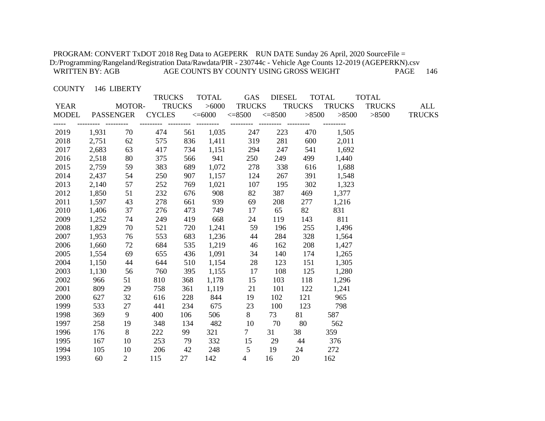#### COUNTY 146 LIBERTY

|             |       |                  | <b>TRUCKS</b>                      |               | <b>TOTAL</b> | GAS                                 | <b>DIESEL</b> | <b>TOTAL</b>  |                                                         | <b>TOTAL</b>  |               |
|-------------|-------|------------------|------------------------------------|---------------|--------------|-------------------------------------|---------------|---------------|---------------------------------------------------------|---------------|---------------|
| <b>YEAR</b> |       | MOTOR-           |                                    | <b>TRUCKS</b> | >6000        | TRUCKS                              |               | <b>TRUCKS</b> | <b>TRUCKS</b>                                           | <b>TRUCKS</b> | ALL           |
|             |       |                  |                                    |               |              |                                     |               |               | MODEL PASSENGER CYCLES <=6000 <=8500 <=8500 >8500 >8500 | >8500         | <b>TRUCKS</b> |
| 2019        | 1,931 | ----------<br>70 | --------- -------- --------<br>474 |               | 561 1,035    | --------- --------- --------<br>247 | 223           | 470           | 1,505                                                   |               |               |
| 2018        | 2,751 | 62               | 575                                | 836           | 1,411        | 319                                 | 281           | 600           | 2,011                                                   |               |               |
| 2017        | 2,683 | 63               | 417                                | 734           | 1,151        | 294                                 | 247           | 541           | 1,692                                                   |               |               |
| 2016        | 2,518 | 80               | 375                                | 566           | 941          | 250                                 | 249           | 499           | 1,440                                                   |               |               |
| 2015        | 2,759 | 59               | 383                                | 689           | 1,072        | 278                                 | 338           | 616           | 1,688                                                   |               |               |
| 2014        | 2,437 | 54               | 250                                | 907           | 1,157        | 124                                 | 267           | 391           | 1,548                                                   |               |               |
| 2013        | 2,140 | 57               | 252                                | 769           | 1,021        | 107                                 | 195           | 302           | 1,323                                                   |               |               |
| 2012        | 1,850 | 51               | 232                                | 676           | 908          | 82                                  | 387           | 469           | 1,377                                                   |               |               |
| 2011        | 1,597 | 43               | 278                                | 661           | 939          | 69                                  | 208           | 277           | 1,216                                                   |               |               |
| 2010        | 1,406 | 37               | 276                                | 473           | 749          | 17                                  | 65            | 82            | 831                                                     |               |               |
| 2009        | 1,252 | 74               | 249                                | 419           | 668          | 24                                  | 119           | 143           | 811                                                     |               |               |
| 2008        | 1,829 | 70               | 521                                | 720           | 1,241        | 59                                  | 196           | 255           | 1,496                                                   |               |               |
| 2007        | 1,953 | 76               | 553                                | 683           | 1,236        | 44                                  | 284           | 328           | 1,564                                                   |               |               |
| 2006        | 1,660 | 72               | 684                                | 535           | 1,219        | 46                                  | 162           | 208           | 1,427                                                   |               |               |
| 2005        | 1,554 | 69               | 655                                | 436           | 1,091        | 34                                  | 140           | 174           | 1,265                                                   |               |               |
| 2004        | 1,150 | 44               | 644                                | 510           | 1,154        | 28                                  | 123           | 151           | 1,305                                                   |               |               |
| 2003        | 1,130 | 56               | 760                                | 395           | 1,155        | 17                                  | 108           | 125           | 1,280                                                   |               |               |
| 2002        | 966   | 51               | 810                                | 368           | 1,178        | 15                                  | 103           | 118           | 1,296                                                   |               |               |
| 2001        | 809   | 29               | 758                                | 361           | 1,119        | 21                                  | 101           | 122           | 1,241                                                   |               |               |
| 2000        | 627   | 32               | 616                                | 228           | 844          | 19                                  | 102           | 121           | 965                                                     |               |               |
| 1999        | 533   | $27\,$           | 441                                | 234           | 675          | 23                                  | 100           | 123           | 798                                                     |               |               |
| 1998        | 369   | 9                | 400                                | 106           | 506          | 8                                   | 73            | 81            | 587                                                     |               |               |
| 1997        | 258   | 19               | 348                                | 134           | 482          | 10                                  | 70            | 80            | 562                                                     |               |               |
| 1996        | 176   | 8                | 222                                | 99            | 321          | $7\overline{ }$                     | 31            | 38            | 359                                                     |               |               |
| 1995        | 167   | 10               | 253                                | 79            | 332          | 15                                  | 29            | 44            | 376                                                     |               |               |
| 1994        | 105   | 10               | 206                                | 42            | 248          | 5                                   | 19            | 24            | 272                                                     |               |               |
| 1993        | 60    | $\overline{2}$   | 115                                | 27            | 142          | $\overline{4}$                      | 16            | 20            | 162                                                     |               |               |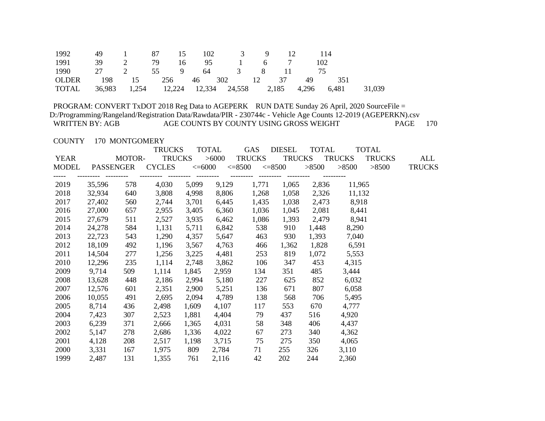| 1992  | 49                      | 1 87 15          |  |  | 102 3 9 | $\frac{12}{2}$ | 114 |                                                            |  |
|-------|-------------------------|------------------|--|--|---------|----------------|-----|------------------------------------------------------------|--|
| 1991  | 39                      | 2 79 16 95 1 6 7 |  |  |         |                |     | 102                                                        |  |
| 1990  | 27 2 55 9 64 3 8 11 75  |                  |  |  |         |                |     |                                                            |  |
| OLDER | 198 15 256 46 302 12 37 |                  |  |  |         |                | 49  | 351                                                        |  |
| TOTAL |                         |                  |  |  |         |                |     | 36,983 1,254 12,224 12,334 24,558 2,185 4,296 6,481 31,039 |  |

COUNTY 170 MONTGOMERY

|             |        |           | <b>TRUCKS</b> |       | <b>TOTAL</b> | GAS                                                   | <b>DIESEL</b> | <b>TOTAL</b> |               | <b>TOTAL</b>  |               |
|-------------|--------|-----------|---------------|-------|--------------|-------------------------------------------------------|---------------|--------------|---------------|---------------|---------------|
| <b>YEAR</b> |        | MOTOR-    | <b>TRUCKS</b> |       | >6000        | TRUCKS                                                | <b>TRUCKS</b> |              | <b>TRUCKS</b> | <b>TRUCKS</b> | ALL           |
| MODEL       |        | PASSENGER | <b>CYCLES</b> |       |              | $\epsilon = 6000$ $\epsilon = 8500$ $\epsilon = 8500$ |               | >8500        | >8500         | >8500         | <b>TRUCKS</b> |
|             |        |           | ----------    |       |              | --------- --------- --------                          |               |              |               |               |               |
| 2019        | 35,596 | 578       | 4,030         | 5,099 | 9,129        | 1,771                                                 | 1,065         | 2,836        | 11,965        |               |               |
| 2018        | 32,934 | 640       | 3,808         | 4,998 | 8,806        | 1,268                                                 | 1,058         | 2,326        | 11,132        |               |               |
| 2017        | 27,402 | 560       | 2,744         | 3,701 | 6,445        | 1,435                                                 | 1,038         | 2,473        | 8,918         |               |               |
| 2016        | 27,000 | 657       | 2,955         | 3,405 | 6,360        | 1,036                                                 | 1,045         | 2,081        | 8,441         |               |               |
| 2015        | 27,679 | 511       | 2,527         | 3,935 | 6,462        | 1,086                                                 | 1,393         | 2,479        | 8,941         |               |               |
| 2014        | 24,278 | 584       | 1,131         | 5,711 | 6,842        | 538                                                   | 910           | 1,448        | 8,290         |               |               |
| 2013        | 22,723 | 543       | 1,290         | 4,357 | 5,647        | 463                                                   | 930           | 1,393        | 7,040         |               |               |
| 2012        | 18,109 | 492       | 1,196         | 3,567 | 4,763        | 466                                                   | 1,362         | 1,828        | 6,591         |               |               |
| 2011        | 14,504 | 277       | 1,256         | 3,225 | 4,481        | 253                                                   | 819           | 1,072        | 5,553         |               |               |
| 2010        | 12,296 | 235       | 1,114         | 2,748 | 3,862        | 106                                                   | 347           | 453          | 4,315         |               |               |
| 2009        | 9,714  | 509       | 1,114         | 1,845 | 2,959        | 134                                                   | 351           | 485          | 3,444         |               |               |
| 2008        | 13,628 | 448       | 2,186         | 2,994 | 5,180        | 227                                                   | 625           | 852          | 6,032         |               |               |
| 2007        | 12,576 | 601       | 2,351         | 2,900 | 5,251        | 136                                                   | 671           | 807          | 6,058         |               |               |
| 2006        | 10,055 | 491       | 2,695         | 2,094 | 4,789        | 138                                                   | 568           | 706          | 5,495         |               |               |
| 2005        | 8,714  | 436       | 2,498         | 1,609 | 4,107        | 117                                                   | 553           | 670          | 4,777         |               |               |
| 2004        | 7,423  | 307       | 2,523         | 1,881 | 4,404        | 79                                                    | 437           | 516          | 4,920         |               |               |
| 2003        | 6,239  | 371       | 2,666         | 1,365 | 4,031        | 58                                                    | 348           | 406          | 4,437         |               |               |
| 2002        | 5,147  | 278       | 2,686         | 1,336 | 4,022        | 67                                                    | 273           | 340          | 4,362         |               |               |
| 2001        | 4,128  | 208       | 2,517         | 1,198 | 3,715        | 75                                                    | 275           | 350          | 4,065         |               |               |
| 2000        | 3,331  | 167       | 1,975         | 809   | 2,784        | 71                                                    | 255           | 326          | 3,110         |               |               |
| 1999        | 2,487  | 131       | 1,355         | 761   | 2,116        | 42                                                    | 202           | 244          | 2,360         |               |               |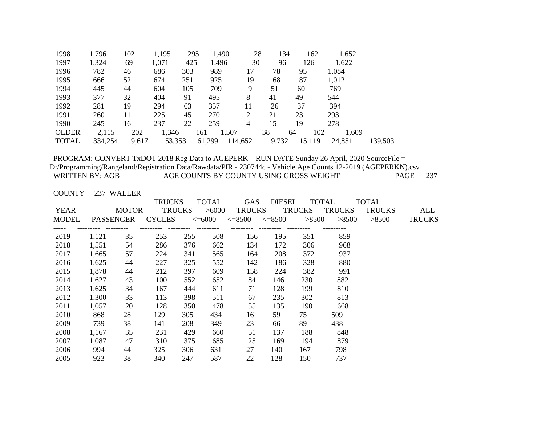| 1998         | 1,796   | 102   | 1,195  | 295 | 1,490        | 28      | 134   | 162       | 1,652  |         |
|--------------|---------|-------|--------|-----|--------------|---------|-------|-----------|--------|---------|
| 1997         | 1,324   | 69    | 1,071  | 425 | 1,496        | 30      | 96    | 126       | 1,622  |         |
| 1996         | 782     | 46    | 686    | 303 | 989          | 17      | 78    | 95        | 1,084  |         |
| 1995         | 666     | 52    | 674    | 251 | 925          | 19      | 68    | 87        | 1,012  |         |
| 1994         | 445     | 44    | 604    | 105 | 709          | 9       | 51    | 60        | 769    |         |
| 1993         | 377     | 32    | 404    | 91  | 495          | 8       | 41    | 49        | 544    |         |
| 1992         | 281     | 19    | 294    | 63  | 357          | 11      | 26    | 37        | 394    |         |
| 1991         | 260     | 11    | 225    | 45  | 270          | 2       | 21    | 23        | 293    |         |
| 1990         | 245     | 16    | 237    | 22  | 259          | 4       | 15    | 19        | 278    |         |
| <b>OLDER</b> | 2,115   | 202   | 1,346  |     | 1,507<br>161 |         | 38    | 102<br>64 | 1,609  |         |
| <b>TOTAL</b> | 334,254 | 9,617 | 53,353 |     | 61,299       | 114,652 | 9,732 | 15,119    | 24,851 | 139,503 |

COUNTY 237 WALLER

|       |    |           |        | <b>TOTAL</b>                                    | <b>GAS</b>  |       |               |                                                     |                                        |               |
|-------|----|-----------|--------|-------------------------------------------------|-------------|-------|---------------|-----------------------------------------------------|----------------------------------------|---------------|
|       |    |           |        |                                                 |             |       |               |                                                     | <b>TRUCKS</b>                          | ALL           |
|       |    |           |        |                                                 | $\leq=8500$ |       |               | >8500                                               | >8500                                  | <b>TRUCKS</b> |
|       |    |           |        |                                                 |             |       |               |                                                     |                                        |               |
| 1,121 | 35 | 253       | 255    | 508                                             | 156         | 195   | 351           | 859                                                 |                                        |               |
| 1,551 | 54 | 286       | 376    | 662                                             | 134         | 172   | 306           | 968                                                 |                                        |               |
| 1,665 | 57 | 224       | 341    | 565                                             | 164         | 208   | 372           | 937                                                 |                                        |               |
| 1,625 | 44 | 227       | 325    | 552                                             | 142         | 186   | 328           | 880                                                 |                                        |               |
| 1,878 | 44 | 212       | 397    | 609                                             | 158         | 224   | 382           | 991                                                 |                                        |               |
| 1,627 | 43 | 100       | 552    | 652                                             | 84          | 146   | 230           | 882                                                 |                                        |               |
| 1,625 | 34 | 167       | 444    | 611                                             | 71          | 128   | 199           | 810                                                 |                                        |               |
| 1,300 | 33 | 113       | 398    | 511                                             | 67          | 235   | 302           | 813                                                 |                                        |               |
| 1,057 | 20 | 128       | 350    | 478                                             | 55          | 135   | 190           | 668                                                 |                                        |               |
| 868   | 28 | 129       | 305    | 434                                             | 16          | 59    | 75            | 509.                                                |                                        |               |
| 739   | 38 | 141       | 208    | 349                                             | 23          | 66    | 89            | 438                                                 |                                        |               |
| 1,167 | 35 | 231       | 429    | 660                                             | 51          | 137   | 188           | 848                                                 |                                        |               |
| 1,087 | 47 | 310       | 375    | 685                                             | 25          | 169   | 194           | 879                                                 |                                        |               |
| 994   | 44 | 325       | 306    | 631                                             | 27          | 140   | 167           | 798                                                 |                                        |               |
| 923   | 38 | 340       | 247    | 587                                             | 22          | 128   | 150           | 737                                                 |                                        |               |
|       |    | PASSENGER | MOTOR- | <b>TRUCKS</b><br><b>TRUCKS</b><br><b>CYCLES</b> | $< = 6000$  | >6000 | <b>TRUCKS</b> | <b>DIESEL</b><br><b>TRUCKS</b><br>$\lessdot = 8500$ | <b>TOTAL</b><br><b>TRUCKS</b><br>>8500 | TOTAL         |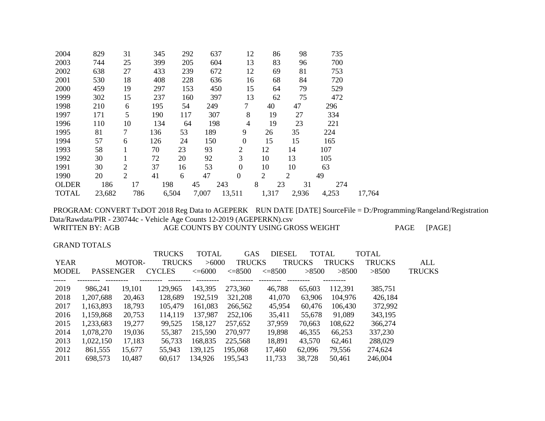| 829    | 31             | 345 |     |              |                                                       | 12                                                                        |                |                | 98                                                          | 735                     |        |
|--------|----------------|-----|-----|--------------|-------------------------------------------------------|---------------------------------------------------------------------------|----------------|----------------|-------------------------------------------------------------|-------------------------|--------|
| 744    | 25             | 399 |     |              |                                                       | 13                                                                        |                |                | 96                                                          | 700                     |        |
| 638    | 27             | 433 |     |              |                                                       | 12                                                                        |                |                | 81                                                          | 753                     |        |
| 530    | 18             | 408 |     |              |                                                       |                                                                           |                |                | 84                                                          | 720                     |        |
| 459    | 19             | 297 |     |              |                                                       | 15                                                                        |                |                | 79                                                          | 529                     |        |
| 302    | 15             | 237 |     |              |                                                       | 13                                                                        |                |                | 75                                                          | 472                     |        |
| 210    | 6              | 195 | 54  |              |                                                       | 7                                                                         |                |                | 47                                                          | 296                     |        |
| 171    | 5              | 190 | 117 |              |                                                       | 8                                                                         |                |                | 27                                                          | 334                     |        |
| 110    | 10             | 134 | 64  |              |                                                       | 4                                                                         |                |                | 23                                                          | 221                     |        |
| 81     | $\overline{7}$ | 136 | 53  |              |                                                       | 9                                                                         | 26             |                | 35                                                          | 224                     |        |
| 57     | 6              | 126 | 24  |              |                                                       | $\boldsymbol{0}$                                                          | 15             |                | 15                                                          | 165                     |        |
| 58     |                | 70  | 23  | 93           |                                                       | $\overline{c}$                                                            | 12             |                |                                                             | 107                     |        |
| 30     |                | 72  | 20  | 92           |                                                       | 3                                                                         | 10             |                |                                                             | 105                     |        |
| 30     | $\overline{2}$ | 37  | 16  | 53           |                                                       | $\overline{0}$                                                            | 10             |                |                                                             | 63                      |        |
| 20     | $\overline{2}$ | 41  | 6   | 47           |                                                       | $\boldsymbol{0}$                                                          | $\overline{2}$ | $\overline{2}$ |                                                             | 49                      |        |
| 186    | 17             |     |     |              | 243                                                   |                                                                           |                | 23             | 31                                                          | 274                     |        |
| 23,682 | 786            |     |     |              |                                                       |                                                                           |                |                |                                                             | 4,253                   | 17,764 |
|        |                |     |     | 198<br>6,504 | 292<br>205<br>239<br>228<br>153<br>160<br>45<br>7,007 | 637<br>604<br>672<br>636<br>450<br>397<br>249<br>307<br>198<br>189<br>150 | 13,511         | 16<br>8        | 86<br>83<br>69<br>68<br>64<br>62<br>40<br>19<br>19<br>1,317 | 14<br>13<br>10<br>2,936 |        |

 PROGRAM: CONVERT TxDOT 2018 Reg Data to AGEPERK RUN DATE [DATE] SourceFile = D:/Programming/Rangeland/Registration Data/Rawdata/PIR - 230744c - Vehicle Age Counts 12-2019 (AGEPERKN).csv

AGE COUNTS BY COUNTY USING GROSS WEIGHT PAGE [PAGE]

GRAND TOTALS

|              |                  |               | <b>TRUCKS</b> | <b>TOTAL</b> | <b>GAS</b>    | <b>DIESEL</b> | <b>TOTAL</b>  |               | TOTAL         |               |
|--------------|------------------|---------------|---------------|--------------|---------------|---------------|---------------|---------------|---------------|---------------|
| <b>YEAR</b>  |                  | <b>MOTOR-</b> | <b>TRUCKS</b> | >6000        | <b>TRUCKS</b> |               | <b>TRUCKS</b> | <b>TRUCKS</b> | <b>TRUCKS</b> | ALL           |
| <b>MODEL</b> | <b>PASSENGER</b> |               | <b>CYCLES</b> | $\leq=6000$  | $\leq=8500$   | $\leq=8500$   | >8500         | >8500         | >8500         | <b>TRUCKS</b> |
|              |                  |               |               |              |               |               |               |               |               |               |
| 2019         | 986,241          | 19,101        | 129,965       | 143,395      | 273,360       | 46,788        | 65,603        | 112,391       | 385,751       |               |
| 2018         | 1,207,688        | 20,463        | 128,689       | 192,519      | 321,208       | 41,070        | 63,906        | 104,976       | 426,184       |               |
| 2017         | 1,163,893        | 18,793        | 105,479       | 161,083      | 266,562       | 45,954        | 60,476        | 106,430       | 372,992       |               |
| 2016         | 1,159,868        | 20,753        | 114,119       | 137,987      | 252,106       | 35,411        | 55,678        | 91,089        | 343,195       |               |
| 2015         | 1,233,683        | 19,277        | 99,525        | 158,127      | 257,652       | 37,959        | 70,663        | 108,622       | 366,274       |               |
| 2014         | 1,078,270        | 19,036        | 55,387        | 215,590      | 270,977       | 19,898        | 46,355        | 66,253        | 337,230       |               |
| 2013         | 1,022,150        | 17,183        | 56,733        | 168,835      | 225,568       | 18,891        | 43,570        | 62,461        | 288,029       |               |
| 2012         | 861,555          | 15,677        | 55,943        | 139,125      | 195,068       | 17,460        | 62,096        | 79,556        | 274,624       |               |
| 2011         | 698,573          | 10,487        | 60,617        | 134,926      | 195,543       | 11,733        | 38,728        | 50,461        | 246,004       |               |
|              |                  |               |               |              |               |               |               |               |               |               |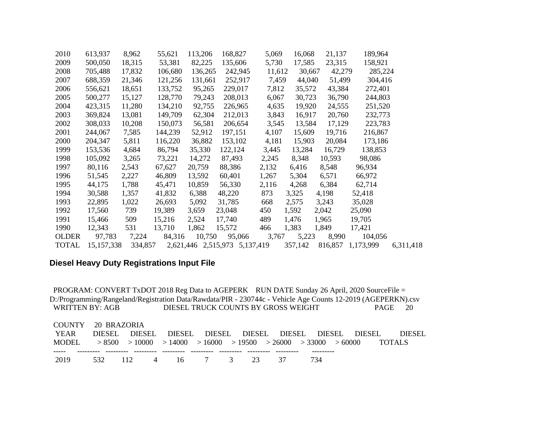| 2010         | 613,937      | 8,962   | 55,621  | 113,206 | 168,827                       | 5,069  | 16,068  | 21,137  | 189,964   |           |
|--------------|--------------|---------|---------|---------|-------------------------------|--------|---------|---------|-----------|-----------|
| 2009         | 500,050      | 18,315  | 53,381  | 82,225  | 135,606                       | 5,730  | 17,585  | 23,315  | 158,921   |           |
| 2008         | 705,488      | 17,832  | 106,680 | 136,265 | 242,945                       | 11,612 | 30,667  | 42,279  | 285,224   |           |
| 2007         | 688,359      | 21,346  | 121,256 | 131,661 | 252,917                       | 7,459  | 44,040  | 51,499  | 304,416   |           |
| 2006         | 556,621      | 18,651  | 133,752 | 95,265  | 229,017                       | 7,812  | 35,572  | 43,384  | 272,401   |           |
| 2005         | 500,277      | 15,127  | 128,770 | 79,243  | 208,013                       | 6,067  | 30,723  | 36,790  | 244,803   |           |
| 2004         | 423,315      | 11,280  | 134,210 | 92,755  | 226,965                       | 4,635  | 19,920  | 24,555  | 251,520   |           |
| 2003         | 369,824      | 13,081  | 149,709 | 62,304  | 212,013                       | 3,843  | 16,917  | 20,760  | 232,773   |           |
| 2002         | 308,033      | 10,208  | 150,073 | 56,581  | 206,654                       | 3,545  | 13,584  | 17,129  | 223,783   |           |
| 2001         | 244,067      | 7,585   | 144,239 | 52,912  | 197,151                       | 4,107  | 15,609  | 19,716  | 216,867   |           |
| 2000         | 204,347      | 5,811   | 116,220 | 36,882  | 153,102                       | 4,181  | 15,903  | 20,084  | 173,186   |           |
| 1999         | 153,536      | 4,684   | 86,794  | 35,330  | 122,124                       | 3,445  | 13,284  | 16,729  | 138,853   |           |
| 1998         | 105,092      | 3,265   | 73,221  | 14,272  | 87,493                        | 2,245  | 8,348   | 10,593  | 98,086    |           |
| 1997         | 80,116       | 2,543   | 67,627  | 20,759  | 88,386                        | 2,132  | 6,416   | 8,548   | 96,934    |           |
| 1996         | 51,545       | 2,227   | 46,809  | 13,592  | 60,401                        | 1,267  | 5,304   | 6,571   | 66,972    |           |
| 1995         | 44,175       | 1,788   | 45,471  | 10,859  | 56,330                        | 2,116  | 4,268   | 6,384   | 62,714    |           |
| 1994         | 30,588       | 1,357   | 41,832  | 6,388   | 48,220                        | 873    | 3,325   | 4,198   | 52,418    |           |
| 1993         | 22,895       | 1,022   | 26,693  | 5,092   | 31,785                        | 668    | 2,575   | 3,243   | 35,028    |           |
| 1992         | 17,560       | 739     | 19,389  | 3,659   | 23,048                        | 450    | 1,592   | 2,042   | 25,090    |           |
| 1991         | 15,466       | 509     | 15,216  | 2,524   | 17,740                        | 489    | 1,476   | 1,965   | 19,705    |           |
| 1990         | 12,343       | 531     | 13,710  | 1,862   | 15,572                        | 466    | 1,383   | 1,849   | 17,421    |           |
| <b>OLDER</b> | 97,783       | 7,224   | 84,316  | 10,750  | 95,066                        | 3,767  | 5,223   | 8,990   | 104,056   |           |
| <b>TOTAL</b> | 15, 157, 338 | 334,857 |         |         | 2,621,446 2,515,973 5,137,419 |        | 357,142 | 816,857 | 1,173,999 | 6,311,418 |

### **Diesel Heavy Duty Registrations Input File**

| COUNTY 20 BRAZORIA                                                           |               |                        |  |     |                                           |               |
|------------------------------------------------------------------------------|---------------|------------------------|--|-----|-------------------------------------------|---------------|
| YEAR                                                                         | DIESEL DIESEL |                        |  |     | DIESEL DIESEL DIESEL DIESEL DIESEL DIESEL | <b>DIESEL</b> |
| MODEL $>8500$ $>10000$ $>14000$ $>16000$ $>19500$ $>26000$ $>33000$ $>60000$ |               |                        |  |     |                                           | <b>TOTALS</b> |
|                                                                              |               |                        |  |     |                                           |               |
| 2019                                                                         |               | 532 112 4 16 7 3 23 37 |  | 734 |                                           |               |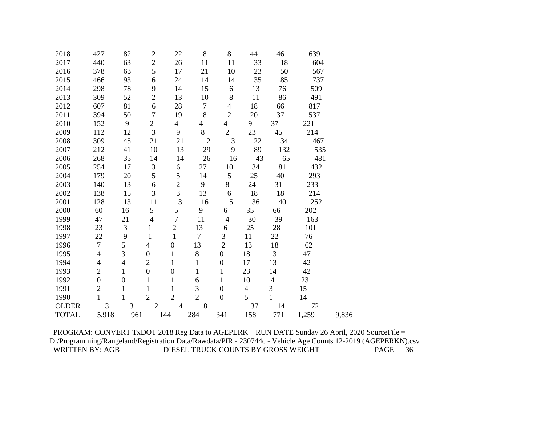| 2018         | 427              | 82               | $\overline{2}$   | 22               | 8              | 8                | 44                       | 46             | 639   |       |
|--------------|------------------|------------------|------------------|------------------|----------------|------------------|--------------------------|----------------|-------|-------|
| 2017         | 440              | 63               | $\mathbf{2}$     | 26               | 11             | 11               | 33                       | 18             | 604   |       |
| 2016         | 378              | 63               | 5                | 17               | 21             | 10               | 23                       | 50             | 567   |       |
| 2015         | 466              | 93               | 6                | 24               | 14             | 14               | 35                       | 85             | 737   |       |
| 2014         | 298              | 78               | 9                | 14               | 15             | 6                | 13                       | 76             | 509   |       |
| 2013         | 309              | 52               | $\overline{2}$   | 13               | 10             | 8                | 11                       | 86             | 491   |       |
| 2012         | 607              | 81               | 6                | 28               | $\overline{7}$ | 4                | 18                       | 66             | 817   |       |
| 2011         | 394              | 50               | $\overline{7}$   | 19               | 8              | $\overline{2}$   | 20                       | 37             | 537   |       |
| 2010         | 152              | 9                | $\overline{2}$   | 4                | 4              | $\overline{4}$   | 9                        | 37             | 221   |       |
| 2009         | 112              | 12               | 3                | 9                | 8              | $\sqrt{2}$       | 23                       | 45             | 214   |       |
| 2008         | 309              | 45               | 21               | 21               | 12             | 3                | 22                       | 34             | 467   |       |
| 2007         | 212              | 41               | 10               | 13               | 29             | 9                | 89                       | 132            | 535   |       |
| 2006         | 268              | 35               | 14               | 14               | 26             | 16               | 43                       | 65             | 481   |       |
| 2005         | 254              | 17               | $\mathfrak{Z}$   | 6                | 27             | 10               | 34                       | 81             | 432   |       |
| 2004         | 179              | 20               | 5                | 5                | 14             | 5                | 25                       | 40             | 293   |       |
| 2003         | 140              | 13               | 6                | $\overline{c}$   | 9              | 8                | 24                       | 31             | 233   |       |
| 2002         | 138              | 15               | 3                | 3                | 13             | 6                | 18                       | 18             | 214   |       |
| 2001         | 128              | 13               | 11               | 3                | 16             | 5                | 36                       | 40             | 252   |       |
| 2000         | 60               | 16               | 5                | 5                | 9              | 6                | 35                       | 66             | 202   |       |
| 1999         | 47               | 21               | $\overline{4}$   | $\overline{7}$   | 11             | $\overline{4}$   | 30                       | 39             | 163   |       |
| 1998         | 23               | $\mathfrak{Z}$   | $\mathbf{1}$     | $\overline{2}$   | 13             | 6                | 25                       | 28             | 101   |       |
| 1997         | 22               | 9                | $\mathbf{1}$     | $\mathbf{1}$     | $\tau$         | 3                | 11                       | 22             | 76    |       |
| 1996         | $\overline{7}$   | 5                | $\overline{4}$   | $\boldsymbol{0}$ | 13             | $\overline{2}$   | 13                       | 18             | 62    |       |
| 1995         | $\overline{4}$   | $\overline{3}$   | $\boldsymbol{0}$ | $\mathbf{1}$     | 8              | $\boldsymbol{0}$ | 18                       | 13             | 47    |       |
| 1994         | $\overline{4}$   | $\overline{4}$   | $\mathfrak{2}$   | $\mathbf{1}$     | $\mathbf{1}$   | $\boldsymbol{0}$ | 17                       | 13             | 42    |       |
| 1993         | $\overline{c}$   | $\mathbf{1}$     | $\boldsymbol{0}$ | $\boldsymbol{0}$ | $\mathbf{1}$   | $\mathbf{1}$     | 23                       | 14             | 42    |       |
| 1992         | $\boldsymbol{0}$ | $\boldsymbol{0}$ | $\mathbf{1}$     | $\mathbf{1}$     | 6              | 1                | 10                       | $\overline{4}$ | 23    |       |
| 1991         | $\overline{c}$   | $\mathbf{1}$     | $\mathbf{1}$     | $\mathbf{1}$     | 3              | $\boldsymbol{0}$ | $\overline{\mathcal{L}}$ | 3              | 15    |       |
| 1990         | $\mathbf{1}$     | $\mathbf{1}$     | $\overline{2}$   | $\overline{2}$   | $\overline{2}$ | $\overline{0}$   | 5                        | $\mathbf{1}$   | 14    |       |
| <b>OLDER</b> | 3                | 3                | $\overline{2}$   | $\overline{4}$   | 8              | 1                | 37                       | 14             | 72    |       |
| <b>TOTAL</b> | 5,918            | 961              |                  | 144              | 284            | 341              | 158                      | 771            | 1,259 | 9,836 |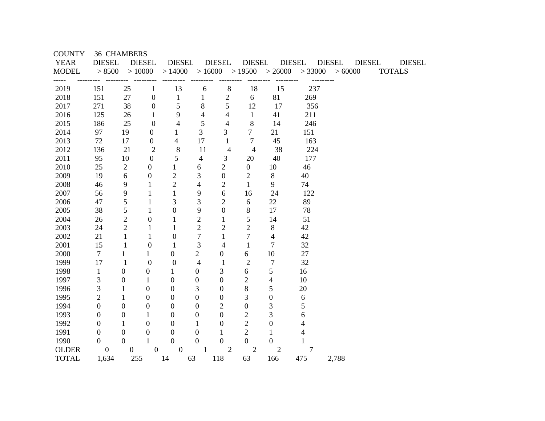| <b>COUNTY</b> | <b>36 CHAMBERS</b> |                  |                  |                  |                          |                   |                  |                  |               |                   |                                |  |
|---------------|--------------------|------------------|------------------|------------------|--------------------------|-------------------|------------------|------------------|---------------|-------------------|--------------------------------|--|
| <b>YEAR</b>   | <b>DIESEL</b>      |                  | <b>DIESEL</b>    | <b>DIESEL</b>    |                          | <b>DIESEL</b>     | <b>DIESEL</b>    |                  | <b>DIESEL</b> | <b>DIESEL</b>     | <b>DIESEL</b><br><b>DIESEL</b> |  |
| <b>MODEL</b>  | > 8500             | >10000           |                  | >14000           |                          | $>16000$ $>19500$ |                  | > 26000          |               | $>33000$ $>60000$ | <b>TOTALS</b>                  |  |
| 2019          | 151                | 25               | $\mathbf{1}$     | 13               | 6                        | 8                 | 18               | 15               | 237           |                   |                                |  |
| 2018          | 151                | 27               | $\boldsymbol{0}$ | $\mathbf{1}$     | $\mathbf{1}$             | $\mathbf{2}$      | 6                | 81               | 269           |                   |                                |  |
| 2017          | 271                | 38               | $\boldsymbol{0}$ | 5                | $8\,$                    | 5                 | 12               | 17               | 356           |                   |                                |  |
| 2016          | 125                | 26               | $\mathbf{1}$     | 9                | $\overline{4}$           | 4                 | $\mathbf{1}$     | 41               | 211           |                   |                                |  |
| 2015          | 186                | 25               | $\mathbf{0}$     | $\overline{4}$   | 5                        | $\overline{4}$    | 8                | 14               | 246           |                   |                                |  |
| 2014          | 97                 | 19               | $\mathbf{0}$     | 1                | 3                        | 3                 | $\overline{7}$   | 21               | 151           |                   |                                |  |
| 2013          | 72                 | 17               | $\boldsymbol{0}$ | 4                | 17                       | $\mathbf{1}$      | 7                | 45               | 163           |                   |                                |  |
| 2012          | 136                | 21               | $\mathfrak{2}$   | 8                | 11                       | $\overline{4}$    | $\overline{4}$   | 38               | 224           |                   |                                |  |
| 2011          | 95                 | 10               | $\boldsymbol{0}$ | 5                | $\overline{\mathcal{A}}$ | 3                 | 20               | 40               | 177           |                   |                                |  |
| 2010          | 25                 | $\overline{2}$   | $\boldsymbol{0}$ | 1                | 6                        | $\overline{2}$    | $\overline{0}$   | 10               | 46            |                   |                                |  |
| 2009          | 19                 | 6                | $\boldsymbol{0}$ | $\mathfrak{2}$   | 3                        | $\boldsymbol{0}$  | $\sqrt{2}$       | $8\,$            | 40            |                   |                                |  |
| 2008          | 46                 | 9                | 1                | $\overline{2}$   | $\overline{4}$           | $\overline{c}$    | $\mathbf{1}$     | 9                | 74            |                   |                                |  |
| 2007          | 56                 | 9                | $\mathbf{1}$     | $\mathbf{1}$     | 9                        | 6                 | 16               | 24               | 122           |                   |                                |  |
| 2006          | 47                 | 5                | 1                | 3                | 3                        | $\mathfrak{2}$    | 6                | 22               | 89            |                   |                                |  |
| 2005          | 38                 | 5                | 1                | $\boldsymbol{0}$ | 9                        | $\boldsymbol{0}$  | 8                | 17               | 78            |                   |                                |  |
| 2004          | 26                 | $\overline{2}$   | $\boldsymbol{0}$ | 1                | $\overline{2}$           | $\mathbf{1}$      | $\mathfrak{S}$   | 14               | 51            |                   |                                |  |
| 2003          | 24                 | $\overline{2}$   | 1                | 1                | $\overline{2}$           | $\mathfrak{2}$    | $\overline{2}$   | 8                | 42            |                   |                                |  |
| 2002          | 21                 | 1                | 1                | $\boldsymbol{0}$ | 7                        | $\mathbf{1}$      | $\tau$           | $\overline{4}$   | 42            |                   |                                |  |
| 2001          | 15                 | 1                | $\overline{0}$   | $\mathbf{1}$     | 3                        | 4                 | $\mathbf{1}$     | $\overline{7}$   | 32            |                   |                                |  |
| 2000          | $\tau$             | $\mathbf{1}$     | $\mathbf{1}$     | $\overline{0}$   | $\overline{c}$           | $\boldsymbol{0}$  | 6                | 10               | 27            |                   |                                |  |
| 1999          | 17                 | $\mathbf{1}$     | $\overline{0}$   | $\boldsymbol{0}$ | $\overline{4}$           | $\mathbf{1}$      | $\overline{2}$   | $\overline{7}$   | 32            |                   |                                |  |
| 1998          | $\mathbf{1}$       | $\mathbf{0}$     | 0                | $\mathbf{1}$     | $\overline{0}$           | 3                 | 6                | 5                | 16            |                   |                                |  |
| 1997          | 3                  | $\boldsymbol{0}$ | 1                | $\boldsymbol{0}$ | $\mathbf{0}$             | $\overline{0}$    | $\overline{c}$   | $\overline{4}$   | 10            |                   |                                |  |
| 1996          | 3                  | 1                | $\overline{0}$   | $\boldsymbol{0}$ | 3                        | $\overline{0}$    | 8                | 5                | 20            |                   |                                |  |
| 1995          | $\overline{2}$     | 1                | $\Omega$         | $\boldsymbol{0}$ | $\overline{0}$           | $\boldsymbol{0}$  | 3                | $\boldsymbol{0}$ | 6             |                   |                                |  |
| 1994          | $\boldsymbol{0}$   | $\mathbf{0}$     | 0                | $\boldsymbol{0}$ | $\mathbf{0}$             | $\overline{2}$    | $\boldsymbol{0}$ | 3                | 5             |                   |                                |  |
| 1993          | 0                  | $\boldsymbol{0}$ | 1                | $\boldsymbol{0}$ | $\mathbf{0}$             | 0                 | $\mathbf{2}$     | 3                | 6             |                   |                                |  |
| 1992          | $\mathbf{0}$       | 1                | $\Omega$         | $\boldsymbol{0}$ | 1                        | 0                 | $\mathbf{2}$     | $\boldsymbol{0}$ | 4             |                   |                                |  |
| 1991          | $\boldsymbol{0}$   | $\boldsymbol{0}$ | 0                | $\boldsymbol{0}$ | $\boldsymbol{0}$         | 1                 | $\mathbf{2}$     | 1                | 4             |                   |                                |  |
| 1990          | $\boldsymbol{0}$   | $\mathbf{0}$     | $\mathbf{1}$     | $\theta$         | $\theta$                 | $\overline{0}$    | $\boldsymbol{0}$ | $\Omega$         | 1             |                   |                                |  |
| <b>OLDER</b>  | $\boldsymbol{0}$   | $\boldsymbol{0}$ | $\boldsymbol{0}$ | $\overline{0}$   | $\mathbf{1}$             | $\overline{2}$    | $\overline{2}$   | $\overline{2}$   | $\tau$        |                   |                                |  |
| <b>TOTAL</b>  | 1,634              | 255              |                  | 14               | 63                       | 118               | 63               | 166              | 475           | 2,788             |                                |  |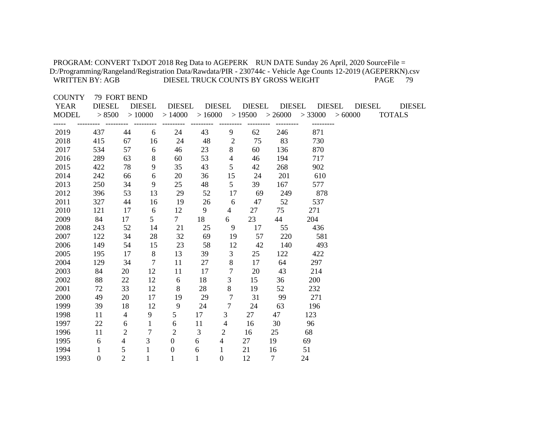| PROGRAM: CONVERT TxDOT 2018 Reg Data to AGEPERK RUN DATE Sunday 26 April, 2020 SourceFile =<br>D:/Programming/Rangeland/Registration Data/Rawdata/PIR - 230744c - Vehicle Age Counts 12-2019 (AGEPERKN).csv<br><b>WRITTEN BY: AGB</b> |                                         |                |                         | DIESEL TRUCK COUNTS BY GROSS WEIGHT |                         |                  |                         |                          |                          |        |               | <b>PAGE</b><br>79              |
|---------------------------------------------------------------------------------------------------------------------------------------------------------------------------------------------------------------------------------------|-----------------------------------------|----------------|-------------------------|-------------------------------------|-------------------------|------------------|-------------------------|--------------------------|--------------------------|--------|---------------|--------------------------------|
| <b>COUNTY</b><br><b>YEAR</b><br><b>MODEL</b>                                                                                                                                                                                          | 79 FORT BEND<br><b>DIESEL</b><br>> 8500 |                | <b>DIESEL</b><br>>10000 | <b>DIESEL</b><br>>14000             | <b>DIESEL</b><br>>16000 |                  | <b>DIESEL</b><br>>19500 | <b>DIESEL</b><br>> 26000 | <b>DIESEL</b><br>> 33000 | >60000 | <b>DIESEL</b> | <b>DIESEL</b><br><b>TOTALS</b> |
| 2019                                                                                                                                                                                                                                  | 437                                     | 44             | 6                       | 24                                  | 43                      | 9                | 62                      | 246                      | 871                      |        |               |                                |
| 2018                                                                                                                                                                                                                                  | 415                                     | 67             | 16                      | 24                                  | 48                      | $\overline{c}$   | 75                      | 83                       | 730                      |        |               |                                |
| 2017                                                                                                                                                                                                                                  | 534                                     | 57             | 6                       | 46                                  | 23                      | 8                | 60                      | 136                      | 870                      |        |               |                                |
| 2016                                                                                                                                                                                                                                  | 289                                     | 63             | $\,8\,$                 | 60                                  | 53                      | 4                | 46                      | 194                      | 717                      |        |               |                                |
| 2015                                                                                                                                                                                                                                  | 422                                     | 78             | 9                       | 35                                  | 43                      | 5                | 42                      | 268                      | 902                      |        |               |                                |
| 2014                                                                                                                                                                                                                                  | 242                                     | 66             | $\sqrt{6}$              | 20                                  | 36                      | 15               | 24                      | 201                      | 610                      |        |               |                                |
| 2013                                                                                                                                                                                                                                  | 250                                     | 34             | 9                       | 25                                  | 48                      | 5                | 39                      | 167                      | 577                      |        |               |                                |
| 2012                                                                                                                                                                                                                                  | 396                                     | 53             | 13                      | 29                                  | 52                      | 17               | 69                      | 249                      | 878                      |        |               |                                |
| 2011                                                                                                                                                                                                                                  | 327                                     | 44             | 16                      | 19                                  | 26                      | 6                | 47                      | 52                       | 537                      |        |               |                                |
| 2010                                                                                                                                                                                                                                  | 121                                     | 17             | 6                       | 12                                  | 9                       | $\overline{4}$   | 27                      | 75                       | 271                      |        |               |                                |
| 2009                                                                                                                                                                                                                                  | 84                                      | 17             | 5                       | $\tau$                              | 18                      | 6                | 23                      | 44                       | 204                      |        |               |                                |
| 2008                                                                                                                                                                                                                                  | 243                                     | 52             | 14                      | 21                                  | 25                      | 9                | 17                      | 55                       | 436                      |        |               |                                |
| 2007                                                                                                                                                                                                                                  | 122                                     | 34             | 28                      | 32                                  | 69                      | 19               | 57                      | 220                      | 581                      |        |               |                                |
| 2006                                                                                                                                                                                                                                  | 149                                     | 54             | 15                      | 23                                  | 58                      | 12               | 42                      | 140                      | 493                      |        |               |                                |
| 2005                                                                                                                                                                                                                                  | 195                                     | 17             | $\,8\,$                 | 13                                  | 39                      | 3                | 25                      | 122                      | 422                      |        |               |                                |
| 2004                                                                                                                                                                                                                                  | 129                                     | 34             | $\tau$                  | 11                                  | 27                      | 8                | 17                      | 64                       | 297                      |        |               |                                |
| 2003                                                                                                                                                                                                                                  | 84                                      | 20             | 12                      | 11                                  | 17                      | $\overline{7}$   | 20                      | 43                       | 214                      |        |               |                                |
| 2002                                                                                                                                                                                                                                  | 88                                      | 22             | 12                      | 6                                   | 18                      | $\mathfrak{Z}$   | 15                      | 36                       | 200                      |        |               |                                |
| 2001                                                                                                                                                                                                                                  | 72                                      | 33             | 12                      | 8                                   | 28                      | $8\,$            | 19                      | 52                       | 232                      |        |               |                                |
| 2000                                                                                                                                                                                                                                  | 49                                      | 20             | 17                      | 19                                  | 29                      | $\overline{7}$   | 31                      | 99                       | 271                      |        |               |                                |
| 1999                                                                                                                                                                                                                                  | 39                                      | 18             | 12                      | 9                                   | 24                      | $\tau$           | 24                      | 63                       | 196                      |        |               |                                |
| 1998                                                                                                                                                                                                                                  | 11                                      | $\overline{4}$ | 9                       | 5                                   | 17                      | 3                | 27                      | 47                       | 123                      |        |               |                                |
| 1997                                                                                                                                                                                                                                  | 22                                      | 6              | $\mathbf{1}$            | 6                                   | 11                      | $\overline{4}$   | 16                      | 30                       | 96                       |        |               |                                |
| 1996                                                                                                                                                                                                                                  | 11                                      | $\overline{2}$ | $\overline{7}$          | $\overline{2}$                      | $\mathfrak{Z}$          | $\mathfrak{2}$   | 16                      | 25                       | 68                       |        |               |                                |
| 1995                                                                                                                                                                                                                                  | 6                                       | 4              | 3                       | $\overline{0}$                      | 6                       | $\overline{4}$   | 27                      | 19                       | 69                       |        |               |                                |
| 1994                                                                                                                                                                                                                                  | $\mathbf{1}$                            | 5              | $\mathbf{1}$            | $\boldsymbol{0}$                    | 6                       | $\mathbf{1}$     | 21                      | 16                       | 51                       |        |               |                                |
| 1993                                                                                                                                                                                                                                  | $\boldsymbol{0}$                        | $\overline{2}$ | $\mathbf{1}$            | $\mathbf{1}$                        | $\mathbf{1}$            | $\boldsymbol{0}$ | 12                      | $\overline{7}$           | 24                       |        |               |                                |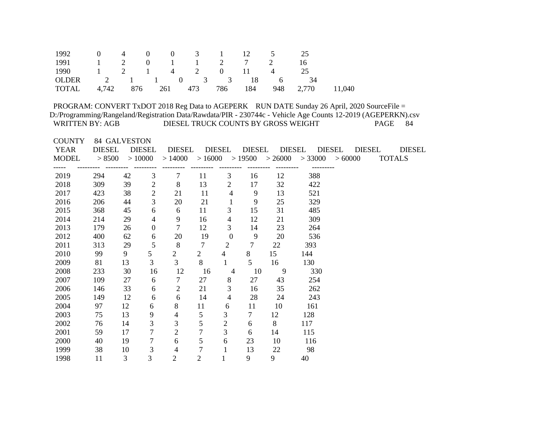| 1992 0 4 0 0 3 1 12 5 25        |  |  |  |  |                  |  |
|---------------------------------|--|--|--|--|------------------|--|
| 1991 1 2 0 1 1 2 7 2 16         |  |  |  |  |                  |  |
| 1990 1 2 1 4 2 0 11 4 25        |  |  |  |  |                  |  |
| OLDER 2 1 1 0 3 3 18 6 34       |  |  |  |  |                  |  |
| TOTAL 4,742 876 261 473 786 184 |  |  |  |  | 948 2,770 11,040 |  |

| <b>COUNTY</b> |                      | 84 GALVESTON |                |                          |                |                |                      |                |               |                                                                        |                         |
|---------------|----------------------|--------------|----------------|--------------------------|----------------|----------------|----------------------|----------------|---------------|------------------------------------------------------------------------|-------------------------|
| YEAR          | DIESEL DIESEL        |              |                |                          |                |                | DIESEL DIESEL DIESEL |                | DIESEL DIESEL |                                                                        | DIESEL<br><b>DIESEL</b> |
| MODEL         |                      |              |                |                          |                |                |                      |                |               | $>8500$ $>10000$ $>14000$ $>16000$ $>19500$ $>26000$ $>33000$ $>60000$ | <b>TOTALS</b>           |
|               | ---------- --------- |              |                |                          |                |                | ---------            |                |               |                                                                        |                         |
| 2019          | 294                  | 42           | 3              | $\tau$                   | 11             | 3              | 16                   | 12             | 388           |                                                                        |                         |
| 2018          | 309                  | 39           | $\overline{2}$ | 8                        | 13             | $\overline{2}$ | 17                   | 32             | 422           |                                                                        |                         |
| 2017          | 423                  | 38           | $\overline{2}$ | 21                       | 11             | $\overline{4}$ | 9                    | 13             | 521           |                                                                        |                         |
| 2016          | 206                  | 44           | 3              | 20                       | 21             | $\mathbf{1}$   | 9                    | 25             | 329           |                                                                        |                         |
| 2015          | 368                  | 45           | 6              | 6                        | 11             | 3              | 15                   | 31             | 485           |                                                                        |                         |
| 2014          | 214                  | 29           | $\overline{4}$ | 9                        | 16             | $\overline{4}$ | 12                   | 21             | 309           |                                                                        |                         |
| 2013          | 179                  | 26           | $\mathbf{0}$   | $\overline{7}$           | 12             | 3              | 14                   | 23             | 264           |                                                                        |                         |
| 2012          | 400                  | 62           | 6              | 20                       | 19             | $\overline{0}$ | 9                    | 20             | 536           |                                                                        |                         |
| 2011          | 313                  | 29           | 5              | 8                        | $\overline{7}$ | $\overline{2}$ | $7\overline{ }$      | 22             | 393           |                                                                        |                         |
| 2010          | 99                   | 9            | 5              | $\overline{2}$           | $\overline{2}$ | $\overline{4}$ | 8                    | 15             | 144           |                                                                        |                         |
| 2009          | 81                   | 13           | $\mathfrak{Z}$ | $\overline{3}$           | 8              | $\mathbf{1}$   | 5 <sup>5</sup>       | 16             | 130           |                                                                        |                         |
| 2008          | 233                  | 30           | 16             | 12                       | 16             | $\overline{4}$ | 10                   | $\overline{9}$ | 330           |                                                                        |                         |
| 2007          | 109                  | 27           | 6              | $\overline{7}$           | 27             | 8              | 27                   | 43             | 254           |                                                                        |                         |
| 2006          | 146                  | 33           | 6              | $\overline{2}$           | 21             | 3              | 16                   | 35             | 262           |                                                                        |                         |
| 2005          | 149                  | 12           | 6              | 6                        | 14             | 4              | 28                   | 24             | 243           |                                                                        |                         |
| 2004          | 97                   | 12           | 6              | 8                        | 11             | 6              | 11                   | 10             | 161           |                                                                        |                         |
| 2003          | 75                   | 13           | 9              | $\overline{4}$           | 5              | 3              | $\overline{7}$       | 12             | 128           |                                                                        |                         |
| 2002          | 76                   | 14           | 3              | 3                        | 5              | $\overline{2}$ | 6                    | 8              | 117           |                                                                        |                         |
| 2001          | 59                   | 17           | $\tau$         | $\sqrt{2}$               | $\overline{7}$ | 3              | 6                    | 14             | 115           |                                                                        |                         |
| 2000          | 40                   | 19           | $\tau$         | 6                        | 5              | 6              | 23                   | 10             | 116           |                                                                        |                         |
| 1999          | 38                   | 10           | $\mathfrak{Z}$ | $\overline{\mathcal{A}}$ | $\overline{7}$ | 1              | 13                   | 22             | 98            |                                                                        |                         |
| 1998          | 11                   | 3            | $\overline{3}$ | $\overline{2}$           | $\overline{2}$ | $\mathbf{1}$   | 9                    | 9              | 40            |                                                                        |                         |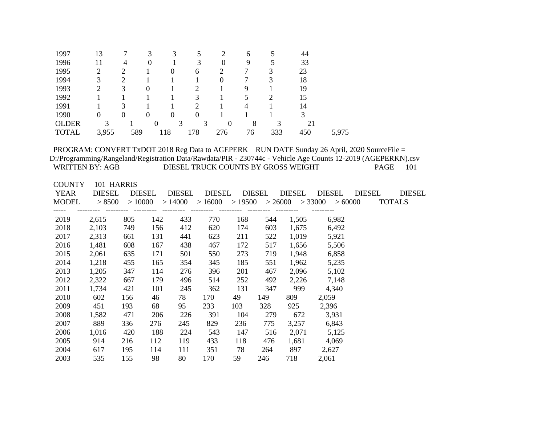| 1997         | 13               | ¬        | 3                | 3              |                  | 2              | 6  |     | 44  |       |
|--------------|------------------|----------|------------------|----------------|------------------|----------------|----|-----|-----|-------|
| 1996         |                  | 4        | $\Omega$         |                | 3                | $\Omega$       | 9  |     | 33  |       |
| 1995         | 2                | 2        |                  | $\theta$       | 6                |                |    | 3   | 23  |       |
| 1994         | 3                | 2        |                  |                |                  | 0              |    | 3   | 18  |       |
| 1993         | 2                | 3        | $\boldsymbol{0}$ |                | ◠                |                | 9  |     | 19  |       |
| 1992         |                  |          |                  |                | 3                |                |    | ∍   | 15  |       |
| 1991         |                  | 3        |                  |                |                  |                | 4  |     | 14  |       |
| 1990         | $\boldsymbol{0}$ | $\theta$ | $\boldsymbol{0}$ | $\overline{0}$ | $\boldsymbol{0}$ |                |    |     |     |       |
| <b>OLDER</b> | 3                |          | $\boldsymbol{0}$ | 3              | 3                | $\overline{0}$ | 8  | 3   | 21  |       |
| <b>TOTAL</b> | 3,955            | 589      |                  | 118            | 178              | 276            | 76 | 333 | 450 | 5,975 |

| <b>COUNTY</b> | 101 HARRIS                   |        |     |            |        |     |        |        |                                                       |               |               |
|---------------|------------------------------|--------|-----|------------|--------|-----|--------|--------|-------------------------------------------------------|---------------|---------------|
| YEAR          | <b>DIESEL</b>                | DIESEL |     | DIESEL     | DIESEL |     | DIESEL | DIESEL | DIESEL                                                | <b>DIESEL</b> | <b>DIESEL</b> |
| MODEL         | > 8500                       | >10000 |     |            |        |     |        |        | $>14000$ $>16000$ $>19500$ $>26000$ $>33000$ $>60000$ |               | <b>TOTALS</b> |
|               | --------- --------- -------- |        |     | ---------- |        |     |        |        |                                                       |               |               |
| 2019          | 2,615                        | 805    | 142 | 433        | 770    | 168 | 544    | 1,505  | 6,982                                                 |               |               |
| 2018          | 2,103                        | 749    | 156 | 412        | 620    | 174 | 603    | 1,675  | 6,492                                                 |               |               |
| 2017          | 2,313                        | 661    | 131 | 441        | 623    | 211 | 522    | 1,019  | 5,921                                                 |               |               |
| 2016          | 1,481                        | 608    | 167 | 438        | 467    | 172 | 517    | 1,656  | 5,506                                                 |               |               |
| 2015          | 2,061                        | 635    | 171 | 501        | 550    | 273 | 719    | 1,948  | 6,858                                                 |               |               |
| 2014          | 1,218                        | 455    | 165 | 354        | 345    | 185 | 551    | 1,962  | 5,235                                                 |               |               |
| 2013          | 1,205                        | 347    | 114 | 276        | 396    | 201 | 467    | 2,096  | 5,102                                                 |               |               |
| 2012          | 2,322                        | 667    | 179 | 496        | 514    | 252 | 492    | 2,226  | 7,148                                                 |               |               |
| 2011          | 1,734                        | 421    | 101 | 245        | 362    | 131 | 347    | 999    | 4,340                                                 |               |               |
| 2010          | 602                          | 156    | 46  | 78         | 170    | 49  | 149    | 809    | 2,059                                                 |               |               |
| 2009          | 451                          | 193    | 68  | 95         | 233    | 103 | 328    | 925    | 2,396                                                 |               |               |
| 2008          | 1,582                        | 471    | 206 | 226        | 391    | 104 | 279    | 672    | 3,931                                                 |               |               |
| 2007          | 889                          | 336    | 276 | 245        | 829    | 236 | 775    |        | 3,257 6,843                                           |               |               |
| 2006          | 1,016                        | 420    | 188 | 224        | 543    | 147 | 516    | 2,071  | 5,125                                                 |               |               |
| 2005          | 914                          | 216    | 112 | 119        | 433    | 118 | 476    | 1,681  | 4,069                                                 |               |               |
| 2004          | 617                          | 195    | 114 | 111        | 351    | 78  | 264    | 897    | 2,627                                                 |               |               |
| 2003          | 535                          | 155    | 98  | 80         | 170    | 59  | 246    | 718    | 2,061                                                 |               |               |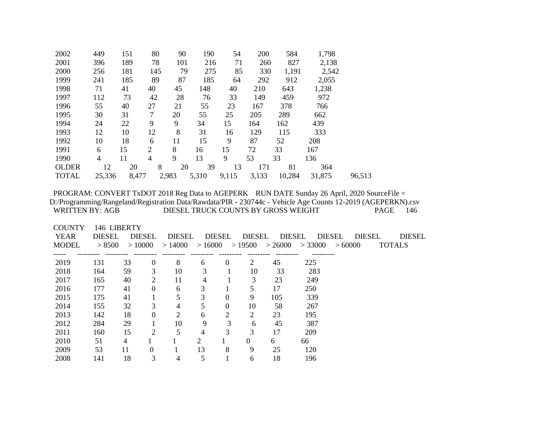| 2002         | 449            | 151   | 80             | 90      | 190   | 54    | 200   | 584    | 1,798  |        |
|--------------|----------------|-------|----------------|---------|-------|-------|-------|--------|--------|--------|
| 2001         | 396            | 189   | 78             | 101     | 216   | 71    | 260   | 827    | 2,138  |        |
| 2000         | 256            | 181   | 145            | 79      | 275   | 85    | 330   | 1,191  | 2,542  |        |
| 1999         | 241            | 185   | 89             | 87      | 185   | 64    | 292   | 912    | 2,055  |        |
| 1998         | 71             | 41    | 40             | 45      | 148   | 40    | 210   | 643    | 1,238  |        |
| 1997         | 112            | 73    | 42             | 28      | 76    | 33    | 149   | 459    | 972    |        |
| 1996         | 55             | 40    | 27             | 21      | 55    | 23    | 167   | 378    | 766    |        |
| 1995         | 30             | 31    | 7              | 20      | 55    | 25    | 205   | 289    | 662    |        |
| 1994         | 24             | 22    | 9              | 9       | 34    | 15    | 164   | 162    | 439    |        |
| 1993         | 12             | 10    | 12             | 8       | 31    | 16    | 129   | 115    | 333    |        |
| 1992         | 10             | 18    | 6              | 11      | 15    | 9     | 87    | 52     | 208    |        |
| 1991         | 6              | 15    | $\overline{2}$ | 8       | 16    | 15    | 72    | 33     | 167    |        |
| 1990         | $\overline{4}$ | 11    | $\overline{4}$ | 9       | 13    | 9     | 53    | 33     | 136    |        |
| <b>OLDER</b> | 12             | 20    |                | 8<br>20 | 39    | 13    | 171   | 81     | 364    |        |
| <b>TOTAL</b> | 25,336         | 8,477 |                | 2,983   | 5,310 | 9,115 | 3,133 | 10,284 | 31,875 | 96,513 |

| <b>COUNTY</b> | 146 LIBERTY   |               |                  |                |        |               |        |                   |          |                                |               |  |
|---------------|---------------|---------------|------------------|----------------|--------|---------------|--------|-------------------|----------|--------------------------------|---------------|--|
| <b>YEAR</b>   | <b>DIESEL</b> | <b>DIESEL</b> |                  | <b>DIESEL</b>  |        | <b>DIESEL</b> | DIESEL | <b>DIESEL</b>     |          | <b>DIESEL</b><br><b>DIESEL</b> | <b>DIESEL</b> |  |
| <b>MODEL</b>  | > 8500        | >10000        |                  | >14000         | >16000 |               |        | $>19500$ $>26000$ | > 33000  | >60000                         | <b>TOTALS</b> |  |
|               |               |               |                  |                |        |               |        |                   | -------- |                                |               |  |
| 2019          | 131           | 33            | $\boldsymbol{0}$ | 8              | 6      | $\theta$      | 2      | 45                | 225      |                                |               |  |
| 2018          | 164           | 59            | 3                | 10             | 3      |               | 10     | 33                | 283      |                                |               |  |
| 2017          | 165           | 40            | 2                | 11             | 4      |               | 3      | 23                | 249      |                                |               |  |
| 2016          | 177           | 41            | $\theta$         | 6              | 3      |               | 5      | 17                | 250      |                                |               |  |
| 2015          | 175           | 41            |                  | 5              | 3      | $\theta$      | 9      | 105               | 339      |                                |               |  |
| 2014          | 155           | 32            | 3                | 4              | 5      | 0             | 10     | 58                | 267      |                                |               |  |
| 2013          | 142           | 18            | $\theta$         | $\overline{2}$ | 6      | 2             | 2      | 23                | 195      |                                |               |  |
| 2012          | 284           | 29            |                  | 10             | 9      | 3             | 6      | 45                | 387      |                                |               |  |
| 2011          | 160           | 15            | $\overline{2}$   | 5              | 4      | 3             | 3      | 17                | 209      |                                |               |  |
| 2010          | 51            | 4             |                  |                | 2      |               | 0      | 6                 | 66       |                                |               |  |
| 2009          | 53            | 11            | $\Omega$         |                | 13     | 8             | 9      | 25                | 120      |                                |               |  |
| 2008          | 141           | 18            | 3                | 4              | 5      |               | 6      | 18                | 196      |                                |               |  |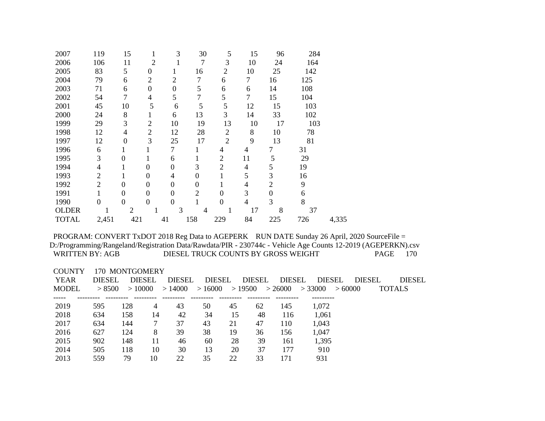| 2007         | 119            | 15               | 1                | 3                | 30             | 5              | 15             | 96               | 284 |       |
|--------------|----------------|------------------|------------------|------------------|----------------|----------------|----------------|------------------|-----|-------|
| 2006         | 106            | 11               | $\overline{2}$   | 1                | 7              | 3              | 10             | 24               | 164 |       |
| 2005         | 83             | 5                | 0                | 1                | 16             | $\overline{2}$ | 10             | 25               | 142 |       |
| 2004         | 79             | 6                | $\overline{2}$   | $\overline{2}$   | $\overline{7}$ | 6              | $\tau$         | 16               | 125 |       |
| 2003         | 71             | 6                | 0                | $\overline{0}$   | 5              | 6              | 6              | 14               | 108 |       |
| 2002         | 54             | 7                | 4                | 5                | 7              | 5              | 7              | 15               | 104 |       |
| 2001         | 45             | 10               | 5                | 6                | 5              | 5              | 12             | 15               | 103 |       |
| 2000         | 24             | 8                | 1                | 6                | 13             | 3              | 14             | 33               | 102 |       |
| 1999         | 29             | 3                | $\overline{2}$   | 10               | 19             | 13             | 10             | 17               | 103 |       |
| 1998         | 12             | 4                | $\overline{2}$   | 12               | 28             | $\overline{2}$ | 8              | 10               | 78  |       |
| 1997         | 12             | $\overline{0}$   | 3                | 25               | 17             | $\overline{2}$ | 9              | 13               | 81  |       |
| 1996         | 6              | 1                |                  | 7                | 1              | 4              | 4              | $\overline{7}$   | 31  |       |
| 1995         | 3              | $\overline{0}$   | 1                | 6                | 1              | $\overline{2}$ | 11             | 5                | 29  |       |
| 1994         | $\overline{4}$ | 1                | $\mathbf{0}$     | $\theta$         | 3              | $\overline{2}$ | $\overline{4}$ | 5                | 19  |       |
| 1993         | $\overline{2}$ | 1                | $\boldsymbol{0}$ | 4                | 0              |                | 5              | 3                | 16  |       |
| 1992         | $\overline{2}$ | $\overline{0}$   | $\overline{0}$   | $\boldsymbol{0}$ | 0              |                | 4              | $\overline{2}$   | 9   |       |
| 1991         | 1              | $\boldsymbol{0}$ | $\boldsymbol{0}$ | $\overline{0}$   | $\overline{2}$ | $\overline{0}$ | 3              | $\boldsymbol{0}$ | 6   |       |
| 1990         | $\overline{0}$ | $\boldsymbol{0}$ | $\boldsymbol{0}$ | $\overline{0}$   | 1              | $\overline{0}$ | $\overline{4}$ | 3                | 8   |       |
| <b>OLDER</b> | 1              | $\overline{2}$   | 1                | 3                | $\overline{4}$ | 1              | 17             | 8                | 37  |       |
| <b>TOTAL</b> | 2,451          | 421              |                  | 41               | 158            | 229            | 84             | 225              | 726 | 4,335 |

#### COUNTY 170 MONTGOMERY

| YEAR         | <b>DIESEL</b> | <b>DIESEL</b> |    | <b>DIESEL</b> | <b>DIESEL</b> |    | <b>DIESEL</b> | <b>DIESEL</b> | <b>DIESEL</b> |        | <b>DIESEL</b> | <b>DIESEL</b> |
|--------------|---------------|---------------|----|---------------|---------------|----|---------------|---------------|---------------|--------|---------------|---------------|
| <b>MODEL</b> | > 8500        | >10000        |    | >14000        | >16000        |    | >19500        | >26000        | > 33000       | >60000 |               | <b>TOTALS</b> |
|              |               |               |    |               |               |    |               |               |               |        |               |               |
| 2019         | 595           | 128           | 4  | 43            | 50            | 45 | 62            | 145           | 1,072         |        |               |               |
| 2018         | 634           | 158           | 14 | 42            | 34            | 15 | 48            | 116           | 1,061         |        |               |               |
| 2017         | 634           | 144           |    | 37            | 43            | 21 | 47            | 110           | 1,043         |        |               |               |
| 2016         | 627           | 124           | 8  | 39            | 38            | 19 | 36            | 156           | 1,047         |        |               |               |
| 2015         | 902           | 148           | 11 | 46            | 60            | 28 | 39            | 161           | 1,395         |        |               |               |
| 2014         | 505           | 118           | 10 | 30            | 13            | 20 | 37            | 177           | 910           |        |               |               |
| 2013         | 559           | 79            | 10 | 22            | 35            | 22 | 33            | 171           | 931           |        |               |               |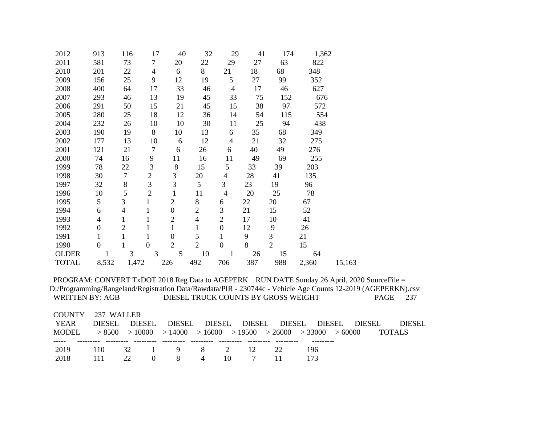| 2012         | 913                      | 116            | 17             | 40               | 32             | 29               | 41  | 174            | 1,362 |        |
|--------------|--------------------------|----------------|----------------|------------------|----------------|------------------|-----|----------------|-------|--------|
| 2011         | 581                      | 73             | $\tau$         | 20               | 22             | 29               | 27  | 63             | 822   |        |
| 2010         | 201                      | 22             | $\overline{4}$ | 6                | 8              | 21               | 18  | 68             | 348   |        |
| 2009         | 156                      | 25             | 9              | 12               | 19             | 5                | 27  | 99             | 352   |        |
| 2008         | 400                      | 64             | 17             | 33               | 46             | $\overline{4}$   | 17  | 46             | 627   |        |
| 2007         | 293                      | 46             | 13             | 19               | 45             | 33               | 75  | 152            | 676   |        |
| 2006         | 291                      | 50             | 15             | 21               | 45             | 15               | 38  | 97             | 572   |        |
| 2005         | 280                      | 25             | 18             | 12               | 36             | 14               | 54  | 115            | 554   |        |
| 2004         | 232                      | 26             | 10             | 10               | 30             | 11               | 25  | 94             | 438   |        |
| 2003         | 190                      | 19             | 8              | 10               | 13             | 6                | 35  | 68             | 349   |        |
| 2002         | 177                      | 13             | 10             | 6                | 12             | $\overline{4}$   | 21  | 32             | 275   |        |
| 2001         | 121                      | 21             | $\overline{7}$ | 6                | 26             | 6                | 40  | 49             | 276   |        |
| 2000         | 74                       | 16             | 9              | 11               | 16             | 11               | 49  | 69             | 255   |        |
| 1999         | 78                       | 22             | 3              | 8                | 15             | 5                | 33  | 39             | 203   |        |
| 1998         | 30                       | $\tau$         | $\sqrt{2}$     | 3                | 20             | $\overline{4}$   | 28  | 41             | 135   |        |
| 1997         | 32                       | 8              | $\overline{3}$ | $\overline{3}$   | 5              | $\overline{3}$   | 23  | 19             | 96    |        |
| 1996         | 10                       | 5              | $\overline{2}$ | $\mathbf{1}$     | 11             | $\overline{4}$   | 20  | 25             | 78    |        |
| 1995         | 5                        | 3              | $\mathbf{1}$   | $\overline{2}$   | $8\,$          | 6                | 22  | 20             | 67    |        |
| 1994         | 6                        | $\overline{4}$ | $\mathbf{1}$   | $\boldsymbol{0}$ | $\mathfrak{2}$ | $\mathfrak{Z}$   | 21  | 15             | 52    |        |
| 1993         | $\overline{\mathcal{L}}$ | $\mathbf{1}$   | $\mathbf{1}$   | $\overline{2}$   | $\overline{4}$ | $\overline{2}$   | 17  | 10             | 41    |        |
| 1992         | $\overline{0}$           | $\overline{2}$ | 1              | $\mathbf{1}$     | $\mathbf{1}$   | $\boldsymbol{0}$ | 12  | 9              | 26    |        |
| 1991         | $\mathbf{1}$             | $\mathbf{1}$   | $\mathbf{1}$   | $\boldsymbol{0}$ | 5              | $\mathbf{1}$     | 9   | 3              | 21    |        |
| 1990         | $\boldsymbol{0}$         | 1              | $\overline{0}$ | $\overline{2}$   | $\overline{2}$ | $\boldsymbol{0}$ | 8   | $\overline{2}$ | 15    |        |
| <b>OLDER</b> | 1                        | 3              | 3              | 5                | 10             | 1                | 26  | 15             | 64    |        |
| <b>TOTAL</b> | 8,532                    | 1,472          |                | 226              | 492            | 706              | 387 | 988            | 2,360 | 15,163 |

| COUNTY 237 WALLER<br>YEAR | DIESEL. | DIESEL          | DIESEL DIESEL DIESEL DIESEL DIESEL                                             |  |      |  |     | <b>DIESEL</b> | DIESEL        |
|---------------------------|---------|-----------------|--------------------------------------------------------------------------------|--|------|--|-----|---------------|---------------|
| MODEL.                    |         |                 | $> 8500$ $> 10000$ $> 14000$ $> 16000$ $> 19500$ $> 26000$ $> 33000$ $> 60000$ |  |      |  |     |               | <b>TOTALS</b> |
| 2019                      | 110     |                 | 32 1 9 8 2 12 22                                                               |  |      |  | 196 |               |               |
| 2018                      | - 111   | 22 <sub>2</sub> | $0 \t 8 \t 4 \t 10$                                                            |  | 7 11 |  |     |               |               |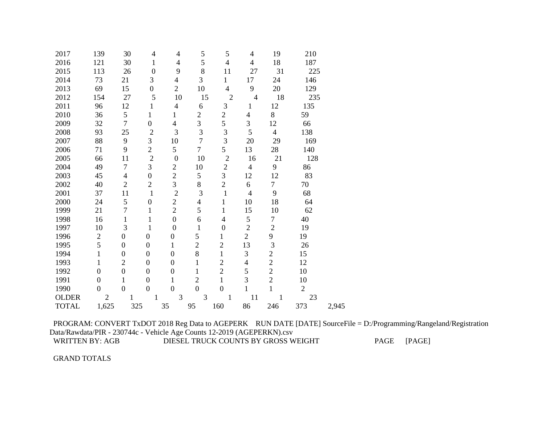| 2017         | 139              | 30               | 4                | $\overline{4}$   | $\mathfrak{S}$           | 5                        | $\overline{4}$ | 19             | 210            |       |
|--------------|------------------|------------------|------------------|------------------|--------------------------|--------------------------|----------------|----------------|----------------|-------|
| 2016         | 121              | 30               | $\mathbf{1}$     | 4                | 5                        | $\overline{4}$           | $\overline{4}$ | 18             | 187            |       |
| 2015         | 113              | 26               | $\boldsymbol{0}$ | 9                | 8                        | 11                       | 27             | 31             | 225            |       |
| 2014         | 73               | 21               | 3                | $\overline{4}$   | 3                        | $\mathbf{1}$             | 17             | 24             | 146            |       |
| 2013         | 69               | 15               | $\overline{0}$   | $\overline{2}$   | 10                       | $\overline{4}$           | 9              | 20             | 129            |       |
| 2012         | 154              | 27               | 5                | 10               | 15                       | $\overline{2}$           | $\overline{4}$ | 18             | 235            |       |
| 2011         | 96               | 12               | $\mathbf{1}$     | $\overline{4}$   | 6                        | 3                        | $\mathbf{1}$   | 12             | 135            |       |
| 2010         | 36               | 5                | $\mathbf{1}$     | $\mathbf{1}$     | $\mathbf{2}$             | $\overline{c}$           | 4              | 8              | 59             |       |
| 2009         | 32               | $\overline{7}$   | $\overline{0}$   | $\overline{4}$   | 3                        | 5                        | 3              | 12             | 66             |       |
| 2008         | 93               | 25               | $\overline{2}$   | 3                | 3                        | $\mathfrak{Z}$           | 5              | $\overline{4}$ | 138            |       |
| 2007         | 88               | 9                | 3                | 10               | $\overline{7}$           | 3                        | 20             | 29             | 169            |       |
| 2006         | 71               | 9                | $\overline{2}$   | 5                | $\overline{7}$           | 5                        | 13             | 28             | 140            |       |
| 2005         | 66               | 11               | $\overline{2}$   | $\boldsymbol{0}$ | 10                       | $\overline{2}$           | 16             | 21             | 128            |       |
| 2004         | 49               | $\overline{7}$   | 3                | $\mathbf{2}$     | 10                       | $\sqrt{2}$               | $\overline{4}$ | 9              | 86             |       |
| 2003         | 45               | $\overline{4}$   | $\overline{0}$   | $\overline{c}$   | 5                        | 3                        | 12             | 12             | 83             |       |
| 2002         | 40               | $\overline{2}$   | $\overline{c}$   | 3                | 8                        | $\overline{c}$           | 6              | $\overline{7}$ | 70             |       |
| 2001         | 37               | 11               | $\mathbf{1}$     | $\overline{2}$   | 3                        | $\mathbf{1}$             | $\overline{4}$ | 9              | 68             |       |
| 2000         | 24               | 5                | $\boldsymbol{0}$ | $\overline{c}$   | $\overline{\mathcal{L}}$ | $\mathbf{1}$             | 10             | 18             | 64             |       |
| 1999         | 21               | $\overline{7}$   | $\mathbf{1}$     | $\overline{2}$   | 5                        | $\mathbf{1}$             | 15             | 10             | 62             |       |
| 1998         | 16               | $\mathbf{1}$     | $\mathbf{1}$     | $\boldsymbol{0}$ | 6                        | $\overline{\mathcal{L}}$ | 5              | $\tau$         | 40             |       |
| 1997         | 10               | 3                | $\mathbf{1}$     | $\boldsymbol{0}$ | $\mathbf{1}$             | $\boldsymbol{0}$         | $\overline{c}$ | $\overline{2}$ | 19             |       |
| 1996         | $\overline{2}$   | $\boldsymbol{0}$ | $\boldsymbol{0}$ | $\boldsymbol{0}$ | 5                        | $\mathbf{1}$             | $\overline{2}$ | 9              | 19             |       |
| 1995         | 5                | $\mathbf{0}$     | $\mathbf{0}$     | $\mathbf{1}$     | $\overline{2}$           | $\overline{2}$           | 13             | 3              | 26             |       |
| 1994         | $\mathbf{1}$     | $\overline{0}$   | $\mathbf{0}$     | $\boldsymbol{0}$ | 8                        | $\mathbf{1}$             | $\mathfrak{Z}$ | $\overline{c}$ | 15             |       |
| 1993         | $\mathbf{1}$     | $\mathfrak{2}$   | $\boldsymbol{0}$ | $\boldsymbol{0}$ | $\mathbf{1}$             | $\overline{2}$           | $\overline{4}$ | $\overline{c}$ | 12             |       |
| 1992         | $\boldsymbol{0}$ | $\boldsymbol{0}$ | $\boldsymbol{0}$ | $\boldsymbol{0}$ | $\mathbf{1}$             | $\overline{2}$           | 5              | $\overline{c}$ | 10             |       |
| 1991         | $\mathbf{0}$     | $\mathbf{1}$     | $\mathbf{0}$     | $\mathbf{1}$     | $\overline{2}$           | $\mathbf{1}$             | 3              | $\overline{c}$ | 10             |       |
| 1990         | $\overline{0}$   | $\overline{0}$   | $\mathbf{0}$     | $\overline{0}$   | $\overline{0}$           | $\overline{0}$           | $\mathbf{1}$   | $\mathbf{1}$   | $\overline{2}$ |       |
| <b>OLDER</b> | $\overline{2}$   | 1                | 1                | 3                | 3                        | $\mathbf{1}$             | 11             | 1              | 23             |       |
| <b>TOTAL</b> | 1,625            | 325              |                  | 35               | 95                       | 160                      | 86             | 246            | 373            | 2,945 |

GRAND TOTALS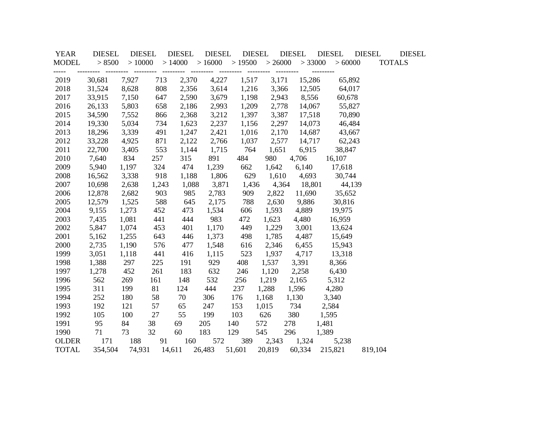| <b>YEAR</b>   | <b>DIESEL</b> | <b>DIESEL</b> |       | <b>DIESEL</b>              | <b>DIESEL</b> | <b>DIESEL</b> |                     | <b>DIESEL</b>       | <b>DIESEL</b>        | <b>DIESEL</b> | <b>DIESEL</b> |
|---------------|---------------|---------------|-------|----------------------------|---------------|---------------|---------------------|---------------------|----------------------|---------------|---------------|
| <b>MODEL</b>  | > 8500        | >10000        |       | $>14000$ $>16000$ $>19500$ |               |               | > 26000             | > 33000             | > 60000              | <b>TOTALS</b> |               |
| -----<br>2019 | 30,681        | 7,927         | 713   | 2,370                      | 4,227         | 1,517         | ----------<br>3,171 | ---------<br>15,286 | 65,892               |               |               |
| 2018          | 31,524        | 8,628         | 808   | 2,356                      | 3,614         | 1,216         | 3,366               |                     | 12,505<br>64,017     |               |               |
| 2017          | 33,915        | 7,150         | 647   | 2,590                      | 3,679         | 1,198         | 2,943               |                     | 8,556<br>60,678      |               |               |
| 2016          | 26,133        | 5,803         | 658   | 2,186                      | 2,993         | 1,209         | 2,778               |                     | 14,067<br>55,827     |               |               |
| 2015          | 34,590        | 7,552         | 866   | 2,368                      | 3,212         | 1,397         | 3,387               |                     | 17,518<br>70,890     |               |               |
| 2014          | 19,330        | 5,034         | 734   | 1,623                      | 2,237         | 1,156         | 2,297               |                     | 14,073<br>46,484     |               |               |
| 2013          | 18,296        | 3,339         | 491   | 1,247                      | 2,421         | 1,016         | 2,170               |                     | 14,687<br>43,667     |               |               |
| 2012          | 33,228        | 4,925         | 871   | 2,122                      | 2,766         | 1,037         | 2,577               |                     | 14,717 62,243        |               |               |
| 2011          | 22,700        | 3,405         | 553   | 1,144                      | 1,715         | 764           | 1,651               |                     | 6,915<br>38,847      |               |               |
| 2010          | 7,640         | 834           | 257   | 315                        | 891           | 484           | 980                 | 4,706               | 16,107               |               |               |
| 2009          | 5,940         | 1,197         | 324   | 474                        | 1,239         | 662           |                     |                     | 1,642 6,140 17,618   |               |               |
| 2008          | 16,562        | 3,338         | 918   | 1,188                      | 1,806         | 629           |                     |                     | $1,610$ 4,693 30,744 |               |               |
| 2007          | 10,698        | 2,638         | 1,243 | 1,088                      | 3,871         | 1,436         |                     |                     | 4,364 18,801 44,139  |               |               |
| 2006          | 12,878        | 2,682         | 903   | 985                        | 2,783         | 909           | 2,822               |                     | 11,690 35,652        |               |               |
| 2005          | 12,579        | 1,525         | 588   | 645                        | 2,175         | 788           | 2,630               | 9,886               | 30,816               |               |               |
| 2004          | 9,155         | 1,273         | 452   | 473                        | 1,534         | 606           | 1,593               | 4,889               | 19,975               |               |               |
| 2003          | 7,435         | 1,081         | 441   | 444                        | 983           | 472           | 1,623               | 4,480               | 16,959               |               |               |
| 2002          | 5,847         | 1,074         | 453   | 401                        | 1,170         | 449           | 1,229               | 3,001               | 13,624               |               |               |
| 2001          | 5,162         | 1,255         | 643   | 446                        | 1,373         | 498           | 1,785               | 4,487               | 15,649               |               |               |
| 2000          | 2,735         | 1,190         | 576   | 477                        | 1,548         | 616           | 2,346               | 6,455               | 15,943               |               |               |
| 1999          | 3,051         | 1,118         | 441   | 416                        | 1,115         | 523           | 1,937               | 4,717               | 13,318               |               |               |
| 1998          | 1,388         | 297           | 225   | 191                        | 929           | 408           | 1,537               | 3,391               | 8,366                |               |               |
| 1997          | 1,278         | 452           | 261   | 183                        | 632           | 246           | 1,120               | 2,258               | 6,430                |               |               |
| 1996          | 562           | 269           | 161   | 148                        | 532           | 256           | 1,219               | 2,165               | 5,312                |               |               |
| 1995          | 311           | 199           | 81    | 124                        | 444           | 237           | 1,288               | 1,596               | 4,280                |               |               |
| 1994          | 252           | 180           | 58    | 70                         | 306           | 176           | 1,168               | 1,130               | 3,340                |               |               |
| 1993          | 192           | 121           | 57    | 65                         | 247           | 153           | 1,015               | 734                 | 2,584                |               |               |
| 1992          | 105           | 100           | 27    | 55                         | 199           | 103           | 626                 | 380                 | 1,595                |               |               |
| 1991          | 95            | 84            | 38    | 69                         | 205           | 140           | 572                 | 278                 | 1,481                |               |               |
| 1990          | 71            | 73            | 32    | 60                         | 183           | 129           | 545                 | 296                 | 1,389                |               |               |
| <b>OLDER</b>  | 171           | 188           | 91    | 160                        | 572           | 389           |                     | 2,343 1,324         | 5,238                |               |               |
| <b>TOTAL</b>  | 354,504       | 74,931        |       | 14,611                     | 26,483        | 51,601        | 20,819              | 60,334              | 215,821              | 819,104       |               |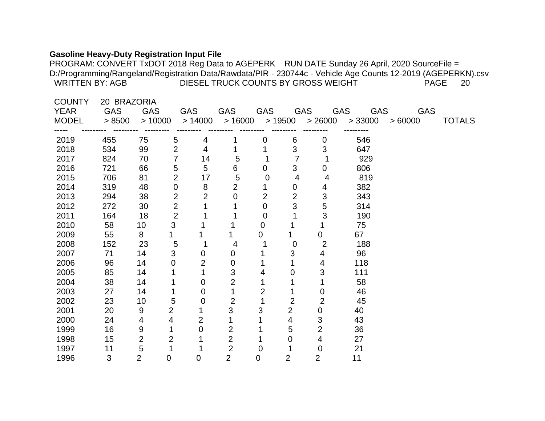### **Gasoline Heavy-Duty Registration Input File**

| <b>COUNTY</b> | 20 BRAZORIA |                |                  |                |                |                |                |                |                               |            |               |
|---------------|-------------|----------------|------------------|----------------|----------------|----------------|----------------|----------------|-------------------------------|------------|---------------|
| <b>YEAR</b>   | <b>GAS</b>  | <b>GAS</b>     |                  | GAS            | GAS            | GAS            |                | GAS            | GAS<br>GAS                    | <b>GAS</b> |               |
| <b>MODEL</b>  | > 8500      | >10000         |                  | >14000         | >16000         |                |                |                | $> 19500$ $> 26000$ $> 33000$ | >60000     | <b>TOTALS</b> |
| 2019          | 455         | 75             | 5                | 4              |                | 0              | 6              | $\mathbf 0$    | 546                           |            |               |
| 2018          | 534         | 99             | $\overline{2}$   | $\overline{4}$ |                |                | 3              | 3              | 647                           |            |               |
| 2017          | 824         | 70             | 7                | 14             | 5              |                | $\overline{7}$ |                | 929                           |            |               |
| 2016          | 721         | 66             | 5                | 5              | 6              | $\overline{0}$ | $\mathbf{3}$   | $\mathbf 0$    | 806                           |            |               |
| 2015          | 706         | 81             | $\overline{2}$   | 17             | $\overline{5}$ | 0              | $\overline{4}$ | 4              | 819                           |            |               |
| 2014          | 319         | 48             | $\boldsymbol{0}$ | 8              | 2              |                | 0              | 4              | 382                           |            |               |
| 2013          | 294         | 38             | $\overline{2}$   | $\overline{2}$ | $\mathbf 0$    | $\overline{2}$ | $\overline{2}$ | $\mathfrak{S}$ | 343                           |            |               |
| 2012          | 272         | 30             | $\overline{2}$   | 1              |                | 0              | 3              | 5              | 314                           |            |               |
| 2011          | 164         | 18             | $\overline{2}$   |                |                | 0              |                | 3              | 190                           |            |               |
| 2010          | 58          | 10             | 3                |                |                | $\overline{0}$ |                |                | 75                            |            |               |
| 2009          | 55          | 8              |                  |                |                | $\overline{0}$ |                | $\overline{0}$ | 67                            |            |               |
| 2008          | 152         | 23             | 5                | 1              | 4              |                | $\mathbf 0$    | 2              | 188                           |            |               |
| 2007          | 71          | 14             | 3                | $\mathbf 0$    | 0              |                | 3              | 4              | 96                            |            |               |
| 2006          | 96          | 14             | 0                | $\overline{2}$ | 0              |                |                | 4              | 118                           |            |               |
| 2005          | 85          | 14             |                  |                | 3              | 4              | 0              | 3              | 111                           |            |               |
| 2004          | 38          | 14             |                  | 0              | $\overline{2}$ |                |                |                | 58                            |            |               |
| 2003          | 27          | 14             | 1                | 0              |                | $\overline{2}$ |                | 0              | 46                            |            |               |
| 2002          | 23          | 10             | 5                | 0              | $\overline{2}$ |                | 2              | 2              | 45                            |            |               |
| 2001          | 20          | 9              | $\overline{2}$   |                | 3              | 3              | $\overline{2}$ | $\overline{0}$ | 40                            |            |               |
| 2000          | 24          | 4              | 4                | 2              | 1              |                | 4              | 3              | 43                            |            |               |
| 1999          | 16          | 9              | 1                | 0              | $\overline{2}$ |                | 5              | $\overline{2}$ | 36                            |            |               |
| 1998          | 15          | $\overline{2}$ | $\overline{2}$   |                | $\overline{2}$ |                | 0              | 4              | 27                            |            |               |
| 1997          | 11          | 5              |                  |                | $\overline{2}$ | 0              |                | $\overline{0}$ | 21                            |            |               |
| 1996          | 3           | $\overline{2}$ | 0                | 0              | $\overline{2}$ | 0              | $\overline{2}$ | $\overline{2}$ | 11                            |            |               |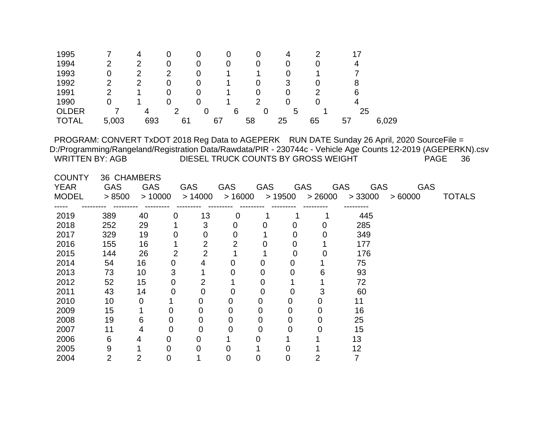| 1995                                                                                        | 7                  | 4              | 0              | 0              | 0                                   | 0              | 4              | 2              | 17                       |        |                                                                                                                                   |  |
|---------------------------------------------------------------------------------------------|--------------------|----------------|----------------|----------------|-------------------------------------|----------------|----------------|----------------|--------------------------|--------|-----------------------------------------------------------------------------------------------------------------------------------|--|
| 1994                                                                                        | $\overline{2}$     | $\overline{2}$ | 0              | 0              | 0                                   | 0              | $\overline{0}$ | 0              | 4                        |        |                                                                                                                                   |  |
| 1993                                                                                        | $\mathbf 0$        | $\overline{2}$ | $\overline{2}$ | 0              |                                     |                | 0              |                | 7                        |        |                                                                                                                                   |  |
| 1992                                                                                        | $\overline{2}$     | $\overline{2}$ | $\overline{0}$ | 0              |                                     | 0              | 3              | 0              | 8                        |        |                                                                                                                                   |  |
| 1991                                                                                        | $\overline{2}$     | 1              | $\overline{0}$ | 0              |                                     | 0              | $\overline{0}$ | $\overline{2}$ | 6                        |        |                                                                                                                                   |  |
| 1990                                                                                        | $\overline{0}$     |                | 0              | 0              |                                     | $\overline{2}$ | 0              | $\Omega$       | 4                        |        |                                                                                                                                   |  |
| <b>OLDER</b>                                                                                | $\overline{7}$     | 4              | $\overline{2}$ | $\mathbf 0$    | 6                                   | $\overline{0}$ | 5              |                | 25                       |        |                                                                                                                                   |  |
| <b>TOTAL</b>                                                                                | 5,003              | 693            | 61             |                | 67<br>58                            |                | 25             | 65             | 57                       | 6,029  |                                                                                                                                   |  |
|                                                                                             |                    |                |                |                |                                     |                |                |                |                          |        |                                                                                                                                   |  |
| PROGRAM: CONVERT TxDOT 2018 Reg Data to AGEPERK RUN DATE Sunday 26 April, 2020 SourceFile = |                    |                |                |                |                                     |                |                |                |                          |        |                                                                                                                                   |  |
| <b>WRITTEN BY: AGB</b>                                                                      |                    |                |                |                | DIESEL TRUCK COUNTS BY GROSS WEIGHT |                |                |                |                          |        | D:/Programming/Rangeland/Registration Data/Rawdata/PIR - 230744c - Vehicle Age Counts 12-2019 (AGEPERKN).csv<br><b>PAGE</b><br>36 |  |
|                                                                                             |                    |                |                |                |                                     |                |                |                |                          |        |                                                                                                                                   |  |
| <b>COUNTY</b>                                                                               | <b>36 CHAMBERS</b> |                |                |                |                                     |                |                |                |                          |        |                                                                                                                                   |  |
| <b>YEAR</b>                                                                                 | <b>GAS</b>         | <b>GAS</b>     | <b>GAS</b>     |                | GAS                                 | <b>GAS</b>     |                | <b>GAS</b>     | <b>GAS</b><br><b>GAS</b> |        | <b>GAS</b>                                                                                                                        |  |
| <b>MODEL</b>                                                                                | > 8500             | >10000         |                | > 14000        | >16000                              |                | >19500         | > 26000        | > 33000                  | >60000 | <b>TOTALS</b>                                                                                                                     |  |
|                                                                                             |                    |                |                |                |                                     |                |                |                |                          |        |                                                                                                                                   |  |
| 2019                                                                                        | 389                | 40             | 0              | 13             | 0                                   |                |                |                | 445                      |        |                                                                                                                                   |  |
| 2018                                                                                        | 252                | 29             | 1              | 3              | 0                                   | 0              | 0              | 0              | 285                      |        |                                                                                                                                   |  |
| 2017                                                                                        | 329                | 19             | 0              | 0              | $\overline{0}$                      |                | $\mathbf 0$    | 0              | 349                      |        |                                                                                                                                   |  |
| 2016                                                                                        | 155                | 16             | 1              | $\overline{2}$ | $\overline{2}$                      | 0              | 0              |                | 177                      |        |                                                                                                                                   |  |
| 2015                                                                                        | 144                | 26             | $\overline{2}$ | $\overline{2}$ | 1                                   |                | $\mathbf 0$    | 0              | 176                      |        |                                                                                                                                   |  |
| 2014                                                                                        | 54                 | 16             | $\overline{0}$ | 4              | $\mathbf 0$                         | 0              | $\mathbf 0$    | 1              | 75                       |        |                                                                                                                                   |  |
| 2013                                                                                        | 73                 | 10             | 3              | 1              | 0                                   | 0              | $\overline{0}$ | 6              | 93                       |        |                                                                                                                                   |  |
| 2012                                                                                        | 52                 | 15             | 0              | $\overline{2}$ | 1                                   | 0              | 1              | 1              | 72                       |        |                                                                                                                                   |  |
| 2011                                                                                        | 43                 | 14             | 0              | $\overline{0}$ | $\overline{0}$                      | 0              | $\mathbf 0$    | 3              | 60                       |        |                                                                                                                                   |  |
| 2010                                                                                        | 10                 | $\mathbf 0$    |                | 0              | $\mathbf 0$                         | 0              | 0              | 0              | 11                       |        |                                                                                                                                   |  |
| 2009                                                                                        | 15                 |                | 0              | 0              | 0                                   | 0              | 0              | 0              | 16                       |        |                                                                                                                                   |  |
| 2008                                                                                        | 19                 | 6              | 0              | 0              | 0                                   | 0              | 0              | 0              | 25                       |        |                                                                                                                                   |  |
| 2007                                                                                        | 11                 | 4              | 0              | 0              | 0                                   | 0              | 0              | 0              | 15                       |        |                                                                                                                                   |  |
| 2006                                                                                        | $6\phantom{1}6$    | 4              | $\Omega$       | 0              | 1                                   | 0              |                |                | 13                       |        |                                                                                                                                   |  |
| 2005                                                                                        | 9                  | 1              | 0              | 0              | 0                                   |                | 0              |                | 12                       |        |                                                                                                                                   |  |
| 2004                                                                                        | $\overline{2}$     | $\overline{2}$ | 0              | 1              | $\overline{0}$                      | $\overline{0}$ | $\overline{0}$ | $\overline{2}$ | $\overline{7}$           |        |                                                                                                                                   |  |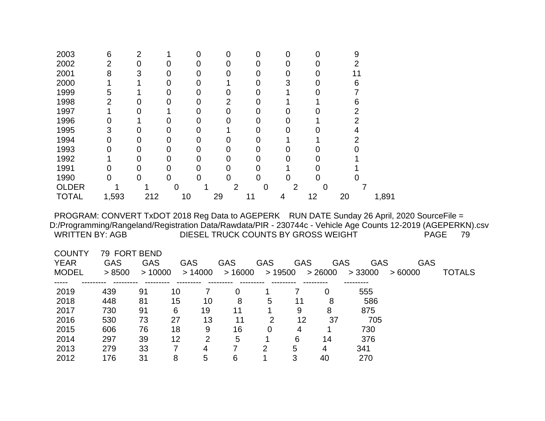| 2003         | 6     | 2   |    |   |    |    | 0 |    | 9  |       |
|--------------|-------|-----|----|---|----|----|---|----|----|-------|
| 2002         | 2     |     |    |   |    |    |   |    |    |       |
| 2001         | 8     | 3   |    |   |    |    |   |    | 11 |       |
| 2000         |       |     |    |   |    |    | 3 |    | 6  |       |
| 1999         | 5     |     |    |   |    |    |   |    |    |       |
| 1998         |       |     |    |   | っ  |    |   |    | 6  |       |
| 1997         |       |     |    |   |    |    |   |    |    |       |
| 1996         |       |     |    |   |    |    |   |    |    |       |
| 1995         | 3     |     |    |   |    |    |   |    |    |       |
| 1994         |       |     | O  |   |    |    |   |    |    |       |
| 1993         |       |     |    |   |    |    |   |    |    |       |
| 1992         |       |     |    | 0 |    |    |   |    |    |       |
| 1991         |       |     | ი  |   |    |    |   |    |    |       |
| 1990         | 0     |     |    |   |    |    |   |    |    |       |
| <b>OLDER</b> |       |     |    |   | 2  |    | っ | 0  |    |       |
| <b>TOTAL</b> | 1,593 | 212 | 10 |   | 29 | 11 | 4 | 12 | 20 | 1,891 |

| <b>GAS</b> | GAS |              |        | GAS        | GAS    |        |        |                       | GAS        |               |
|------------|-----|--------------|--------|------------|--------|--------|--------|-----------------------|------------|---------------|
| > 8500     |     |              |        |            |        |        |        | > 33000               | >60000     | <b>TOTALS</b> |
|            |     |              |        |            |        |        |        |                       |            |               |
| 439        | 91  | 10           |        | 0          |        |        | 0      | 555                   |            |               |
| 448        | 81  | 15           | 10     | 8          | 5      | 11     | 8      | 586                   |            |               |
| 730        | 91  | 6            | 19     | 11         |        | 9      | 8      | 875                   |            |               |
| 530        | 73  | 27           | 13     | 11         | 2      | 12     | 37     | 705                   |            |               |
| 606        | 76  | 18           | 9      | 16         | 0      | 4      |        | 730                   |            |               |
| 297        | 39  | 12           | 2      | 5          |        | 6      | 14     | 376                   |            |               |
| 279        | 33  |              | 4      |            | 2      | 5      | 4      | 341                   |            |               |
| 176        | 31  | 8            | 5      | 6          |        | 3      | 40     | 270                   |            |               |
|            |     | 79 FORT BEND | >10000 | <b>GAS</b> | >14000 | >16000 | >19500 | <b>GAS</b><br>> 26000 | <b>GAS</b> | GAS           |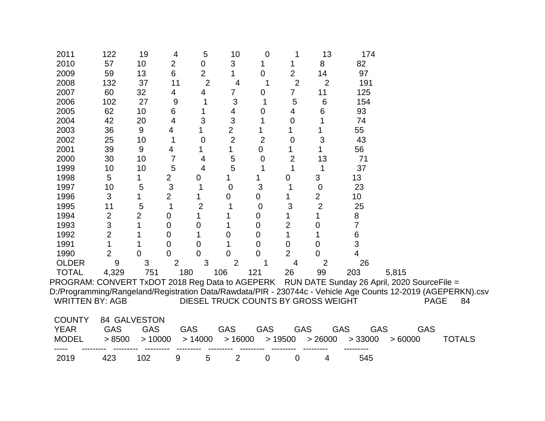| 2011                                            | 122            | 19             | 4              | 5              | 10             | 0              |                | 13                                  | 174        |                                                                                                              |             |               |
|-------------------------------------------------|----------------|----------------|----------------|----------------|----------------|----------------|----------------|-------------------------------------|------------|--------------------------------------------------------------------------------------------------------------|-------------|---------------|
| 2010                                            | 57             | 10             | $\overline{2}$ | 0              | 3              |                |                | 8                                   | 82         |                                                                                                              |             |               |
| 2009                                            | 59             | 13             | 6              | $\overline{2}$ |                | 0              | $\overline{2}$ | 14                                  | 97         |                                                                                                              |             |               |
| 2008                                            | 132            | 37             | 11             | $\overline{2}$ | 4              |                | $\overline{2}$ | $\overline{2}$                      | 191        |                                                                                                              |             |               |
| 2007                                            | 60             | 32             | 4              | 4              | 7              | 0              | 7              | 11                                  | 125        |                                                                                                              |             |               |
| 2006                                            | 102            | 27             | 9              |                | 3              |                | 5              | 6                                   | 154        |                                                                                                              |             |               |
| 2005                                            | 62             | 10             | 6              |                | 4              | 0              | 4              | 6                                   | 93         |                                                                                                              |             |               |
| 2004                                            | 42             | 20             | 4              | 3              | 3              |                | 0              |                                     | 74         |                                                                                                              |             |               |
| 2003                                            | 36             | 9              | 4              |                | $\overline{2}$ |                | 1              |                                     | 55         |                                                                                                              |             |               |
| 2002                                            | 25             | 10             |                | 0              | $\overline{2}$ | $\overline{2}$ | $\overline{0}$ | 3                                   | 43         |                                                                                                              |             |               |
| 2001                                            | 39             | 9              | 4              |                | 1              | 0              |                |                                     | 56         |                                                                                                              |             |               |
| 2000                                            | 30             | 10             | 7              | 4              | 5              | 0              | $\overline{2}$ | 13                                  | 71         |                                                                                                              |             |               |
| 1999                                            | 10             | 10             | 5              | $\overline{4}$ | 5              | 1              | 1              | 1                                   | 37         |                                                                                                              |             |               |
| 1998                                            | 5              |                | 2              | 0              |                |                | 0              | 3                                   | 13         |                                                                                                              |             |               |
| 1997                                            | 10             | 5              | 3              |                | 0              | 3              |                | $\boldsymbol{0}$                    | 23         |                                                                                                              |             |               |
| 1996                                            | 3              |                | 2              |                | 0              | 0              |                | $\overline{2}$                      | 10         |                                                                                                              |             |               |
| 1995                                            | 11             | 5              |                | $\overline{2}$ |                | 0              | 3              | $\overline{2}$                      | 25         |                                                                                                              |             |               |
| 1994                                            | $\overline{2}$ | $\overline{2}$ | 0              | 1              |                | 0              |                |                                     | 8          |                                                                                                              |             |               |
| 1993                                            | 3              |                | 0              | 0              |                | 0              | 2              | 0                                   | 7          |                                                                                                              |             |               |
| 1992                                            | $\overline{2}$ |                | 0              | 1              | 0              | 0              |                |                                     | 6          |                                                                                                              |             |               |
| 1991                                            | 1              |                | 0              | 0              |                | 0              | 0              | 0                                   | 3          |                                                                                                              |             |               |
| 1990                                            | $\overline{2}$ | 0              | 0              | 0              | 0              | 0              | $\overline{2}$ |                                     | 4          |                                                                                                              |             |               |
| <b>OLDER</b>                                    | 9              | 3              | $\overline{2}$ | 3              | $\overline{2}$ |                | 4              | 2                                   | 26         |                                                                                                              |             |               |
| <b>TOTAL</b>                                    | 4,329          | 751            | 180            |                | 106            | 121            | 26             | 99                                  | 203        | 5,815                                                                                                        |             |               |
| PROGRAM: CONVERT TxDOT 2018 Reg Data to AGEPERK |                |                |                |                |                |                |                |                                     |            | RUN DATE Sunday 26 April, 2020 SourceFile =                                                                  |             |               |
|                                                 |                |                |                |                |                |                |                |                                     |            | D:/Programming/Rangeland/Registration Data/Rawdata/PIR - 230744c - Vehicle Age Counts 12-2019 (AGEPERKN).csv |             |               |
| <b>WRITTEN BY: AGB</b>                          |                |                |                |                |                |                |                | DIESEL TRUCK COUNTS BY GROSS WEIGHT |            |                                                                                                              | <b>PAGE</b> | 84            |
|                                                 |                |                |                |                |                |                |                |                                     |            |                                                                                                              |             |               |
| <b>COUNTY</b>                                   | 84 GALVESTON   |                |                |                |                |                |                |                                     |            |                                                                                                              |             |               |
| <b>YEAR</b>                                     | <b>GAS</b>     | <b>GAS</b>     |                | <b>GAS</b>     | <b>GAS</b>     | <b>GAS</b>     | <b>GAS</b>     | <b>GAS</b>                          | <b>GAS</b> | <b>GAS</b>                                                                                                   |             |               |
| <b>MODEL</b>                                    | > 8500         | >10000         |                | > 14000        | >16000         |                | >19500         | > 26000                             | > 33000    | >60000                                                                                                       |             | <b>TOTALS</b> |
|                                                 |                |                |                |                |                |                |                |                                     |            |                                                                                                              |             |               |
| 2019                                            | 423            | 102            | 9              | 5              | $\overline{2}$ | 0              | 0              | 4                                   | 545        |                                                                                                              |             |               |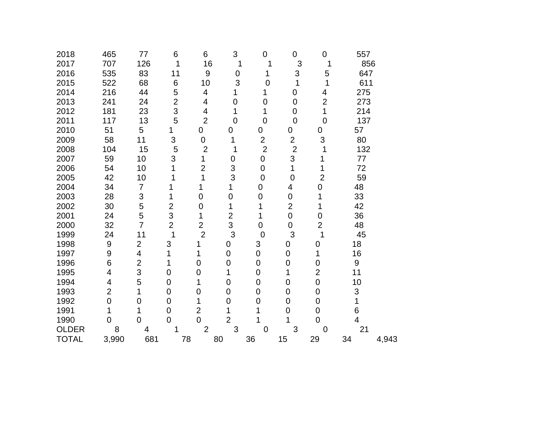| 2018         | 465            | 77                       | 6              | 6                | 3              | $\mathbf 0$    | 0              | $\overline{0}$   | 557 |       |
|--------------|----------------|--------------------------|----------------|------------------|----------------|----------------|----------------|------------------|-----|-------|
| 2017         | 707            | 126                      | 1              | 16               | 1              | 1              | 3              | 1                | 856 |       |
| 2016         | 535            | 83                       | 11             | 9                | $\mathbf 0$    | 1              | 3              | 5                | 647 |       |
| 2015         | 522            | 68                       | 6              | 10               | 3              | $\overline{0}$ | 1              | 1                | 611 |       |
| 2014         | 216            | 44                       | 5              | $\overline{4}$   |                | 1              | 0              | 4                | 275 |       |
| 2013         | 241            | 24                       | $\overline{2}$ | 4                | $\mathbf 0$    | $\overline{0}$ | $\overline{0}$ | $\overline{2}$   | 273 |       |
| 2012         | 181            | 23                       | 3              | 4                | 1              | 1              | 0              | 1                | 214 |       |
| 2011         | 117            | 13                       | 5              | $\overline{2}$   | $\overline{0}$ | $\overline{0}$ | $\overline{0}$ | $\overline{0}$   | 137 |       |
| 2010         | 51             | 5                        | 1              | 0                | 0              | 0              | 0              | 0                | 57  |       |
| 2009         | 58             | 11                       | 3              | $\boldsymbol{0}$ | 1              | $\overline{2}$ | $\overline{2}$ | 3                | 80  |       |
| 2008         | 104            | 15                       | 5              | $\overline{2}$   | 1              | $\overline{2}$ | $\overline{2}$ | 1                | 132 |       |
| 2007         | 59             | 10                       | 3              | 1                | 0              | $\mathbf 0$    | 3              | 1                | 77  |       |
| 2006         | 54             | 10                       | 1              | $\overline{2}$   | 3              | $\mathbf 0$    | 1              | 1                | 72  |       |
| 2005         | 42             | 10                       | 1              | 1                | 3              | $\mathbf 0$    | $\mathbf 0$    | $\overline{2}$   | 59  |       |
| 2004         | 34             | $\overline{7}$           | 1              | 1                | 1              | $\mathbf 0$    | 4              | $\mathbf 0$      | 48  |       |
| 2003         | 28             | 3                        | 1              | $\mathbf 0$      | $\mathbf 0$    | $\overline{0}$ | $\overline{0}$ | 1                | 33  |       |
| 2002         | 30             | 5                        | $\overline{2}$ | $\mathbf 0$      | 1              | 1              | $\overline{2}$ | 1                | 42  |       |
| 2001         | 24             | 5                        | 3              | 1                | $\overline{2}$ | 1              | $\mathbf 0$    | $\mathbf 0$      | 36  |       |
| 2000         | 32             | $\overline{7}$           | $\overline{2}$ | $\overline{2}$   | 3              | 0              | $\mathbf 0$    | $\overline{2}$   | 48  |       |
| 1999         | 24             | 11                       | 1              | $\overline{2}$   | 3              | $\overline{0}$ | 3              | 1                | 45  |       |
| 1998         | 9              | $\overline{2}$           | 3              | 1                | 0              | 3              | 0              | 0                | 18  |       |
| 1997         | 9              | $\overline{\mathcal{A}}$ | 1              | 1                | $\mathbf 0$    | $\mathsf 0$    | $\mathbf 0$    | 1                | 16  |       |
| 1996         | 6              | $\overline{\mathbf{c}}$  | 1              | $\overline{0}$   | $\mathbf 0$    | $\overline{0}$ | $\overline{0}$ | $\overline{0}$   | 9   |       |
| 1995         | 4              | 3                        | $\mathbf 0$    | $\mathbf 0$      | 1              | 0              | 1              | $\overline{2}$   | 11  |       |
| 1994         | 4              | 5                        | $\mathbf 0$    | 1                | $\mathbf 0$    | 0              | 0              | $\mathbf 0$      | 10  |       |
| 1993         | $\overline{2}$ | 1                        | $\mathbf 0$    | $\mathbf 0$      | $\mathbf 0$    | $\overline{0}$ | $\overline{0}$ | $\pmb{0}$        | 3   |       |
| 1992         | $\mathbf 0$    | $\mathbf 0$              | 0              | 1                | $\mathbf 0$    | $\mathbf 0$    | $\overline{0}$ | $\boldsymbol{0}$ | 1   |       |
| 1991         | 1              | 1                        | $\overline{0}$ | $\overline{2}$   | 1              | 1              | $\overline{0}$ | $\mathbf 0$      | 6   |       |
| 1990         | 0              | 0                        | 0              | $\overline{0}$   | $\overline{2}$ |                |                | $\overline{0}$   | 4   |       |
| <b>OLDER</b> | 8              | 4                        | 1              | $\overline{2}$   | 3              | $\mathbf 0$    | 3              | $\overline{0}$   | 21  |       |
| <b>TOTAL</b> | 3,990          | 681                      | 78             |                  | 80             | 36             | 15             | 29               | 34  | 4,943 |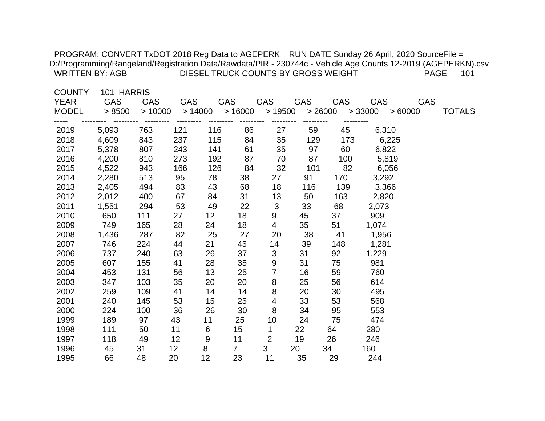| <b>WRITTEN BY: AGB</b>                       |                                    |                      |                      |                  |                      |                               |            | DIESEL TRUCK COUNTS BY GROSS WEIGHT | PROGRAM: CONVERT TxDOT 2018 Reg Data to AGEPERK RUN DATE Sunday 26 April, 2020 SourceFile =<br>D:/Programming/Rangeland/Registration Data/Rawdata/PIR - 230744c - Vehicle Age Counts 12-2019 (AGEPERKN).csv | <b>PAGE</b> | 101           |
|----------------------------------------------|------------------------------------|----------------------|----------------------|------------------|----------------------|-------------------------------|------------|-------------------------------------|-------------------------------------------------------------------------------------------------------------------------------------------------------------------------------------------------------------|-------------|---------------|
| <b>COUNTY</b><br><b>YEAR</b><br><b>MODEL</b> | 101 HARRIS<br><b>GAS</b><br>> 8500 | <b>GAS</b><br>>10000 | <b>GAS</b><br>>14000 |                  | <b>GAS</b><br>>16000 | <b>GAS</b><br>>19500          | <b>GAS</b> | <b>GAS</b><br>> 26000               | <b>GAS</b><br>> 33000<br>>60000                                                                                                                                                                             | <b>GAS</b>  | <b>TOTALS</b> |
|                                              |                                    |                      |                      |                  |                      |                               |            |                                     |                                                                                                                                                                                                             |             |               |
| 2019                                         | 5,093                              | 763                  | 121                  | 116              | 86                   | 27                            | 59         | 45                                  | 6,310                                                                                                                                                                                                       |             |               |
| 2018                                         | 4,609                              | 843                  | 237                  | 115              | 84                   | 35                            | 129        | 173                                 | 6,225                                                                                                                                                                                                       |             |               |
| 2017<br>2016                                 | 5,378                              | 807<br>810           | 243                  | 141              | 61<br>87             | 35                            | 97         | 60                                  | 6,822                                                                                                                                                                                                       |             |               |
| 2015                                         | 4,200                              | 943                  | 273<br>166           | 192<br>126       | 84                   | 70<br>32                      | 87<br>101  | 100<br>82                           | 5,819                                                                                                                                                                                                       |             |               |
| 2014                                         | 4,522<br>2,280                     | 513                  | 95                   | 78               | 38                   | 27                            | 91         | 170                                 | 6,056<br>3,292                                                                                                                                                                                              |             |               |
|                                              | 2,405                              | 494                  |                      | 43               | 68                   | 18                            | 116        | 139                                 | 3,366                                                                                                                                                                                                       |             |               |
| 2013<br>2012                                 | 2,012                              | 400                  | 83<br>67             | 84               | 31                   | 13                            | 50         | 163                                 | 2,820                                                                                                                                                                                                       |             |               |
| 2011                                         |                                    | 294                  |                      | 49               | 22                   |                               | 33         | 68                                  |                                                                                                                                                                                                             |             |               |
| 2010                                         | 1,551<br>650                       | 111                  | 53<br>27             | 12 <sub>2</sub>  | 18                   | $\sqrt{3}$<br>9               | 45         | 37                                  | 2,073<br>909                                                                                                                                                                                                |             |               |
|                                              | 749                                |                      | 28                   |                  |                      |                               | 35         | 51                                  |                                                                                                                                                                                                             |             |               |
| 2009<br>2008                                 | 1,436                              | 165<br>287           | 82                   | 24<br>25         | 18<br>27             | $\overline{\mathbf{4}}$<br>20 | 38         | 41                                  | 1,074                                                                                                                                                                                                       |             |               |
| 2007                                         | 746                                | 224                  | 44                   | 21               | 45                   |                               | 39         | 148                                 | 1,956                                                                                                                                                                                                       |             |               |
| 2006                                         | 737                                | 240                  | 63                   |                  | 37                   | 14<br>$\mathfrak{S}$          | 31         | 92                                  | 1,281                                                                                                                                                                                                       |             |               |
| 2005                                         | 607                                | 155                  | 41                   | 26<br>28         | 35                   |                               | 31         | 75                                  | 1,229<br>981                                                                                                                                                                                                |             |               |
| 2004                                         | 453                                | 131                  | 56                   | 13               | 25                   | 9<br>$\overline{7}$           | 16         | 59                                  | 760                                                                                                                                                                                                         |             |               |
| 2003                                         | 347                                | 103                  | 35                   | 20               | 20                   | 8                             | 25         | 56                                  | 614                                                                                                                                                                                                         |             |               |
| 2002                                         | 259                                | 109                  | 41                   | 14               | 14                   | 8                             | 20         | 30                                  | 495                                                                                                                                                                                                         |             |               |
| 2001                                         | 240                                | 145                  | 53                   | 15               | 25                   | 4                             | 33         | 53                                  | 568                                                                                                                                                                                                         |             |               |
| 2000                                         | 224                                | 100                  | 36                   | 26               | 30                   | 8                             | 34         | 95                                  | 553                                                                                                                                                                                                         |             |               |
| 1999                                         | 189                                | 97                   | 43                   | 11               | 25                   | 10                            | 24         | 75                                  | 474                                                                                                                                                                                                         |             |               |
| 1998                                         | 111                                | 50                   | 11                   | 6                | 15                   | 1                             | 22         | 64                                  | 280                                                                                                                                                                                                         |             |               |
| 1997                                         | 118                                | 49                   | 12                   | $\boldsymbol{9}$ | 11                   | $\overline{2}$                | 19         | 26                                  | 246                                                                                                                                                                                                         |             |               |
| 1996                                         | 45                                 | 31                   | 12                   | 8                | $\overline{7}$       | 3                             | 20         | 34                                  | 160                                                                                                                                                                                                         |             |               |
| 1995                                         | 66                                 | 48                   | 20                   | 12               | 23                   | 11                            | 35         | 29                                  | 244                                                                                                                                                                                                         |             |               |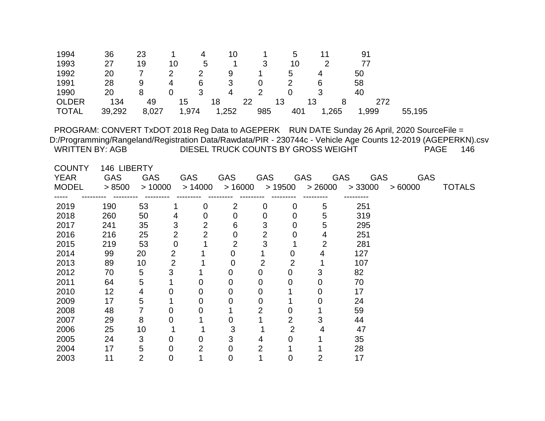| $\overline{2}$<br>19<br>10<br>3<br>10<br>1993<br>27<br>5<br>77<br>1992<br>$\overline{2}$<br>20<br>7<br>9<br>5<br>50<br>$\overline{2}$<br>4<br>$\overline{2}$<br>1991<br>9<br>3<br>28<br>6<br>58<br>6<br>4<br>0<br>3<br>8<br>$\overline{2}$<br>1990<br>$\overline{0}$<br>3<br>40<br>20<br>4<br>$\Omega$<br>13<br><b>OLDER</b><br>134<br>22<br>13<br>49<br>15<br>18<br>272<br>8<br>1,974<br>1,252<br>985<br><b>TOTAL</b><br>39,292<br>8,027<br>401<br>1,265<br>1,999<br>55,195<br>PROGRAM: CONVERT TxDOT 2018 Reg Data to AGEPERK RUN DATE Sunday 26 April, 2020 SourceFile =<br>D:/Programming/Rangeland/Registration Data/Rawdata/PIR - 230744c - Vehicle Age Counts 12-2019 (AGEPERKN).csv<br><b>WRITTEN BY: AGB</b><br>DIESEL TRUCK COUNTS BY GROSS WEIGHT<br><b>PAGE</b><br>146<br><b>COUNTY</b><br>146 LIBERTY<br><b>YEAR</b><br><b>GAS</b><br><b>GAS</b><br><b>GAS</b><br><b>GAS</b><br><b>GAS</b><br><b>GAS</b><br><b>GAS</b><br><b>GAS</b><br><b>GAS</b><br><b>MODEL</b><br>>10000<br>> 14000<br>>16000<br>>19500<br>> 26000<br>>60000<br><b>TOTALS</b><br>> 8500<br>> 33000<br>2019<br>53<br>251<br>190<br>2<br>5<br>0<br>0<br>0<br>2018<br>260<br>50<br>319<br>5<br>$\mathbf 0$<br>4<br>0<br>0<br>0<br>3<br>3<br>5<br>241<br>35<br>$\overline{2}$<br>6<br>295<br>2017<br>0<br>$\overline{2}$<br>$\overline{2}$<br>$\overline{2}$<br>2016<br>216<br>25<br>$\overline{0}$<br>4<br>251<br>0<br>3<br>$\overline{2}$<br>$\overline{2}$<br>53<br>$\mathbf 0$<br>2015<br>219<br>1<br>281<br>$\overline{2}$<br>2014<br>99<br>0<br>$\mathbf 0$<br>127<br>20<br>1<br>4<br>$\overline{2}$<br>$\overline{2}$<br>$\overline{2}$<br>2013<br>89<br>10<br>$\mathbf 0$<br>107<br>1<br>5<br>3<br>$\boldsymbol{0}$<br>3<br>2012<br>70<br>$\overline{0}$<br>82<br>1<br>0<br>5<br>2011<br>64<br>$\mathbf 0$<br>0<br>0<br>0<br>70<br>1<br>0<br>12<br>2010<br>4<br>0<br>0<br>0<br>$\mathbf 0$<br>1<br>17<br>0<br>5<br>2009<br>17<br>$\overline{0}$<br>1<br>0<br>0<br>0<br>24<br>$\overline{7}$<br>2<br>2008<br>48<br>0<br>0<br>59<br>0<br>1<br>$\overline{2}$<br>8<br>3<br>2007<br>29<br>0<br>1<br>$\mathbf 0$<br>44<br>$\overline{2}$<br>3<br>2006<br>25<br>10<br>47<br>1<br>4<br>3<br>3<br>2005<br>24<br>$\mathbf 0$<br>35<br>0<br>0<br>4<br>$\overline{2}$<br>$\overline{2}$<br>2004<br>5<br>17<br>0<br>28<br>0<br>1<br>$\overline{2}$<br>2003<br>$\overline{0}$<br>1<br>$\overline{0}$<br>1<br>$\overline{2}$<br>17<br>11<br>$\overline{0}$ | 1994 | 36 | 23 | 1 | 4 | 10 | 1 | 5 | 11 | 91 |  |
|-----------------------------------------------------------------------------------------------------------------------------------------------------------------------------------------------------------------------------------------------------------------------------------------------------------------------------------------------------------------------------------------------------------------------------------------------------------------------------------------------------------------------------------------------------------------------------------------------------------------------------------------------------------------------------------------------------------------------------------------------------------------------------------------------------------------------------------------------------------------------------------------------------------------------------------------------------------------------------------------------------------------------------------------------------------------------------------------------------------------------------------------------------------------------------------------------------------------------------------------------------------------------------------------------------------------------------------------------------------------------------------------------------------------------------------------------------------------------------------------------------------------------------------------------------------------------------------------------------------------------------------------------------------------------------------------------------------------------------------------------------------------------------------------------------------------------------------------------------------------------------------------------------------------------------------------------------------------------------------------------------------------------------------------------------------------------------------------------------------------------------------------------------------------------------------------------------------------------------------------------------------------------------------------------------------------------------------------------------------------------------------------------------------------------------------|------|----|----|---|---|----|---|---|----|----|--|
|                                                                                                                                                                                                                                                                                                                                                                                                                                                                                                                                                                                                                                                                                                                                                                                                                                                                                                                                                                                                                                                                                                                                                                                                                                                                                                                                                                                                                                                                                                                                                                                                                                                                                                                                                                                                                                                                                                                                                                                                                                                                                                                                                                                                                                                                                                                                                                                                                                   |      |    |    |   |   |    |   |   |    |    |  |
|                                                                                                                                                                                                                                                                                                                                                                                                                                                                                                                                                                                                                                                                                                                                                                                                                                                                                                                                                                                                                                                                                                                                                                                                                                                                                                                                                                                                                                                                                                                                                                                                                                                                                                                                                                                                                                                                                                                                                                                                                                                                                                                                                                                                                                                                                                                                                                                                                                   |      |    |    |   |   |    |   |   |    |    |  |
|                                                                                                                                                                                                                                                                                                                                                                                                                                                                                                                                                                                                                                                                                                                                                                                                                                                                                                                                                                                                                                                                                                                                                                                                                                                                                                                                                                                                                                                                                                                                                                                                                                                                                                                                                                                                                                                                                                                                                                                                                                                                                                                                                                                                                                                                                                                                                                                                                                   |      |    |    |   |   |    |   |   |    |    |  |
|                                                                                                                                                                                                                                                                                                                                                                                                                                                                                                                                                                                                                                                                                                                                                                                                                                                                                                                                                                                                                                                                                                                                                                                                                                                                                                                                                                                                                                                                                                                                                                                                                                                                                                                                                                                                                                                                                                                                                                                                                                                                                                                                                                                                                                                                                                                                                                                                                                   |      |    |    |   |   |    |   |   |    |    |  |
|                                                                                                                                                                                                                                                                                                                                                                                                                                                                                                                                                                                                                                                                                                                                                                                                                                                                                                                                                                                                                                                                                                                                                                                                                                                                                                                                                                                                                                                                                                                                                                                                                                                                                                                                                                                                                                                                                                                                                                                                                                                                                                                                                                                                                                                                                                                                                                                                                                   |      |    |    |   |   |    |   |   |    |    |  |
|                                                                                                                                                                                                                                                                                                                                                                                                                                                                                                                                                                                                                                                                                                                                                                                                                                                                                                                                                                                                                                                                                                                                                                                                                                                                                                                                                                                                                                                                                                                                                                                                                                                                                                                                                                                                                                                                                                                                                                                                                                                                                                                                                                                                                                                                                                                                                                                                                                   |      |    |    |   |   |    |   |   |    |    |  |
|                                                                                                                                                                                                                                                                                                                                                                                                                                                                                                                                                                                                                                                                                                                                                                                                                                                                                                                                                                                                                                                                                                                                                                                                                                                                                                                                                                                                                                                                                                                                                                                                                                                                                                                                                                                                                                                                                                                                                                                                                                                                                                                                                                                                                                                                                                                                                                                                                                   |      |    |    |   |   |    |   |   |    |    |  |
|                                                                                                                                                                                                                                                                                                                                                                                                                                                                                                                                                                                                                                                                                                                                                                                                                                                                                                                                                                                                                                                                                                                                                                                                                                                                                                                                                                                                                                                                                                                                                                                                                                                                                                                                                                                                                                                                                                                                                                                                                                                                                                                                                                                                                                                                                                                                                                                                                                   |      |    |    |   |   |    |   |   |    |    |  |
|                                                                                                                                                                                                                                                                                                                                                                                                                                                                                                                                                                                                                                                                                                                                                                                                                                                                                                                                                                                                                                                                                                                                                                                                                                                                                                                                                                                                                                                                                                                                                                                                                                                                                                                                                                                                                                                                                                                                                                                                                                                                                                                                                                                                                                                                                                                                                                                                                                   |      |    |    |   |   |    |   |   |    |    |  |
|                                                                                                                                                                                                                                                                                                                                                                                                                                                                                                                                                                                                                                                                                                                                                                                                                                                                                                                                                                                                                                                                                                                                                                                                                                                                                                                                                                                                                                                                                                                                                                                                                                                                                                                                                                                                                                                                                                                                                                                                                                                                                                                                                                                                                                                                                                                                                                                                                                   |      |    |    |   |   |    |   |   |    |    |  |
|                                                                                                                                                                                                                                                                                                                                                                                                                                                                                                                                                                                                                                                                                                                                                                                                                                                                                                                                                                                                                                                                                                                                                                                                                                                                                                                                                                                                                                                                                                                                                                                                                                                                                                                                                                                                                                                                                                                                                                                                                                                                                                                                                                                                                                                                                                                                                                                                                                   |      |    |    |   |   |    |   |   |    |    |  |
|                                                                                                                                                                                                                                                                                                                                                                                                                                                                                                                                                                                                                                                                                                                                                                                                                                                                                                                                                                                                                                                                                                                                                                                                                                                                                                                                                                                                                                                                                                                                                                                                                                                                                                                                                                                                                                                                                                                                                                                                                                                                                                                                                                                                                                                                                                                                                                                                                                   |      |    |    |   |   |    |   |   |    |    |  |
|                                                                                                                                                                                                                                                                                                                                                                                                                                                                                                                                                                                                                                                                                                                                                                                                                                                                                                                                                                                                                                                                                                                                                                                                                                                                                                                                                                                                                                                                                                                                                                                                                                                                                                                                                                                                                                                                                                                                                                                                                                                                                                                                                                                                                                                                                                                                                                                                                                   |      |    |    |   |   |    |   |   |    |    |  |
|                                                                                                                                                                                                                                                                                                                                                                                                                                                                                                                                                                                                                                                                                                                                                                                                                                                                                                                                                                                                                                                                                                                                                                                                                                                                                                                                                                                                                                                                                                                                                                                                                                                                                                                                                                                                                                                                                                                                                                                                                                                                                                                                                                                                                                                                                                                                                                                                                                   |      |    |    |   |   |    |   |   |    |    |  |
|                                                                                                                                                                                                                                                                                                                                                                                                                                                                                                                                                                                                                                                                                                                                                                                                                                                                                                                                                                                                                                                                                                                                                                                                                                                                                                                                                                                                                                                                                                                                                                                                                                                                                                                                                                                                                                                                                                                                                                                                                                                                                                                                                                                                                                                                                                                                                                                                                                   |      |    |    |   |   |    |   |   |    |    |  |
|                                                                                                                                                                                                                                                                                                                                                                                                                                                                                                                                                                                                                                                                                                                                                                                                                                                                                                                                                                                                                                                                                                                                                                                                                                                                                                                                                                                                                                                                                                                                                                                                                                                                                                                                                                                                                                                                                                                                                                                                                                                                                                                                                                                                                                                                                                                                                                                                                                   |      |    |    |   |   |    |   |   |    |    |  |
|                                                                                                                                                                                                                                                                                                                                                                                                                                                                                                                                                                                                                                                                                                                                                                                                                                                                                                                                                                                                                                                                                                                                                                                                                                                                                                                                                                                                                                                                                                                                                                                                                                                                                                                                                                                                                                                                                                                                                                                                                                                                                                                                                                                                                                                                                                                                                                                                                                   |      |    |    |   |   |    |   |   |    |    |  |
|                                                                                                                                                                                                                                                                                                                                                                                                                                                                                                                                                                                                                                                                                                                                                                                                                                                                                                                                                                                                                                                                                                                                                                                                                                                                                                                                                                                                                                                                                                                                                                                                                                                                                                                                                                                                                                                                                                                                                                                                                                                                                                                                                                                                                                                                                                                                                                                                                                   |      |    |    |   |   |    |   |   |    |    |  |
|                                                                                                                                                                                                                                                                                                                                                                                                                                                                                                                                                                                                                                                                                                                                                                                                                                                                                                                                                                                                                                                                                                                                                                                                                                                                                                                                                                                                                                                                                                                                                                                                                                                                                                                                                                                                                                                                                                                                                                                                                                                                                                                                                                                                                                                                                                                                                                                                                                   |      |    |    |   |   |    |   |   |    |    |  |
|                                                                                                                                                                                                                                                                                                                                                                                                                                                                                                                                                                                                                                                                                                                                                                                                                                                                                                                                                                                                                                                                                                                                                                                                                                                                                                                                                                                                                                                                                                                                                                                                                                                                                                                                                                                                                                                                                                                                                                                                                                                                                                                                                                                                                                                                                                                                                                                                                                   |      |    |    |   |   |    |   |   |    |    |  |
|                                                                                                                                                                                                                                                                                                                                                                                                                                                                                                                                                                                                                                                                                                                                                                                                                                                                                                                                                                                                                                                                                                                                                                                                                                                                                                                                                                                                                                                                                                                                                                                                                                                                                                                                                                                                                                                                                                                                                                                                                                                                                                                                                                                                                                                                                                                                                                                                                                   |      |    |    |   |   |    |   |   |    |    |  |
|                                                                                                                                                                                                                                                                                                                                                                                                                                                                                                                                                                                                                                                                                                                                                                                                                                                                                                                                                                                                                                                                                                                                                                                                                                                                                                                                                                                                                                                                                                                                                                                                                                                                                                                                                                                                                                                                                                                                                                                                                                                                                                                                                                                                                                                                                                                                                                                                                                   |      |    |    |   |   |    |   |   |    |    |  |
|                                                                                                                                                                                                                                                                                                                                                                                                                                                                                                                                                                                                                                                                                                                                                                                                                                                                                                                                                                                                                                                                                                                                                                                                                                                                                                                                                                                                                                                                                                                                                                                                                                                                                                                                                                                                                                                                                                                                                                                                                                                                                                                                                                                                                                                                                                                                                                                                                                   |      |    |    |   |   |    |   |   |    |    |  |
|                                                                                                                                                                                                                                                                                                                                                                                                                                                                                                                                                                                                                                                                                                                                                                                                                                                                                                                                                                                                                                                                                                                                                                                                                                                                                                                                                                                                                                                                                                                                                                                                                                                                                                                                                                                                                                                                                                                                                                                                                                                                                                                                                                                                                                                                                                                                                                                                                                   |      |    |    |   |   |    |   |   |    |    |  |
|                                                                                                                                                                                                                                                                                                                                                                                                                                                                                                                                                                                                                                                                                                                                                                                                                                                                                                                                                                                                                                                                                                                                                                                                                                                                                                                                                                                                                                                                                                                                                                                                                                                                                                                                                                                                                                                                                                                                                                                                                                                                                                                                                                                                                                                                                                                                                                                                                                   |      |    |    |   |   |    |   |   |    |    |  |
|                                                                                                                                                                                                                                                                                                                                                                                                                                                                                                                                                                                                                                                                                                                                                                                                                                                                                                                                                                                                                                                                                                                                                                                                                                                                                                                                                                                                                                                                                                                                                                                                                                                                                                                                                                                                                                                                                                                                                                                                                                                                                                                                                                                                                                                                                                                                                                                                                                   |      |    |    |   |   |    |   |   |    |    |  |
|                                                                                                                                                                                                                                                                                                                                                                                                                                                                                                                                                                                                                                                                                                                                                                                                                                                                                                                                                                                                                                                                                                                                                                                                                                                                                                                                                                                                                                                                                                                                                                                                                                                                                                                                                                                                                                                                                                                                                                                                                                                                                                                                                                                                                                                                                                                                                                                                                                   |      |    |    |   |   |    |   |   |    |    |  |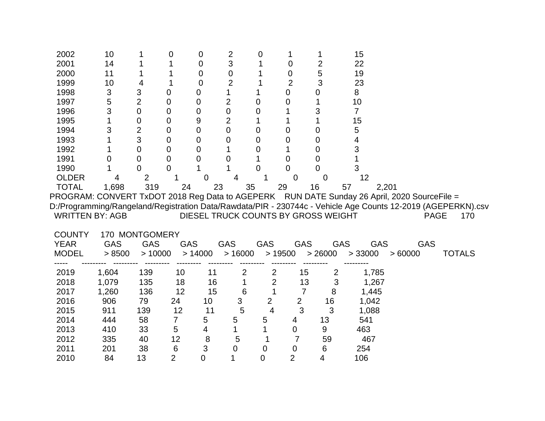| 2002                   | 10                        |                | 0              | 0           | $\overline{2}$                      | 0              | 1              |                | 15                       |                                                                                                              |               |
|------------------------|---------------------------|----------------|----------------|-------------|-------------------------------------|----------------|----------------|----------------|--------------------------|--------------------------------------------------------------------------------------------------------------|---------------|
| 2001                   | 14                        |                |                | 0           | 3                                   |                | $\mathbf 0$    | $\overline{2}$ | 22                       |                                                                                                              |               |
| 2000                   | 11                        |                |                | 0           | 0                                   |                | 0              | 5              | 19                       |                                                                                                              |               |
| 1999                   | 10                        | 4              |                | $\mathbf 0$ | $\overline{2}$                      |                | $\overline{2}$ | 3              | 23                       |                                                                                                              |               |
| 1998                   | $\ensuremath{\mathsf{3}}$ | 3              | 0              | 0           | 1                                   |                | 0              | 0              | 8                        |                                                                                                              |               |
| 1997                   | 5                         | $\overline{2}$ | 0              | 0           | $\overline{2}$                      | 0              | 0              |                | 10                       |                                                                                                              |               |
| 1996                   | 3                         | $\overline{0}$ | 0              | 0           | $\overline{0}$                      | 0              |                | 3              | $\overline{7}$           |                                                                                                              |               |
| 1995                   |                           | $\mathbf 0$    | 0              | 9           | $\overline{2}$                      | 1              |                |                | 15                       |                                                                                                              |               |
| 1994                   | 3                         | $\overline{2}$ | $\overline{0}$ | 0           | $\overline{0}$                      | $\Omega$       | 0              | 0              | 5                        |                                                                                                              |               |
| 1993                   |                           | 3              | $\mathbf 0$    | 0           | 0                                   | $\Omega$       | 0              | 0              | 4                        |                                                                                                              |               |
| 1992                   |                           | $\overline{0}$ | 0              | 0           |                                     | 0              |                | 0              | 3                        |                                                                                                              |               |
| 1991                   | 0                         | $\mathbf 0$    | 0              | 0           | 0                                   |                | 0              | 0              |                          |                                                                                                              |               |
| 1990                   |                           | 0              | 0              |             |                                     | 0              | 0              | 0              | 3                        |                                                                                                              |               |
| <b>OLDER</b>           | 4                         |                |                | 0           | 4                                   |                | $\mathbf 0$    | 0              | 12                       |                                                                                                              |               |
| <b>TOTAL</b>           | 1,698                     | 319            | 24             | 23          | 35                                  |                | 29             | 16             | 57                       | 2,201                                                                                                        |               |
|                        |                           |                |                |             |                                     |                |                |                |                          | PROGRAM: CONVERT TxDOT 2018 Reg Data to AGEPERK RUN DATE Sunday 26 April, 2020 SourceFile =                  |               |
|                        |                           |                |                |             |                                     |                |                |                |                          | D:/Programming/Rangeland/Registration Data/Rawdata/PIR - 230744c - Vehicle Age Counts 12-2019 (AGEPERKN).csv |               |
| <b>WRITTEN BY: AGB</b> |                           |                |                |             | DIESEL TRUCK COUNTS BY GROSS WEIGHT |                |                |                |                          | <b>PAGE</b>                                                                                                  | 170           |
|                        |                           |                |                |             |                                     |                |                |                |                          |                                                                                                              |               |
| <b>COUNTY</b>          |                           |                |                |             |                                     |                |                |                |                          |                                                                                                              |               |
|                        | 170 MONTGOMERY            |                |                |             |                                     |                |                |                |                          |                                                                                                              |               |
| <b>YEAR</b>            | <b>GAS</b>                | <b>GAS</b>     |                | <b>GAS</b>  | <b>GAS</b>                          | <b>GAS</b>     | <b>GAS</b>     |                | <b>GAS</b><br><b>GAS</b> | <b>GAS</b>                                                                                                   |               |
| <b>MODEL</b>           | > 8500                    | >10000         |                | > 14000     | >16000                              |                | >19500         | > 26000        | > 33000                  | >60000                                                                                                       | <b>TOTALS</b> |
|                        |                           |                |                |             |                                     |                |                |                |                          |                                                                                                              |               |
| 2019                   | 1,604                     | 139            | 10             | 11          | $\overline{c}$                      | 2              | 15             | $\overline{2}$ | 1,785                    |                                                                                                              |               |
| 2018                   | 1,079                     | 135            | 18             | 16          | 1                                   | $\overline{2}$ | 13             | 3              | 1,267                    |                                                                                                              |               |
| 2017                   | 1,260                     | 136            | 12             | 15          | $6\phantom{1}6$                     | 1              | $\overline{7}$ | 8              | 1,445                    |                                                                                                              |               |
| 2016                   | 906                       | 79             | 24             | 10          | 3                                   | $\overline{2}$ | $\overline{2}$ | 16             | 1,042                    |                                                                                                              |               |
| 2015                   | 911                       | 139            | 12             | 11          | 5                                   | 4              | 3              | 3              | 1,088                    |                                                                                                              |               |
| 2014                   | 444                       | 58             | $\overline{7}$ | 5           | 5                                   | 5              | 4              | 13             | 541                      |                                                                                                              |               |
| 2013                   | 410                       | 33             | 5              | 4           |                                     |                | 0              | 9              | 463                      |                                                                                                              |               |
| 2012                   | 335                       | 40             | 12             | 8           | 5                                   |                | 7              | 59             | 467                      |                                                                                                              |               |
| 2011                   | 201                       | 38             | 6              | 3           | 0                                   | 0              | 0              | 6              | 254                      |                                                                                                              |               |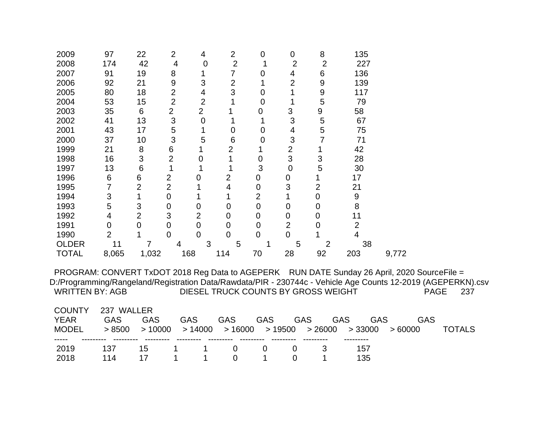| 2009                                                                                                                                                                                                                                  | 97             | 22             | $\overline{2}$ | 4              | $\overline{2}$ | 0              | $\mathbf 0$    | 8                                   | 135                      |        |             |               |  |
|---------------------------------------------------------------------------------------------------------------------------------------------------------------------------------------------------------------------------------------|----------------|----------------|----------------|----------------|----------------|----------------|----------------|-------------------------------------|--------------------------|--------|-------------|---------------|--|
| 2008                                                                                                                                                                                                                                  | 174            | 42             | $\overline{4}$ | 0              | $\overline{2}$ |                | $\overline{2}$ | $\overline{2}$                      | 227                      |        |             |               |  |
| 2007                                                                                                                                                                                                                                  | 91             | 19             | 8              | 1              | $\overline{7}$ | 0              | 4              | 6                                   | 136                      |        |             |               |  |
| 2006                                                                                                                                                                                                                                  | 92             | 21             | 9              | 3              | $\overline{2}$ | 1              | $\overline{2}$ | 9                                   | 139                      |        |             |               |  |
| 2005                                                                                                                                                                                                                                  | 80             | 18             | $\overline{2}$ | 4              | 3              | $\mathbf 0$    | 1              | 9                                   | 117                      |        |             |               |  |
| 2004                                                                                                                                                                                                                                  | 53             | 15             | $\overline{2}$ | $\overline{2}$ | 1              | 0              | 1              | 5                                   | 79                       |        |             |               |  |
| 2003                                                                                                                                                                                                                                  | 35             | $6\phantom{1}$ | $\overline{2}$ | $\overline{2}$ |                | 0              | 3              | $\boldsymbol{9}$                    | 58                       |        |             |               |  |
| 2002                                                                                                                                                                                                                                  | 41             | 13             | 3              | $\mathbf 0$    | 1              | 1              | 3              | 5                                   | 67                       |        |             |               |  |
| 2001                                                                                                                                                                                                                                  | 43             | 17             | 5              | 1              | $\mathbf 0$    | 0              | 4              | 5                                   | 75                       |        |             |               |  |
| 2000                                                                                                                                                                                                                                  | 37             | 10             | 3              | 5              | 6              | 0              | 3              | 7                                   | 71                       |        |             |               |  |
| 1999                                                                                                                                                                                                                                  | 21             | 8              | 6              |                | $\overline{2}$ |                | $\overline{2}$ | 1                                   | 42                       |        |             |               |  |
| 1998                                                                                                                                                                                                                                  | 16             | 3              | $\overline{2}$ | 0              | 1              | 0              | 3              | 3                                   | 28                       |        |             |               |  |
| 1997                                                                                                                                                                                                                                  | 13             | 6              | $\mathbf 1$    | 1              | 1              | 3              | $\overline{0}$ | 5                                   | 30                       |        |             |               |  |
| 1996                                                                                                                                                                                                                                  | $\,6$          | 6              | $\overline{2}$ | $\overline{0}$ | $\overline{2}$ | $\mathbf 0$    | 0              |                                     | 17                       |        |             |               |  |
| 1995                                                                                                                                                                                                                                  | 7              | $\overline{2}$ | $\overline{2}$ |                | 4              | 0              | 3              | $\overline{2}$                      | 21                       |        |             |               |  |
| 1994                                                                                                                                                                                                                                  | 3              | $\mathbf 1$    | 0              |                |                | $\overline{2}$ |                | 0                                   | 9                        |        |             |               |  |
| 1993                                                                                                                                                                                                                                  | 5              | 3              | 0              | $\mathbf 0$    | $\overline{0}$ | $\overline{0}$ | 0              | 0                                   | 8                        |        |             |               |  |
| 1992                                                                                                                                                                                                                                  | 4              | $\overline{2}$ | 3              | $\overline{2}$ | $\overline{0}$ | 0              | 0              | 0                                   | 11                       |        |             |               |  |
| 1991                                                                                                                                                                                                                                  | $\mathbf 0$    | $\mathbf 0$    | 0              | $\overline{0}$ | 0              | 0              | $\overline{2}$ | 0                                   | $\overline{2}$           |        |             |               |  |
| 1990                                                                                                                                                                                                                                  | $\overline{2}$ |                | 0              | 0              | $\overline{0}$ | $\overline{0}$ | 0              | 1                                   | 4                        |        |             |               |  |
| <b>OLDER</b>                                                                                                                                                                                                                          | 11             | 7              | 4              | 3              | 5              | 1              | 5              | $\overline{2}$                      | 38                       |        |             |               |  |
| <b>TOTAL</b>                                                                                                                                                                                                                          | 8,065          | 1,032          |                | 168            | 114            | 70             | 28             | 92                                  | 203                      | 9,772  |             |               |  |
| PROGRAM: CONVERT TxDOT 2018 Reg Data to AGEPERK RUN DATE Sunday 26 April, 2020 SourceFile =<br>D:/Programming/Rangeland/Registration Data/Rawdata/PIR - 230744c - Vehicle Age Counts 12-2019 (AGEPERKN).csv<br><b>WRITTEN BY: AGB</b> |                |                |                |                |                |                |                | DIESEL TRUCK COUNTS BY GROSS WEIGHT |                          |        | <b>PAGE</b> | 237           |  |
| <b>COUNTY</b>                                                                                                                                                                                                                         | 237 WALLER     |                |                |                |                |                |                |                                     |                          |        |             |               |  |
| <b>YEAR</b>                                                                                                                                                                                                                           | <b>GAS</b>     | <b>GAS</b>     |                | <b>GAS</b>     | GAS            | <b>GAS</b>     | GAS            |                                     | <b>GAS</b><br><b>GAS</b> |        | <b>GAS</b>  |               |  |
| <b>MODEL</b>                                                                                                                                                                                                                          | > 8500         | >10000         |                | >14000         | >16000         |                | >19500         | > 26000                             | > 33000                  | >60000 |             | <b>TOTALS</b> |  |
| 2019                                                                                                                                                                                                                                  | 137            | 15             |                |                | 0              | 0              | $\mathbf 0$    | 3                                   | 157                      |        |             |               |  |
| 2018                                                                                                                                                                                                                                  | 114            | 17             |                |                | $\overline{0}$ | 1              | $\mathbf 0$    | 1                                   | 135                      |        |             |               |  |
|                                                                                                                                                                                                                                       |                |                |                |                |                |                |                |                                     |                          |        |             |               |  |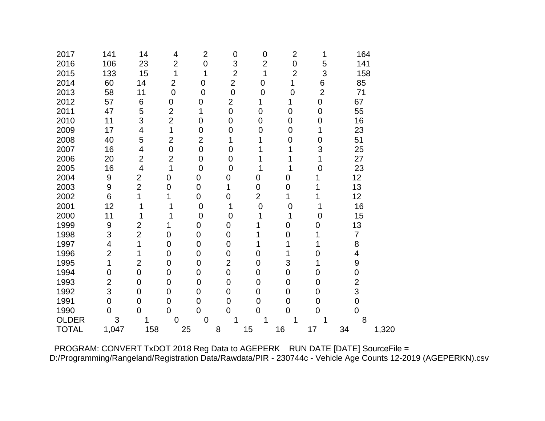| 2017         | 141            | 14             | 4                | $\overline{2}$   | $\mathbf 0$    | $\mathbf 0$    | $\overline{2}$ | 1                | 164             |       |
|--------------|----------------|----------------|------------------|------------------|----------------|----------------|----------------|------------------|-----------------|-------|
| 2016         | 106            | 23             | $\overline{2}$   | $\mathbf 0$      | 3              | $\overline{2}$ | $\mathbf 0$    | 5                | 141             |       |
| 2015         | 133            | 15             | 1                | 1                | $\overline{2}$ | 1              | $\overline{2}$ | 3                | 158             |       |
| 2014         | 60             | 14             | $\overline{2}$   | $\mathbf 0$      | $\overline{2}$ | $\mathbf 0$    | 1              | 6                | 85              |       |
| 2013         | 58             | 11             | $\mathbf 0$      | $\overline{0}$   | $\overline{0}$ | $\overline{0}$ | $\overline{0}$ | $\overline{2}$   | 71              |       |
| 2012         | 57             | 6              | $\boldsymbol{0}$ | $\pmb{0}$        | $\overline{2}$ | 1              | 1              | $\boldsymbol{0}$ | 67              |       |
| 2011         | 47             | 5              | $\overline{2}$   | 1                | $\overline{0}$ | $\overline{0}$ | $\mathbf 0$    | 0                | 55              |       |
| 2010         | 11             | 3              | $\overline{2}$   | 0                | 0              | $\mathbf 0$    | $\mathbf 0$    | 0                | 16              |       |
| 2009         | 17             | 4              | 1                | $\mathbf 0$      | 0              | 0              | $\mathbf 0$    | 1                | 23              |       |
| 2008         | 40             | 5              | $\overline{2}$   | $\overline{2}$   | 1              | 1              | $\mathbf 0$    | 0                | 51              |       |
| 2007         | 16             | 4              | $\mathbf 0$      | $\mathbf 0$      | $\overline{0}$ |                | 1              | 3                | 25              |       |
| 2006         | 20             | $\overline{2}$ | $\overline{2}$   | $\mathbf 0$      | 0              | 1              | 1              | 1                | 27              |       |
| 2005         | 16             | $\overline{4}$ | 1                | $\mathbf 0$      | $\overline{0}$ | 1              | 1              | 0                | 23              |       |
| 2004         | 9              | $\overline{2}$ | $\mathbf 0$      | $\mathbf 0$      | 0              | 0              | 0              | 1                | 12 <sup>2</sup> |       |
| 2003         | 9              | $\overline{2}$ | 0                | $\mathbf 0$      | 1              | $\mathbf 0$    | $\overline{0}$ | 1                | 13              |       |
| 2002         | 6              | 1              | 1                | $\mathbf 0$      | 0              | $\overline{2}$ | 1              |                  | 12              |       |
| 2001         | 12             | 1              |                  | $\overline{0}$   | 1              | $\overline{0}$ | $\mathbf 0$    |                  | 16              |       |
| 2000         | 11             |                | 1                | $\mathbf 0$      | $\overline{0}$ | 1              | 1              | 0                | 15              |       |
| 1999         | 9              | $\overline{2}$ |                  | 0                | 0              | 1              | 0              | 0                | 13              |       |
| 1998         | 3              | $\overline{2}$ | 0                | $\mathbf 0$      | 0              | 1              | 0              | 1                | $\overline{7}$  |       |
| 1997         | 4              | 1              | $\overline{0}$   | $\mathbf 0$      | $\mathbf 0$    | 1              | 1              | 1                | 8               |       |
| 1996         | $\overline{2}$ | 1              | 0                | $\boldsymbol{0}$ | 0              | 0              | 1              | 0                | 4               |       |
| 1995         | 1              | $\overline{2}$ | $\overline{0}$   | 0                | $\overline{2}$ | 0              | 3              | 1                | 9               |       |
| 1994         | 0              | $\mathbf 0$    | 0                | $\mathbf 0$      | 0              | 0              | 0              | 0                | $\mathbf 0$     |       |
| 1993         | $\overline{2}$ | 0              | 0                | $\mathbf 0$      | $\mathbf 0$    | 0              | 0              | 0                | $\overline{2}$  |       |
| 1992         | 3              | $\overline{0}$ | 0                | $\mathbf 0$      | 0              | 0              | $\overline{0}$ | $\mathbf 0$      | 3               |       |
| 1991         | $\overline{0}$ | $\overline{0}$ | $\overline{0}$   | $\overline{0}$   | $\overline{0}$ | $\mathbf 0$    | $\mathbf 0$    | $\overline{0}$   | $\overline{0}$  |       |
| 1990         | $\overline{0}$ | $\overline{0}$ | $\overline{0}$   | $\overline{0}$   | $\overline{0}$ | $\overline{0}$ | $\overline{0}$ | $\overline{0}$   | $\overline{0}$  |       |
| <b>OLDER</b> | 3              |                | $\overline{0}$   | $\overline{0}$   |                | 1              | 1              |                  | 8               |       |
| <b>TOTAL</b> | 1,047          | 158            | 25               |                  | 8              | 15             | 16             | 17               | 34              | 1,320 |

 PROGRAM: CONVERT TxDOT 2018 Reg Data to AGEPERK RUN DATE [DATE] SourceFile = D:/Programming/Rangeland/Registration Data/Rawdata/PIR - 230744c - Vehicle Age Counts 12-2019 (AGEPERKN).csv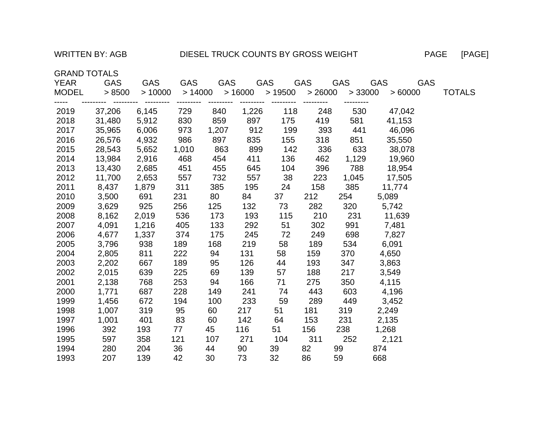## WRITTEN BY: AGB DIESEL TRUCK COUNTS BY GROSS WEIGHT PAGE [PAGE]

GRAND TOTALS

| YEAR  | <b>GAS</b> | <b>GAS</b>                | GAS              | <b>GAS</b>       |           | GAS                                 | GAS | <b>GAS</b>                                        | <b>GAS</b> | <b>GAS</b>    |
|-------|------------|---------------------------|------------------|------------------|-----------|-------------------------------------|-----|---------------------------------------------------|------------|---------------|
| MODEL | > 8500     | >10000                    |                  |                  |           |                                     |     | $> 14000$ $> 16000$ $> 19500$ $> 26000$ $> 33000$ | >60000     | <b>TOTALS</b> |
| 2019  |            | ---------<br>37,206 6,145 | ---------<br>729 | ---------<br>840 | 1,226     | --------- --------- --------<br>118 | 248 | 530                                               | 47,042     |               |
| 2018  | 31,480     | 5,912                     | 830              | 859              | 897       | 175                                 | 419 | 581                                               | 41,153     |               |
| 2017  | 35,965     | 6,006                     | 973              |                  | 1,207 912 | 199                                 | 393 | 441                                               | 46,096     |               |
| 2016  | 26,576     | 4,932                     | 986              | 897              | 835       | 155                                 | 318 | 851                                               | 35,550     |               |
| 2015  | 28,543     | 5,652                     | 1,010            | 863              | 899       | 142                                 | 336 | 633                                               | 38,078     |               |
| 2014  | 13,984     | 2,916                     | 468              | 454              | 411       | 136                                 | 462 | 1,129                                             | 19,960     |               |
| 2013  | 13,430     | 2,685                     | 451              | 455              | 645       | 104                                 | 396 | 788 —                                             | 18,954     |               |
| 2012  | 11,700     | 2,653                     | 557              | 732              | 557       | 38                                  | 223 | 1,045                                             | 17,505     |               |
| 2011  | 8,437      | 1,879                     | 311              | 385              | 195       | 24                                  | 158 | 385                                               | 11,774     |               |
| 2010  | 3,500      | 691                       | 231              | 80               | 84        | 37                                  | 212 | 254                                               | 5,089      |               |
| 2009  | 3,629      | 925                       | 256              | 125              | 132       | 73                                  | 282 | 320                                               | 5,742      |               |
| 2008  | 8,162      | 2,019                     | 536              | 173              | 193       | 115                                 | 210 | 231                                               | 11,639     |               |
| 2007  | 4,091      | 1,216                     | 405              | 133              | 292       | 51                                  | 302 | 991                                               | 7,481      |               |
| 2006  | 4,677      | 1,337                     | 374              | 175              | 245       | 72                                  | 249 | 698                                               | 7,827      |               |
| 2005  | 3,796      | 938                       | 189              | 168              | 219       | 58                                  | 189 | 534                                               | 6,091      |               |
| 2004  | 2,805      | 811                       | 222              | 94               | 131       | 58                                  | 159 | 370                                               | 4,650      |               |
| 2003  | 2,202      | 667                       | 189              | 95               | 126       | 44                                  | 193 | 347                                               | 3,863      |               |
| 2002  | 2,015      | 639                       | 225              | 69               | 139       | 57                                  | 188 | 217                                               | 3,549      |               |
| 2001  | 2,138      | 768                       | 253              | 94               | 166       | 71                                  | 275 | 350                                               | 4,115      |               |
| 2000  | 1,771      | 687                       | 228              | 149              | 241       | 74                                  | 443 | 603                                               | 4,196      |               |
| 1999  | 1,456      | 672                       | 194              | 100              | 233       | 59                                  | 289 | 449                                               | 3,452      |               |
| 1998  | 1,007      | 319                       | 95               | 60               | 217       | 51                                  | 181 | 319                                               | 2,249      |               |
| 1997  | 1,001      | 401                       | 83               | 60               | 142       | 64                                  | 153 | 231                                               | 2,135      |               |
| 1996  | 392        | 193                       | 77               | 45               | 116       | 51                                  | 156 | 238                                               | 1,268      |               |
| 1995  | 597        | 358                       | 121              | 107              | 271       | 104                                 | 311 | 252                                               | 2,121      |               |
| 1994  | 280        | 204                       | 36               | 44               | 90        | 39                                  | 82  | 99                                                | 874        |               |
| 1993  | 207        | 139                       | 42               | 30               | 73        | 32                                  | 86  | 59                                                | 668        |               |